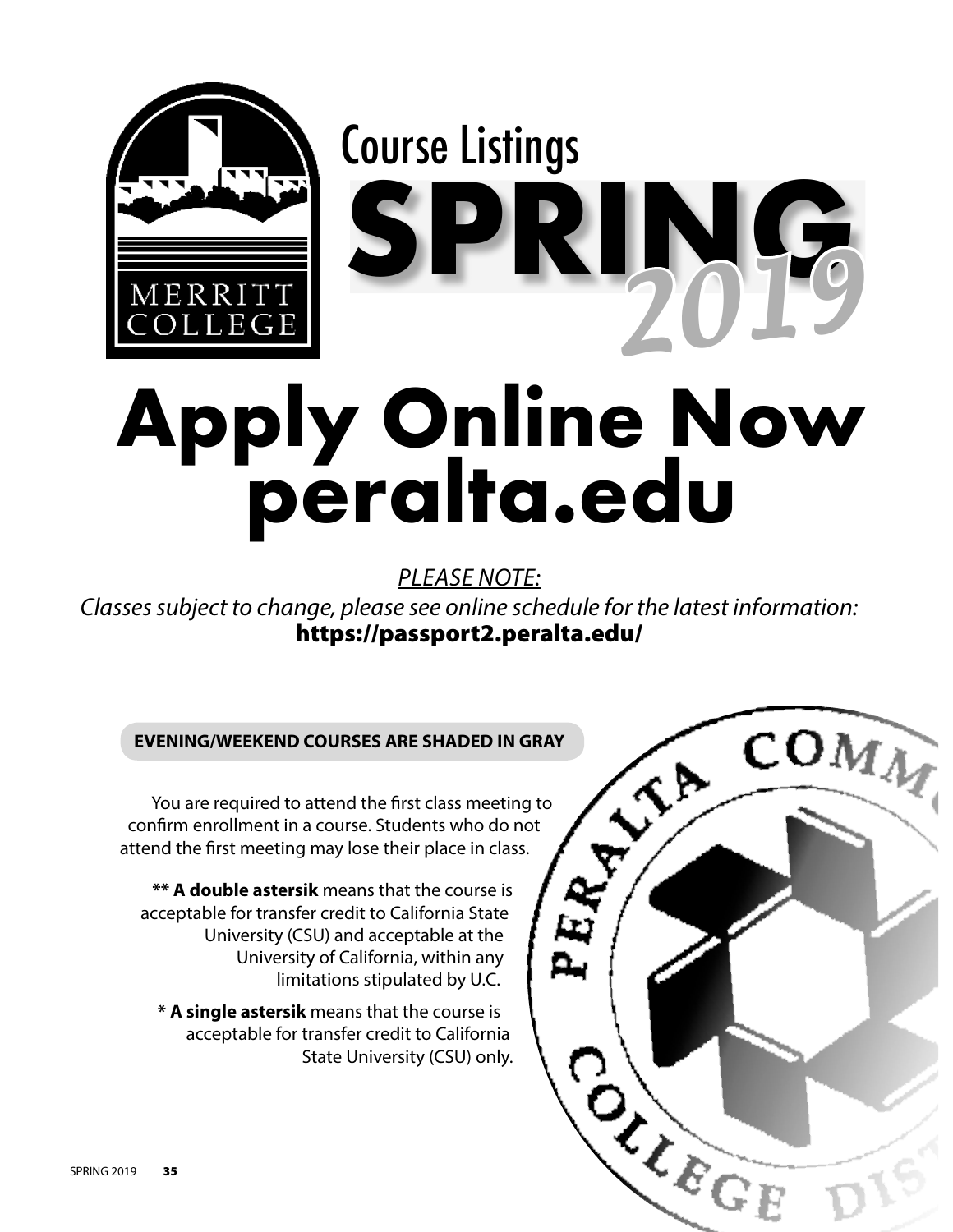

## **Apply Online Now peralta.edu**

*PLEASE NOTE:*

*Classes subject to change, please see online schedule for the latest information:*  https://passport2.peralta.edu/

COMM

 $\left\langle \mathbf{v} \right\rangle$ 

CASCE OF

## **EVENING/WEEKEND COURSES ARE SHADED IN GRAY**

 You are required to attend the first class meeting to confirm enrollment in a course. Students who do not attend the first meeting may lose their place in class.

 **\*\* A double astersik** means that the course is acceptable for transfer credit to California State University (CSU) and acceptable at the University of California, within any limitations stipulated by U.C.

 **\* A single astersik** means that the course is acceptable for transfer credit to California State University (CSU) only.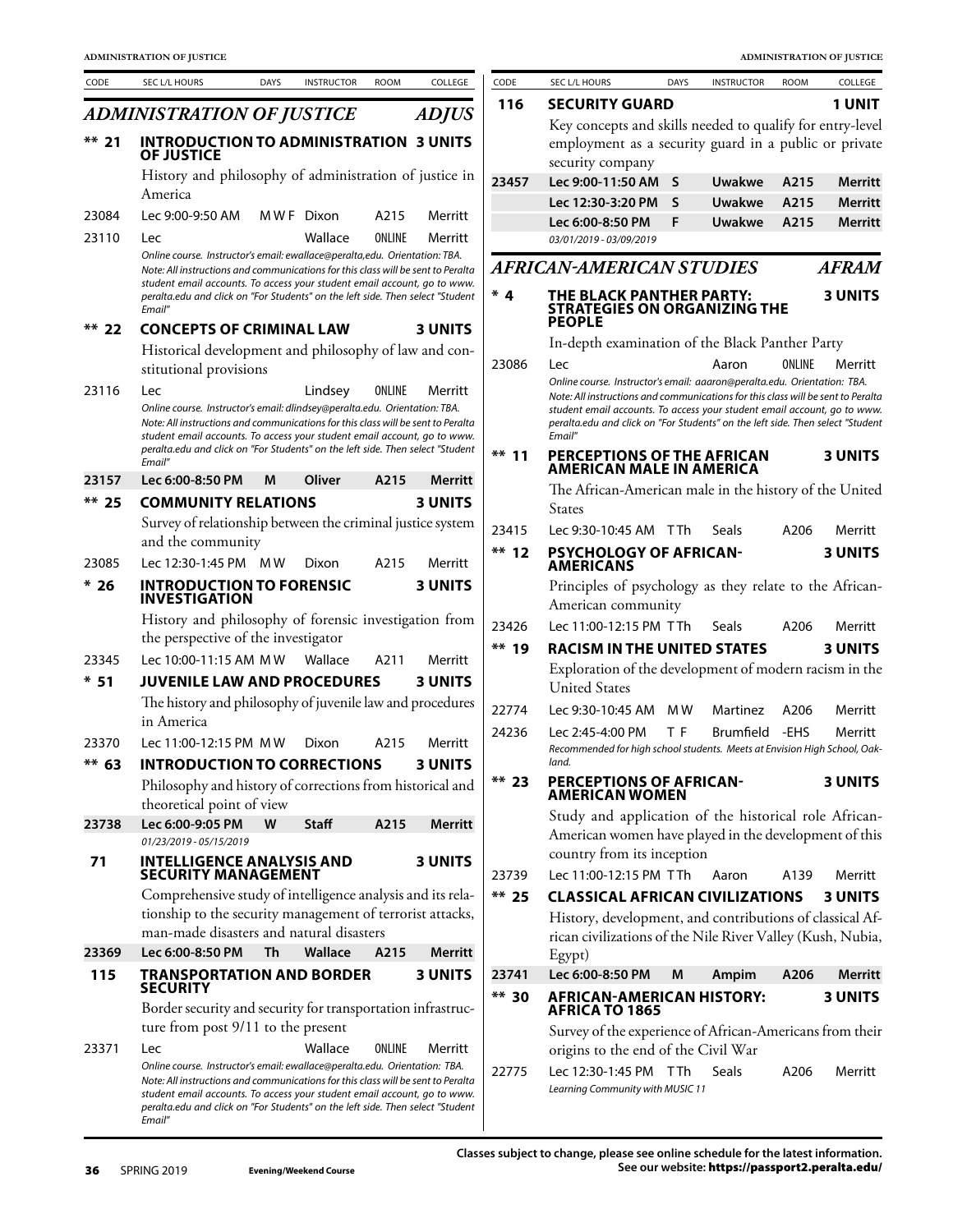| CODE             | SEC L/L HOURS                                                                                                                                                                                                                                            | <b>DAYS</b> | <b>INSTRUCTOR</b> | <b>ROOM</b> | COLLEGE                   | CODE    | SEC L/L HOURS                                                                                                                                              | <b>DAYS</b>  | <b>INSTRUCTOR</b> | <b>ROOM</b> | COLLEGE        |
|------------------|----------------------------------------------------------------------------------------------------------------------------------------------------------------------------------------------------------------------------------------------------------|-------------|-------------------|-------------|---------------------------|---------|------------------------------------------------------------------------------------------------------------------------------------------------------------|--------------|-------------------|-------------|----------------|
|                  | <b>ADMINISTRATION OF JUSTICE</b>                                                                                                                                                                                                                         |             |                   |             | <b>ADJUS</b>              | 116     | <b>SECURITY GUARD</b>                                                                                                                                      |              |                   |             | 1 UNIT         |
|                  |                                                                                                                                                                                                                                                          |             |                   |             |                           |         | Key concepts and skills needed to qualify for entry-level                                                                                                  |              |                   |             |                |
| ** 21            | <b>INTRODUCTION TO ADMINISTRATION 3 UNITS</b><br><b>OF JUSTICE</b>                                                                                                                                                                                       |             |                   |             |                           |         | employment as a security guard in a public or private<br>security company                                                                                  |              |                   |             |                |
|                  | History and philosophy of administration of justice in                                                                                                                                                                                                   |             |                   |             |                           | 23457   | Lec 9:00-11:50 AM                                                                                                                                          | <sub>S</sub> | <b>Uwakwe</b>     | A215        | <b>Merritt</b> |
|                  | America                                                                                                                                                                                                                                                  |             |                   |             |                           |         | Lec 12:30-3:20 PM                                                                                                                                          | S            | <b>Uwakwe</b>     | A215        | <b>Merritt</b> |
| 23084            | Lec 9:00-9:50 AM                                                                                                                                                                                                                                         |             | MWF Dixon         | A215        | Merritt                   |         | Lec 6:00-8:50 PM                                                                                                                                           | F            | <b>Uwakwe</b>     | A215        | <b>Merritt</b> |
| 23110            | <b>Lec</b><br>Online course. Instructor's email: ewallace@peralta,edu. Orientation: TBA.                                                                                                                                                                 |             | Wallace           | ONLINE      | Merritt                   |         | 03/01/2019 - 03/09/2019                                                                                                                                    |              |                   |             |                |
|                  | Note: All instructions and communications for this class will be sent to Peralta                                                                                                                                                                         |             |                   |             |                           |         | <b>AFRICAN-AMERICAN STUDIES</b>                                                                                                                            |              |                   |             | <b>AFRAM</b>   |
|                  | student email accounts. To access your student email account, go to www.<br>peralta.edu and click on "For Students" on the left side. Then select "Student<br>Email"                                                                                     |             |                   |             |                           | $*4$    | THE BLACK PANTHER PARTY:<br><b>STRATEGIES ON ORGANIZING THE</b>                                                                                            |              |                   |             | <b>3 UNITS</b> |
| ** 22            | <b>CONCEPTS OF CRIMINAL LAW</b>                                                                                                                                                                                                                          |             |                   |             | <b>3 UNITS</b>            |         | <b>PEOPLE</b>                                                                                                                                              |              |                   |             |                |
|                  | Historical development and philosophy of law and con-                                                                                                                                                                                                    |             |                   |             |                           | 23086   | In-depth examination of the Black Panther Party                                                                                                            |              |                   | ONLINE      |                |
|                  | stitutional provisions                                                                                                                                                                                                                                   |             |                   |             |                           |         | Lec<br>Online course. Instructor's email: aaaron@peralta.edu. Orientation: TBA.                                                                            |              | Aaron             |             | Merritt        |
| 23116            | <b>Lec</b>                                                                                                                                                                                                                                               |             | Lindsey           | ONLINE      | Merritt                   |         | Note: All instructions and communications for this class will be sent to Peralta                                                                           |              |                   |             |                |
|                  | Online course. Instructor's email: dlindsey@peralta.edu. Orientation: TBA.<br>Note: All instructions and communications for this class will be sent to Peralta                                                                                           |             |                   |             |                           |         | student email accounts. To access your student email account, go to www.<br>peralta.edu and click on "For Students" on the left side. Then select "Student |              |                   |             |                |
|                  | student email accounts. To access your student email account, go to www.<br>peralta.edu and click on "For Students" on the left side. Then select "Student                                                                                               |             |                   |             |                           |         | Email"                                                                                                                                                     |              |                   |             |                |
|                  | Email"<br>Lec 6:00-8:50 PM                                                                                                                                                                                                                               |             |                   |             |                           | $**$ 11 | PERCEPTIONS OF THE AFRICAN<br><b>AMERICAN MALE IN AMERICA</b>                                                                                              |              |                   |             | <b>3 UNITS</b> |
| 23157<br>$**$ 25 | <b>COMMUNITY RELATIONS</b>                                                                                                                                                                                                                               | М           | Oliver            | A215        | Merritt<br><b>3 UNITS</b> |         | The African-American male in the history of the United                                                                                                     |              |                   |             |                |
|                  | Survey of relationship between the criminal justice system                                                                                                                                                                                               |             |                   |             |                           |         | <b>States</b>                                                                                                                                              |              |                   |             |                |
|                  | and the community                                                                                                                                                                                                                                        |             |                   |             |                           | 23415   | Lec 9:30-10:45 AM TTh                                                                                                                                      |              | Seals             | A206        | Merritt        |
| 23085            | Lec 12:30-1:45 PM MW                                                                                                                                                                                                                                     |             | Dixon             | A215        | Merritt                   | $**$ 12 | <b>PSYCHOLOGY OF AFRICAN-</b><br><b>AMERICANS</b>                                                                                                          |              |                   |             | <b>3 UNITS</b> |
| $*26$            | <b>INTRODUCTION TO FORENSIC</b><br><b>INVESTIGATION</b>                                                                                                                                                                                                  |             |                   |             | <b>3 UNITS</b>            |         | Principles of psychology as they relate to the African-<br>American community                                                                              |              |                   |             |                |
|                  | History and philosophy of forensic investigation from                                                                                                                                                                                                    |             |                   |             |                           | 23426   | Lec 11:00-12:15 PM TTh                                                                                                                                     |              | Seals             | A206        | Merritt        |
|                  | the perspective of the investigator                                                                                                                                                                                                                      |             |                   |             |                           | ** 19   | <b>RACISM IN THE UNITED STATES</b>                                                                                                                         |              |                   |             | <b>3 UNITS</b> |
| 23345            | Lec 10:00-11:15 AM MW                                                                                                                                                                                                                                    |             | Wallace           | A211        | Merritt                   |         | Exploration of the development of modern racism in the                                                                                                     |              |                   |             |                |
| $*51$            | <b>JUVENILE LAW AND PROCEDURES</b>                                                                                                                                                                                                                       |             |                   |             | <b>3 UNITS</b>            |         | <b>United States</b>                                                                                                                                       |              |                   |             |                |
|                  | The history and philosophy of juvenile law and procedures<br>in America                                                                                                                                                                                  |             |                   |             |                           | 22774   | Lec 9:30-10:45 AM                                                                                                                                          | M W          | Martinez          | A206        | Merritt        |
| 23370            | Lec 11:00-12:15 PM MW                                                                                                                                                                                                                                    |             | Dixon             | A215        | Merritt                   | 24236   | Lec 2:45-4:00 PM                                                                                                                                           | T F          | <b>Brumfield</b>  | -EHS        | Merritt        |
| ** 63            | <b>INTRODUCTION TO CORRECTIONS</b>                                                                                                                                                                                                                       |             |                   |             | <b>3 UNITS</b>            |         | Recommended for high school students. Meets at Envision High School, Oak-<br>land.                                                                         |              |                   |             |                |
|                  | Philosophy and history of corrections from historical and                                                                                                                                                                                                |             |                   |             |                           | $** 23$ | <b>PERCEPTIONS OF AFRICAN-</b><br><b>AMERICAN WOMEN</b>                                                                                                    |              |                   |             | <b>3 UNITS</b> |
| 23738            | theoretical point of view<br>Lec 6:00-9:05 PM                                                                                                                                                                                                            | W           | Staff             | A215        | Merritt                   |         | Study and application of the historical role African-                                                                                                      |              |                   |             |                |
|                  | 01/23/2019 - 05/15/2019                                                                                                                                                                                                                                  |             |                   |             |                           |         | American women have played in the development of this                                                                                                      |              |                   |             |                |
| 71               | <b>INTELLIGENCE ANALYSIS AND</b>                                                                                                                                                                                                                         |             |                   |             | <b>3 UNITS</b>            |         | country from its inception                                                                                                                                 |              |                   |             |                |
|                  | SECURITY MANAGEMENT                                                                                                                                                                                                                                      |             |                   |             |                           | 23739   | Lec 11:00-12:15 PM TTh                                                                                                                                     |              | Aaron             | A139        | Merritt        |
|                  | Comprehensive study of intelligence analysis and its rela-                                                                                                                                                                                               |             |                   |             |                           | $**$ 25 | <b>CLASSICAL AFRICAN CIVILIZATIONS</b>                                                                                                                     |              |                   |             | <b>3 UNITS</b> |
|                  | tionship to the security management of terrorist attacks,<br>man-made disasters and natural disasters                                                                                                                                                    |             |                   |             |                           |         | History, development, and contributions of classical Af-                                                                                                   |              |                   |             |                |
| 23369            | Lec 6:00-8:50 PM                                                                                                                                                                                                                                         | Th          | Wallace           | A215        | Merritt                   |         | rican civilizations of the Nile River Valley (Kush, Nubia,<br>Egypt)                                                                                       |              |                   |             |                |
| 115              | <b>TRANSPORTATION AND BORDER</b>                                                                                                                                                                                                                         |             |                   |             | <b>3 UNITS</b>            | 23741   | Lec 6:00-8:50 PM                                                                                                                                           | M            | Ampim             | A206        | Merritt        |
|                  | <b>SECURITY</b>                                                                                                                                                                                                                                          |             |                   |             |                           | ** 30   | <b>AFRICAN-AMERICAN HISTORY:</b>                                                                                                                           |              |                   |             | <b>3 UNITS</b> |
|                  | Border security and security for transportation infrastruc-                                                                                                                                                                                              |             |                   |             |                           |         | <b>AFRICA TO 1865</b>                                                                                                                                      |              |                   |             |                |
| 23371            | ture from post 9/11 to the present<br>Lec                                                                                                                                                                                                                |             | Wallace           | ONLINE      | Merritt                   |         | Survey of the experience of African-Americans from their<br>origins to the end of the Civil War                                                            |              |                   |             |                |
|                  | Online course. Instructor's email: ewallace@peralta.edu. Orientation: TBA.                                                                                                                                                                               |             |                   |             |                           | 22775   | Lec 12:30-1:45 PM TTh                                                                                                                                      |              | <b>Seals</b>      | A206        | Merritt        |
|                  | Note: All instructions and communications for this class will be sent to Peralta<br>student email accounts. To access your student email account, go to www.<br>peralta.edu and click on "For Students" on the left side. Then select "Student<br>Email" |             |                   |             |                           |         | Learning Community with MUSIC 11                                                                                                                           |              |                   |             |                |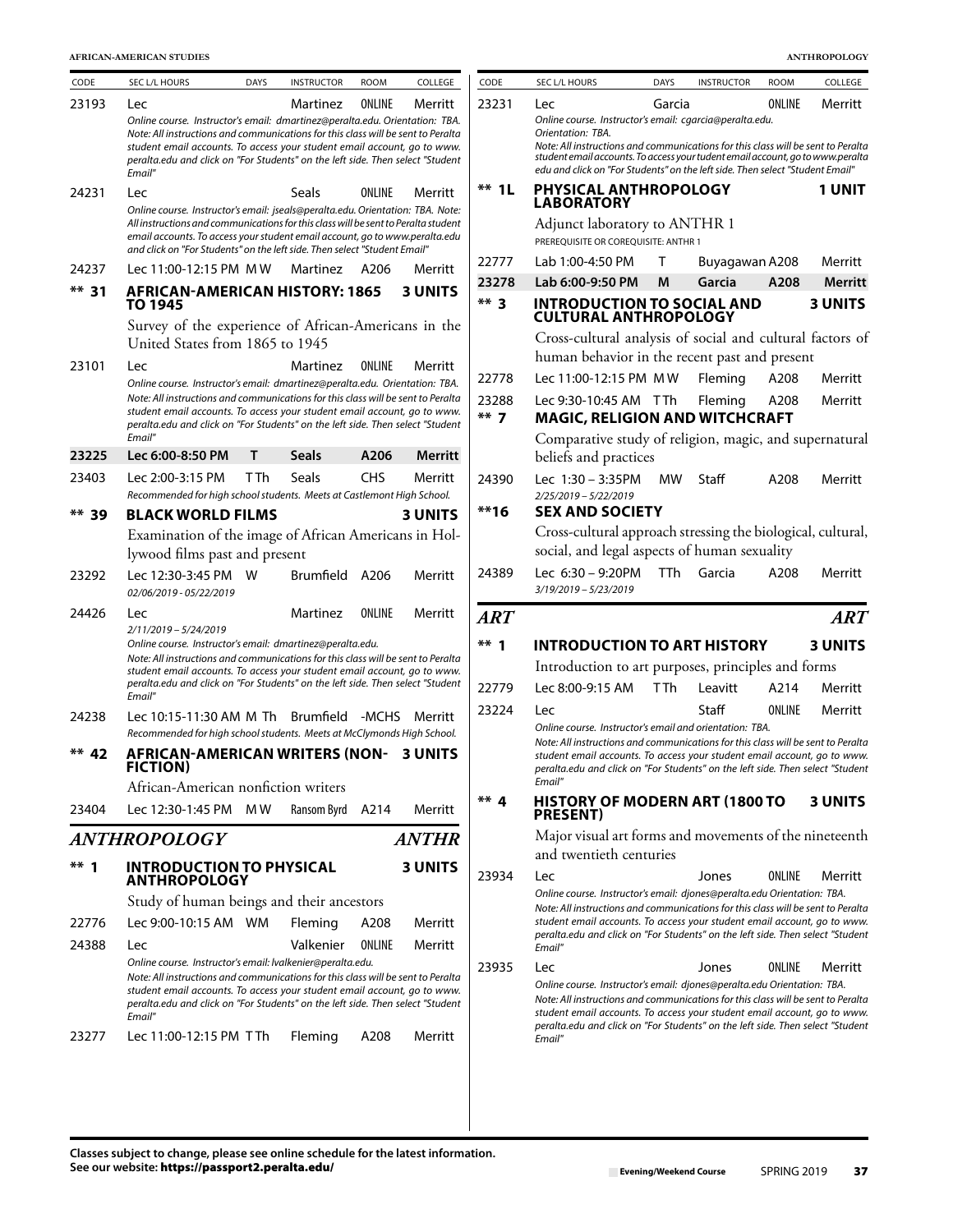**AFRICAN-AMERICAN STUDIES ANTHROPOLOGY**

| CODE    | SEC L/L HOURS                                                                                                                                                                                                                                                                                                                           | <b>DAYS</b> | <b>INSTRUCTOR</b> | <b>ROOM</b> | COLLEGE        | CODE       | SEC L/L HOURS                                                                                                                                                                                                                                                                                                                    | <b>DAYS</b> | <b>INSTRUCTOR</b> | <b>ROOM</b> | COLLEGE |
|---------|-----------------------------------------------------------------------------------------------------------------------------------------------------------------------------------------------------------------------------------------------------------------------------------------------------------------------------------------|-------------|-------------------|-------------|----------------|------------|----------------------------------------------------------------------------------------------------------------------------------------------------------------------------------------------------------------------------------------------------------------------------------------------------------------------------------|-------------|-------------------|-------------|---------|
| 23193   | Lec                                                                                                                                                                                                                                                                                                                                     |             | Martinez          | ONLINE      | Merritt        | 23231      | Lec                                                                                                                                                                                                                                                                                                                              | Garcia      |                   | ONLINE      | Merritt |
|         | Online course. Instructor's email: dmartinez@peralta.edu. Orientation: TBA.<br>Note: All instructions and communications for this class will be sent to Peralta<br>student email accounts. To access your student email account, go to www.<br>peralta.edu and click on "For Students" on the left side. Then select "Student<br>Email" |             |                   |             |                |            | Online course. Instructor's email: cgarcia@peralta.edu.<br>Orientation: TBA.<br>Note: All instructions and communications for this class will be sent to Perali<br>student email accounts. To access your tudent email account, go to www.peral<br>edu and click on "For Students" on the left side. Then select "Student Email" |             |                   |             |         |
| 24231   | Lec                                                                                                                                                                                                                                                                                                                                     |             | Seals             | ONLINE      | Merritt        | $**$ 1L    | PHYSICAL ANTHROPOLOGY<br><b>LABORATORY</b>                                                                                                                                                                                                                                                                                       |             |                   |             | 1 UNIT  |
|         | Online course. Instructor's email: jseals@peralta.edu. Orientation: TBA. Note:<br>All instructions and communications for this class will be sent to Peralta student                                                                                                                                                                    |             |                   |             |                |            | Adjunct laboratory to ANTHR 1                                                                                                                                                                                                                                                                                                    |             |                   |             |         |
|         | email accounts. To access your student email account, go to www.peralta.edu<br>and click on "For Students" on the left side. Then select "Student Email"                                                                                                                                                                                |             |                   |             |                |            | PREREQUISITE OR COREQUISITE: ANTHR 1                                                                                                                                                                                                                                                                                             |             |                   |             |         |
| 24237   | Lec 11:00-12:15 PM MW                                                                                                                                                                                                                                                                                                                   |             | Martinez          | A206        | Merritt        | 22777      | Lab 1:00-4:50 PM                                                                                                                                                                                                                                                                                                                 | T.          | Buyagawan A208    |             | Merritt |
| $** 31$ | <b>AFRICAN-AMERICAN HISTORY: 1865</b>                                                                                                                                                                                                                                                                                                   |             |                   |             | <b>3 UNITS</b> | 23278      | Lab 6:00-9:50 PM                                                                                                                                                                                                                                                                                                                 | M           | Garcia            | A208        | Merrit  |
|         | TO 1945                                                                                                                                                                                                                                                                                                                                 |             |                   |             |                | $**$ 3     | <b>INTRODUCTION TO SOCIAL AND<br/>CULTURAL ANTHROPOLOGY</b>                                                                                                                                                                                                                                                                      |             |                   |             | 3 UNITS |
|         | Survey of the experience of African-Americans in the<br>United States from 1865 to 1945                                                                                                                                                                                                                                                 |             |                   |             |                |            | Cross-cultural analysis of social and cultural factors o                                                                                                                                                                                                                                                                         |             |                   |             |         |
| 23101   | Lec                                                                                                                                                                                                                                                                                                                                     |             | Martinez          | ONLINE      | Merritt        |            | human behavior in the recent past and present                                                                                                                                                                                                                                                                                    |             |                   |             |         |
|         | Online course. Instructor's email: dmartinez@peralta.edu. Orientation: TBA.                                                                                                                                                                                                                                                             |             |                   |             |                | 22778      | Lec 11:00-12:15 PM MW                                                                                                                                                                                                                                                                                                            |             | Fleming           | A208        | Merritt |
|         | Note: All instructions and communications for this class will be sent to Peralta<br>student email accounts. To access your student email account, go to www.                                                                                                                                                                            |             |                   |             |                | 23288      | Lec 9:30-10:45 AM TTh                                                                                                                                                                                                                                                                                                            |             | Fleming           | A208        | Merritt |
|         | peralta.edu and click on "For Students" on the left side. Then select "Student                                                                                                                                                                                                                                                          |             |                   |             |                | $***$ 7    | <b>MAGIC, RELIGION AND WITCHCRAFT</b>                                                                                                                                                                                                                                                                                            |             |                   |             |         |
| 23225   | Email"<br>Lec 6:00-8:50 PM                                                                                                                                                                                                                                                                                                              | Τ           | Seals             | A206        | Merritt        |            | Comparative study of religion, magic, and supernatura<br>beliefs and practices                                                                                                                                                                                                                                                   |             |                   |             |         |
| 23403   | Lec 2:00-3:15 PM                                                                                                                                                                                                                                                                                                                        | T Th        | Seals             | <b>CHS</b>  | Merritt        | 24390      | Lec 1:30 - 3:35PM                                                                                                                                                                                                                                                                                                                | MW.         | Staff             | A208        | Merritt |
|         | Recommended for high school students. Meets at Castlemont High School.                                                                                                                                                                                                                                                                  |             |                   |             |                | $**16$     | 2/25/2019 - 5/22/2019<br><b>SEX AND SOCIETY</b>                                                                                                                                                                                                                                                                                  |             |                   |             |         |
| ** 39   | <b>BLACK WORLD FILMS</b>                                                                                                                                                                                                                                                                                                                |             |                   |             | <b>3 UNITS</b> |            | Cross-cultural approach stressing the biological, cultura                                                                                                                                                                                                                                                                        |             |                   |             |         |
|         | Examination of the image of African Americans in Hol-<br>lywood films past and present                                                                                                                                                                                                                                                  |             |                   |             |                |            | social, and legal aspects of human sexuality                                                                                                                                                                                                                                                                                     |             |                   |             |         |
| 23292   | Lec 12:30-3:45 PM W<br>02/06/2019 - 05/22/2019                                                                                                                                                                                                                                                                                          |             | Brumfield A206    |             | Merritt        | 24389      | Lec $6:30 - 9:20PM$<br>3/19/2019 - 5/23/2019                                                                                                                                                                                                                                                                                     | <b>TTh</b>  | Garcia            | A208        | Merritt |
| 24426   | Lec                                                                                                                                                                                                                                                                                                                                     |             | Martinez          | ONLINE      | Merritt        | <b>ART</b> |                                                                                                                                                                                                                                                                                                                                  |             |                   |             | AR      |
|         | 2/11/2019 - 5/24/2019<br>Online course. Instructor's email: dmartinez@peralta.edu.                                                                                                                                                                                                                                                      |             |                   |             |                | $** 1$     | <b>INTRODUCTION TO ART HISTORY</b>                                                                                                                                                                                                                                                                                               |             |                   |             | 3 UNITS |
|         | Note: All instructions and communications for this class will be sent to Peralta<br>student email accounts. To access your student email account, go to www.                                                                                                                                                                            |             |                   |             |                |            | Introduction to art purposes, principles and forms                                                                                                                                                                                                                                                                               |             |                   |             |         |
|         | peralta.edu and click on "For Students" on the left side. Then select "Student<br>Email"                                                                                                                                                                                                                                                |             |                   |             |                | 22779      | Lec 8:00-9:15 AM                                                                                                                                                                                                                                                                                                                 | <b>TTh</b>  | Leavitt           | A214        | Merritt |
| 24238   | Lec 10:15-11:30 AM M Th Brumfield -MCHS                                                                                                                                                                                                                                                                                                 |             |                   |             | Merritt        | 23224      | Lec                                                                                                                                                                                                                                                                                                                              |             | Staff             | ONLINE      | Merritt |
|         | Recommended for high school students. Meets at McClymonds High School.                                                                                                                                                                                                                                                                  |             |                   |             |                |            | Online course. Instructor's email and orientation: TBA.                                                                                                                                                                                                                                                                          |             |                   |             |         |
| $** 42$ | AFRICAN-AMERICAN WRITERS (NON- 3 UNITS<br><b>FICTION)</b>                                                                                                                                                                                                                                                                               |             |                   |             |                |            | Note: All instructions and communications for this class will be sent to Perali<br>student email accounts. To access your student email account, go to wwi<br>peralta.edu and click on "For Students" on the left side. Then select "Studer<br>Email"                                                                            |             |                   |             |         |
| 23404   | African-American nonfiction writers<br>Lec 12:30-1:45 PM MW                                                                                                                                                                                                                                                                             |             | Ransom Byrd       | A214        | Merritt        | $***$ 4    | <b>HISTORY OF MODERN ART (1800 TO</b><br><b>PRESENT</b> )                                                                                                                                                                                                                                                                        |             |                   |             | 3 UNITS |
|         | ANTHROPOLOGY                                                                                                                                                                                                                                                                                                                            |             |                   |             | <b>ANTHR</b>   |            | Major visual art forms and movements of the nineteent                                                                                                                                                                                                                                                                            |             |                   |             |         |
| $***$ 1 | <b>INTRODUCTION TO PHYSICAL</b>                                                                                                                                                                                                                                                                                                         |             |                   |             | <b>3 UNITS</b> |            | and twentieth centuries                                                                                                                                                                                                                                                                                                          |             |                   |             |         |
|         | <b>ANTHROPOLOGY</b>                                                                                                                                                                                                                                                                                                                     |             |                   |             |                | 23934      | Lec                                                                                                                                                                                                                                                                                                                              |             | Jones             | ONLINE      | Merritt |
|         | Study of human beings and their ancestors                                                                                                                                                                                                                                                                                               |             |                   |             |                |            | Online course. Instructor's email: djones@peralta.edu Orientation: TBA.<br>Note: All instructions and communications for this class will be sent to Perali                                                                                                                                                                       |             |                   |             |         |
| 22776   | Lec 9:00-10:15 AM WM                                                                                                                                                                                                                                                                                                                    |             | Fleming           | A208        | Merritt        |            | student email accounts. To access your student email account, go to wwi                                                                                                                                                                                                                                                          |             |                   |             |         |
| 24388   | Lec                                                                                                                                                                                                                                                                                                                                     |             | Valkenier         | ONLINE      | Merritt        |            | peralta.edu and click on "For Students" on the left side. Then select "Studer<br>Email"                                                                                                                                                                                                                                          |             |                   |             |         |
|         | Online course. Instructor's email: Ivalkenier@peralta.edu.<br>Note: All instructions and communications for this class will be sent to Peralta                                                                                                                                                                                          |             |                   |             |                | 23935      | <b>Lec</b>                                                                                                                                                                                                                                                                                                                       |             | Jones             | ONLINE      | Merritt |
|         | student email accounts. To access your student email account, go to www.<br>peralta.edu and click on "For Students" on the left side. Then select "Student<br>Email"                                                                                                                                                                    |             |                   |             |                |            | Online course. Instructor's email: djones@peralta.edu Orientation: TBA.<br>Note: All instructions and communications for this class will be sent to Perali<br>student email accounts. To access your student email account, go to wwi                                                                                            |             |                   |             |         |
| 23277   | Lec 11:00-12:15 PM TTh                                                                                                                                                                                                                                                                                                                  |             | Fleming           | A208        | Merritt        |            | peralta.edu and click on "For Students" on the left side. Then select "Studer<br>Email"                                                                                                                                                                                                                                          |             |                   |             |         |
|         |                                                                                                                                                                                                                                                                                                                                         |             |                   |             |                |            |                                                                                                                                                                                                                                                                                                                                  |             |                   |             |         |
|         |                                                                                                                                                                                                                                                                                                                                         |             |                   |             |                |            |                                                                                                                                                                                                                                                                                                                                  |             |                   |             |         |

| CODE                                         | SEC L/L HOURS                                                                                                                                                                                                                                                                                                                       | <b>DAYS</b> | <b>INSTRUCTOR</b> | <b>ROOM</b> | COLLEGE        |
|----------------------------------------------|-------------------------------------------------------------------------------------------------------------------------------------------------------------------------------------------------------------------------------------------------------------------------------------------------------------------------------------|-------------|-------------------|-------------|----------------|
| 23231                                        | Lec                                                                                                                                                                                                                                                                                                                                 | Garcia      |                   | ONLINE      | Merritt        |
|                                              | Online course. Instructor's email: cgarcia@peralta.edu.<br>Orientation: TBA.<br>Note: All instructions and communications for this class will be sent to Peralta<br>student email accounts. To access your tudent email account, go to www.peralta<br>edu and click on "For Students" on the left side. Then select "Student Email" |             |                   |             |                |
| ** 1L                                        | <b>PHYSICAL ANTHROPOLOGY</b><br><b>LABORATORY</b>                                                                                                                                                                                                                                                                                   |             |                   |             | 1 UNIT         |
|                                              | Adjunct laboratory to ANTHR 1<br>PREREOUISITE OR COREOUISITE: ANTHR 1                                                                                                                                                                                                                                                               |             |                   |             |                |
| 22777                                        | Lab 1:00-4:50 PM                                                                                                                                                                                                                                                                                                                    | т           | Buyagawan A208    |             | Merritt        |
| 23278                                        | Lab 6:00-9:50 PM                                                                                                                                                                                                                                                                                                                    | M           | Garcia            | A208        | Merritt        |
| $***$ 3                                      | <b>INTRODUCTION TO SOCIAL AND</b><br><b>CULTURAL ANTHROPOLOGY</b>                                                                                                                                                                                                                                                                   |             |                   |             | <b>3 UNITS</b> |
|                                              | Cross-cultural analysis of social and cultural factors of                                                                                                                                                                                                                                                                           |             |                   |             |                |
|                                              | human behavior in the recent past and present                                                                                                                                                                                                                                                                                       |             |                   |             |                |
| 22778                                        | Lec 11:00-12:15 PM MW                                                                                                                                                                                                                                                                                                               |             | Fleming           | A208        | Merritt        |
| 23288                                        | Lec 9:30-10:45 AM TTh                                                                                                                                                                                                                                                                                                               |             | Fleming           | A208        | Merritt        |
| $**$ 7                                       | <b>MAGIC, RELIGION AND WITCHCRAFT</b>                                                                                                                                                                                                                                                                                               |             |                   |             |                |
|                                              | Comparative study of religion, magic, and supernatural<br>beliefs and practices                                                                                                                                                                                                                                                     |             |                   |             |                |
| 24390                                        | Lec 1:30 - 3:35PM                                                                                                                                                                                                                                                                                                                   | MW          | Staff             | A208        | Merritt        |
| $**16$                                       | 2/25/2019 - 5/22/2019<br><b>SEX AND SOCIETY</b>                                                                                                                                                                                                                                                                                     |             |                   |             |                |
|                                              | Cross-cultural approach stressing the biological, cultural,                                                                                                                                                                                                                                                                         |             |                   |             |                |
|                                              | social, and legal aspects of human sexuality                                                                                                                                                                                                                                                                                        |             |                   |             |                |
| 24389                                        | Lec 6:30 - 9:20PM                                                                                                                                                                                                                                                                                                                   | TTh.        | Garcia            | A208        | Merritt        |
|                                              | 3/19/2019 - 5/23/2019                                                                                                                                                                                                                                                                                                               |             |                   |             |                |
| $\boldsymbol{A}\boldsymbol{R}\boldsymbol{T}$ |                                                                                                                                                                                                                                                                                                                                     |             |                   |             | ART            |
| **                                           | <b>INTRODUCTION TO ART HISTORY</b>                                                                                                                                                                                                                                                                                                  |             |                   |             | <b>3 UNITS</b> |
|                                              | Introduction to art purposes, principles and forms                                                                                                                                                                                                                                                                                  |             |                   |             |                |
| 22779                                        | Lec 8:00-9:15 AM                                                                                                                                                                                                                                                                                                                    | T Th        | Leavitt           | A214        | Merritt        |
| 23224                                        | Lec                                                                                                                                                                                                                                                                                                                                 |             | Staff             | ONLINE      | Merritt        |
|                                              | Online course. Instructor's email and orientation: TBA.<br>Note: All instructions and communications for this class will be sent to Peralta<br>student email accounts. To access your student email account, go to www.<br>peralta.edu and click on "For Students" on the left side. Then select "Student<br>Email"                 |             |                   |             |                |
| ** 4                                         | <b>HISTORY OF MODERN ART (1800 TO</b><br><b>PRESENT</b> )                                                                                                                                                                                                                                                                           |             |                   |             | <b>3 UNITS</b> |
|                                              | Major visual art forms and movements of the nineteenth                                                                                                                                                                                                                                                                              |             |                   |             |                |
|                                              | and twentieth centuries                                                                                                                                                                                                                                                                                                             |             |                   |             |                |
| 23934                                        | Lec                                                                                                                                                                                                                                                                                                                                 |             | Jones             | ONLINE      | Merritt        |
|                                              | Online course. Instructor's email: djones@peralta.edu Orientation: TBA.<br>Note: All instructions and communications for this class will be sent to Peralta<br>student email accounts. To access your student email account, go to www.<br>peralta.edu and click on "For Students" on the left side. Then select "Student<br>Email" |             |                   |             |                |
| 23935                                        | Lec                                                                                                                                                                                                                                                                                                                                 |             | Jones             | ONLINE      | Merritt        |
|                                              | Online course. Instructor's email: djones@peralta.edu Orientation: TBA.<br>Note: All instructions and communications for this class will be sent to Peralta<br>student email accounts. To access your student email account, go to www.<br>peralta.edu and click on "For Students" on the left side. Then select "Student<br>Email" |             |                   |             |                |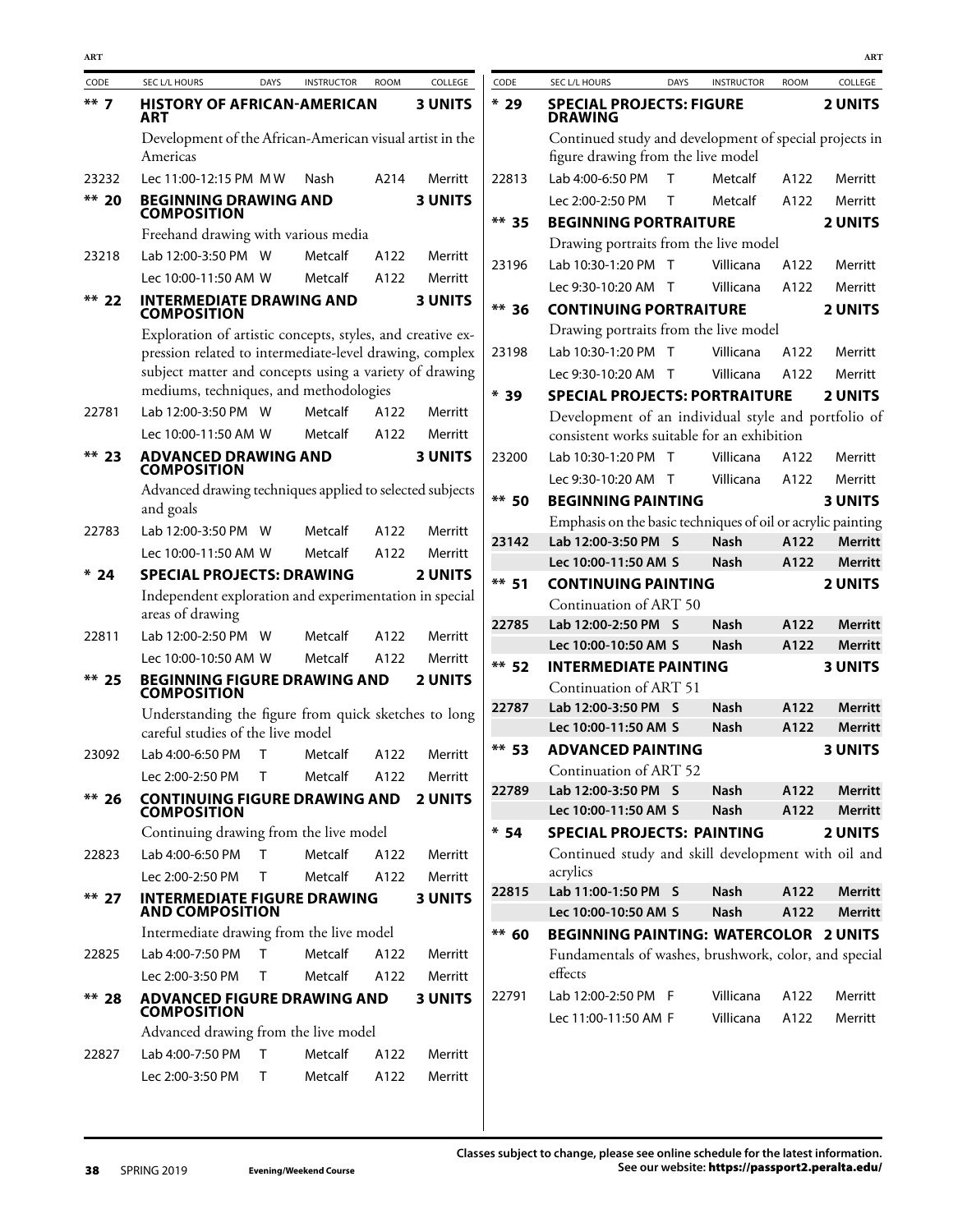| CODE    | <b>SEC L/L HOURS</b>                                                                             | <b>DAYS</b> | <b>INSTRUCTOR</b> | <b>ROOM</b> | COLLEGE        |
|---------|--------------------------------------------------------------------------------------------------|-------------|-------------------|-------------|----------------|
| $***$ 7 | <b>HISTORY OF AFRICAN-AMERICAN</b><br>ART                                                        |             |                   |             | <b>3 UNITS</b> |
|         | Development of the African-American visual artist in the                                         |             |                   |             |                |
|         | Americas                                                                                         |             |                   |             |                |
| 23232   | Lec 11:00-12:15 PM MW                                                                            |             | Nash              | A214        | Merritt        |
| $** 20$ | <b>BEGINNING DRAWING AND</b><br><b>COMPOSITION</b>                                               |             |                   |             | <b>3 UNITS</b> |
|         | Freehand drawing with various media                                                              |             |                   |             |                |
| 23218   | Lab 12:00-3:50 PM W                                                                              |             | Metcalf           | A122        | Merritt        |
|         | Lec 10:00-11:50 AM W                                                                             |             | Metcalf           | A122        | Merritt        |
| $**$ 22 | <b>INTERMEDIATE DRAWING AND</b><br><b>COMPOSITION</b>                                            |             |                   |             | <b>3 UNITS</b> |
|         | Exploration of artistic concepts, styles, and creative ex-                                       |             |                   |             |                |
|         | pression related to intermediate-level drawing, complex                                          |             |                   |             |                |
|         | subject matter and concepts using a variety of drawing<br>mediums, techniques, and methodologies |             |                   |             |                |
|         | Lab 12:00-3:50 PM W                                                                              |             | Metcalf           | A122        |                |
| 22781   |                                                                                                  |             |                   |             | Merritt        |
|         | Lec 10:00-11:50 AM W                                                                             |             | <b>Metcalf</b>    | A122        | Merritt        |
| $**$ 23 | <b>ADVANCED DRAWING AND COMPOSITION</b>                                                          |             |                   |             | <b>3 UNITS</b> |
|         | Advanced drawing techniques applied to selected subjects<br>and goals                            |             |                   |             |                |
| 22783   | Lab 12:00-3:50 PM W                                                                              |             | Metcalf           | A122        | Merritt        |
|         | Lec 10:00-11:50 AM W                                                                             |             | <b>Metcalf</b>    | A122        | Merritt        |
| $*24$   | <b>SPECIAL PROJECTS: DRAWING</b>                                                                 |             |                   |             | <b>2 UNITS</b> |
|         | Independent exploration and experimentation in special<br>areas of drawing                       |             |                   |             |                |
| 22811   | Lab 12:00-2:50 PM W                                                                              |             | Metcalf           | A122        | Merritt        |
|         | Lec 10:00-10:50 AM W                                                                             |             | Metcalf           | A122        | Merritt        |
| $**$ 25 | <b>BEGINNING FIGURE DRAWING AND</b><br><b>COMPOSITION</b>                                        |             |                   |             | <b>2 UNITS</b> |
|         | Understanding the figure from quick sketches to long                                             |             |                   |             |                |
|         | careful studies of the live model                                                                |             |                   |             |                |
| 23092   | Lab 4:00-6:50 PM                                                                                 | $\top$      | Metcalf           | A122        | Merritt        |
|         | Lec 2:00-2:50 PM T Metcalf A122                                                                  |             |                   |             | Merritt        |
| $** 26$ | <b>CONTINUING FIGURE DRAWING AND 2 UNITS</b><br>COMPOSITION                                      |             |                   |             |                |
|         | Continuing drawing from the live model                                                           |             |                   |             |                |
| 22823   | Lab 4:00-6:50 PM                                                                                 | т           | Metcalf           | A122        | Merritt        |
|         | Lec 2:00-2:50 PM                                                                                 | T.          | Metcalf           | A122        | Merritt        |
| $** 27$ | <b>INTERMEDIATE FIGURE DRAWING</b><br><b>AND COMPOSITION</b>                                     |             |                   |             | <b>3 UNITS</b> |
|         | Intermediate drawing from the live model                                                         |             |                   |             |                |
| 22825   | Lab 4:00-7:50 PM                                                                                 | т           | Metcalf           | A122        | Merritt        |
|         | Lec 2:00-3:50 PM                                                                                 | т           | Metcalf           | A122        | Merritt        |
| $** 28$ | ADVANCED FIGURE DRAWING AND 3 UNITS<br><b>COMPOSITION</b>                                        |             |                   |             |                |
|         | Advanced drawing from the live model                                                             |             |                   |             |                |
| 22827   | Lab 4:00-7:50 PM T                                                                               |             | Metcalf           | A122        | Merritt        |
|         | Lec 2:00-3:50 PM T                                                                               |             | <b>Metcalf</b>    | A122        | Merritt        |
|         |                                                                                                  |             |                   |             |                |

| CODE    | <b>SEC L/L HOURS</b>                                             | <b>DAYS</b> | <b>INSTRUCTOR</b> | <b>ROOM</b> | COLLEGE        |
|---------|------------------------------------------------------------------|-------------|-------------------|-------------|----------------|
| $*29$   | <b>SPECIAL PROJECTS: FIGURE</b><br>DRAWING                       |             |                   |             | <b>2 UNITS</b> |
|         | Continued study and development of special projects in           |             |                   |             |                |
|         | figure drawing from the live model                               |             |                   |             |                |
| 22813   | Lab 4:00-6:50 PM                                                 | $\top$      | Metcalf           | A122        | Merritt        |
|         | Lec 2:00-2:50 PM                                                 | т           | Metcalf           | A122        | Merritt        |
| ** 35   | <b>BEGINNING PORTRAITURE</b>                                     |             |                   |             | <b>2 UNITS</b> |
|         | Drawing portraits from the live model                            |             |                   |             |                |
| 23196   | Lab 10:30-1:20 PM T                                              |             | Villicana         | A122        | Merritt        |
|         | Lec 9:30-10:20 AM T                                              |             | Villicana         | A122        | Merritt        |
| $** 36$ | <b>CONTINUING PORTRAITURE</b>                                    |             |                   |             | <b>2 UNITS</b> |
|         | Drawing portraits from the live model                            |             |                   |             |                |
| 23198   | Lab 10:30-1:20 PM T                                              |             | Villicana         | A122        | Merritt        |
|         | Lec 9:30-10:20 AM T                                              |             | Villicana         | A122        | Merritt        |
| $*39$   | <b>SPECIAL PROJECTS: PORTRAITURE</b>                             |             |                   |             | <b>2 UNITS</b> |
|         | Development of an individual style and portfolio of              |             |                   |             |                |
|         | consistent works suitable for an exhibition                      |             |                   |             |                |
| 23200   | Lab 10:30-1:20 PM T                                              |             | Villicana         | A122        | Merritt        |
|         | Lec 9:30-10:20 AM T                                              |             | Villicana         | A122        | Merritt        |
| ** 50   | <b>BEGINNING PAINTING</b>                                        |             |                   |             | <b>3 UNITS</b> |
|         | Emphasis on the basic techniques of oil or acrylic painting      |             |                   |             |                |
| 23142   | Lab 12:00-3:50 PM                                                | S           | <b>Nash</b>       | A122        | <b>Merritt</b> |
|         | Lec 10:00-11:50 AM S                                             |             | <b>Nash</b>       | A122        | <b>Merritt</b> |
| $**$ 51 | <b>CONTINUING PAINTING</b>                                       |             |                   |             | <b>2 UNITS</b> |
|         | Continuation of ART 50                                           |             |                   |             |                |
| 22785   | Lab 12:00-2:50 PM                                                | S           | Nash              | A122        | <b>Merritt</b> |
|         | Lec 10:00-10:50 AM S                                             |             | <b>Nash</b>       | A122        | Merritt        |
| ** 52   | <b>INTERMEDIATE PAINTING</b>                                     |             |                   |             | <b>3 UNITS</b> |
|         | Continuation of ART 51                                           |             |                   |             |                |
| 22787   | Lab 12:00-3:50 PM                                                | S           | <b>Nash</b>       | A122        | <b>Merritt</b> |
|         | Lec 10:00-11:50 AM S                                             |             | Nash              | A122        | <b>Merritt</b> |
| ** 53   | <b>ADVANCED PAINTING</b>                                         |             |                   |             | <b>3 UNITS</b> |
|         | Continuation of ART 52                                           |             |                   |             |                |
| 22789   | Lab 12:00-3:50 PM S                                              |             | <b>Nash</b>       | A122        | <b>Merritt</b> |
|         | Lec 10:00-11:50 AM S                                             |             | <b>Nash</b>       | A122        | <b>Merritt</b> |
| $* 54$  | <b>SPECIAL PROJECTS: PAINTING</b>                                |             |                   |             | <b>2 UNITS</b> |
|         | Continued study and skill development with oil and<br>acrylics   |             |                   |             |                |
| 22815   | Lab 11:00-1:50 PM                                                | S           | <b>Nash</b>       | A122        | <b>Merritt</b> |
|         | Lec 10:00-10:50 AM S                                             |             | <b>Nash</b>       | A122        | <b>Merritt</b> |
| $** 60$ | <b>BEGINNING PAINTING: WATERCOLOR 2 UNITS</b>                    |             |                   |             |                |
|         | Fundamentals of washes, brushwork, color, and special<br>effects |             |                   |             |                |
| 22791   | Lab 12:00-2:50 PM F                                              |             | Villicana         | A122        | Merritt        |
|         | Lec 11:00-11:50 AM F                                             |             | Villicana         | A122        | Merritt        |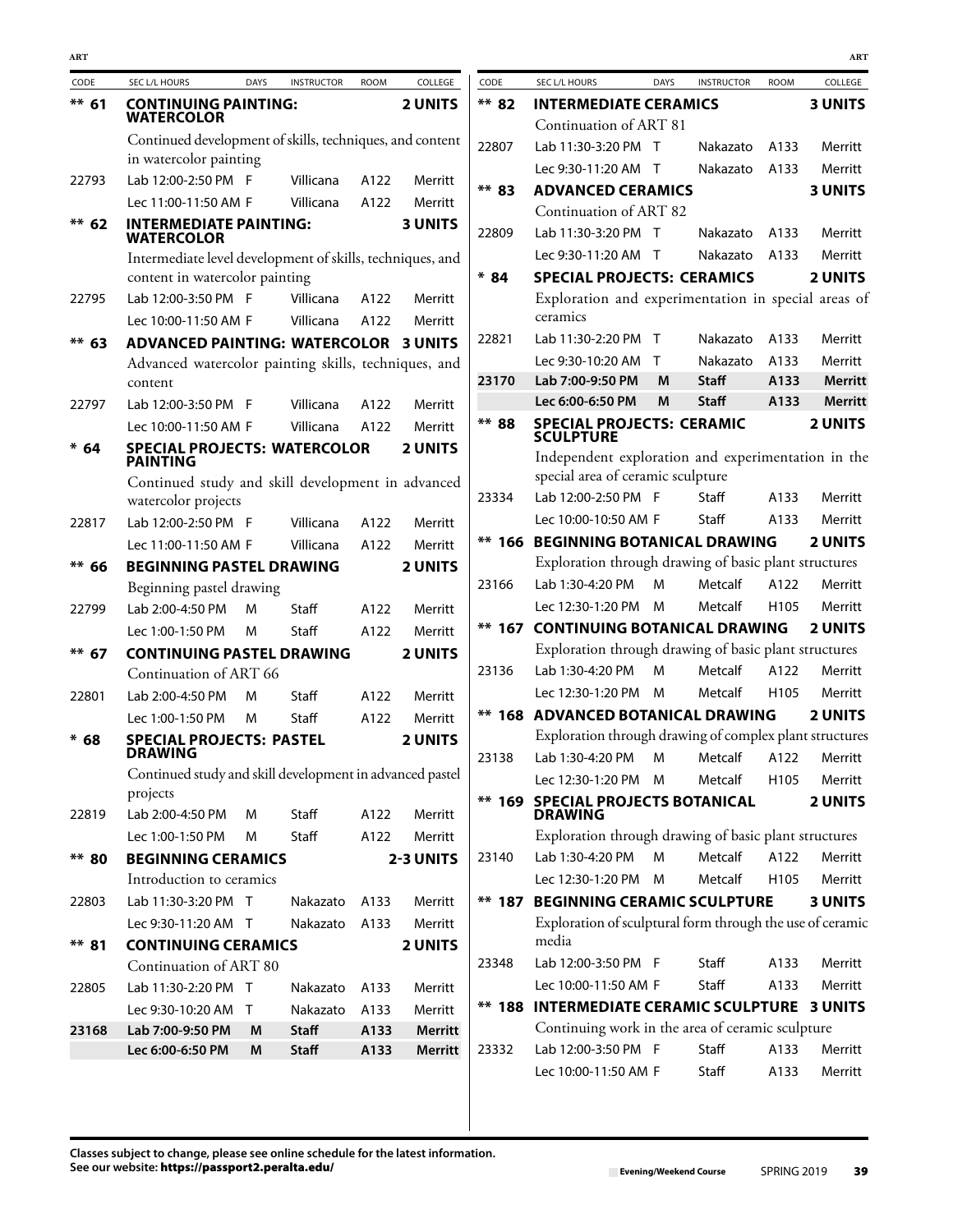| CODE     | SEC L/L HOURS                                                                      | <b>DAYS</b> | <b>INSTRUCTOR</b> | <b>ROOM</b> | COLLEGE                   | CODE     | SEC L/L HOURS                                              | <b>DAYS</b> | <b>INSTRUCTOR</b> | <b>ROOM</b>      | COLLEGE        |
|----------|------------------------------------------------------------------------------------|-------------|-------------------|-------------|---------------------------|----------|------------------------------------------------------------|-------------|-------------------|------------------|----------------|
| $** 61$  | <b>CONTINUING PAINTING:</b>                                                        |             |                   |             | <b>2 UNITS</b>            | ** 82    | <b>INTERMEDIATE CERAMICS</b>                               |             |                   |                  | <b>3 UNITS</b> |
|          | <b>WATERCOLOR</b>                                                                  |             |                   |             |                           |          | Continuation of ART 81                                     |             |                   |                  |                |
|          | Continued development of skills, techniques, and content<br>in watercolor painting |             |                   |             |                           | 22807    | Lab 11:30-3:20 PM T                                        |             | Nakazato          | A133             | Merritt        |
| 22793    | Lab 12:00-2:50 PM F                                                                |             | Villicana         | A122        | Merritt                   |          | Lec 9:30-11:20 AM T                                        |             | Nakazato          | A133             | Merritt        |
|          |                                                                                    |             |                   |             |                           | ** 83    | <b>ADVANCED CERAMICS</b>                                   |             |                   |                  | <b>3 UNITS</b> |
|          | Lec 11:00-11:50 AM F                                                               |             | Villicana         | A122        | Merritt<br><b>3 UNITS</b> |          | Continuation of ART 82                                     |             |                   |                  |                |
| $** 62$  | <b>INTERMEDIATE PAINTING:</b><br><b>WATERCOLOR</b>                                 |             |                   |             |                           | 22809    | Lab 11:30-3:20 PM T                                        |             | Nakazato          | A133             | Merritt        |
|          | Intermediate level development of skills, techniques, and                          |             |                   |             |                           |          | Lec 9:30-11:20 AM T                                        |             | Nakazato          | A133             | Merritt        |
|          | content in watercolor painting                                                     |             |                   |             |                           | $* 84$   | <b>SPECIAL PROJECTS: CERAMICS</b>                          |             |                   |                  | <b>2 UNITS</b> |
| 22795    | Lab 12:00-3:50 PM F                                                                |             | Villicana         | A122        | Merritt                   |          | Exploration and experimentation in special areas of        |             |                   |                  |                |
|          | Lec 10:00-11:50 AM F                                                               |             | Villicana         | A122        | Merritt                   |          | ceramics                                                   |             |                   |                  |                |
| $** 63$  | <b>ADVANCED PAINTING: WATERCOLOR 3 UNITS</b>                                       |             |                   |             |                           | 22821    | Lab 11:30-2:20 PM T                                        |             | Nakazato          | A133             | Merritt        |
|          | Advanced watercolor painting skills, techniques, and                               |             |                   |             |                           |          | Lec 9:30-10:20 AM T                                        |             | Nakazato          | A133             | Merritt        |
|          | content                                                                            |             |                   |             |                           | 23170    | Lab 7:00-9:50 PM                                           | M           | <b>Staff</b>      | A133             | <b>Merritt</b> |
| 22797    | Lab 12:00-3:50 PM F                                                                |             | Villicana         | A122        | Merritt                   |          | Lec 6:00-6:50 PM                                           | M           | <b>Staff</b>      | A133             | <b>Merritt</b> |
|          | Lec 10:00-11:50 AM F                                                               |             | Villicana         | A122        | Merritt                   | ** 88    | <b>SPECIAL PROJECTS: CERAMIC</b><br><b>SCULPTURE</b>       |             |                   |                  | <b>2 UNITS</b> |
| $* 64$   | <b>SPECIAL PROJECTS: WATERCOLOR</b><br><b>PAINTING</b>                             |             |                   |             | <b>2 UNITS</b>            |          | Independent exploration and experimentation in the         |             |                   |                  |                |
|          | Continued study and skill development in advanced                                  |             |                   |             |                           |          | special area of ceramic sculpture                          |             |                   |                  |                |
|          | watercolor projects                                                                |             |                   |             |                           | 23334    | Lab 12:00-2:50 PM F                                        |             | Staff             | A133             | Merritt        |
| 22817    | Lab 12:00-2:50 PM F                                                                |             | Villicana         | A122        | Merritt                   |          | Lec 10:00-10:50 AM F                                       |             | Staff             | A133             | Merritt        |
|          | Lec 11:00-11:50 AM F                                                               |             | Villicana         | A122        | Merritt                   |          | <b>** 166 BEGINNING BOTANICAL DRAWING</b>                  |             |                   |                  | <b>2 UNITS</b> |
| $** 66$  | <b>BEGINNING PASTEL DRAWING</b>                                                    |             |                   |             | <b>2 UNITS</b>            |          | Exploration through drawing of basic plant structures      |             |                   |                  |                |
|          | Beginning pastel drawing                                                           |             |                   |             |                           | 23166    | Lab 1:30-4:20 PM                                           | м           | Metcalf           | A122             | Merritt        |
| 22799    | Lab 2:00-4:50 PM                                                                   | M           | Staff             | A122        | Merritt                   |          | Lec 12:30-1:20 PM M                                        |             | Metcalf           | H105             | Merritt        |
|          | Lec 1:00-1:50 PM                                                                   | м           | Staff             | A122        | Merritt                   | $** 167$ | <b>CONTINUING BOTANICAL DRAWING</b>                        |             |                   |                  | <b>2 UNITS</b> |
| $** 67$  | <b>CONTINUING PASTEL DRAWING</b>                                                   |             |                   |             | <b>2 UNITS</b>            |          | Exploration through drawing of basic plant structures      |             |                   |                  |                |
|          | Continuation of ART 66                                                             |             |                   |             |                           | 23136    | Lab 1:30-4:20 PM                                           | м           | Metcalf           | A122             | Merritt        |
| 22801    | Lab 2:00-4:50 PM                                                                   | M           | Staff             | A122        | Merritt                   |          | Lec 12:30-1:20 PM                                          | M           | Metcalf           | H105             | Merritt        |
|          | Lec 1:00-1:50 PM                                                                   | M           | Staff             | A122        | Merritt                   |          | ** 168 ADVANCED BOTANICAL DRAWING                          |             |                   |                  | <b>2 UNITS</b> |
| $* 68$   | <b>SPECIAL PROJECTS: PASTEL</b>                                                    |             |                   |             | <b>2 UNITS</b>            |          | Exploration through drawing of complex plant structures    |             |                   |                  |                |
|          | <b>DRAWING</b>                                                                     |             |                   |             |                           | 23138    | Lab 1:30-4:20 PM                                           | м           | Metcalf           | A122             | Merritt        |
|          | Continued study and skill development in advanced pastel                           |             |                   |             |                           |          | Lec 12:30-1:20 PM M                                        |             | Metcalf           | H <sub>105</sub> | Merritt        |
| 22819    | projects<br>Lab 2:00-4:50 PM                                                       | м           | Staff             | A122        | Merritt                   |          | <b>** 169 SPECIAL PROJECTS BOTANICAL</b><br><b>DRAWING</b> |             |                   |                  | <b>2 UNITS</b> |
|          | Lec 1:00-1:50 PM                                                                   | м           | Staff             | A122        | Merritt                   |          | Exploration through drawing of basic plant structures      |             |                   |                  |                |
| ** 80    | <b>BEGINNING CERAMICS</b>                                                          |             |                   |             | 2-3 UNITS                 | 23140    | Lab 1:30-4:20 PM                                           | M           | Metcalf           | A122             | Merritt        |
|          | Introduction to ceramics                                                           |             |                   |             |                           |          | Lec 12:30-1:20 PM                                          | M           | Metcalf           | H105             | Merritt        |
| 22803    | Lab 11:30-3:20 PM T                                                                |             | Nakazato          | A133        | Merritt                   |          | <b>** 187 BEGINNING CERAMIC SCULPTURE</b>                  |             |                   |                  | <b>3 UNITS</b> |
|          | Lec 9:30-11:20 AM T                                                                |             | Nakazato          | A133        | Merritt                   |          | Exploration of sculptural form through the use of ceramic  |             |                   |                  |                |
| $***$ 81 | <b>CONTINUING CERAMICS</b>                                                         |             |                   |             | <b>2 UNITS</b>            |          | media                                                      |             |                   |                  |                |
|          | Continuation of ART 80                                                             |             |                   |             |                           | 23348    | Lab 12:00-3:50 PM F                                        |             | Staff             | A133             | Merritt        |
| 22805    | Lab 11:30-2:20 PM T                                                                |             | Nakazato          | A133        | Merritt                   |          | Lec 10:00-11:50 AM F                                       |             | Staff             | A133             | Merritt        |
|          | Lec 9:30-10:20 AM T                                                                |             | Nakazato          | A133        | Merritt                   |          | <b>** 188 INTERMEDIATE CERAMIC SCULPTURE 3 UNITS</b>       |             |                   |                  |                |
| 23168    | Lab 7:00-9:50 PM                                                                   | M           | <b>Staff</b>      | A133        | <b>Merritt</b>            |          | Continuing work in the area of ceramic sculpture           |             |                   |                  |                |
|          | Lec 6:00-6:50 PM                                                                   | M           | <b>Staff</b>      | A133        | Merritt                   | 23332    | Lab 12:00-3:50 PM F                                        |             | Staff             | A133             | Merritt        |
|          |                                                                                    |             |                   |             |                           |          | Lec 10:00-11:50 AM F                                       |             | Staff             | A133             | Merritt        |
|          |                                                                                    |             |                   |             |                           |          |                                                            |             |                   |                  |                |

**ART ART**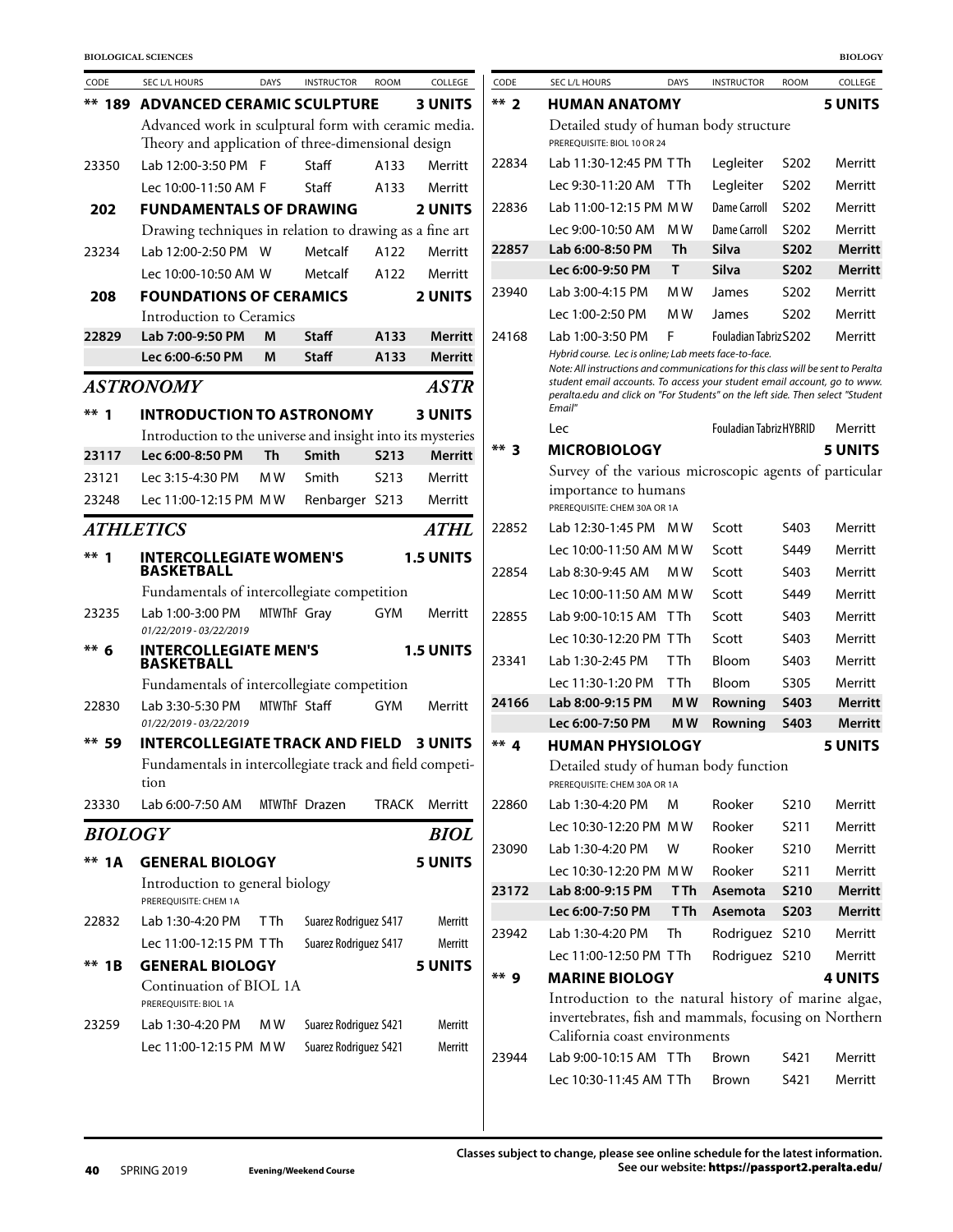| CODE                    | SEC L/L HOURS                                                    | <b>DAYS</b>  | <b>INSTRUCTOR</b>     | <b>ROOM</b>       | COLLEGE          |
|-------------------------|------------------------------------------------------------------|--------------|-----------------------|-------------------|------------------|
| ** 189                  | <b>ADVANCED CERAMIC SCULPTURE</b>                                |              |                       |                   | <b>3 UNITS</b>   |
|                         | Advanced work in sculptural form with ceramic media.             |              |                       |                   |                  |
|                         | Theory and application of three-dimensional design               |              |                       |                   |                  |
| 23350                   | Lab 12:00-3:50 PM F                                              |              | Staff                 | A133              | Merritt          |
|                         | Lec 10:00-11:50 AM F                                             |              | Staff                 | A133              | Merritt          |
| 202                     | <b>FUNDAMENTALS OF DRAWING</b>                                   |              |                       |                   | <b>2 UNITS</b>   |
|                         | Drawing techniques in relation to drawing as a fine art          |              |                       |                   |                  |
| 23234                   | Lab 12:00-2:50 PM W                                              |              | Metcalf               | A122              | Merritt          |
|                         | Lec 10:00-10:50 AM W                                             |              | Metcalf               | A122              | Merritt          |
| 208                     | <b>FOUNDATIONS OF CERAMICS</b>                                   |              |                       |                   | <b>2 UNITS</b>   |
|                         | Introduction to Ceramics                                         |              |                       |                   |                  |
| 22829                   | Lab 7:00-9:50 PM                                                 | M            | Staff                 | A133              | <b>Merritt</b>   |
|                         | Lec 6:00-6:50 PM                                                 | M            | <b>Staff</b>          | A133              | <b>Merritt</b>   |
|                         | <b>ASTRONOMY</b>                                                 |              |                       |                   | <b>ASTR</b>      |
| $***1$                  | <b>INTRODUCTION TO ASTRONOMY</b>                                 |              |                       |                   | <b>3 UNITS</b>   |
|                         | Introduction to the universe and insight into its mysteries      |              |                       |                   |                  |
| 23117                   | Lec 6:00-8:50 PM                                                 | Th           | <b>Smith</b>          | <b>S213</b>       | Merritt          |
| 23121                   | Lec 3:15-4:30 PM                                                 | M W          | Smith                 | S <sub>2</sub> 13 | Merritt          |
| 23248                   | Lec 11:00-12:15 PM MW                                            |              | Renbarger S213        |                   | Merritt          |
| <i><b>ATHLETICS</b></i> |                                                                  |              |                       |                   | <b>ATHL</b>      |
| $***1$                  | <b>INTERCOLLEGIATE WOMEN'S</b><br><b>BASKETBALL</b>              |              |                       |                   | <b>1.5 UNITS</b> |
|                         | Fundamentals of intercollegiate competition                      |              |                       |                   |                  |
| 23235                   | Lab 1:00-3:00 PM<br>01/22/2019 - 03/22/2019                      | MTWThF Gray  |                       | <b>GYM</b>        | Merritt          |
| $** 6$                  | <b>INTERCOLLEGIATE MEN'S</b><br><b>BASKETBALL</b>                |              |                       |                   | <b>1.5 UNITS</b> |
|                         | Fundamentals of intercollegiate competition                      |              |                       |                   |                  |
| 22830                   | Lab 3:30-5:30 PM<br>01/22/2019 - 03/22/2019                      | MTWThF Staff |                       | <b>GYM</b>        | Merritt          |
| ** 59                   | <b>INTERCOLLEGIATE TRACK AND FIELD 3 UNITS</b>                   |              |                       |                   |                  |
|                         | Fundamentals in intercollegiate track and field competi-<br>tion |              |                       |                   |                  |
| 23330                   | Lab 6:00-7:50 AM                                                 |              | MTWThF Drazen         | <b>TRACK</b>      | Merritt          |
| <b>BIOLOGY</b>          |                                                                  |              |                       |                   | <b>BIOL</b>      |
| **<br>1 A               | <b>GENERAL BIOLOGY</b>                                           |              |                       |                   | <b>5 UNITS</b>   |
|                         | Introduction to general biology<br>PREREQUISITE: CHEM 1A         |              |                       |                   |                  |
| 22832                   | Lab 1:30-4:20 PM                                                 | T Th         | Suarez Rodriguez S417 |                   | Merritt          |
|                         | Lec 11:00-12:15 PM TTh                                           |              | Suarez Rodriguez S417 |                   | Merritt          |
| $**$ 1B                 | <b>GENERAL BIOLOGY</b>                                           |              |                       |                   | 5 UNITS          |
|                         | Continuation of BIOL 1A<br>PREREQUISITE: BIOL 1A                 |              |                       |                   |                  |
| 23259                   | Lab 1:30-4:20 PM                                                 | M W          | Suarez Rodriguez S421 |                   | Merritt          |
|                         | Lec 11:00-12:15 PM MW                                            |              | Suarez Rodriguez S421 |                   | Merritt          |

| $**2$  | <b>HUMAN ANATOMY</b>                                                                                                                                                                                                                                                                                              |      |                                |                   | <b>5 UNITS</b> |
|--------|-------------------------------------------------------------------------------------------------------------------------------------------------------------------------------------------------------------------------------------------------------------------------------------------------------------------|------|--------------------------------|-------------------|----------------|
|        | Detailed study of human body structure<br>PREREOUISITE: BIOL 10 OR 24                                                                                                                                                                                                                                             |      |                                |                   |                |
| 22834  | Lab 11:30-12:45 PM TTh                                                                                                                                                                                                                                                                                            |      | Legleiter                      | S202              | Merritt        |
|        | Lec 9:30-11:20 AM                                                                                                                                                                                                                                                                                                 | T Th | Legleiter                      | S <sub>202</sub>  | Merritt        |
| 22836  | Lab 11:00-12:15 PM MW                                                                                                                                                                                                                                                                                             |      | <b>Dame Carroll</b>            | S <sub>202</sub>  | Merritt        |
|        | Lec 9:00-10:50 AM                                                                                                                                                                                                                                                                                                 | M W  | Dame Carroll                   | S <sub>202</sub>  | Merritt        |
| 22857  | Lab 6:00-8:50 PM                                                                                                                                                                                                                                                                                                  | Th   | <b>Silva</b>                   | S202              | Merritt        |
|        | Lec 6:00-9:50 PM                                                                                                                                                                                                                                                                                                  | т    | <b>Silva</b>                   | <b>S202</b>       | Merritt        |
| 23940  | Lab 3:00-4:15 PM                                                                                                                                                                                                                                                                                                  | M W  | James                          | S <sub>202</sub>  | Merritt        |
|        | Lec 1:00-2:50 PM                                                                                                                                                                                                                                                                                                  | M W  | James                          | S <sub>202</sub>  | Merritt        |
| 24168  | Lab 1:00-3:50 PM                                                                                                                                                                                                                                                                                                  | F    | Fouladian Tabriz S202          |                   | Merritt        |
|        | Hybrid course. Lec is online; Lab meets face-to-face.<br>Note: All instructions and communications for this class will be sent to Peralta<br>student email accounts. To access your student email account, go to www.<br>peralta.edu and click on "For Students" on the left side. Then select "Student<br>Email" |      |                                |                   |                |
|        | Lec                                                                                                                                                                                                                                                                                                               |      | <b>Fouladian Tabriz HYBRID</b> |                   | Merritt        |
| $**$ 3 | MICROBIOLOGY                                                                                                                                                                                                                                                                                                      |      |                                |                   | <b>5 UNITS</b> |
|        | Survey of the various microscopic agents of particular                                                                                                                                                                                                                                                            |      |                                |                   |                |
|        | importance to humans<br>PREREOUISITE: CHEM 30A OR 1A                                                                                                                                                                                                                                                              |      |                                |                   |                |
| 22852  | Lab 12:30-1:45 PM                                                                                                                                                                                                                                                                                                 | M W  | Scott                          | S403              | Merritt        |
|        | Lec 10:00-11:50 AM MW                                                                                                                                                                                                                                                                                             |      | Scott                          | S449              | Merritt        |
| 22854  | Lab 8:30-9:45 AM                                                                                                                                                                                                                                                                                                  | M W  | Scott                          | S403              | Merritt        |
|        | Lec 10:00-11:50 AM MW                                                                                                                                                                                                                                                                                             |      | Scott                          | S449              | Merritt        |
| 22855  | Lab 9:00-10:15 AM                                                                                                                                                                                                                                                                                                 | T Th | Scott                          | S403              | Merritt        |
|        | Lec 10:30-12:20 PM                                                                                                                                                                                                                                                                                                | T Th | Scott                          | S403              | Merritt        |
| 23341  | Lab 1:30-2:45 PM                                                                                                                                                                                                                                                                                                  | T Th | Bloom                          | S403              | Merritt        |
|        | Lec 11:30-1:20 PM                                                                                                                                                                                                                                                                                                 | T Th | Bloom                          | S305              | Merritt        |
| 24166  | Lab 8:00-9:15 PM                                                                                                                                                                                                                                                                                                  | MW   | Rowning                        | S403              | <b>Merritt</b> |
|        | Lec 6:00-7:50 PM                                                                                                                                                                                                                                                                                                  | МW   | Rowning                        | S403              | Merritt        |
| ** 4   | HUMAN PHYSIOLOGY                                                                                                                                                                                                                                                                                                  |      |                                |                   | <b>5 UNITS</b> |
|        | Detailed study of human body function<br>PREREQUISITE: CHEM 30A OR 1A                                                                                                                                                                                                                                             |      |                                |                   |                |
| 22860  | Lab 1:30-4:20 PM                                                                                                                                                                                                                                                                                                  | М    | Rooker                         | S <sub>2</sub> 10 | Merritt        |
|        | Lec 10:30-12:20 PM                                                                                                                                                                                                                                                                                                | MW   | Rooker                         | S211              | Merritt        |
| 23090  | Lab 1:30-4:20 PM                                                                                                                                                                                                                                                                                                  | W    | Rooker                         | S210              | Merritt        |
|        | Lec 10:30-12:20 PM MW                                                                                                                                                                                                                                                                                             |      | Rooker                         | S211              | Merritt        |
| 23172  | Lab 8:00-9:15 PM                                                                                                                                                                                                                                                                                                  | T Th | Asemota                        | <b>S210</b>       | <b>Merritt</b> |
|        | Lec 6:00-7:50 PM                                                                                                                                                                                                                                                                                                  | T Th | Asemota                        | <b>S203</b>       | <b>Merritt</b> |
| 23942  | Lab 1:30-4:20 PM                                                                                                                                                                                                                                                                                                  | Th   | Rodriguez                      | S <sub>2</sub> 10 | Merritt        |
|        | Lec 11:00-12:50 PM TTh                                                                                                                                                                                                                                                                                            |      | Rodriguez                      | S210              | Merritt        |
| ** g   | <b>MARINE BIOLOGY</b>                                                                                                                                                                                                                                                                                             |      |                                |                   | <b>4 UNITS</b> |
|        | Introduction to the natural history of marine algae,<br>invertebrates, fish and mammals, focusing on Northern<br>California coast environments                                                                                                                                                                    |      |                                |                   |                |
| 23944  | Lab 9:00-10:15 AM TTh                                                                                                                                                                                                                                                                                             |      | Brown                          | S421              | Merritt        |
|        | Lec 10:30-11:45 AM TTh                                                                                                                                                                                                                                                                                            |      | Brown                          | S421              | Merritt        |
|        |                                                                                                                                                                                                                                                                                                                   |      |                                |                   |                |

CODE SEC L/L HOURS DAYS INSTRUCTOR ROOM COLLEGE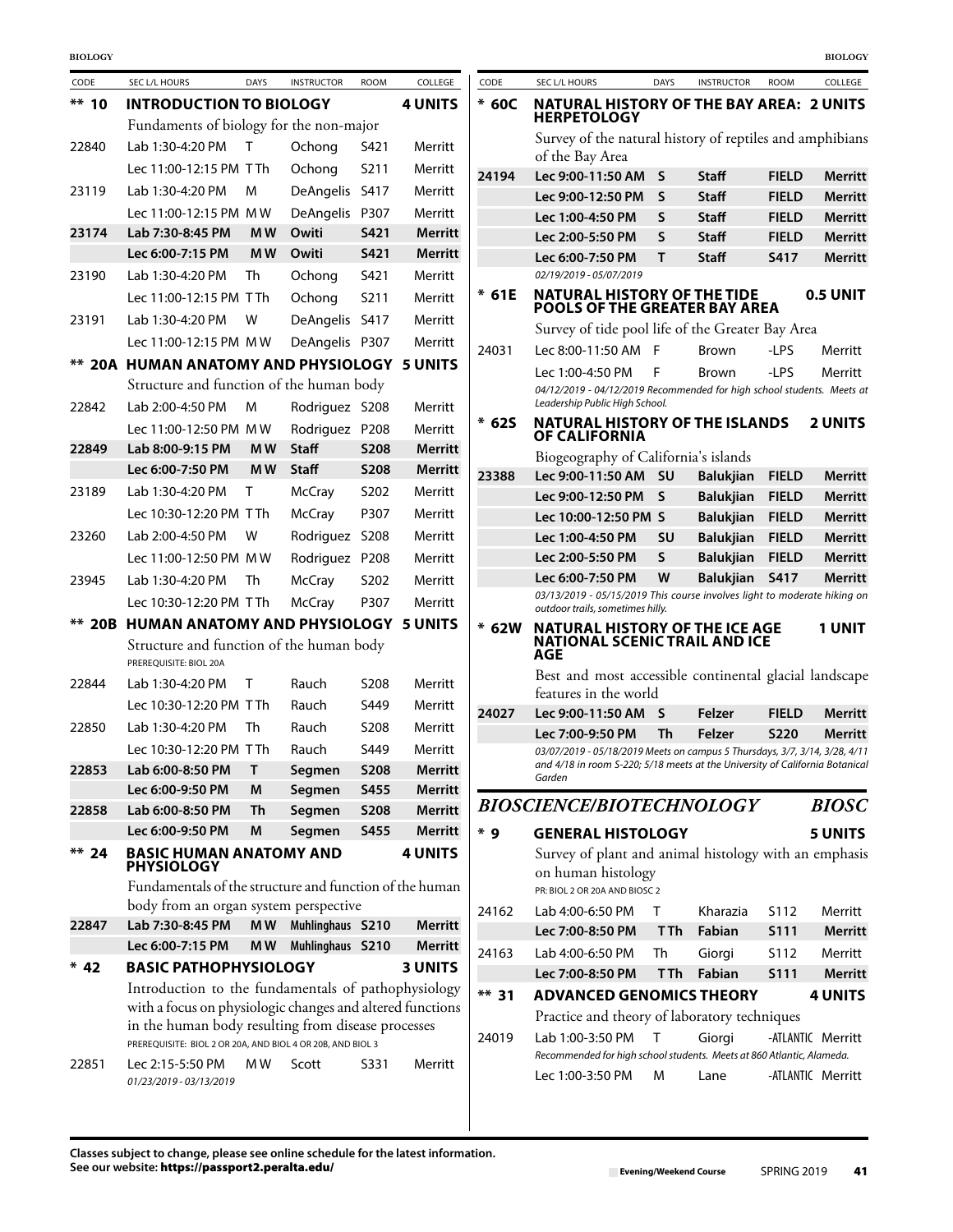| CODE     | SEC L/L HOURS                                                                                                  | <b>DAYS</b>    | <b>INSTRUCTOR</b> | <b>ROOM</b> | COLLEGE        | CODE    | SEC L/L HOURS                                                                                               | <b>DAYS</b> | <b>INSTRUCTOR</b>       | ROOM                        | COLLEGE           |
|----------|----------------------------------------------------------------------------------------------------------------|----------------|-------------------|-------------|----------------|---------|-------------------------------------------------------------------------------------------------------------|-------------|-------------------------|-----------------------------|-------------------|
| $*** 10$ | <b>INTRODUCTION TO BIOLOGY</b>                                                                                 |                |                   |             | <b>4 UNITS</b> | $*60C$  | <b>NATURAL HISTORY OF THE BAY AREA: 2 UNITS</b>                                                             |             |                         |                             |                   |
|          | Fundaments of biology for the non-major                                                                        |                |                   |             |                |         | <b>HERPETOLOGY</b>                                                                                          |             |                         |                             |                   |
| 22840    | Lab 1:30-4:20 PM                                                                                               | $\mathsf{T}$   | Ochong            | S421        | Merritt        |         | Survey of the natural history of reptiles and amphibian<br>of the Bay Area                                  |             |                         |                             |                   |
|          | Lec 11:00-12:15 PM TTh                                                                                         |                | Ochong            | S211        | Merritt        | 24194   | Lec 9:00-11:50 AM S                                                                                         |             | <b>Staff</b>            | <b>FIELD</b>                | Merrit            |
| 23119    | Lab 1:30-4:20 PM                                                                                               | м              | DeAngelis S417    |             | Merritt        |         | Lec 9:00-12:50 PM                                                                                           | S           | <b>Staff</b>            | <b>FIELD</b>                | Merrit            |
|          | Lec 11:00-12:15 PM MW                                                                                          |                | DeAngelis P307    |             | Merritt        |         | Lec 1:00-4:50 PM                                                                                            | S           | <b>Staff</b>            | <b>FIELD</b>                | Merrit            |
| 23174    | Lab 7:30-8:45 PM                                                                                               | M <sub>W</sub> | Owiti             | S421        | Merritt        |         | Lec 2:00-5:50 PM                                                                                            | S           | <b>Staff</b>            | <b>FIELD</b>                | Merrit            |
|          | Lec 6:00-7:15 PM                                                                                               | M <sub>W</sub> | Owiti             | S421        | <b>Merritt</b> |         | Lec 6:00-7:50 PM                                                                                            | T.          | <b>Staff</b>            | S417                        | <b>Merrit</b>     |
| 23190    | Lab 1:30-4:20 PM                                                                                               | Th             | Ochong            | S421        | Merritt        |         | 02/19/2019 - 05/07/2019                                                                                     |             |                         |                             |                   |
|          | Lec 11:00-12:15 PM TTh                                                                                         |                | Ochong            | S211        | Merritt        | $*61E$  | <b>NATURAL HISTORY OF THE TIDE</b><br>POOLS OF THE GREATER BAY AREA                                         |             |                         |                             | <b>0.5 UNIT</b>   |
| 23191    | Lab 1:30-4:20 PM                                                                                               | W              | DeAngelis S417    |             | Merritt        |         | Survey of tide pool life of the Greater Bay Area                                                            |             |                         |                             |                   |
|          | Lec 11:00-12:15 PM MW                                                                                          |                | DeAngelis P307    |             | Merritt        | 24031   | Lec 8:00-11:50 AM F                                                                                         |             | <b>Brown</b>            | -LPS                        | Merritt           |
|          | ** 20A HUMAN ANATOMY AND PHYSIOLOGY 5 UNITS                                                                    |                |                   |             |                |         |                                                                                                             |             |                         |                             |                   |
|          | Structure and function of the human body                                                                       |                |                   |             |                |         | Lec 1:00-4:50 PM<br>04/12/2019 - 04/12/2019 Recommended for high school students. Meets o                   | F           | <b>Brown</b>            | -LPS                        | Merritt           |
| 22842    | Lab 2:00-4:50 PM                                                                                               | M              | Rodriguez S208    |             | Merritt        |         | Leadership Public High School.                                                                              |             |                         |                             |                   |
|          | Lec 11:00-12:50 PM MW                                                                                          |                | Rodriguez P208    |             | Merritt        | $* 625$ | <b>NATURAL HISTORY OF THE ISLANDS</b>                                                                       |             |                         |                             | 2 UNITS           |
| 22849    | Lab 8:00-9:15 PM                                                                                               | <b>MW</b>      | <b>Staff</b>      | <b>S208</b> | <b>Merritt</b> |         | <b>OF CALIFORNIA</b>                                                                                        |             |                         |                             |                   |
|          | Lec 6:00-7:50 PM                                                                                               | <b>MW</b>      | <b>Staff</b>      | <b>S208</b> | <b>Merritt</b> |         | Biogeography of California's islands                                                                        |             |                         |                             |                   |
| 23189    | Lab 1:30-4:20 PM                                                                                               | Τ              | <b>McCray</b>     | S202        | Merritt        | 23388   | Lec 9:00-11:50 AM                                                                                           | <b>SU</b>   | <b>Balukjian</b>        | <b>FIELD</b>                | Merrit            |
|          | Lec 10:30-12:20 PM TTh                                                                                         |                | <b>McCray</b>     | P307        | Merritt        |         | Lec 9:00-12:50 PM S                                                                                         |             | <b>Balukiian</b>        | <b>FIELD</b>                | Merrit            |
| 23260    | Lab 2:00-4:50 PM                                                                                               | W              | Rodriguez S208    |             | Merritt        |         | Lec 10:00-12:50 PM S                                                                                        |             | <b>Balukjian</b>        | <b>FIELD</b>                | Merrit            |
|          |                                                                                                                |                |                   |             |                |         | Lec 1:00-4:50 PM                                                                                            | <b>SU</b>   | <b>Balukjian</b>        | <b>FIELD</b>                | Merrit            |
|          | Lec 11:00-12:50 PM MW                                                                                          |                | Rodriguez P208    |             | Merritt        |         | Lec 2:00-5:50 PM                                                                                            | S           | <b>Balukjian</b>        | <b>FIELD</b>                | <b>Merrit</b>     |
| 23945    | Lab 1:30-4:20 PM                                                                                               | Th             | <b>McCray</b>     | S202        | Merritt        |         | Lec 6:00-7:50 PM<br>03/13/2019 - 05/15/2019 This course involves light to moderate hiking c                 | W           | <b>Balukjian</b>        | <b>S417</b>                 | Merrit            |
|          | Lec 10:30-12:20 PM TTh                                                                                         |                | <b>McCray</b>     | P307        | Merritt        |         | outdoor trails, sometimes hilly.                                                                            |             |                         |                             |                   |
|          | <b>** 20B HUMAN ANATOMY AND PHYSIOLOGY 5 UNITS</b><br>Structure and function of the human body                 |                |                   |             |                | $*$ 62W | <b>NATURAL HISTORY OF THE ICE AGE</b><br><b>NATIONAL SCENIC TRAIL AND ICE</b>                               |             |                         |                             | <b>1 UNIT</b>     |
|          | PREREOUISITE: BIOL 20A                                                                                         |                |                   |             |                |         | AGE                                                                                                         |             |                         |                             |                   |
| 22844    | Lab 1:30-4:20 PM                                                                                               | $\top$         | Rauch             | S208        | Merritt        |         | Best and most accessible continental glacial landscap                                                       |             |                         |                             |                   |
|          | Lec 10:30-12:20 PM TTh                                                                                         |                | Rauch             | S449        | Merritt        |         | features in the world                                                                                       |             |                         |                             |                   |
| 22850    | Lab 1:30-4:20 PM                                                                                               | Th             | Rauch             | S208        | Merritt        | 24027   | Lec 9:00-11:50 AM S<br>Lec 7:00-9:50 PM                                                                     |             | <b>Felzer</b><br>Felzer | <b>FIELD</b><br><b>S220</b> | Merrit            |
|          | Lec 10:30-12:20 PM TTh                                                                                         |                | Rauch             | S449        | Merritt        |         | 03/07/2019 - 05/18/2019 Meets on campus 5 Thursdays, 3/7, 3/14, 3/28, 4/1                                   | Th          |                         |                             | Merrit            |
| 22853    | Lab 6:00-8:50 PM T                                                                                             |                | Segmen            | <b>S208</b> | Merritt        |         | and 4/18 in room S-220; 5/18 meets at the University of California Botanic                                  |             |                         |                             |                   |
|          | Lec 6:00-9:50 PM                                                                                               | M              | Segmen            | <b>S455</b> | <b>Merritt</b> |         | Garden                                                                                                      |             |                         |                             |                   |
| 22858    | Lab 6:00-8:50 PM                                                                                               | Th             | Segmen            | <b>S208</b> | Merritt        |         | <b>BIOSCIENCE/BIOTECHNOLOGY</b>                                                                             |             |                         |                             | <b>BIOSC</b>      |
|          | Lec 6:00-9:50 PM                                                                                               | M              | Segmen            | S455        | <b>Merritt</b> | $*9$    | <b>GENERAL HISTOLOGY</b>                                                                                    |             |                         |                             | 5 UNITS           |
| $** 24$  | <b>BASIC HUMAN ANATOMY AND</b><br><b>PHYSIOLOGY</b><br>Fundamentals of the structure and function of the human |                |                   |             | <b>4 UNITS</b> |         | Survey of plant and animal histology with an emphasi<br>on human histology<br>PR: BIOL 2 OR 20A AND BIOSC 2 |             |                         |                             |                   |
|          | body from an organ system perspective                                                                          |                |                   |             |                |         |                                                                                                             |             |                         |                             |                   |
| 22847    | Lab 7:30-8:45 PM                                                                                               | MW             | Muhlinghaus S210  |             | <b>Merritt</b> | 24162   | Lab 4:00-6:50 PM                                                                                            | T           | Kharazia                | S112                        | Merritt           |
|          | Lec 6:00-7:15 PM                                                                                               | M W            | Muhlinghaus S210  |             | Merritt        |         | Lec 7:00-8:50 PM                                                                                            | <b>TTh</b>  | Fabian                  | <b>S111</b>                 | Merrit            |
| $* 42$   | <b>BASIC PATHOPHYSIOLOGY</b>                                                                                   |                |                   |             | <b>3 UNITS</b> | 24163   | Lab 4:00-6:50 PM<br>Lec 7:00-8:50 PM                                                                        | Th<br>T Th  | Giorgi<br>Fabian        | S112<br><b>S111</b>         | Merritt<br>Merrit |
|          | Introduction to the fundamentals of pathophysiology                                                            |                |                   |             |                |         |                                                                                                             |             |                         |                             |                   |
|          | with a focus on physiologic changes and altered functions                                                      |                |                   |             |                | $** 31$ | <b>ADVANCED GENOMICS THEORY</b>                                                                             |             |                         |                             | 4 UNITS           |
|          | in the human body resulting from disease processes                                                             |                |                   |             |                |         | Practice and theory of laboratory techniques                                                                |             |                         |                             |                   |
|          | PREREQUISITE: BIOL 2 OR 20A, AND BIOL 4 OR 20B, AND BIOL 3                                                     |                |                   |             |                | 24019   | Lab 1:00-3:50 PM<br>Recommended for high school students. Meets at 860 Atlantic, Alameda.                   | Τ           | Giorgi                  |                             | -ATLANTIC Merritt |
| 22851    | Lec 2:15-5:50 PM<br>01/23/2019 - 03/13/2019                                                                    | M W            | Scott             | S331        | Merritt        |         | Lec 1:00-3:50 PM                                                                                            | м           | Lane                    |                             | -ATLANTIC Merritt |

| CODE   | <b>SEC L/L HOURS</b>                                                                                                                                                 | <b>DAYS</b> | <b>INSTRUCTOR</b> | <b>ROOM</b>  | COLLEGE           |
|--------|----------------------------------------------------------------------------------------------------------------------------------------------------------------------|-------------|-------------------|--------------|-------------------|
| $*60C$ | <b>NATURAL HISTORY OF THE BAY AREA: 2 UNITS</b><br><b>HERPETOLOGY</b>                                                                                                |             |                   |              |                   |
|        | Survey of the natural history of reptiles and amphibians<br>of the Bay Area                                                                                          |             |                   |              |                   |
| 24194  | Lec 9:00-11:50 AM                                                                                                                                                    | S           | Staff             | <b>FIELD</b> | <b>Merritt</b>    |
|        | Lec 9:00-12:50 PM                                                                                                                                                    | S           | Staff             | <b>FIELD</b> | Merritt           |
|        | Lec 1:00-4:50 PM                                                                                                                                                     | S           | Staff             | <b>FIELD</b> | Merritt           |
|        | Lec 2:00-5:50 PM                                                                                                                                                     | S           | <b>Staff</b>      | <b>FIELD</b> | Merritt           |
|        | Lec 6:00-7:50 PM<br>02/19/2019 - 05/07/2019                                                                                                                          | т           | Staff             | S417         | Merritt           |
| * 61E  | <b>NATURAL HISTORY OF THE TIDE</b><br>POOLS OF THE GREATER BAY AREA                                                                                                  |             |                   |              | 0.5 UNIT          |
|        | Survey of tide pool life of the Greater Bay Area                                                                                                                     |             |                   |              |                   |
| 24031  | Lec 8:00-11:50 AM                                                                                                                                                    | F           | Brown             | -LPS         | Merritt           |
|        | Lec 1:00-4:50 PM                                                                                                                                                     | F           | Brown             | -LPS         | Merritt           |
|        | 04/12/2019 - 04/12/2019 Recommended for high school students. Meets at<br>Leadership Public High School.                                                             |             |                   |              |                   |
| * 62S  | <b>NATURAL HISTORY OF THE ISLANDS</b><br><b>OF CALIFORNIA</b>                                                                                                        |             |                   |              | <b>2 UNITS</b>    |
|        | Biogeography of California's islands                                                                                                                                 |             |                   |              |                   |
| 23388  | Lec 9:00-11:50 AM                                                                                                                                                    | SU          | <b>Balukjian</b>  | <b>FIELD</b> | Merritt           |
|        | Lec 9:00-12:50 PM                                                                                                                                                    | S           | <b>Balukjian</b>  | <b>FIELD</b> | Merritt           |
|        | Lec 10:00-12:50 PM S                                                                                                                                                 |             | <b>Balukjian</b>  | <b>FIELD</b> | Merritt           |
|        | Lec 1:00-4:50 PM                                                                                                                                                     | SU          | <b>Balukjian</b>  | <b>FIELD</b> | Merritt           |
|        | Lec 2:00-5:50 PM                                                                                                                                                     | S           | <b>Balukjian</b>  | <b>FIELD</b> | <b>Merritt</b>    |
|        | Lec 6:00-7:50 PM                                                                                                                                                     | W           | <b>Balukjian</b>  | <b>S417</b>  | <b>Merritt</b>    |
|        | 03/13/2019 - 05/15/2019 This course involves light to moderate hiking on<br>outdoor trails, sometimes hilly.                                                         |             |                   |              |                   |
| 62W    | <b>NATURAL HISTORY OF THE ICE AGE</b><br><b>NATIONAL SCENIC TRAIL AND ICE</b><br>AGE                                                                                 |             |                   |              | 1 UNIT            |
|        | Best and most accessible continental glacial landscape<br>features in the world                                                                                      |             |                   |              |                   |
| 24027  | Lec 9:00-11:50 AM                                                                                                                                                    | S           | Felzer            | <b>FIELD</b> | Merritt           |
|        | Lec 7:00-9:50 PM                                                                                                                                                     | Th          | Felzer            | <b>S220</b>  | Merritt           |
|        | 03/07/2019 - 05/18/2019 Meets on campus 5 Thursdays, 3/7, 3/14, 3/28, 4/11<br>and 4/18 in room S-220; 5/18 meets at the University of California Botanical<br>Garden |             |                   |              |                   |
|        | <b>BIOSCIENCE/BIOTECHNOLOGY</b>                                                                                                                                      |             |                   |              | <b>BIOSC</b>      |
| $*q$   | <b>GENERAL HISTOLOGY</b>                                                                                                                                             |             |                   |              | <b>5 UNITS</b>    |
|        | Survey of plant and animal histology with an emphasis<br>on human histology<br>PR: BIOL 2 OR 20A AND BIOSC 2                                                         |             |                   |              |                   |
| 24162  | Lab 4:00-6:50 PM                                                                                                                                                     | т           | Kharazia          | S112         | Merritt           |
|        | Lec 7:00-8:50 PM                                                                                                                                                     | T Th        | <b>Fabian</b>     | S111         | Merritt           |
| 24163  | Lab 4:00-6:50 PM                                                                                                                                                     | Th          | Giorgi            | S112         | Merritt           |
|        | Lec 7:00-8:50 PM                                                                                                                                                     | T Th        | Fabian            | <b>S111</b>  | Merritt           |
| ** 31  | <b>ADVANCED GENOMICS THEORY</b>                                                                                                                                      |             |                   |              | <b>4 UNITS</b>    |
|        | Practice and theory of laboratory techniques                                                                                                                         |             |                   |              |                   |
| 24019  | Lab 1:00-3:50 PM<br>Recommended for high school students. Meets at 860 Atlantic, Alameda.                                                                            | т           | Giorgi            |              | -ATLANTIC Merritt |
|        | Lec 1:00-3:50 PM                                                                                                                                                     | М           | Lane              |              | -ATLANTIC Merritt |
|        |                                                                                                                                                                      |             |                   |              |                   |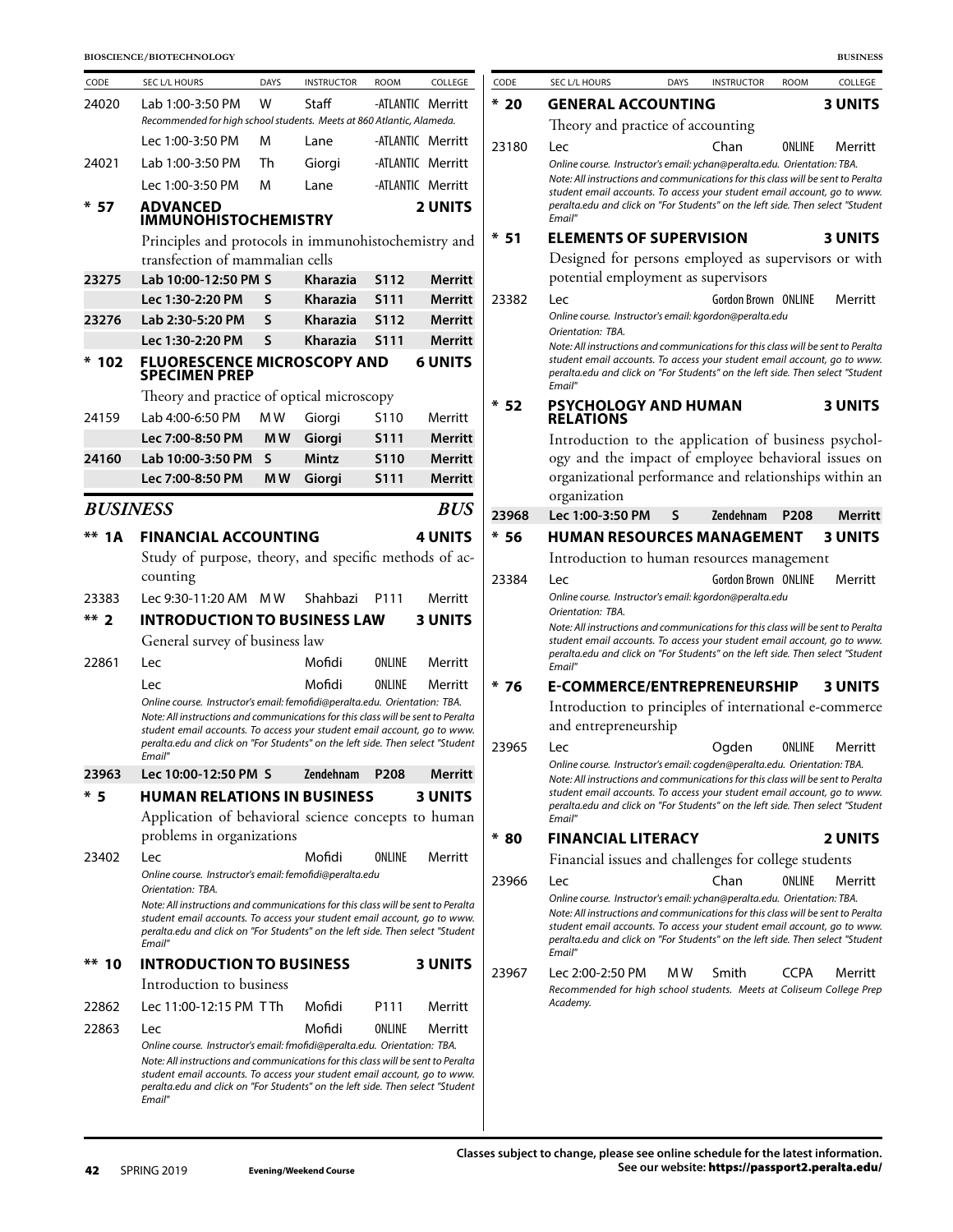| CODE            | SEC L/L HOURS                                                                                                                                                                                                                                                                                                                          | <b>DAYS</b>    | <b>INSTRUCTOR</b> | <b>ROOM</b>      | COLLEGE           |
|-----------------|----------------------------------------------------------------------------------------------------------------------------------------------------------------------------------------------------------------------------------------------------------------------------------------------------------------------------------------|----------------|-------------------|------------------|-------------------|
| 24020           | Lab 1:00-3:50 PM                                                                                                                                                                                                                                                                                                                       | w              | Staff             |                  | -ATLANTIC Merritt |
|                 | Recommended for high school students. Meets at 860 Atlantic, Alameda.                                                                                                                                                                                                                                                                  |                |                   |                  |                   |
|                 | Lec 1:00-3:50 PM                                                                                                                                                                                                                                                                                                                       | M              | Lane              |                  | -ATLANTIC Merritt |
| 24021           | Lab 1:00-3:50 PM                                                                                                                                                                                                                                                                                                                       | Th             | Giorgi            |                  | -ATLANTIC Merritt |
|                 | Lec 1:00-3:50 PM                                                                                                                                                                                                                                                                                                                       | м              | Lane              |                  | -ATLANTIC Merritt |
| * 57            | <b>ADVANCED</b>                                                                                                                                                                                                                                                                                                                        |                |                   |                  | 2 UNITS           |
|                 | <b>IMMUNOHISTOCHEMISTRY</b>                                                                                                                                                                                                                                                                                                            |                |                   |                  |                   |
|                 | Principles and protocols in immunohistochemistry and                                                                                                                                                                                                                                                                                   |                |                   |                  |                   |
|                 | transfection of mammalian cells                                                                                                                                                                                                                                                                                                        |                |                   |                  |                   |
| 23275           | Lab 10:00-12:50 PM S                                                                                                                                                                                                                                                                                                                   |                | Kharazia          | S112             | <b>Merritt</b>    |
|                 | Lec 1:30-2:20 PM                                                                                                                                                                                                                                                                                                                       | S              | Kharazia          | S111             | <b>Merritt</b>    |
| 23276           | Lab 2:30-5:20 PM                                                                                                                                                                                                                                                                                                                       | S              | Kharazia          | <b>S112</b>      | Merritt           |
|                 | Lec 1:30-2:20 PM                                                                                                                                                                                                                                                                                                                       | $\mathsf{s}$   | Kharazia          | S <sub>111</sub> | <b>Merritt</b>    |
| *<br>102        | <b>FLUORESCENCE MICROSCOPY AND</b><br><b>SPECIMEN PREP</b>                                                                                                                                                                                                                                                                             |                |                   |                  | <b>6 UNITS</b>    |
|                 | Theory and practice of optical microscopy                                                                                                                                                                                                                                                                                              |                |                   |                  |                   |
| 24159           | Lab 4:00-6:50 PM                                                                                                                                                                                                                                                                                                                       | MW             | Giorgi            | S110             | Merritt           |
|                 | Lec 7:00-8:50 PM                                                                                                                                                                                                                                                                                                                       | M <sub>W</sub> | Giorgi            | <b>S111</b>      | Merritt           |
| 24160           | Lab 10:00-3:50 PM                                                                                                                                                                                                                                                                                                                      | S              | Mintz             | S110             | Merritt           |
|                 | Lec 7:00-8:50 PM                                                                                                                                                                                                                                                                                                                       | MW             | Giorgi            | <b>S111</b>      | <b>Merritt</b>    |
| <b>BUSINESS</b> |                                                                                                                                                                                                                                                                                                                                        |                |                   |                  | <b>BUS</b>        |
| **<br>1 A       | <b>FINANCIAL ACCOUNTING</b>                                                                                                                                                                                                                                                                                                            |                |                   |                  | <b>4 UNITS</b>    |
|                 | Study of purpose, theory, and specific methods of ac-                                                                                                                                                                                                                                                                                  |                |                   |                  |                   |
|                 | counting                                                                                                                                                                                                                                                                                                                               |                |                   |                  |                   |
| 23383           | Lec 9:30-11:20 AM                                                                                                                                                                                                                                                                                                                      | M W            | Shahbazi          | P111             | Merritt           |
| $***2$          | <b>INTRODUCTION TO BUSINESS LAW</b>                                                                                                                                                                                                                                                                                                    |                |                   |                  | <b>3 UNITS</b>    |
|                 | General survey of business law                                                                                                                                                                                                                                                                                                         |                |                   |                  |                   |
| 22861           | Lec                                                                                                                                                                                                                                                                                                                                    |                | Mofidi            | ONLINE           | Merritt           |
|                 | Lec                                                                                                                                                                                                                                                                                                                                    |                | Mofidi            | ONLINE           | Merritt           |
|                 | Online course. Instructor's email: femofidi@peralta.edu. Orientation: TBA.<br>Note: All instructions and communications for this class will be sent to Peralta<br>student email accounts. To access your student email account, go to www.<br>peralta.edu and click on "For Students" on the left side. Then select "Student<br>Email" |                |                   |                  |                   |
| 23963           | Lec 10:00-12:50 PM S                                                                                                                                                                                                                                                                                                                   |                | <b>Zendehnam</b>  | P <sub>208</sub> | Merritt           |
| * 5             | <b>HUMAN RELATIONS IN BUSINESS</b>                                                                                                                                                                                                                                                                                                     |                |                   |                  | <b>3 UNITS</b>    |
|                 | Application of behavioral science concepts to human                                                                                                                                                                                                                                                                                    |                |                   |                  |                   |
|                 | problems in organizations                                                                                                                                                                                                                                                                                                              |                |                   |                  |                   |
| 23402           | Lec                                                                                                                                                                                                                                                                                                                                    |                | Mofidi            | ONLINE           | Merritt           |
|                 | Online course. Instructor's email: femofidi@peralta.edu                                                                                                                                                                                                                                                                                |                |                   |                  |                   |
|                 | Orientation: TBA.<br>Note: All instructions and communications for this class will be sent to Peralta<br>student email accounts. To access your student email account, go to www.<br>peralta.edu and click on "For Students" on the left side. Then select "Student<br>Email"                                                          |                |                   |                  |                   |
| $** 10$         | <b>INTRODUCTION TO BUSINESS</b>                                                                                                                                                                                                                                                                                                        |                |                   |                  | <b>3 UNITS</b>    |
|                 | Introduction to business                                                                                                                                                                                                                                                                                                               |                |                   |                  |                   |
| 22862           | Lec 11:00-12:15 PM TTh                                                                                                                                                                                                                                                                                                                 |                | Mofidi            | P111             | Merritt           |
| 22863           | Lec                                                                                                                                                                                                                                                                                                                                    |                | Mofidi            | ONLINE           | Merritt           |
|                 | Online course. Instructor's email: fmofidi@peralta.edu. Orientation: TBA.<br>Note: All instructions and communications for this class will be sent to Peralta                                                                                                                                                                          |                |                   |                  |                   |

|       |                                                                                                                                                                                                                                                                                                                                              |      |                     |                  | <b>BUSINESS</b>       |
|-------|----------------------------------------------------------------------------------------------------------------------------------------------------------------------------------------------------------------------------------------------------------------------------------------------------------------------------------------------|------|---------------------|------------------|-----------------------|
| CODE  | SEC L/L HOURS                                                                                                                                                                                                                                                                                                                                | DAYS | <b>INSTRUCTOR</b>   | <b>ROOM</b>      | COLLEGE               |
| * 20  | <b>GENERAL ACCOUNTING</b>                                                                                                                                                                                                                                                                                                                    |      |                     |                  | 3 UNITS               |
|       | Theory and practice of accounting                                                                                                                                                                                                                                                                                                            |      |                     |                  |                       |
| 23180 | Lec<br>Online course. Instructor's email: ychan@peralta.edu. Orientation: TBA.<br>Note: All instructions and communications for this class will be sent to Peralta<br>student email accounts. To access your student email account, go to www.<br>peralta.edu and click on "For Students" on the left side. Then select "Student<br>Email"   |      | Chan                | ONLINE           | Merritt               |
| * 51  | <b>ELEMENTS OF SUPERVISION</b>                                                                                                                                                                                                                                                                                                               |      |                     |                  | <b>3 UNITS</b>        |
|       | Designed for persons employed as supervisors or with<br>potential employment as supervisors                                                                                                                                                                                                                                                  |      |                     |                  |                       |
| 23382 | Lec<br>Online course. Instructor's email: kgordon@peralta.edu<br>Orientation: TBA.<br>Note: All instructions and communications for this class will be sent to Peralta<br>student email accounts. To access your student email account, go to www.                                                                                           |      | Gordon Brown ONLINE |                  | Merritt               |
|       | peralta.edu and click on "For Students" on the left side. Then select "Student<br>Email"                                                                                                                                                                                                                                                     |      |                     |                  |                       |
| * 52  | <b>PSYCHOLOGY AND HUMAN</b><br><b>RELATIONS</b>                                                                                                                                                                                                                                                                                              |      |                     |                  | <b>3 UNITS</b>        |
|       | Introduction to the application of business psychol-<br>ogy and the impact of employee behavioral issues on<br>organizational performance and relationships within an<br>organization                                                                                                                                                        |      |                     |                  |                       |
| 23968 | Lec 1:00-3:50 PM                                                                                                                                                                                                                                                                                                                             | S    | <b>Zendehnam</b>    | P <sub>208</sub> | Merritt               |
| $*56$ | <b>HUMAN RESOURCES MANAGEMENT</b>                                                                                                                                                                                                                                                                                                            |      |                     |                  | <b>3 UNITS</b>        |
|       | Introduction to human resources management                                                                                                                                                                                                                                                                                                   |      |                     |                  |                       |
| 23384 | Lec<br>Online course. Instructor's email: kgordon@peralta.edu<br>Orientation: TBA.                                                                                                                                                                                                                                                           |      | Gordon Brown ONLINE |                  | Merritt               |
|       | Note: All instructions and communications for this class will be sent to Peralta<br>student email accounts. To access your student email account, go to www.<br>peralta.edu and click on "For Students" on the left side. Then select "Student<br>Email"                                                                                     |      |                     |                  |                       |
| * 76  | E-COMMERCE/ENTREPRENEURSHIP                                                                                                                                                                                                                                                                                                                  |      |                     |                  | <b>3 UNITS</b>        |
|       | Introduction to principles of international e-commerce<br>and entrepreneurship                                                                                                                                                                                                                                                               |      |                     |                  |                       |
| 23965 | Lec.<br>Online course. Instructor's email: cogden@peralta.edu. Orientation: TBA.<br>Note: All instructions and communications for this class will be sent to Peralta<br>student email accounts. To access your student email account, go to www.<br>peralta.edu and click on "For Students" on the left side. Then select "Student<br>Email" |      | Ogden               |                  | <b>ONLINE</b> Merritt |
| * 80  | FINANCIAL LITERACY                                                                                                                                                                                                                                                                                                                           |      |                     |                  | 2 UNITS               |
|       | Financial issues and challenges for college students                                                                                                                                                                                                                                                                                         |      |                     |                  |                       |
| 23966 | Lec                                                                                                                                                                                                                                                                                                                                          |      | Chan                | ONLINE           | Merritt               |
|       | Online course. Instructor's email: ychan@peralta.edu. Orientation: TBA.<br>Note: All instructions and communications for this class will be sent to Peralta<br>student email accounts. To access your student email account, go to www.<br>peralta.edu and click on "For Students" on the left side. Then select "Student                    |      |                     |                  |                       |
|       | Email"                                                                                                                                                                                                                                                                                                                                       |      |                     |                  |                       |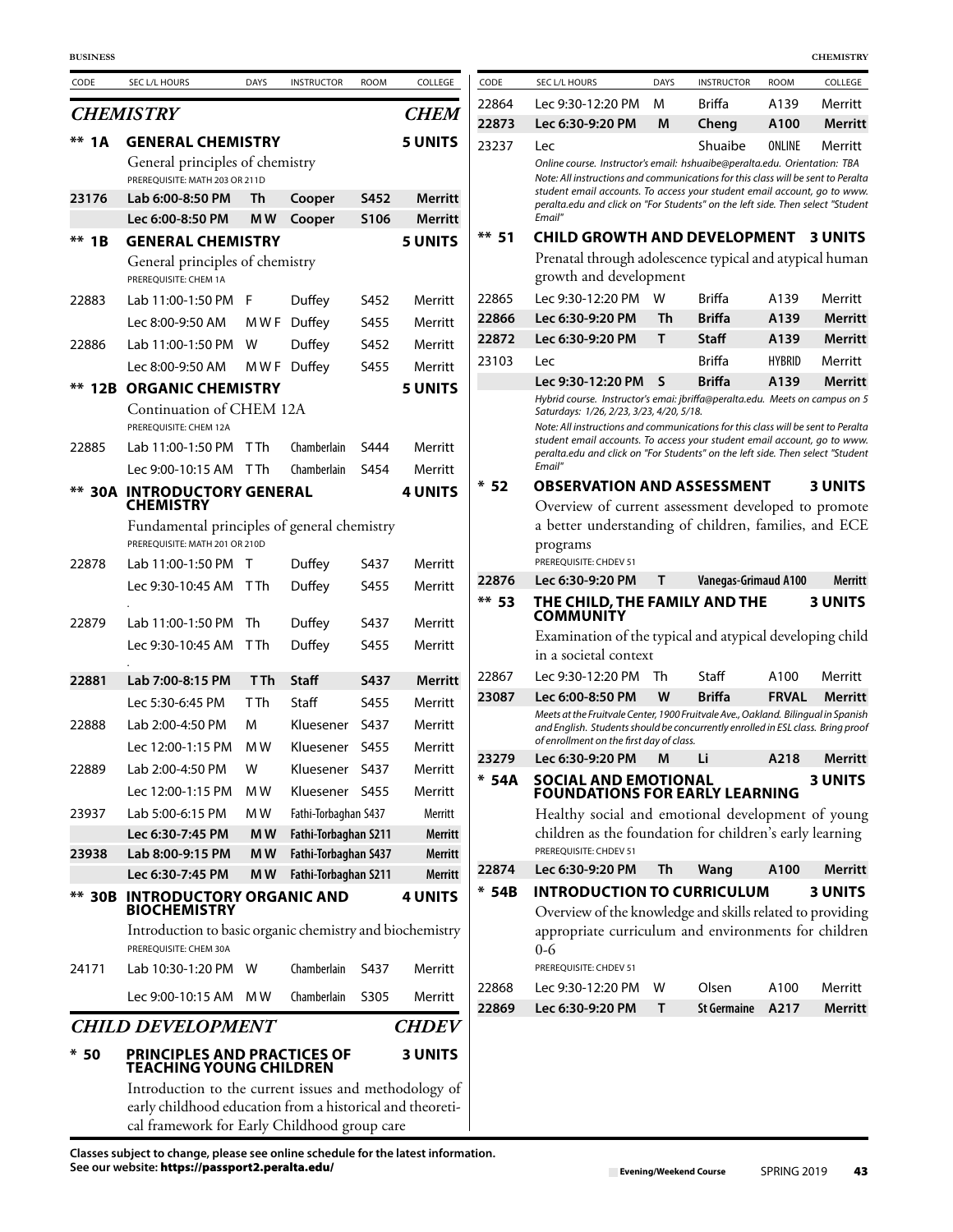| CODE    | SEC L/L HOURS                                                                                                      | <b>DAYS</b>      | <b>INSTRUCTOR</b>          | <b>ROOM</b>  | COLLEGE            | CODE    | SEC L/L HOURS                                                                                                                                                     | <b>DAYS</b>  | <b>INSTRUCTOR</b>              | <b>ROOM</b>           | COLLEGE                  |
|---------|--------------------------------------------------------------------------------------------------------------------|------------------|----------------------------|--------------|--------------------|---------|-------------------------------------------------------------------------------------------------------------------------------------------------------------------|--------------|--------------------------------|-----------------------|--------------------------|
|         | <b>CHEMISTRY</b>                                                                                                   |                  |                            |              | <b>CHEM</b>        | 22864   | Lec 9:30-12:20 PM                                                                                                                                                 | м            | Briffa                         | A139                  | Merritt                  |
|         |                                                                                                                    |                  |                            |              |                    | 22873   | Lec 6:30-9:20 PM                                                                                                                                                  | M            | Cheng                          | A100                  | <b>Merrit</b>            |
| ** 1A   | <b>GENERAL CHEMISTRY</b>                                                                                           |                  |                            |              | <b>5 UNITS</b>     | 23237   | Lec                                                                                                                                                               |              | Shuaibe                        | ONLINE                | Merritt                  |
|         | General principles of chemistry<br>PREREQUISITE: MATH 203 OR 211D                                                  |                  |                            |              |                    |         | Online course. Instructor's email: hshuaibe@peralta.edu. Orientation: TBA<br>Note: All instructions and communications for this class will be sent to Perali      |              |                                |                       |                          |
| 23176   | Lab 6:00-8:50 PM                                                                                                   | Th               | Cooper                     | S452         | <b>Merritt</b>     |         | student email accounts. To access your student email account, go to wwi<br>peralta.edu and click on "For Students" on the left side. Then select "Studer          |              |                                |                       |                          |
|         | Lec 6:00-8:50 PM                                                                                                   | MW               | Cooper                     | S106         | <b>Merritt</b>     |         | Email"                                                                                                                                                            |              |                                |                       |                          |
| $**$ 1B | <b>GENERAL CHEMISTRY</b>                                                                                           |                  |                            |              | <b>5 UNITS</b>     | $** 51$ | <b>CHILD GROWTH AND DEVELOPMENT 3 UNITS</b>                                                                                                                       |              |                                |                       |                          |
|         | General principles of chemistry                                                                                    |                  |                            |              |                    |         | Prenatal through adolescence typical and atypical huma                                                                                                            |              |                                |                       |                          |
|         | PREREQUISITE: CHEM 1A                                                                                              |                  |                            |              |                    |         | growth and development                                                                                                                                            |              |                                |                       |                          |
| 22883   | Lab 11:00-1:50 PM F                                                                                                |                  | Duffey                     | S452         | Merritt            | 22865   | Lec 9:30-12:20 PM W                                                                                                                                               |              | <b>Briffa</b>                  | A139                  | Merritt                  |
|         | Lec 8:00-9:50 AM                                                                                                   |                  | MWF Duffey                 | S455         | Merritt            | 22866   | Lec 6:30-9:20 PM                                                                                                                                                  | Th           | <b>Briffa</b>                  | A139                  | Merrit                   |
| 22886   | Lab 11:00-1:50 PM                                                                                                  | W                | Duffey                     | S452         | Merritt            | 22872   | Lec 6:30-9:20 PM                                                                                                                                                  | Τ            | <b>Staff</b>                   | A139                  | Merrit                   |
|         | Lec 8:00-9:50 AM                                                                                                   |                  | MWF Duffey                 | S455         | Merritt            | 23103   | <b>Lec</b><br>Lec 9:30-12:20 PM S                                                                                                                                 |              | <b>Briffa</b><br><b>Briffa</b> | <b>HYBRID</b><br>A139 | Merritt<br><b>Merrit</b> |
|         | <b>** 12B ORGANIC CHEMISTRY</b>                                                                                    |                  |                            |              | <b>5 UNITS</b>     |         | Hybrid course. Instructor's emai: jbriffa@peralta.edu. Meets on campus on                                                                                         |              |                                |                       |                          |
|         | Continuation of CHEM 12A                                                                                           |                  |                            |              |                    |         | Saturdays: 1/26, 2/23, 3/23, 4/20, 5/18.                                                                                                                          |              |                                |                       |                          |
|         | PREREQUISITE: CHEM 12A                                                                                             | T Th             |                            | S444         |                    |         | Note: All instructions and communications for this class will be sent to Perali<br>student email accounts. To access your student email account, go to wwi        |              |                                |                       |                          |
| 22885   | Lab 11:00-1:50 PM                                                                                                  |                  | Chamberlain<br>Chamberlain | S454         | Merritt<br>Merritt |         | peralta.edu and click on "For Students" on the left side. Then select "Studer<br>Email"                                                                           |              |                                |                       |                          |
|         | Lec 9:00-10:15 AM TTh<br><b>** 30A INTRODUCTORY GENERAL</b>                                                        |                  |                            |              | <b>4 UNITS</b>     | $*52$   | <b>OBSERVATION AND ASSESSMENT</b>                                                                                                                                 |              |                                |                       | <b>3 UNITS</b>           |
|         | <b>CHEMISTRY</b>                                                                                                   |                  |                            |              |                    |         | Overview of current assessment developed to promot                                                                                                                |              |                                |                       |                          |
|         | Fundamental principles of general chemistry                                                                        |                  |                            |              |                    |         | a better understanding of children, families, and EC                                                                                                              |              |                                |                       |                          |
|         | PREREQUISITE: MATH 201 OR 210D                                                                                     |                  |                            |              |                    |         | programs                                                                                                                                                          |              |                                |                       |                          |
| 22878   | Lab 11:00-1:50 PM T                                                                                                |                  | Duffey                     | S437         | Merritt            |         | PREREQUISITE: CHDEV 51                                                                                                                                            |              |                                |                       |                          |
|         | Lec 9:30-10:45 AM TTh                                                                                              |                  | Duffey                     | S455         | Merritt            | 22876   | Lec 6:30-9:20 PM                                                                                                                                                  | T            | Vanegas-Grimaud A100           |                       | Merrit                   |
|         |                                                                                                                    |                  |                            |              |                    | $** 53$ | THE CHILD, THE FAMILY AND THE<br><b>COMMUNITY</b>                                                                                                                 |              |                                |                       | 3 UNITS                  |
| 22879   | Lab 11:00-1:50 PM                                                                                                  | Th<br><b>TTh</b> | Duffey                     | S437<br>S455 | Merritt            |         | Examination of the typical and atypical developing chil                                                                                                           |              |                                |                       |                          |
|         | Lec 9:30-10:45 AM                                                                                                  |                  | Duffey                     |              | Merritt            |         | in a societal context                                                                                                                                             |              |                                |                       |                          |
| 22881   | Lab 7:00-8:15 PM                                                                                                   | <b>TTh</b>       | Staff                      | <b>S437</b>  | <b>Merritt</b>     | 22867   | Lec 9:30-12:20 PM                                                                                                                                                 | Th           | Staff                          | A100                  | Merritt                  |
|         | Lec 5:30-6:45 PM                                                                                                   | T Th             | Staff                      | S455         | Merritt            | 23087   | Lec 6:00-8:50 PM                                                                                                                                                  | W            | <b>Briffa</b>                  | <b>FRVAL</b>          | <b>Merrit</b>            |
| 22888   | Lab 2:00-4:50 PM                                                                                                   | M                | Kluesener                  | S437         | Merritt            |         | Meets at the Fruitvale Center, 1900 Fruitvale Ave., Oakland. Bilingual in Spanis<br>and English. Students should be concurrently enrolled in ESL class. Bring pro |              |                                |                       |                          |
|         | Lec 12:00-1:15 PM                                                                                                  | M W              | Kluesener S455             |              | Merritt            |         | of enrollment on the first day of class.                                                                                                                          |              |                                |                       |                          |
| 22889   | Lab 2:00-4:50 PM                                                                                                   | W                | Kluesener S437             |              | Merritt            | 23279   | Lec 6:30-9:20 PM                                                                                                                                                  | M            | Li                             | A218                  | Merrit                   |
|         | Lec 12:00-1:15 PM                                                                                                  | M W              | Kluesener S455             |              | Merritt            | $* 54A$ | <b>SOCIAL AND EMOTIONAL</b><br><b>FOUNDATIONS FOR EARLY LEARNING</b>                                                                                              |              |                                |                       | 3 UNITS                  |
| 23937   | Lab 5:00-6:15 PM                                                                                                   | M W              | Fathi-Torbaghan S437       |              | Merritt            |         | Healthy social and emotional development of youn                                                                                                                  |              |                                |                       |                          |
|         | Lec 6:30-7:45 PM                                                                                                   | M <sub>W</sub>   | Fathi-Torbaghan S211       |              | <b>Merritt</b>     |         | children as the foundation for children's early learning                                                                                                          |              |                                |                       |                          |
| 23938   | Lab 8:00-9:15 PM                                                                                                   | M <sub>W</sub>   | Fathi-Torbaghan S437       |              | <b>Merritt</b>     |         | PREREQUISITE: CHDEV 51                                                                                                                                            |              |                                |                       |                          |
|         | Lec 6:30-7:45 PM                                                                                                   | M <sub>W</sub>   | Fathi-Torbaghan S211       |              | Merritt            | 22874   | Lec 6:30-9:20 PM                                                                                                                                                  | Th           | Wang                           | A100                  | <b>Merrit</b>            |
|         | <b>** 30B INTRODUCTORY ORGANIC AND</b>                                                                             |                  |                            |              | <b>4 UNITS</b>     | $* 54B$ | <b>INTRODUCTION TO CURRICULUM</b>                                                                                                                                 |              |                                |                       | 3 UNITS                  |
|         | <b>BIOCHEMISTRY</b><br>Introduction to basic organic chemistry and biochemistry                                    |                  |                            |              |                    |         | Overview of the knowledge and skills related to providin<br>appropriate curriculum and environments for childre                                                   |              |                                |                       |                          |
|         | PREREQUISITE: CHEM 30A                                                                                             |                  |                            |              |                    |         | $0 - 6$                                                                                                                                                           |              |                                |                       |                          |
| 24171   | Lab 10:30-1:20 PM W                                                                                                |                  | Chamberlain                | S437         | Merritt            |         | PREREQUISITE: CHDEV 51                                                                                                                                            |              |                                |                       |                          |
|         | Lec 9:00-10:15 AM MW                                                                                               |                  | Chamberlain                | S305         | Merritt            | 22868   | Lec 9:30-12:20 PM                                                                                                                                                 | W            | Olsen                          | A100                  | Merritt                  |
|         |                                                                                                                    |                  |                            |              |                    | 22869   | Lec 6:30-9:20 PM                                                                                                                                                  | $\mathsf{T}$ | <b>St Germaine</b>             | A217                  | Merrit                   |
|         | <b>CHILD DEVELOPMENT</b>                                                                                           |                  |                            |              | <b>CHDEV</b>       |         |                                                                                                                                                                   |              |                                |                       |                          |
| $*50$   | <b>PRINCIPLES AND PRACTICES OF</b><br><b>TEACHING YOUNG CHILDREN</b>                                               |                  |                            |              | <b>3 UNITS</b>     |         |                                                                                                                                                                   |              |                                |                       |                          |
|         |                                                                                                                    |                  |                            |              |                    |         |                                                                                                                                                                   |              |                                |                       |                          |
|         | Introduction to the current issues and methodology of<br>early childhood education from a historical and theoreti- |                  |                            |              |                    |         |                                                                                                                                                                   |              |                                |                       |                          |

cal framework for Early Childhood group care

| <b>BUSINESS</b> |                                                                                               |             |                                  |             |                    |                |                                                                                                                                                                                                                                                  |              |                             |               | <b>CHEMISTRY</b>          |
|-----------------|-----------------------------------------------------------------------------------------------|-------------|----------------------------------|-------------|--------------------|----------------|--------------------------------------------------------------------------------------------------------------------------------------------------------------------------------------------------------------------------------------------------|--------------|-----------------------------|---------------|---------------------------|
| CODE            | SEC L/L HOURS                                                                                 | <b>DAYS</b> | <b>INSTRUCTOR</b>                | <b>ROOM</b> | COLLEGE            | CODE           | SEC L/L HOURS                                                                                                                                                                                                                                    | <b>DAYS</b>  | <b>INSTRUCTOR</b>           | <b>ROOM</b>   | COLLEGE                   |
|                 | <b>CHEMISTRY</b>                                                                              |             |                                  |             | <b>CHEM</b>        | 22864          | Lec 9:30-12:20 PM                                                                                                                                                                                                                                | м            | <b>Briffa</b>               | A139          | Merritt                   |
|                 |                                                                                               |             |                                  |             |                    | 22873          | Lec 6:30-9:20 PM                                                                                                                                                                                                                                 | M            | Cheng                       | A100          | <b>Merritt</b>            |
| ** 1A           | <b>GENERAL CHEMISTRY</b><br>General principles of chemistry<br>PREREQUISITE: MATH 203 OR 211D |             |                                  |             | <b>5 UNITS</b>     | 23237          | Lec<br>Online course. Instructor's email: hshuaibe@peralta.edu. Orientation: TBA<br>Note: All instructions and communications for this class will be sent to Peralta<br>student email accounts. To access your student email account, go to www. |              | Shuaibe                     | ONLINE        | Merritt                   |
| 23176           | Lab 6:00-8:50 PM                                                                              | Th          | Cooper                           | S452        | Merritt            |                | peralta.edu and click on "For Students" on the left side. Then select "Student                                                                                                                                                                   |              |                             |               |                           |
|                 | Lec 6:00-8:50 PM                                                                              | M W         | Cooper                           | S106        | <b>Merritt</b>     |                | Email"                                                                                                                                                                                                                                           |              |                             |               |                           |
| ** 1B           | <b>GENERAL CHEMISTRY</b><br>General principles of chemistry<br>PREREQUISITE: CHEM 1A          |             |                                  |             | <b>5 UNITS</b>     | $**$ 51        | <b>CHILD GROWTH AND DEVELOPMENT</b><br>Prenatal through adolescence typical and atypical human<br>growth and development                                                                                                                         |              |                             |               | <b>3 UNITS</b>            |
| 22883           | Lab 11:00-1:50 PM F                                                                           |             | Duffey                           | S452        | Merritt            | 22865          | Lec 9:30-12:20 PM                                                                                                                                                                                                                                | W            | <b>Briffa</b>               | A139          | Merritt                   |
|                 | Lec 8:00-9:50 AM                                                                              | M W F       | Duffey                           | S455        | Merritt            | 22866          | Lec 6:30-9:20 PM                                                                                                                                                                                                                                 | Th           | <b>Briffa</b>               | A139          | <b>Merritt</b>            |
| 22886           | Lab 11:00-1:50 PM                                                                             | W           | Duffey                           | S452        | Merritt            | 22872          | Lec 6:30-9:20 PM                                                                                                                                                                                                                                 | Τ            | <b>Staff</b>                | A139          | <b>Merritt</b>            |
|                 | Lec 8:00-9:50 AM                                                                              |             | MWF Duffey                       | S455        | Merritt            | 23103          | Lec                                                                                                                                                                                                                                              |              | <b>Briffa</b>               | <b>HYBRID</b> | Merritt                   |
| ** 12B          | <b>ORGANIC CHEMISTRY</b>                                                                      |             |                                  |             | <b>5 UNITS</b>     |                | Lec 9:30-12:20 PM                                                                                                                                                                                                                                | $\mathsf{s}$ | <b>Briffa</b>               | A139          | <b>Merritt</b>            |
|                 | Continuation of CHEM 12A<br>PREREQUISITE: CHEM 12A                                            |             |                                  |             |                    |                | Hybrid course. Instructor's emai: jbriffa@peralta.edu. Meets on campus on 5<br>Saturdays: 1/26, 2/23, 3/23, 4/20, 5/18.<br>Note: All instructions and communications for this class will be sent to Peralta                                      |              |                             |               |                           |
| 22885           | Lab 11:00-1:50 PM                                                                             | TTh         | Chamberlain                      | S444        | Merritt            |                | student email accounts. To access your student email account, go to www.<br>peralta.edu and click on "For Students" on the left side. Then select "Student                                                                                       |              |                             |               |                           |
|                 | Lec 9:00-10:15 AM TTh                                                                         |             | Chamberlain                      | S454        | Merritt            |                | Email"                                                                                                                                                                                                                                           |              |                             |               |                           |
|                 | <b>** 30A INTRODUCTORY GENERAL</b>                                                            |             |                                  |             | <b>4 UNITS</b>     | $*52$          | <b>OBSERVATION AND ASSESSMENT</b>                                                                                                                                                                                                                |              |                             |               | 3 UNITS                   |
|                 | <b>CHEMISTRY</b>                                                                              |             |                                  |             |                    |                | Overview of current assessment developed to promote                                                                                                                                                                                              |              |                             |               |                           |
|                 | Fundamental principles of general chemistry<br>PREREQUISITE: MATH 201 OR 210D                 |             |                                  |             |                    |                | a better understanding of children, families, and ECE<br>programs                                                                                                                                                                                |              |                             |               |                           |
| 22878           | Lab 11:00-1:50 PM T                                                                           |             | Duffey                           | S437        | Merritt            | 22876          | PREREQUISITE: CHDEV 51<br>Lec 6:30-9:20 PM                                                                                                                                                                                                       | т            | Vanegas-Grimaud A100        |               | Merritt                   |
|                 | Lec 9:30-10:45 AM TTh                                                                         |             | Duffey                           | S455        | Merritt            | $**$ 53        | THE CHILD, THE FAMILY AND THE<br><b>COMMUNITY</b>                                                                                                                                                                                                |              |                             |               | <b>3 UNITS</b>            |
| 22879           | Lab 11:00-1:50 PM                                                                             | Th          | Duffey                           | S437        | Merritt            |                | Examination of the typical and atypical developing child                                                                                                                                                                                         |              |                             |               |                           |
|                 | Lec 9:30-10:45 AM TTh                                                                         |             | Duffey                           | S455        | Merritt            |                | in a societal context                                                                                                                                                                                                                            |              |                             |               |                           |
| 22881           | Lab 7:00-8:15 PM                                                                              | T Th        | <b>Staff</b>                     | <b>S437</b> | <b>Merritt</b>     | 22867          | Lec 9:30-12:20 PM                                                                                                                                                                                                                                | Th           | Staff                       | A100          | Merritt                   |
|                 | Lec 5:30-6:45 PM                                                                              | T Th        | Staff                            | S455        | Merritt            | 23087          | Lec 6:00-8:50 PM                                                                                                                                                                                                                                 | W            | <b>Briffa</b>               | <b>FRVAL</b>  | <b>Merritt</b>            |
| 22888           | Lab 2:00-4:50 PM<br>Lec 12:00-1:15 PM                                                         | м           | Kluesener                        | - S437      | Merritt            |                | Meets at the Fruitvale Center, 1900 Fruitvale Ave., Oakland. Bilingual in Spanish<br>and English. Students should be concurrently enrolled in ESL class. Bring proof<br>of enrollment on the first day of class.                                 |              |                             |               |                           |
|                 |                                                                                               | M W         | Kluesener S455                   |             | Merritt            | 23279          | Lec 6:30-9:20 PM                                                                                                                                                                                                                                 | M            | Li                          | A218          | <b>Merritt</b>            |
| 22889           | Lab 2:00-4:50 PM<br>Lec 12:00-1:15 PM                                                         | w<br>M W    | Kluesener S437<br>Kluesener S455 |             | Merritt<br>Merritt | $* 54A$        | <b>SOCIAL AND EMOTIONAL</b>                                                                                                                                                                                                                      |              |                             |               | <b>3 UNITS</b>            |
| 23937           | Lab 5:00-6:15 PM                                                                              | MW          | Fathi-Torbaghan S437             |             | Merritt            |                | <b>FOUNDATIONS FOR EARLY LEARNING</b>                                                                                                                                                                                                            |              |                             |               |                           |
|                 | Lec 6:30-7:45 PM                                                                              | MW          | Fathi-Torbaghan S211             |             | <b>Merritt</b>     |                | Healthy social and emotional development of young<br>children as the foundation for children's early learning                                                                                                                                    |              |                             |               |                           |
| 23938           | Lab 8:00-9:15 PM                                                                              | MW          | Fathi-Torbaghan S437             |             | <b>Merritt</b>     |                | PREREQUISITE: CHDEV 51                                                                                                                                                                                                                           |              |                             |               |                           |
|                 | Lec 6:30-7:45 PM                                                                              | MW          | Fathi-Torbaghan S211             |             | <b>Merritt</b>     | 22874          | Lec 6:30-9:20 PM                                                                                                                                                                                                                                 | Th           | Wang                        | A100          | <b>Merritt</b>            |
|                 | ** 30B INTRODUCTORY ORGANIC AND                                                               |             |                                  |             | <b>4 UNITS</b>     | $* 54B$        | <b>INTRODUCTION TO CURRICULUM</b>                                                                                                                                                                                                                |              |                             |               | <b>3 UNITS</b>            |
|                 | <b>BIOCHEMISTRY</b>                                                                           |             |                                  |             |                    |                | Overview of the knowledge and skills related to providing                                                                                                                                                                                        |              |                             |               |                           |
|                 | Introduction to basic organic chemistry and biochemistry<br>PREREQUISITE: CHEM 30A            |             |                                  |             |                    |                | appropriate curriculum and environments for children<br>$0 - 6$                                                                                                                                                                                  |              |                             |               |                           |
| 24171           | Lab 10:30-1:20 PM W                                                                           |             | Chamberlain                      | S437        | Merritt            |                | PREREQUISITE: CHDEV 51                                                                                                                                                                                                                           |              |                             |               |                           |
|                 | Lec 9:00-10:15 AM MW                                                                          |             | Chamberlain                      | S305        | Merritt            | 22868<br>22869 | Lec 9:30-12:20 PM<br>Lec 6:30-9:20 PM                                                                                                                                                                                                            | W<br>Τ       | Olsen<br><b>St Germaine</b> | A100<br>A217  | Merritt<br><b>Merritt</b> |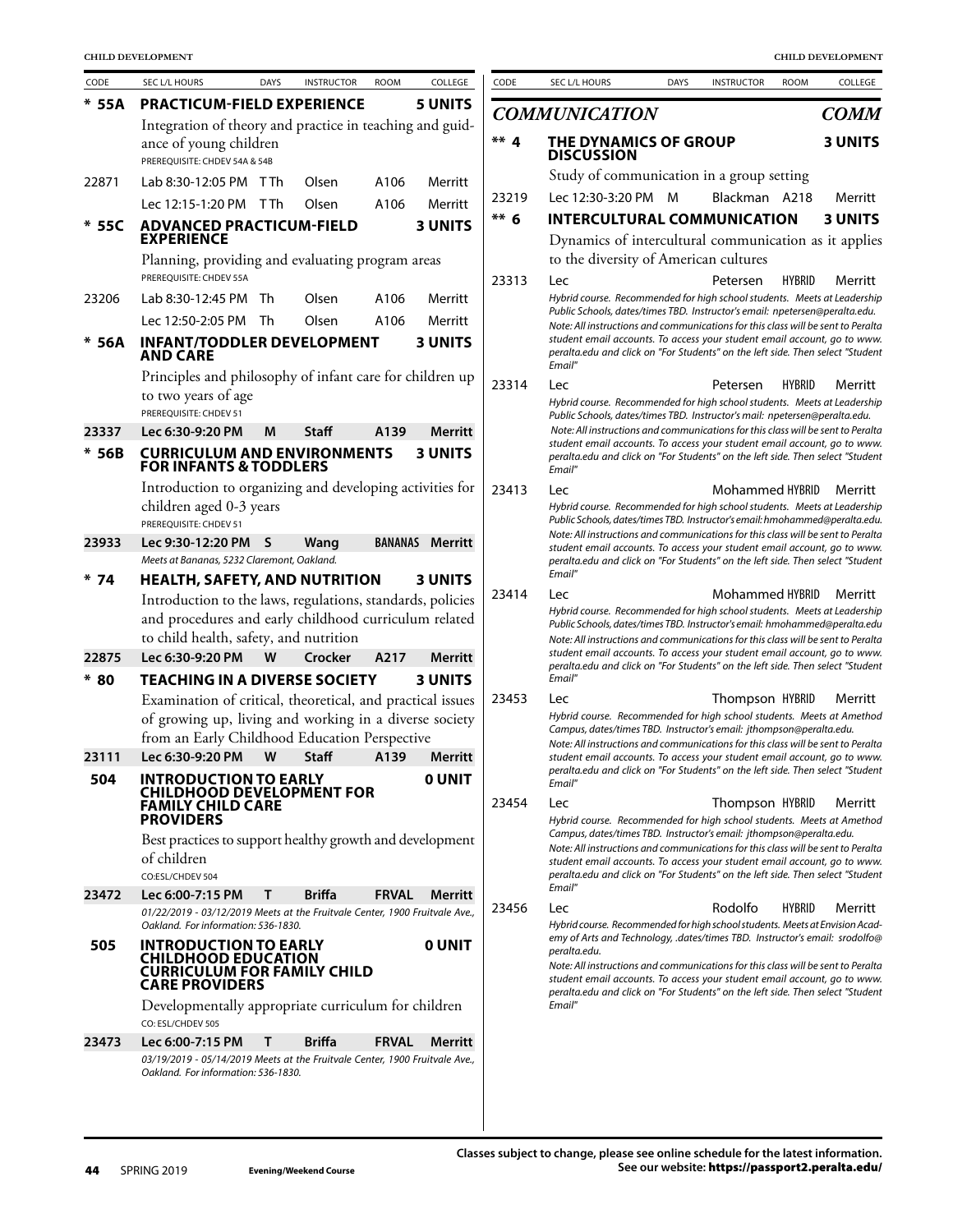| CODE   | SEC L/L HOURS                                                                | <b>DAYS</b> | <b>INSTRUCTOR</b> | <b>ROOM</b>    | COLLEGE        | CODE    | SEC L/L HOURS                                                                                                                                                                | <b>DAYS</b> | <b>INSTRUCTOR</b> | <b>ROOM</b>   | COLLEGE        |
|--------|------------------------------------------------------------------------------|-------------|-------------------|----------------|----------------|---------|------------------------------------------------------------------------------------------------------------------------------------------------------------------------------|-------------|-------------------|---------------|----------------|
| * 55A  | <b>PRACTICUM-FIELD EXPERIENCE</b>                                            |             |                   |                | <b>5 UNITS</b> |         | <b>COMMUNICATION</b>                                                                                                                                                         |             |                   |               | <b>COMM</b>    |
|        | Integration of theory and practice in teaching and guid-                     |             |                   |                |                |         |                                                                                                                                                                              |             |                   |               |                |
|        | ance of young children<br>PREREQUISITE: CHDEV 54A & 54B                      |             |                   |                |                | $***$ 4 | THE DYNAMICS OF GROUP<br><b>DISCUSSION</b>                                                                                                                                   |             |                   |               | <b>3 UNITS</b> |
| 22871  | Lab 8:30-12:05 PM TTh                                                        |             | Olsen             | A106           | Merritt        |         | Study of communication in a group setting                                                                                                                                    |             |                   |               |                |
|        | Lec 12:15-1:20 PM TTh                                                        |             | Olsen             | A106           | Merritt        | 23219   | Lec 12:30-3:20 PM M                                                                                                                                                          |             | Blackman A218     |               | Merritt        |
| $*55C$ | <b>ADVANCED PRACTICUM-FIELD</b>                                              |             |                   |                | <b>3 UNITS</b> | $*** 6$ | <b>INTERCULTURAL COMMUNICATION</b>                                                                                                                                           |             |                   |               | <b>3 UNITS</b> |
|        | <b>EXPERIENCE</b>                                                            |             |                   |                |                |         | Dynamics of intercultural communication as it applies                                                                                                                        |             |                   |               |                |
|        | Planning, providing and evaluating program areas                             |             |                   |                |                |         | to the diversity of American cultures                                                                                                                                        |             |                   |               |                |
|        | PREREOUISITE: CHDEV 55A                                                      |             |                   |                |                | 23313   | Lec                                                                                                                                                                          |             | Petersen          | <b>HYBRID</b> | Merritt        |
| 23206  | Lab 8:30-12:45 PM                                                            | Th          | Olsen             | A106           | Merritt        |         | Hybrid course. Recommended for high school students. Meets at Leadership<br>Public Schools, dates/times TBD. Instructor's email: npetersen@peralta.edu.                      |             |                   |               |                |
|        | Lec 12:50-2:05 PM Th                                                         |             | Olsen             | A106           | Merritt        |         | Note: All instructions and communications for this class will be sent to Peralta                                                                                             |             |                   |               |                |
| * 56A  | <b>INFANT/TODDLER DEVELOPMENT</b><br><b>AND CARE</b>                         |             |                   |                | <b>3 UNITS</b> |         | student email accounts. To access your student email account, go to www.<br>peralta.edu and click on "For Students" on the left side. Then select "Student<br>Email"         |             |                   |               |                |
|        | Principles and philosophy of infant care for children up                     |             |                   |                |                | 23314   | <b>Lec</b>                                                                                                                                                                   |             | Petersen          | <b>HYBRID</b> | Merritt        |
|        | to two years of age<br>PREREQUISITE: CHDEV 51                                |             |                   |                |                |         | Hybrid course. Recommended for high school students. Meets at Leadership                                                                                                     |             |                   |               |                |
| 23337  | Lec 6:30-9:20 PM                                                             | M           | Staff             | A139           | <b>Merritt</b> |         | Public Schools, dates/times TBD. Instructor's mail: npetersen@peralta.edu.<br>Note: All instructions and communications for this class will be sent to Peralta               |             |                   |               |                |
| $*56B$ | <b>CURRICULUM AND ENVIRONMENTS</b>                                           |             |                   |                | <b>3 UNITS</b> |         | student email accounts. To access your student email account, go to www.                                                                                                     |             |                   |               |                |
|        | <b>FOR INFANTS &amp; TODDLERS</b>                                            |             |                   |                |                |         | peralta.edu and click on "For Students" on the left side. Then select "Student<br>Email"                                                                                     |             |                   |               |                |
|        | Introduction to organizing and developing activities for                     |             |                   |                |                | 23413   | Lec                                                                                                                                                                          |             | Mohammed HYBRID   |               | Merritt        |
|        | children aged 0-3 years                                                      |             |                   |                |                |         | Hybrid course. Recommended for high school students. Meets at Leadership                                                                                                     |             |                   |               |                |
|        | PREREQUISITE: CHDEV 51                                                       |             |                   |                |                |         | Public Schools, dates/times TBD. Instructor's email: hmohammed@peralta.edu.<br>Note: All instructions and communications for this class will be sent to Peralta              |             |                   |               |                |
| 23933  | Lec 9:30-12:20 PM<br>Meets at Bananas, 5232 Claremont, Oakland.              | S           | Wang              | <b>BANANAS</b> | <b>Merritt</b> |         | student email accounts. To access your student email account, go to www.                                                                                                     |             |                   |               |                |
| $*74$  | <b>HEALTH, SAFETY, AND NUTRITION</b>                                         |             |                   |                | <b>3 UNITS</b> |         | peralta.edu and click on "For Students" on the left side. Then select "Student<br>Email"                                                                                     |             |                   |               |                |
|        | Introduction to the laws, regulations, standards, policies                   |             |                   |                |                | 23414   | Lec                                                                                                                                                                          |             | Mohammed HYBRID   |               | Merritt        |
|        | and procedures and early childhood curriculum related                        |             |                   |                |                |         | Hybrid course. Recommended for high school students. Meets at Leadership<br>Public Schools, dates/times TBD. Instructor's email: hmohammed@peralta.edu                       |             |                   |               |                |
|        | to child health, safety, and nutrition                                       |             |                   |                |                |         | Note: All instructions and communications for this class will be sent to Peralta                                                                                             |             |                   |               |                |
| 22875  | Lec 6:30-9:20 PM                                                             | W           | Crocker           | A217           | <b>Merritt</b> |         | student email accounts. To access your student email account, go to www.<br>peralta.edu and click on "For Students" on the left side. Then select "Student                   |             |                   |               |                |
| $*80$  | <b>TEACHING IN A DIVERSE SOCIETY</b>                                         |             |                   |                | <b>3 UNITS</b> |         | Email"                                                                                                                                                                       |             |                   |               |                |
|        | Examination of critical, theoretical, and practical issues                   |             |                   |                |                | 23453   | Lec                                                                                                                                                                          |             | Thompson HYBRID   |               | Merritt        |
|        | of growing up, living and working in a diverse society                       |             |                   |                |                |         | Hybrid course. Recommended for high school students. Meets at Amethod<br>Campus, dates/times TBD. Instructor's email: jthompson@peralta.edu.                                 |             |                   |               |                |
|        | from an Early Childhood Education Perspective                                |             |                   |                |                |         | Note: All instructions and communications for this class will be sent to Peralta                                                                                             |             |                   |               |                |
| 23111  | Lec 6:30-9:20 PM                                                             | W           | <b>Staff</b>      | A139           | <b>Merritt</b> |         | student email accounts. To access your student email account, go to www.<br>peralta.edu and click on "For Students" on the left side. Then select "Student                   |             |                   |               |                |
| 504    | <b>INTRODUCTION TO EARLY</b><br><b>CHILDHOOD DEVELOPMENT FOR</b>             |             |                   |                | <b>O UNIT</b>  |         | Email"                                                                                                                                                                       |             |                   |               |                |
|        | <b>FAMILY CHILD CARE</b>                                                     |             |                   |                |                | 23454   | Lec                                                                                                                                                                          |             | Thompson HYBRID   |               | Merritt        |
|        | <b>PROVIDERS</b><br>Best practices to support healthy growth and development |             |                   |                |                |         | Hybrid course. Recommended for high school students. Meets at Amethod<br>Campus, dates/times TBD. Instructor's email: jthompson@peralta.edu.                                 |             |                   |               |                |
|        | of children                                                                  |             |                   |                |                |         | Note: All instructions and communications for this class will be sent to Peralta                                                                                             |             |                   |               |                |
|        | CO:ESL/CHDEV 504                                                             |             |                   |                |                |         | student email accounts. To access your student email account, go to www.<br>peralta.edu and click on "For Students" on the left side. Then select "Student                   |             |                   |               |                |
| 23472  | Lec 6:00-7:15 PM                                                             | T           | <b>Briffa</b>     | <b>FRVAL</b>   | Merritt        |         | Email"                                                                                                                                                                       |             |                   |               |                |
|        | 01/22/2019 - 03/12/2019 Meets at the Fruitvale Center, 1900 Fruitvale Ave.,  |             |                   |                |                | 23456   | <b>Lec</b>                                                                                                                                                                   |             | Rodolfo           | <b>HYBRID</b> | Merritt        |
| 505    | Oakland. For information: 536-1830.<br><b>INTRODUCTION TO EARLY</b>          |             |                   |                | <b>OUNIT</b>   |         | Hybrid course. Recommended for high school students. Meets at Envision Acad-<br>emy of Arts and Technology, .dates/times TBD. Instructor's email: srodolfo@                  |             |                   |               |                |
|        | <b>CHILDHOOD EDUCATION</b><br><b>CURRICULUM FOR FAMILY CHILD</b>             |             |                   |                |                |         | peralta.edu.<br>Note: All instructions and communications for this class will be sent to Peralta<br>student email accounts. To access your student email account, go to www. |             |                   |               |                |
|        | <b>CARE PROVIDERS</b>                                                        |             |                   |                |                |         | peralta.edu and click on "For Students" on the left side. Then select "Student                                                                                               |             |                   |               |                |
|        | Developmentally appropriate curriculum for children<br>CO: ESL/CHDEV 505     |             |                   |                |                |         | Email"                                                                                                                                                                       |             |                   |               |                |
| 23473  | Lec 6:00-7:15 PM                                                             | T           | <b>Briffa</b>     | <b>FRVAL</b>   | Merritt        |         |                                                                                                                                                                              |             |                   |               |                |
|        | 03/19/2019 - 05/14/2019 Meets at the Fruitvale Center, 1900 Fruitvale Ave.,  |             |                   |                |                |         |                                                                                                                                                                              |             |                   |               |                |
|        | Oakland. For information: 536-1830.                                          |             |                   |                |                |         |                                                                                                                                                                              |             |                   |               |                |
|        |                                                                              |             |                   |                |                |         |                                                                                                                                                                              |             |                   |               |                |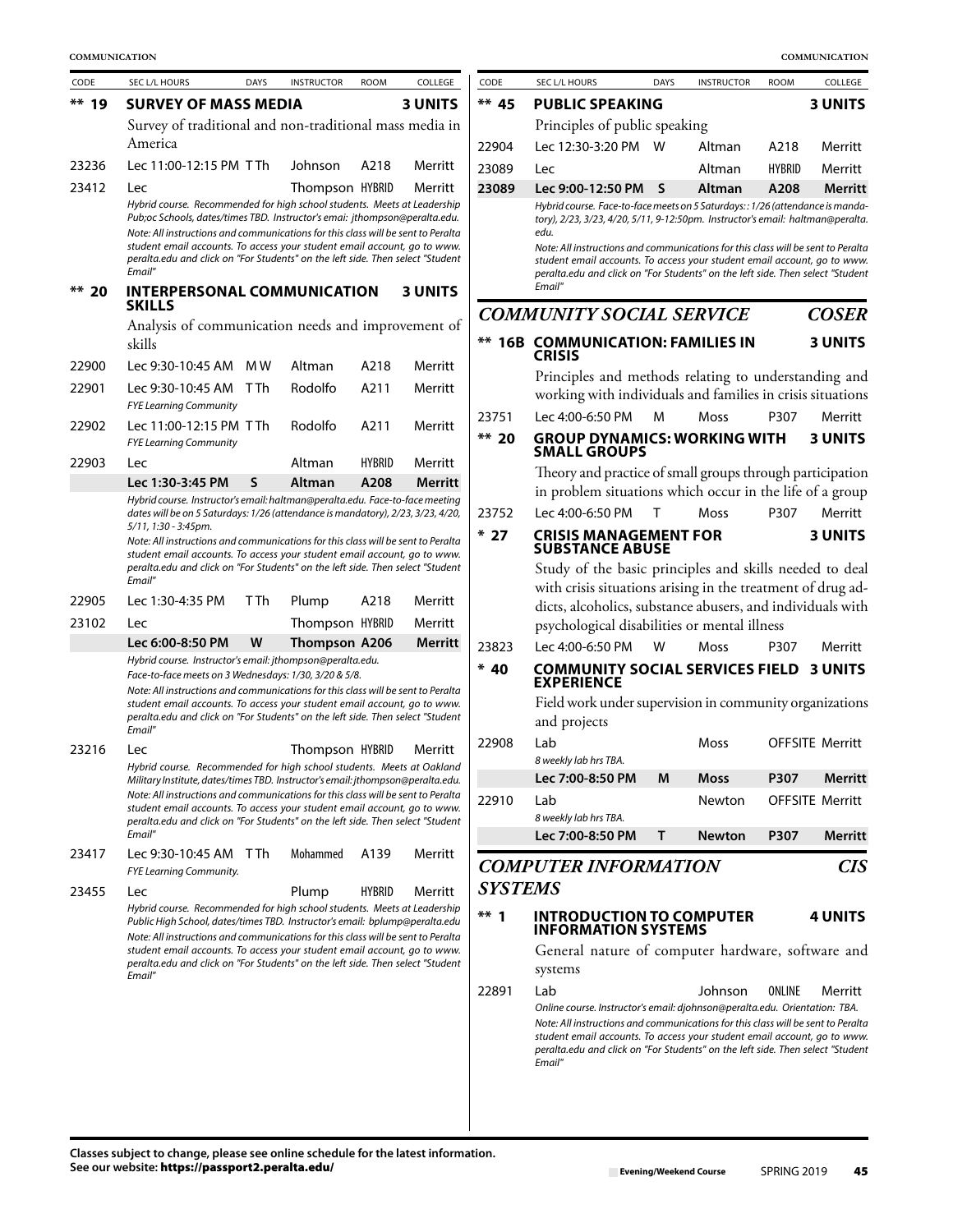| CODE    | SEC L/L HOURS                                                                                                                                                                                                                                                                                                                                                                                                      | <b>DAYS</b> | <b>INSTRUCTOR</b> | <b>ROOM</b>   | COLLEGE        | CODE           | SEC L/L HOURS                                                                                                                                                                                                                                                                                                                                                                                                      | <b>DAYS</b> | <b>INSTRUCTOR</b> | <b>ROOM</b>   | COLLEGE                |
|---------|--------------------------------------------------------------------------------------------------------------------------------------------------------------------------------------------------------------------------------------------------------------------------------------------------------------------------------------------------------------------------------------------------------------------|-------------|-------------------|---------------|----------------|----------------|--------------------------------------------------------------------------------------------------------------------------------------------------------------------------------------------------------------------------------------------------------------------------------------------------------------------------------------------------------------------------------------------------------------------|-------------|-------------------|---------------|------------------------|
| $** 19$ | <b>SURVEY OF MASS MEDIA</b>                                                                                                                                                                                                                                                                                                                                                                                        |             |                   |               | <b>3 UNITS</b> | $**$ 45        | <b>PUBLIC SPEAKING</b>                                                                                                                                                                                                                                                                                                                                                                                             |             |                   |               | <b>3 UNITS</b>         |
|         | Survey of traditional and non-traditional mass media in                                                                                                                                                                                                                                                                                                                                                            |             |                   |               |                |                | Principles of public speaking                                                                                                                                                                                                                                                                                                                                                                                      |             |                   |               |                        |
|         | America                                                                                                                                                                                                                                                                                                                                                                                                            |             |                   |               |                | 22904          | Lec 12:30-3:20 PM W                                                                                                                                                                                                                                                                                                                                                                                                |             | Altman            | A218          | Merritt                |
| 23236   | Lec 11:00-12:15 PM TTh                                                                                                                                                                                                                                                                                                                                                                                             |             | Johnson           | A218          | Merritt        | 23089          | Lec                                                                                                                                                                                                                                                                                                                                                                                                                |             | Altman            | <b>HYBRID</b> | Merritt                |
| 23412   | Lec                                                                                                                                                                                                                                                                                                                                                                                                                |             | Thompson HYBRID   |               | Merritt        | 23089          | Lec 9:00-12:50 PM                                                                                                                                                                                                                                                                                                                                                                                                  | S           | Altman            | A208          | Merrit                 |
|         | Hybrid course. Recommended for high school students. Meets at Leadership<br>Pub;oc Schools, dates/times TBD. Instructor's emai: jthompson@peralta.edu.<br>Note: All instructions and communications for this class will be sent to Peralta<br>student email accounts. To access your student email account, go to www.<br>peralta.edu and click on "For Students" on the left side. Then select "Student<br>Email" |             |                   |               |                |                | Hybrid course. Face-to-face meets on 5 Saturdays:: 1/26 (attendance is mand<br>tory), 2/23, 3/23, 4/20, 5/11, 9-12:50pm. Instructor's email: haltman@peralt<br>edu.<br>Note: All instructions and communications for this class will be sent to Perali<br>student email accounts. To access your student email account, go to wwi<br>peralta.edu and click on "For Students" on the left side. Then select "Studer |             |                   |               |                        |
| ** 20   | <b>INTERPERSONAL COMMUNICATION</b>                                                                                                                                                                                                                                                                                                                                                                                 |             |                   |               | <b>3 UNITS</b> |                | Email"                                                                                                                                                                                                                                                                                                                                                                                                             |             |                   |               |                        |
|         | <b>SKILLS</b>                                                                                                                                                                                                                                                                                                                                                                                                      |             |                   |               |                |                | <b>COMMUNITY SOCIAL SERVICE</b>                                                                                                                                                                                                                                                                                                                                                                                    |             |                   |               | <b>COSEI</b>           |
|         | Analysis of communication needs and improvement of<br>skills                                                                                                                                                                                                                                                                                                                                                       |             |                   |               |                |                | <b>** 16B COMMUNICATION: FAMILIES IN</b><br><b>CRISIS</b>                                                                                                                                                                                                                                                                                                                                                          |             |                   |               | 3 UNITS                |
| 22900   | Lec 9:30-10:45 AM MW                                                                                                                                                                                                                                                                                                                                                                                               |             | Altman            | A218          | Merritt        |                | Principles and methods relating to understanding an                                                                                                                                                                                                                                                                                                                                                                |             |                   |               |                        |
| 22901   | Lec 9:30-10:45 AM TTh                                                                                                                                                                                                                                                                                                                                                                                              |             | Rodolfo           | A211          | Merritt        |                | working with individuals and families in crisis situation                                                                                                                                                                                                                                                                                                                                                          |             |                   |               |                        |
| 22902   | <b>FYE Learning Community</b><br>Lec 11:00-12:15 PM TTh                                                                                                                                                                                                                                                                                                                                                            |             | Rodolfo           | A211          | Merritt        | 23751          | Lec 4:00-6:50 PM                                                                                                                                                                                                                                                                                                                                                                                                   | м           | <b>Moss</b>       | P307          | Merritt                |
|         | <b>FYE Learning Community</b>                                                                                                                                                                                                                                                                                                                                                                                      |             |                   |               |                | $** 20$        | <b>GROUP DYNAMICS: WORKING WITH</b><br><b>SMALL GROUPS</b>                                                                                                                                                                                                                                                                                                                                                         |             |                   |               | 3 UNITS                |
| 22903   | Lec                                                                                                                                                                                                                                                                                                                                                                                                                |             | Altman            | <b>HYBRID</b> | Merritt        |                | Theory and practice of small groups through participatio                                                                                                                                                                                                                                                                                                                                                           |             |                   |               |                        |
|         | Lec 1:30-3:45 PM<br>Hybrid course. Instructor's email: haltman@peralta.edu. Face-to-face meeting                                                                                                                                                                                                                                                                                                                   | S           | Altman            | A208          | Merritt        |                | in problem situations which occur in the life of a grou                                                                                                                                                                                                                                                                                                                                                            |             |                   |               |                        |
|         | dates will be on 5 Saturdays: 1/26 (attendance is mandatory), 2/23, 3/23, 4/20,                                                                                                                                                                                                                                                                                                                                    |             |                   |               |                | 23752          | Lec 4:00-6:50 PM                                                                                                                                                                                                                                                                                                                                                                                                   | т           | Moss              | P307          | Merritt                |
|         | 5/11, 1:30 - 3:45pm.<br>Note: All instructions and communications for this class will be sent to Peralta<br>student email accounts. To access your student email account, go to www.                                                                                                                                                                                                                               |             |                   |               |                | $*27$          | <b>CRISIS MANAGEMENT FOR</b><br><b>SUBSTANCE ABUSE</b>                                                                                                                                                                                                                                                                                                                                                             |             |                   |               | <b>3 UNITS</b>         |
|         | peralta.edu and click on "For Students" on the left side. Then select "Student                                                                                                                                                                                                                                                                                                                                     |             |                   |               |                |                | Study of the basic principles and skills needed to dea                                                                                                                                                                                                                                                                                                                                                             |             |                   |               |                        |
|         | Email"                                                                                                                                                                                                                                                                                                                                                                                                             |             |                   |               |                |                | with crisis situations arising in the treatment of drug ad                                                                                                                                                                                                                                                                                                                                                         |             |                   |               |                        |
| 22905   | Lec 1:30-4:35 PM                                                                                                                                                                                                                                                                                                                                                                                                   | T Th        | Plump             | A218          | Merritt        |                | dicts, alcoholics, substance abusers, and individuals wit                                                                                                                                                                                                                                                                                                                                                          |             |                   |               |                        |
| 23102   | Lec                                                                                                                                                                                                                                                                                                                                                                                                                |             | Thompson HYBRID   |               | Merritt        |                | psychological disabilities or mental illness                                                                                                                                                                                                                                                                                                                                                                       |             |                   |               |                        |
|         | Lec 6:00-8:50 PM<br>Hybrid course. Instructor's email: jthompson@peralta.edu.                                                                                                                                                                                                                                                                                                                                      | W           | Thompson A206     |               | <b>Merritt</b> | 23823          | Lec 4:00-6:50 PM                                                                                                                                                                                                                                                                                                                                                                                                   | W           | Moss              | P307          | Merritt                |
|         | Face-to-face meets on 3 Wednesdays: 1/30, 3/20 & 5/8.<br>Note: All instructions and communications for this class will be sent to Peralta<br>student email accounts. To access your student email account, go to www.<br>peralta.edu and click on "For Students" on the left side. Then select "Student                                                                                                            |             |                   |               |                | $* 40$         | <b>COMMUNITY SOCIAL SERVICES FIELD</b><br><b>EXPERIENCE</b><br>Field work under supervision in community organization<br>and projects                                                                                                                                                                                                                                                                              |             |                   |               | 3 UNITS                |
| 23216   | Email"<br>Lec                                                                                                                                                                                                                                                                                                                                                                                                      |             | Thompson HYBRID   |               | Merritt        | 22908          | Lab                                                                                                                                                                                                                                                                                                                                                                                                                |             | Moss              |               | <b>OFFSITE Merritt</b> |
|         | Hybrid course. Recommended for high school students. Meets at Oakland                                                                                                                                                                                                                                                                                                                                              |             |                   |               |                |                | 8 weekly lab hrs TBA.                                                                                                                                                                                                                                                                                                                                                                                              |             |                   |               |                        |
|         | Military Institute, dates/times TBD. Instructor's email: jthompson@peralta.edu.<br>Note: All instructions and communications for this class will be sent to Peralta                                                                                                                                                                                                                                                |             |                   |               |                |                | Lec 7:00-8:50 PM                                                                                                                                                                                                                                                                                                                                                                                                   | M           | <b>Moss</b>       | P307          | Merrit                 |
|         | student email accounts. To access your student email account, go to www.<br>peralta.edu and click on "For Students" on the left side. Then select "Student                                                                                                                                                                                                                                                         |             |                   |               |                | 22910          | Lab<br>8 weekly lab hrs TBA.                                                                                                                                                                                                                                                                                                                                                                                       |             | Newton            |               | <b>OFFSITE Merritt</b> |
|         | Email"                                                                                                                                                                                                                                                                                                                                                                                                             |             |                   |               |                |                | Lec 7:00-8:50 PM                                                                                                                                                                                                                                                                                                                                                                                                   | Τ           | <b>Newton</b>     | P307          | Merrit                 |
| 23417   | Lec 9:30-10:45 AM TTh<br>FYE Learning Community.                                                                                                                                                                                                                                                                                                                                                                   |             | Mohammed          | A139          | Merritt        |                | <b>COMPUTER INFORMATION</b>                                                                                                                                                                                                                                                                                                                                                                                        |             |                   |               | <b>CI</b>              |
| 23455   | Lec                                                                                                                                                                                                                                                                                                                                                                                                                |             | Plump             | <b>HYBRID</b> | Merritt        | <b>SYSTEMS</b> |                                                                                                                                                                                                                                                                                                                                                                                                                    |             |                   |               |                        |
|         | Hybrid course. Recommended for high school students. Meets at Leadership<br>Public High School, dates/times TBD. Instructor's email: bplump@peralta.edu                                                                                                                                                                                                                                                            |             |                   |               |                | $***$ 1        | <b>INTRODUCTION TO COMPUTER</b><br><b>INFORMATION SYSTEMS</b>                                                                                                                                                                                                                                                                                                                                                      |             |                   |               | 4 UNITS                |
|         | Note: All instructions and communications for this class will be sent to Peralta<br>student email accounts. To access your student email account, go to www.<br>peralta.edu and click on "For Students" on the left side. Then select "Student                                                                                                                                                                     |             |                   |               |                |                | General nature of computer hardware, software an                                                                                                                                                                                                                                                                                                                                                                   |             |                   |               |                        |
|         | Email"                                                                                                                                                                                                                                                                                                                                                                                                             |             |                   |               |                |                | systems                                                                                                                                                                                                                                                                                                                                                                                                            |             |                   |               |                        |
|         |                                                                                                                                                                                                                                                                                                                                                                                                                    |             |                   |               |                | 22891          | Lab<br>Online course. Instructor's email: djohnson@peralta.edu. Orientation: TBA.<br>Note: All instructions and communications for this class will be sent to Perali<br>student email accounts. To access your student email account, go to wwi<br>peralta.edu and click on "For Students" on the left side. Then select "Studer<br>Email"                                                                         |             | Johnson           | ONLINE        | Merritt                |
|         |                                                                                                                                                                                                                                                                                                                                                                                                                    |             |                   |               |                |                |                                                                                                                                                                                                                                                                                                                                                                                                                    |             |                   |               |                        |

| COMMUNICATION |                                                                                                                                                                                                                                                                                                                        |             |                   |               |                |                |                                                                                                                                                                                                                                                             |             |                   |               | COMMUNICATION          |
|---------------|------------------------------------------------------------------------------------------------------------------------------------------------------------------------------------------------------------------------------------------------------------------------------------------------------------------------|-------------|-------------------|---------------|----------------|----------------|-------------------------------------------------------------------------------------------------------------------------------------------------------------------------------------------------------------------------------------------------------------|-------------|-------------------|---------------|------------------------|
| CODE          | SEC L/L HOURS                                                                                                                                                                                                                                                                                                          | <b>DAYS</b> | <b>INSTRUCTOR</b> | <b>ROOM</b>   | COLLEGE        | CODE           | SEC L/L HOURS                                                                                                                                                                                                                                               | <b>DAYS</b> | <b>INSTRUCTOR</b> | <b>ROOM</b>   | COLLEGE                |
| $**$ 19       | <b>SURVEY OF MASS MEDIA</b>                                                                                                                                                                                                                                                                                            |             |                   |               | <b>3 UNITS</b> | $**$ 45        | <b>PUBLIC SPEAKING</b>                                                                                                                                                                                                                                      |             |                   |               | <b>3 UNITS</b>         |
|               | Survey of traditional and non-traditional mass media in                                                                                                                                                                                                                                                                |             |                   |               |                |                | Principles of public speaking                                                                                                                                                                                                                               |             |                   |               |                        |
|               | America                                                                                                                                                                                                                                                                                                                |             |                   |               |                | 22904          | Lec 12:30-3:20 PM                                                                                                                                                                                                                                           | W           | Altman            | A218          | Merritt                |
| 23236         | Lec 11:00-12:15 PM TTh                                                                                                                                                                                                                                                                                                 |             | Johnson           | A218          | Merritt        | 23089          | Lec                                                                                                                                                                                                                                                         |             | Altman            | <b>HYBRID</b> | Merritt                |
| 23412         | Lec                                                                                                                                                                                                                                                                                                                    |             | Thompson HYBRID   |               | Merritt        | 23089          | Lec 9:00-12:50 PM                                                                                                                                                                                                                                           | S           | Altman            | A208          | <b>Merritt</b>         |
|               | Hybrid course. Recommended for high school students. Meets at Leadership<br>Pub;oc Schools, dates/times TBD. Instructor's emai: jthompson@peralta.edu.<br>Note: All instructions and communications for this class will be sent to Peralta<br>student email accounts. To access your student email account, go to www. |             |                   |               |                |                | Hybrid course. Face-to-face meets on 5 Saturdays:: 1/26 (attendance is manda-<br>tory), 2/23, 3/23, 4/20, 5/11, 9-12:50pm. Instructor's email: haltman@peralta.<br>edu.<br>Note: All instructions and communications for this class will be sent to Peralta |             |                   |               |                        |
|               | peralta.edu and click on "For Students" on the left side. Then select "Student<br>Email"                                                                                                                                                                                                                               |             |                   |               |                |                | student email accounts. To access your student email account, go to www.<br>peralta.edu and click on "For Students" on the left side. Then select "Student                                                                                                  |             |                   |               |                        |
| $** 20$       | <b>INTERPERSONAL COMMUNICATION</b><br><b>SKILLS</b>                                                                                                                                                                                                                                                                    |             |                   |               | <b>3 UNITS</b> |                | Email"                                                                                                                                                                                                                                                      |             |                   |               |                        |
|               | Analysis of communication needs and improvement of                                                                                                                                                                                                                                                                     |             |                   |               |                |                | <b>COMMUNITY SOCIAL SERVICE</b>                                                                                                                                                                                                                             |             |                   |               | <b>COSER</b>           |
|               | skills                                                                                                                                                                                                                                                                                                                 |             |                   |               |                |                | <b>** 16B COMMUNICATION: FAMILIES IN</b><br><b>CRISIS</b>                                                                                                                                                                                                   |             |                   |               | <b>3 UNITS</b>         |
| 22900         | Lec 9:30-10:45 AM                                                                                                                                                                                                                                                                                                      | M W         | Altman            | A218          | Merritt        |                | Principles and methods relating to understanding and                                                                                                                                                                                                        |             |                   |               |                        |
| 22901         | Lec 9:30-10:45 AM TTh                                                                                                                                                                                                                                                                                                  |             | Rodolfo           | A211          | Merritt        |                | working with individuals and families in crisis situations                                                                                                                                                                                                  |             |                   |               |                        |
| 22902         | <b>FYE Learning Community</b><br>Lec 11:00-12:15 PM TTh                                                                                                                                                                                                                                                                |             | Rodolfo           | A211          | Merritt        | 23751          | Lec 4:00-6:50 PM                                                                                                                                                                                                                                            | м           | <b>Moss</b>       | P307          | Merritt                |
|               | <b>FYE Learning Community</b>                                                                                                                                                                                                                                                                                          |             |                   |               |                | ** 20          | <b>GROUP DYNAMICS: WORKING WITH</b><br><b>SMALL GROUPS</b>                                                                                                                                                                                                  |             |                   |               | <b>3 UNITS</b>         |
| 22903         | Lec                                                                                                                                                                                                                                                                                                                    |             | Altman            | <b>HYBRID</b> | Merritt        |                | Theory and practice of small groups through participation                                                                                                                                                                                                   |             |                   |               |                        |
|               | Lec 1:30-3:45 PM<br>Hybrid course. Instructor's email: haltman@peralta.edu. Face-to-face meeting                                                                                                                                                                                                                       | S           | Altman            | A208          | <b>Merritt</b> |                | in problem situations which occur in the life of a group                                                                                                                                                                                                    |             |                   |               |                        |
|               | dates will be on 5 Saturdays: 1/26 (attendance is mandatory), 2/23, 3/23, 4/20,                                                                                                                                                                                                                                        |             |                   |               |                | 23752          | Lec 4:00-6:50 PM                                                                                                                                                                                                                                            | T           | Moss              | P307          | Merritt                |
|               | 5/11, 1:30 - 3:45pm.<br>Note: All instructions and communications for this class will be sent to Peralta<br>student email accounts. To access your student email account, go to www.                                                                                                                                   |             |                   |               |                | $*27$          | <b>CRISIS MANAGEMENT FOR</b><br><b>SUBSTANCE ABUSE</b>                                                                                                                                                                                                      |             |                   |               | <b>3 UNITS</b>         |
|               | peralta.edu and click on "For Students" on the left side. Then select "Student<br>Email"                                                                                                                                                                                                                               |             |                   |               |                |                | Study of the basic principles and skills needed to deal                                                                                                                                                                                                     |             |                   |               |                        |
| 22905         | Lec 1:30-4:35 PM                                                                                                                                                                                                                                                                                                       | TTh         | Plump             | A218          | Merritt        |                | with crisis situations arising in the treatment of drug ad-                                                                                                                                                                                                 |             |                   |               |                        |
| 23102         | Lec                                                                                                                                                                                                                                                                                                                    |             | Thompson HYBRID   |               | Merritt        |                | dicts, alcoholics, substance abusers, and individuals with                                                                                                                                                                                                  |             |                   |               |                        |
|               | Lec 6:00-8:50 PM                                                                                                                                                                                                                                                                                                       | W           | Thompson A206     |               | Merritt        |                | psychological disabilities or mental illness                                                                                                                                                                                                                |             |                   |               |                        |
|               | Hybrid course. Instructor's email: jthompson@peralta.edu.                                                                                                                                                                                                                                                              |             |                   |               |                | 23823          | Lec 4:00-6:50 PM                                                                                                                                                                                                                                            | W           | <b>Moss</b>       | P307          | Merritt                |
|               | Face-to-face meets on 3 Wednesdays: 1/30, 3/20 & 5/8.<br>Note: All instructions and communications for this class will be sent to Peralta                                                                                                                                                                              |             |                   |               |                | $* 40$         | <b>COMMUNITY SOCIAL SERVICES FIELD 3 UNITS</b><br><b>EXPERIENCE</b>                                                                                                                                                                                         |             |                   |               |                        |
|               | student email accounts. To access your student email account, go to www.<br>peralta.edu and click on "For Students" on the left side. Then select "Student                                                                                                                                                             |             |                   |               |                |                | Field work under supervision in community organizations                                                                                                                                                                                                     |             |                   |               |                        |
|               | Email"                                                                                                                                                                                                                                                                                                                 |             |                   |               |                |                | and projects                                                                                                                                                                                                                                                |             |                   |               |                        |
| 23216         | Lec                                                                                                                                                                                                                                                                                                                    |             | Thompson HYBRID   |               | Merritt        | 22908          | l ab.<br>8 weekly lab hrs TBA.                                                                                                                                                                                                                              |             | Moss              |               | <b>OFFSITE Merritt</b> |
|               | Hybrid course. Recommended for high school students. Meets at Oakland<br>Military Institute, dates/times TBD. Instructor's email: jthompson@peralta.edu.                                                                                                                                                               |             |                   |               |                |                | Lec 7:00-8:50 PM                                                                                                                                                                                                                                            | M           | <b>Moss</b>       | P307          | Merritt                |
|               | Note: All instructions and communications for this class will be sent to Peralta                                                                                                                                                                                                                                       |             |                   |               |                | 22910          | Lab                                                                                                                                                                                                                                                         |             | Newton            |               | <b>OFFSITE Merritt</b> |
|               | student email accounts. To access your student email account, go to www.<br>peralta.edu and click on "For Students" on the left side. Then select "Student                                                                                                                                                             |             |                   |               |                |                | 8 weekly lab hrs TBA.                                                                                                                                                                                                                                       |             |                   |               |                        |
|               | Email"                                                                                                                                                                                                                                                                                                                 |             |                   |               |                |                | Lec 7:00-8:50 PM                                                                                                                                                                                                                                            | т           | <b>Newton</b>     | P307          | Merritt                |
| 23417         | Lec 9:30-10:45 AM T Th<br>FYE Learning Community.                                                                                                                                                                                                                                                                      |             | Mohammed          | A139          | Merritt        |                | <b>COMPUTER INFORMATION</b>                                                                                                                                                                                                                                 |             |                   |               | CIS                    |
| 23455         | Lec                                                                                                                                                                                                                                                                                                                    |             | Plump             | <b>HYBRID</b> | Merritt        | <b>SYSTEMS</b> |                                                                                                                                                                                                                                                             |             |                   |               |                        |
|               | Hybrid course. Recommended for high school students. Meets at Leadership<br>Public High School, dates/times TBD. Instructor's email: bplump@peralta.edu<br>Note: All instructions and communications for this class will be sent to Peralta                                                                            |             |                   |               |                | $***1$         | <b>INTRODUCTION TO COMPUTER</b><br><b>INFORMATION SYSTEMS</b>                                                                                                                                                                                               |             |                   |               | <b>4 UNITS</b>         |
|               | student email accounts. To access your student email account, go to www.<br>peralta.edu and click on "For Students" on the left side. Then select "Student<br>Fmail"                                                                                                                                                   |             |                   |               |                |                | General nature of computer hardware, software and<br>systems                                                                                                                                                                                                |             |                   |               |                        |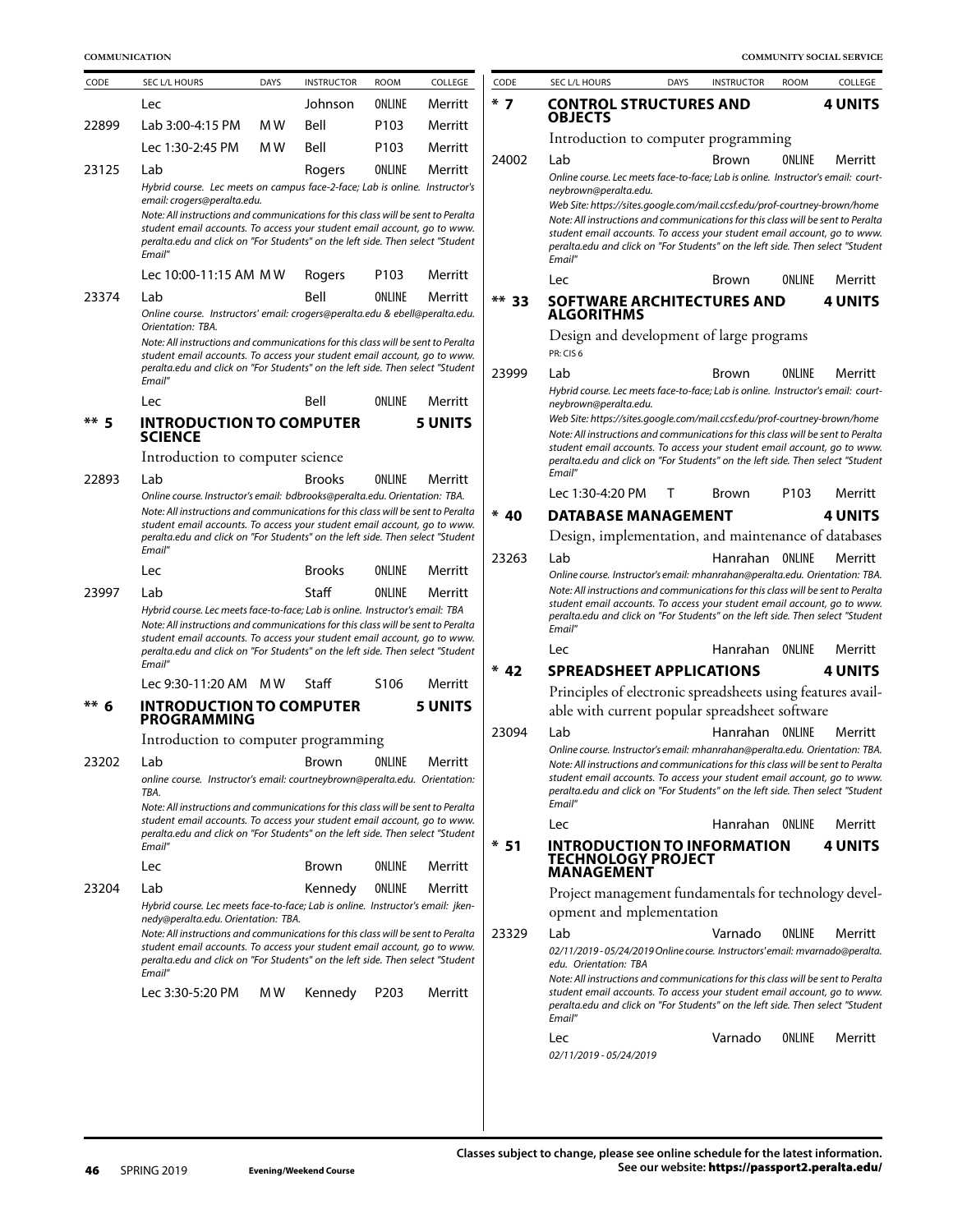| <b>COMMUNICATION</b>                                                                                                       |                                                                                                                                                                                                                                                                                                                                                                               |      |                              |                   |                |         |                                                                                                                                                                                                                                                                                                                                                                                                                                                           |                 |        | COMMUNITY SOCIAL SERVICE |
|----------------------------------------------------------------------------------------------------------------------------|-------------------------------------------------------------------------------------------------------------------------------------------------------------------------------------------------------------------------------------------------------------------------------------------------------------------------------------------------------------------------------|------|------------------------------|-------------------|----------------|---------|-----------------------------------------------------------------------------------------------------------------------------------------------------------------------------------------------------------------------------------------------------------------------------------------------------------------------------------------------------------------------------------------------------------------------------------------------------------|-----------------|--------|--------------------------|
| COLLEGE<br>SEC L/L HOURS<br><b>DAYS</b><br><b>INSTRUCTOR</b><br><b>ROOM</b><br>CODE<br>Johnson<br>ONLINE<br>Merritt<br>Lec |                                                                                                                                                                                                                                                                                                                                                                               | CODE | SEC L/L HOURS<br><b>DAYS</b> | <b>INSTRUCTOR</b> | <b>ROOM</b>    | COLLEGE |                                                                                                                                                                                                                                                                                                                                                                                                                                                           |                 |        |                          |
|                                                                                                                            |                                                                                                                                                                                                                                                                                                                                                                               |      |                              |                   |                | $*7$    | <b>CONTROL STRUCTURES AND</b>                                                                                                                                                                                                                                                                                                                                                                                                                             |                 |        | <b>4 UNITS</b>           |
| 22899                                                                                                                      | Lab 3:00-4:15 PM                                                                                                                                                                                                                                                                                                                                                              | M W  | Bell                         | P103              | Merritt        |         | <b>OBJECTS</b>                                                                                                                                                                                                                                                                                                                                                                                                                                            |                 |        |                          |
|                                                                                                                            | Lec 1:30-2:45 PM                                                                                                                                                                                                                                                                                                                                                              | M W  | Bell                         | P103              | Merritt        |         | Introduction to computer programming                                                                                                                                                                                                                                                                                                                                                                                                                      |                 |        |                          |
| 23125                                                                                                                      | Lab<br>Hybrid course. Lec meets on campus face-2-face; Lab is online. Instructor's<br>email: crogers@peralta.edu.<br>Note: All instructions and communications for this class will be sent to Peralta<br>student email accounts. To access your student email account, go to www.<br>peralta.edu and click on "For Students" on the left side. Then select "Student<br>Email" |      | Rogers                       | ONLINE            | Merritt        | 24002   | Lab<br>Online course. Lec meets face-to-face; Lab is online. Instructor's email: court-<br>neybrown@peralta.edu.<br>Web Site: https://sites.google.com/mail.ccsf.edu/prof-courtney-brown/home<br>Note: All instructions and communications for this class will be sent to Peralta<br>student email accounts. To access your student email account, go to www.<br>peralta.edu and click on "For Students" on the left side. Then select "Student<br>Email" | <b>Brown</b>    | ONLINE | Merritt                  |
|                                                                                                                            | Lec 10:00-11:15 AM MW                                                                                                                                                                                                                                                                                                                                                         |      | Rogers                       | P <sub>103</sub>  | Merritt        |         | Lec                                                                                                                                                                                                                                                                                                                                                                                                                                                       | Brown           | ONLINE | Merritt                  |
| 23374                                                                                                                      | Lab<br>Online course. Instructors' email: crogers@peralta.edu & ebell@peralta.edu.                                                                                                                                                                                                                                                                                            |      | Bell                         | ONLINE            | Merritt        | $**$ 33 | <b>SOFTWARE ARCHITECTURES AND</b><br><b>ALGORITHMS</b>                                                                                                                                                                                                                                                                                                                                                                                                    |                 |        | <b>4 UNITS</b>           |
|                                                                                                                            | Orientation: TBA.<br>Note: All instructions and communications for this class will be sent to Peralta<br>student email accounts. To access your student email account, go to www.                                                                                                                                                                                             |      |                              |                   |                |         | Design and development of large programs<br>PR: CIS 6                                                                                                                                                                                                                                                                                                                                                                                                     |                 |        |                          |
|                                                                                                                            | peralta.edu and click on "For Students" on the left side. Then select "Student<br>Email"                                                                                                                                                                                                                                                                                      |      |                              |                   |                | 23999   | Lab                                                                                                                                                                                                                                                                                                                                                                                                                                                       | Brown           | ONLINE | Merritt                  |
|                                                                                                                            | Lec                                                                                                                                                                                                                                                                                                                                                                           |      | Bell                         | ONLINE            | Merritt        |         | Hybrid course. Lec meets face-to-face; Lab is online. Instructor's email: court-<br>neybrown@peralta.edu.                                                                                                                                                                                                                                                                                                                                                 |                 |        |                          |
| ** 5                                                                                                                       | <b>INTRODUCTION TO COMPUTER</b><br><b>SCIENCE</b>                                                                                                                                                                                                                                                                                                                             |      |                              |                   | <b>5 UNITS</b> |         | Web Site: https://sites.google.com/mail.ccsf.edu/prof-courtney-brown/home<br>Note: All instructions and communications for this class will be sent to Peralta<br>student email accounts. To access your student email account, go to www.                                                                                                                                                                                                                 |                 |        |                          |
|                                                                                                                            | Introduction to computer science                                                                                                                                                                                                                                                                                                                                              |      |                              |                   |                |         | peralta.edu and click on "For Students" on the left side. Then select "Student<br>Email"                                                                                                                                                                                                                                                                                                                                                                  |                 |        |                          |
| 22893                                                                                                                      | Lab                                                                                                                                                                                                                                                                                                                                                                           |      | <b>Brooks</b>                | ONLINE            | Merritt        |         | Lec 1:30-4:20 PM<br>T                                                                                                                                                                                                                                                                                                                                                                                                                                     | Brown           | P103   | Merritt                  |
|                                                                                                                            | Online course. Instructor's email: bdbrooks@peralta.edu. Orientation: TBA.<br>Note: All instructions and communications for this class will be sent to Peralta                                                                                                                                                                                                                |      |                              |                   |                | $* 40$  | <b>DATABASE MANAGEMENT</b>                                                                                                                                                                                                                                                                                                                                                                                                                                |                 |        | <b>4 UNITS</b>           |
|                                                                                                                            | student email accounts. To access your student email account, go to www.<br>peralta.edu and click on "For Students" on the left side. Then select "Student<br>Email"                                                                                                                                                                                                          |      |                              |                   |                |         | Design, implementation, and maintenance of databases                                                                                                                                                                                                                                                                                                                                                                                                      |                 |        |                          |
|                                                                                                                            | Lec                                                                                                                                                                                                                                                                                                                                                                           |      | <b>Brooks</b>                | ONLINE            | Merritt        | 23263   | Lab<br>Online course. Instructor's email: mhanrahan@peralta.edu. Orientation: TBA.                                                                                                                                                                                                                                                                                                                                                                        | Hanrahan ONLINE |        | Merritt                  |
| 23997                                                                                                                      | Lab<br>Hybrid course. Lec meets face-to-face; Lab is online. Instructor's email: TBA<br>Note: All instructions and communications for this class will be sent to Peralta<br>student email accounts. To access your student email account, go to www.<br>peralta.edu and click on "For Students" on the left side. Then select "Student                                        |      | Staff                        | ONLINE            | Merritt        |         | Note: All instructions and communications for this class will be sent to Peralta<br>student email accounts. To access your student email account, go to www.<br>peralta.edu and click on "For Students" on the left side. Then select "Student<br>Email"<br><b>Lec</b>                                                                                                                                                                                    | Hanrahan ONLINE |        | Merritt                  |
|                                                                                                                            | Email"<br>Lec 9:30-11:20 AM MW                                                                                                                                                                                                                                                                                                                                                |      | Staff                        | S <sub>106</sub>  | Merritt        | $* 42$  | <b>SPREADSHEET APPLICATIONS</b>                                                                                                                                                                                                                                                                                                                                                                                                                           |                 |        | <b>4 UNITS</b>           |
| $*** 6$                                                                                                                    | <b>INTRODUCTION TO COMPUTER<br/>PROGRAMMING</b>                                                                                                                                                                                                                                                                                                                               |      |                              |                   | <b>5 UNITS</b> |         | Principles of electronic spreadsheets using features avail-<br>able with current popular spreadsheet software                                                                                                                                                                                                                                                                                                                                             |                 |        |                          |
|                                                                                                                            | Introduction to computer programming                                                                                                                                                                                                                                                                                                                                          |      |                              |                   |                | 23094   | Lab                                                                                                                                                                                                                                                                                                                                                                                                                                                       | Hanrahan ONLINE |        | Merritt                  |
| 23202                                                                                                                      | Lab<br>online course. Instructor's email: courtneybrown@peralta.edu. Orientation:<br>TBA.<br>Note: All instructions and communications for this class will be sent to Peralta<br>student email accounts. To access your student email account, go to www.                                                                                                                     |      | Brown                        | ONLINE            | Merritt        |         | Online course. Instructor's email: mhanrahan@peralta.edu. Orientation: TBA.<br>Note: All instructions and communications for this class will be sent to Peralta<br>student email accounts. To access your student email account, go to www.<br>peralta.edu and click on "For Students" on the left side. Then select "Student<br>Email"                                                                                                                   |                 |        |                          |
|                                                                                                                            | peralta.edu and click on "For Students" on the left side. Then select "Student                                                                                                                                                                                                                                                                                                |      |                              |                   |                |         | Lec                                                                                                                                                                                                                                                                                                                                                                                                                                                       | Hanrahan ONLINE |        | Merritt                  |
|                                                                                                                            | Email"<br>Lec                                                                                                                                                                                                                                                                                                                                                                 |      | Brown                        | ONLINE            | Merritt        | $*51$   | <b>INTRODUCTION TO INFORMATION</b><br><b>TECHNOLOGY PROJECT</b><br><b>MANAGEMENT</b>                                                                                                                                                                                                                                                                                                                                                                      |                 |        | <b>4 UNITS</b>           |
| 23204                                                                                                                      | Lab                                                                                                                                                                                                                                                                                                                                                                           |      | Kennedy                      | ONLINE            | Merritt        |         | Project management fundamentals for technology devel-                                                                                                                                                                                                                                                                                                                                                                                                     |                 |        |                          |
|                                                                                                                            | Hybrid course. Lec meets face-to-face; Lab is online. Instructor's email: jken-<br>nedy@peralta.edu. Orientation: TBA.                                                                                                                                                                                                                                                        |      |                              |                   |                |         | opment and mplementation                                                                                                                                                                                                                                                                                                                                                                                                                                  |                 |        |                          |
|                                                                                                                            | Note: All instructions and communications for this class will be sent to Peralta<br>student email accounts. To access your student email account, go to www.<br>peralta.edu and click on "For Students" on the left side. Then select "Student<br>Email"                                                                                                                      |      |                              |                   |                | 23329   | Lab<br>02/11/2019-05/24/2019 Online course. Instructors' email: mvarnado@peralta.<br>edu. Orientation: TBA<br>Note: All instructions and communications for this class will be sent to Peralta                                                                                                                                                                                                                                                            | Varnado         | ONLINE | Merritt                  |
|                                                                                                                            | Lec 3:30-5:20 PM                                                                                                                                                                                                                                                                                                                                                              | M W  | Kennedy                      | P <sub>203</sub>  | Merritt        |         | student email accounts. To access your student email account, go to www.<br>peralta.edu and click on "For Students" on the left side. Then select "Student<br>Email"                                                                                                                                                                                                                                                                                      |                 |        |                          |
|                                                                                                                            |                                                                                                                                                                                                                                                                                                                                                                               |      |                              |                   |                |         | Lec<br>02/11/2019 - 05/24/2019                                                                                                                                                                                                                                                                                                                                                                                                                            | Varnado         | ONLINE | Merritt                  |

| CODE  | <b>SEC L/L HOURS</b>                                                                                                                                                                                                                                                                                                                                                                                                                               | <b>DAYS</b> | <b>INSTRUCTOR</b> | <b>ROOM</b>      | COLLEGE        |
|-------|----------------------------------------------------------------------------------------------------------------------------------------------------------------------------------------------------------------------------------------------------------------------------------------------------------------------------------------------------------------------------------------------------------------------------------------------------|-------------|-------------------|------------------|----------------|
| $*7$  | <b>CONTROL STRUCTURES AND</b><br>OBJECTS                                                                                                                                                                                                                                                                                                                                                                                                           |             |                   |                  | <b>4 UNITS</b> |
|       | Introduction to computer programming                                                                                                                                                                                                                                                                                                                                                                                                               |             |                   |                  |                |
| 24002 | Lab                                                                                                                                                                                                                                                                                                                                                                                                                                                |             | Brown             | ONLINE           | Merritt        |
|       | Online course. Lec meets face-to-face; Lab is online. Instructor's email: court-<br>neybrown@peralta.edu.<br>Web Site: https://sites.google.com/mail.ccsf.edu/prof-courtney-brown/home<br>Note: All instructions and communications for this class will be sent to Peralta<br>student email accounts. To access your student email account, go to www.<br>peralta.edu and click on "For Students" on the left side. Then select "Student<br>Email" |             |                   |                  |                |
|       | Lec                                                                                                                                                                                                                                                                                                                                                                                                                                                |             | Brown             | <b>ONI INF</b>   | Merritt        |
| ** 33 | <b>SOFTWARE ARCHITECTURES AND</b><br>ALGORITHMS                                                                                                                                                                                                                                                                                                                                                                                                    |             |                   |                  | <b>4 UNITS</b> |
|       | Design and development of large programs<br>PR: CIS 6                                                                                                                                                                                                                                                                                                                                                                                              |             |                   |                  |                |
| 23999 | Lab                                                                                                                                                                                                                                                                                                                                                                                                                                                |             | Brown             | ONI INF          | Merritt        |
|       | Hybrid course. Lec meets face-to-face; Lab is online. Instructor's email: court-                                                                                                                                                                                                                                                                                                                                                                   |             |                   |                  |                |
|       | neybrown@peralta.edu.<br>Web Site: https://sites.google.com/mail.ccsf.edu/prof-courtney-brown/home<br>Note: All instructions and communications for this class will be sent to Peralta<br>student email accounts. To access your student email account, go to www.<br>peralta.edu and click on "For Students" on the left side. Then select "Student<br>Email"                                                                                     |             |                   |                  |                |
|       | Lec 1:30-4:20 PM                                                                                                                                                                                                                                                                                                                                                                                                                                   | т           | Brown             | P <sub>103</sub> | Merritt        |
| * 40  | <b>DATABASE MANAGEMENT</b>                                                                                                                                                                                                                                                                                                                                                                                                                         |             |                   |                  | <b>4 UNITS</b> |
|       | Design, implementation, and maintenance of databases                                                                                                                                                                                                                                                                                                                                                                                               |             |                   |                  |                |
| 23263 | Lab                                                                                                                                                                                                                                                                                                                                                                                                                                                |             | Hanrahan          | ONLINE           | Merritt        |
|       | Online course. Instructor's email: mhanrahan@peralta.edu. Orientation: TBA.<br>Note: All instructions and communications for this class will be sent to Peralta<br>student email accounts. To access your student email account, go to www.<br>peralta.edu and click on "For Students" on the left side. Then select "Student<br>Email"                                                                                                            |             |                   |                  |                |
|       | Lec                                                                                                                                                                                                                                                                                                                                                                                                                                                |             | Hanrahan          | ONLINE           | Merritt        |
| * 47  | <b>SPREADSHEET APPLICATIONS</b>                                                                                                                                                                                                                                                                                                                                                                                                                    |             |                   |                  | 4 UNITS        |
|       | Principles of electronic spreadsheets using features avail-                                                                                                                                                                                                                                                                                                                                                                                        |             |                   |                  |                |
|       | able with current popular spreadsheet software                                                                                                                                                                                                                                                                                                                                                                                                     |             |                   |                  |                |
| 23094 | Lab<br>Online course. Instructor's email: mhanrahan@peralta.edu. Orientation: TBA.<br>Note: All instructions and communications for this class will be sent to Peralta<br>student email accounts. To access your student email account, go to www.<br>peralta.edu and click on "For Students" on the left side. Then select "Student<br>Email"                                                                                                     |             | Hanrahan          | ONLINE           | Merritt        |
|       | Lec                                                                                                                                                                                                                                                                                                                                                                                                                                                |             | Hanrahan          | ONLINE           | Merritt        |
| * 51  | <b>INTRODUCTION TO INFORMATION</b><br><b>TECHNOLOGY PROJECT</b><br>MANAGEMENT                                                                                                                                                                                                                                                                                                                                                                      |             |                   |                  | <b>4 UNITS</b> |
|       | Project management fundamentals for technology devel-<br>opment and mplementation                                                                                                                                                                                                                                                                                                                                                                  |             |                   |                  |                |
| 23329 | Lab                                                                                                                                                                                                                                                                                                                                                                                                                                                |             | Varnado           | ONLINE           | Merritt        |
|       | 02/11/2019-05/24/2019 Online course. Instructors' email: mvarnado@peralta.<br>edu. Orientation: TBA<br>Note: All instructions and communications for this class will be sent to Peralta                                                                                                                                                                                                                                                            |             |                   |                  |                |
|       | student email accounts. To access your student email account, go to www.<br>peralta.edu and click on "For Students" on the left side. Then select "Student<br>Email"                                                                                                                                                                                                                                                                               |             |                   |                  |                |
|       | Lec                                                                                                                                                                                                                                                                                                                                                                                                                                                |             | Varnado           | ONLINE           | Merritt        |

46 SPRING 2019

**Classes subject to change, please see online schedule for the latest information. Evening/Weekend Course See our website:** https://passport2.peralta.edu/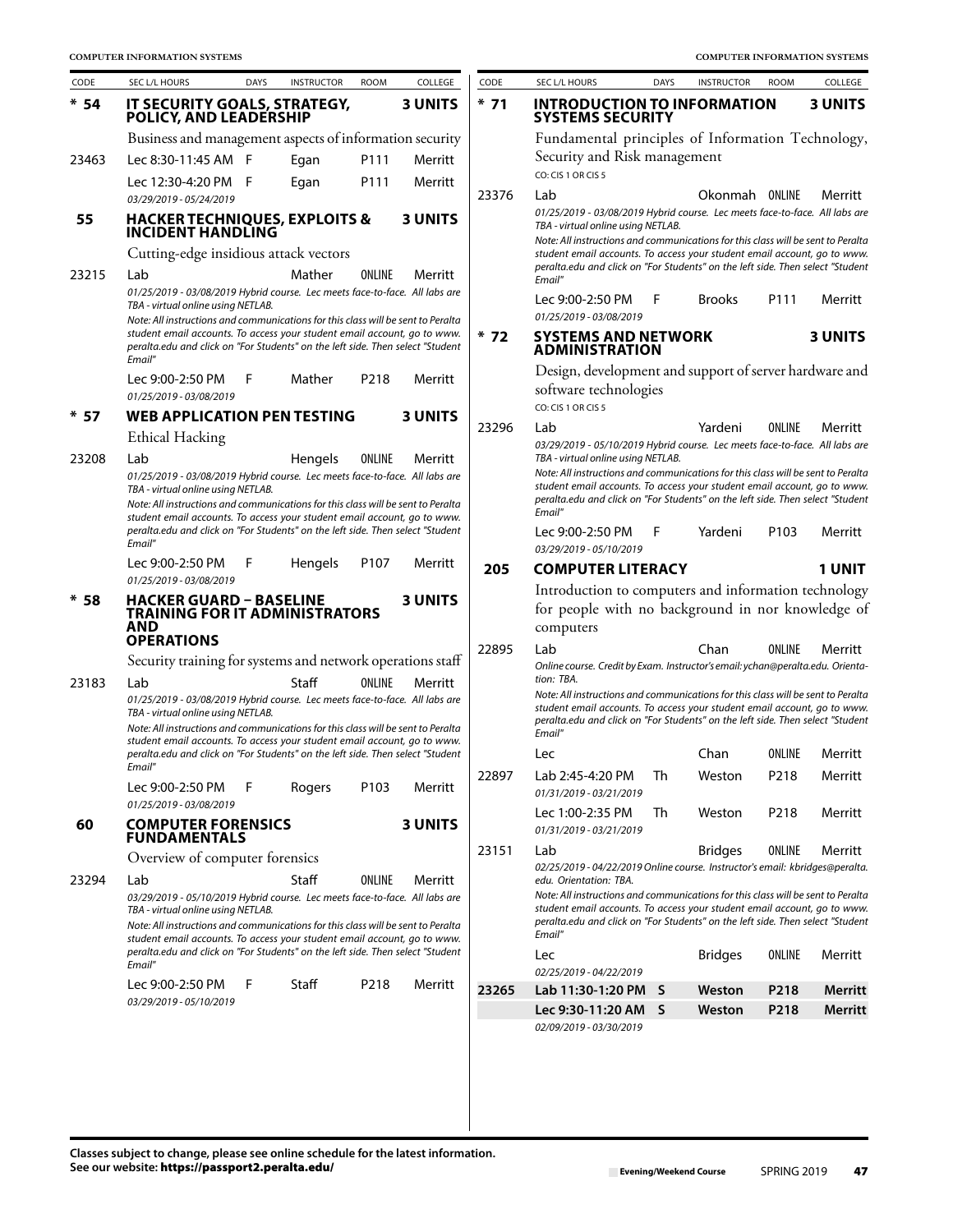| CODE   | SEC L/L HOURS                                                                                                                                                        | <b>DAYS</b> | <b>INSTRUCTOR</b> | <b>ROOM</b>      | COLLEGE        | CODE  | SEC L/L HOURS                                                                                                                                                | <b>DAYS</b>  | <b>INSTRUCTOR</b> | <b>ROOM</b>      | COLLEGE        |
|--------|----------------------------------------------------------------------------------------------------------------------------------------------------------------------|-------------|-------------------|------------------|----------------|-------|--------------------------------------------------------------------------------------------------------------------------------------------------------------|--------------|-------------------|------------------|----------------|
| $* 54$ | IT SECURITY GOALS, STRATEGY,<br>POLICY, AND LEADERSHIP                                                                                                               |             |                   |                  | <b>3 UNITS</b> | $*71$ | <b>INTRODUCTION TO INFORMATION</b><br><b>SYSTEMS SECURITY</b>                                                                                                |              |                   |                  | <b>3 UNITS</b> |
|        | Business and management aspects of information security                                                                                                              |             |                   |                  |                |       | Fundamental principles of Information Technology,                                                                                                            |              |                   |                  |                |
| 23463  | Lec 8:30-11:45 AM F                                                                                                                                                  |             | Egan              | P111             | Merritt        |       | Security and Risk management<br>CO: CIS 1 OR CIS 5                                                                                                           |              |                   |                  |                |
|        | Lec 12:30-4:20 PM F                                                                                                                                                  |             | Egan              | P111             | Merritt        |       |                                                                                                                                                              |              |                   |                  |                |
| 55     | 03/29/2019 - 05/24/2019<br><b>HACKER TECHNIQUES, EXPLOITS &amp;</b>                                                                                                  |             |                   |                  | <b>3 UNITS</b> | 23376 | Lab<br>01/25/2019 - 03/08/2019 Hybrid course. Lec meets face-to-face. All labs are                                                                           |              | Okonmah ONLINE    |                  | Merritt        |
|        | <b>INCIDENT HANDLING</b>                                                                                                                                             |             |                   |                  |                |       | TBA - virtual online using NETLAB.<br>Note: All instructions and communications for this class will be sent to Peralta                                       |              |                   |                  |                |
|        | Cutting-edge insidious attack vectors                                                                                                                                |             |                   |                  |                |       | student email accounts. To access your student email account, go to www.                                                                                     |              |                   |                  |                |
| 23215  | Lab                                                                                                                                                                  |             | Mather            | ONLINE           | Merritt        |       | peralta.edu and click on "For Students" on the left side. Then select "Student<br>Email"                                                                     |              |                   |                  |                |
|        | 01/25/2019 - 03/08/2019 Hybrid course. Lec meets face-to-face. All labs are                                                                                          |             |                   |                  |                |       | Lec 9:00-2:50 PM                                                                                                                                             | F            | <b>Brooks</b>     | P111             | Merritt        |
|        | TBA - virtual online using NETLAB.<br>Note: All instructions and communications for this class will be sent to Peralta                                               |             |                   |                  |                |       | 01/25/2019 - 03/08/2019                                                                                                                                      |              |                   |                  |                |
|        | student email accounts. To access your student email account, go to www.<br>peralta.edu and click on "For Students" on the left side. Then select "Student<br>Email" |             |                   |                  |                | $*72$ | <b>SYSTEMS AND NETWORK</b><br><b>ADMINISTRATION</b>                                                                                                          |              |                   |                  | <b>3 UNITS</b> |
|        | Lec 9:00-2:50 PM                                                                                                                                                     | F           | Mather            | P218             | Merritt        |       | Design, development and support of server hardware and                                                                                                       |              |                   |                  |                |
|        | 01/25/2019 - 03/08/2019                                                                                                                                              |             |                   |                  |                |       | software technologies<br>CO: CIS 1 OR CIS 5                                                                                                                  |              |                   |                  |                |
| $* 57$ | <b>WEB APPLICATION PEN TESTING</b>                                                                                                                                   |             |                   |                  | <b>3 UNITS</b> | 23296 | Lab                                                                                                                                                          |              | Yardeni           | ONLINE           | Merritt        |
|        | <b>Ethical Hacking</b>                                                                                                                                               |             |                   |                  |                |       | 03/29/2019 - 05/10/2019 Hybrid course. Lec meets face-to-face. All labs are                                                                                  |              |                   |                  |                |
| 23208  | Lab                                                                                                                                                                  |             | Hengels           | ONLINE           | Merritt        |       | TBA - virtual online using NETLAB.                                                                                                                           |              |                   |                  |                |
|        | 01/25/2019 - 03/08/2019 Hybrid course. Lec meets face-to-face. All labs are<br>TBA - virtual online using NETLAB.                                                    |             |                   |                  |                |       | Note: All instructions and communications for this class will be sent to Peralta<br>student email accounts. To access your student email account, go to www. |              |                   |                  |                |
|        | Note: All instructions and communications for this class will be sent to Peralta                                                                                     |             |                   |                  |                |       | peralta.edu and click on "For Students" on the left side. Then select "Student<br>Email"                                                                     |              |                   |                  |                |
|        | student email accounts. To access your student email account, go to www.<br>peralta.edu and click on "For Students" on the left side. Then select "Student<br>Email" |             |                   |                  |                |       | Lec 9:00-2:50 PM<br>03/29/2019 - 05/10/2019                                                                                                                  | F            | Yardeni           | P <sub>103</sub> | Merritt        |
|        | Lec 9:00-2:50 PM                                                                                                                                                     | F           | Hengels           | P <sub>107</sub> | Merritt        | 205   | <b>COMPUTER LITERACY</b>                                                                                                                                     |              |                   |                  | <b>1 UNIT</b>  |
|        | 01/25/2019 - 03/08/2019                                                                                                                                              |             |                   |                  |                |       | Introduction to computers and information technology                                                                                                         |              |                   |                  |                |
| $*58$  | <b>HACKER GUARD - BASELINE</b><br>TRAINING FOR IT ADMINISTRATORS                                                                                                     |             |                   |                  | <b>3 UNITS</b> |       | for people with no background in nor knowledge of                                                                                                            |              |                   |                  |                |
|        | AND                                                                                                                                                                  |             |                   |                  |                |       | computers                                                                                                                                                    |              |                   |                  |                |
|        | <b>OPERATIONS</b>                                                                                                                                                    |             |                   |                  |                | 22895 | Lab                                                                                                                                                          |              | Chan              | ONLINE           | Merritt        |
|        | Security training for systems and network operations staff                                                                                                           |             |                   |                  |                |       | Online course. Credit by Exam. Instructor's email: ychan@peralta.edu. Orienta-                                                                               |              |                   |                  |                |
| 23183  | Lab<br>01/25/2019 - 03/08/2019 Hybrid course. Lec meets face-to-face. All labs are                                                                                   |             | Staff             | <b>ONLINE</b>    | Merritt        |       | tion: TBA.<br>Note: All instructions and communications for this class will be sent to Peralta                                                               |              |                   |                  |                |
|        | TBA - virtual online using NETLAB.                                                                                                                                   |             |                   |                  |                |       | student email accounts. To access your student email account, go to www.<br>peralta.edu and click on "For Students" on the left side. Then select "Student   |              |                   |                  |                |
|        | Note: All instructions and communications for this class will be sent to Peralta<br>student email accounts. To access your student email account, go to www.         |             |                   |                  |                |       | Email"                                                                                                                                                       |              |                   |                  |                |
|        | peralta.edu and click on "For Students" on the left side. Then select "Student                                                                                       |             |                   |                  |                |       | Lec                                                                                                                                                          |              | Chan              | ONLINE           | Merritt        |
|        | Email"                                                                                                                                                               |             |                   |                  |                | 22897 | Lab 2:45-4:20 PM                                                                                                                                             | Th           | Weston            | P218             | Merritt        |
|        | Lec 9:00-2:50 PM<br>01/25/2019 - 03/08/2019                                                                                                                          | F           | Rogers            | P103             | Merritt        |       | 01/31/2019 - 03/21/2019                                                                                                                                      |              |                   |                  |                |
| 60     | <b>COMPUTER FORENSICS</b>                                                                                                                                            |             |                   |                  | <b>3 UNITS</b> |       | Lec 1:00-2:35 PM                                                                                                                                             | Th           | Weston            | P218             | Merritt        |
|        | <b>FUNDAMENTALS</b>                                                                                                                                                  |             |                   |                  |                |       | 01/31/2019 - 03/21/2019                                                                                                                                      |              |                   |                  |                |
|        | Overview of computer forensics                                                                                                                                       |             |                   |                  |                | 23151 | Lab<br>02/25/2019 - 04/22/2019 Online course. Instructor's email: kbridges@peralta.                                                                          |              | <b>Bridges</b>    | ONLINE           | Merritt        |
| 23294  | Lab                                                                                                                                                                  |             | Staff             | ONLINE           | Merritt        |       | edu. Orientation: TBA.                                                                                                                                       |              |                   |                  |                |
|        | 03/29/2019 - 05/10/2019 Hybrid course. Lec meets face-to-face. All labs are<br>TBA - virtual online using NETLAB.                                                    |             |                   |                  |                |       | Note: All instructions and communications for this class will be sent to Peralta<br>student email accounts. To access your student email account, go to www. |              |                   |                  |                |
|        | Note: All instructions and communications for this class will be sent to Peralta                                                                                     |             |                   |                  |                |       | peralta.edu and click on "For Students" on the left side. Then select "Student                                                                               |              |                   |                  |                |
|        | student email accounts. To access your student email account, go to www.<br>peralta.edu and click on "For Students" on the left side. Then select "Student           |             |                   |                  |                |       | Email"                                                                                                                                                       |              |                   |                  |                |
|        | Email"                                                                                                                                                               |             |                   |                  |                |       | Lec<br>02/25/2019 - 04/22/2019                                                                                                                               |              | <b>Bridges</b>    | ONLINE           | Merritt        |
|        | Lec 9:00-2:50 PM                                                                                                                                                     | F           | Staff             | P218             | Merritt        | 23265 | Lab 11:30-1:20 PM                                                                                                                                            | <sub>S</sub> | Weston            | P218             | Merritt        |
|        | 03/29/2019 - 05/10/2019                                                                                                                                              |             |                   |                  |                |       | Lec 9:30-11:20 AM                                                                                                                                            | <sub>S</sub> | Weston            | P218             | Merritt        |
|        |                                                                                                                                                                      |             |                   |                  |                |       | 02/09/2019 - 03/30/2019                                                                                                                                      |              |                   |                  |                |
|        |                                                                                                                                                                      |             |                   |                  |                |       |                                                                                                                                                              |              |                   |                  |                |
|        |                                                                                                                                                                      |             |                   |                  |                |       |                                                                                                                                                              |              |                   |                  |                |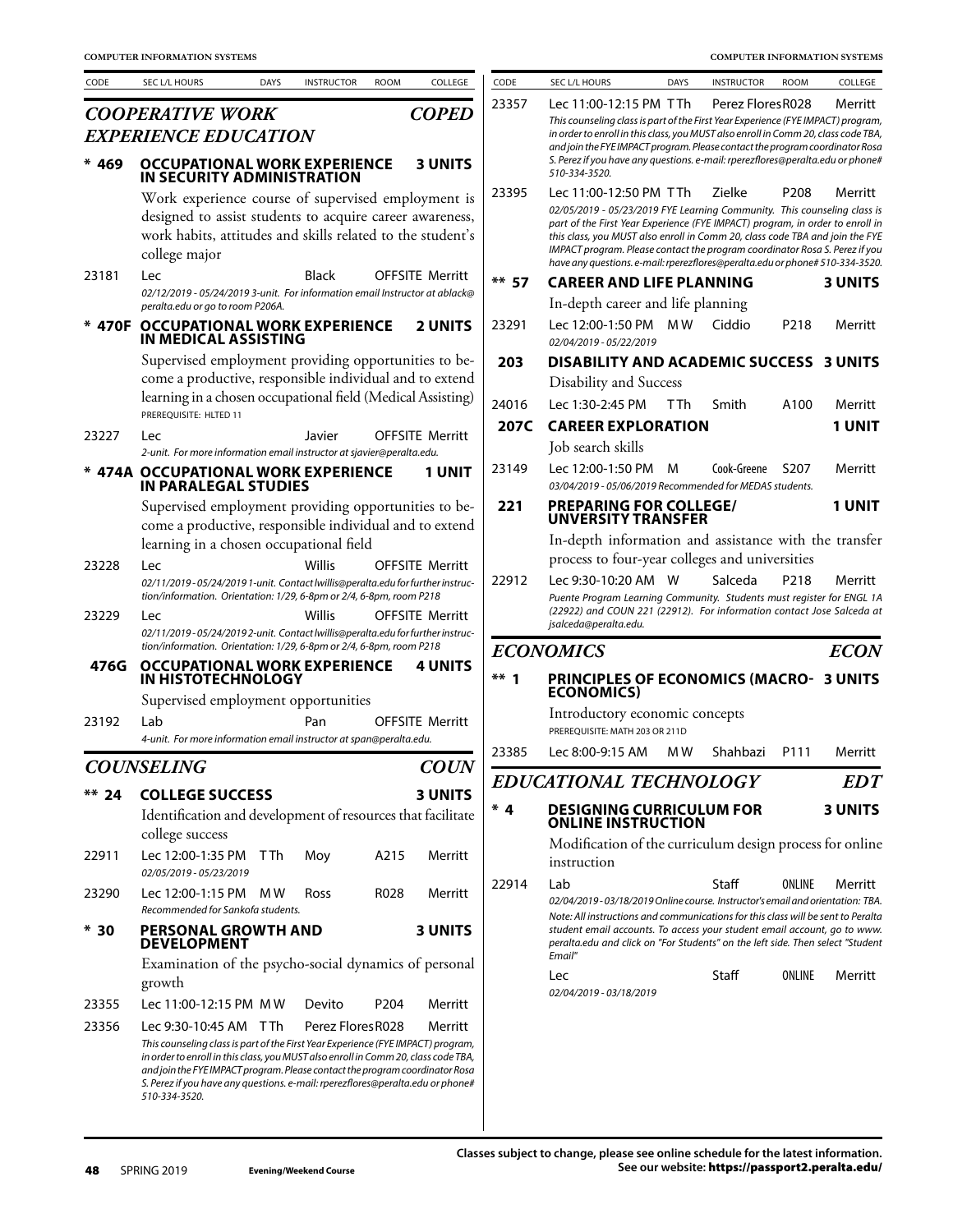| CODE    | SEC L/L HOURS                                                                                                                                                          | <b>DAYS</b> | <b>INSTRUCTOR</b> | <b>ROOM</b>      | COLLEGE                | CODE    | SEC L/L HOURS                                                                                                                                                          | <b>DAYS</b> | <b>INSTRUCTOR</b> | <b>ROOM</b>       | COLLEGE        |
|---------|------------------------------------------------------------------------------------------------------------------------------------------------------------------------|-------------|-------------------|------------------|------------------------|---------|------------------------------------------------------------------------------------------------------------------------------------------------------------------------|-------------|-------------------|-------------------|----------------|
|         | <b>COOPERATIVE WORK</b>                                                                                                                                                |             |                   |                  | <b>COPED</b>           | 23357   | Lec 11:00-12:15 PM TTh                                                                                                                                                 |             | Perez Flores R028 |                   | Merritt        |
|         | <b>EXPERIENCE EDUCATION</b>                                                                                                                                            |             |                   |                  |                        |         | This counseling class is part of the First Year Experience (FYE IMPACT) program,<br>in order to enroll in this class, you MUST also enroll in Comm 20, class code TBA, |             |                   |                   |                |
|         |                                                                                                                                                                        |             |                   |                  |                        |         | and join the FYE IMPACT program. Please contact the program coordinator Rosa                                                                                           |             |                   |                   |                |
| $* 469$ | <b>OCCUPATIONAL WORK EXPERIENCE</b><br>IN SECURITY ADMINISTRATION                                                                                                      |             |                   |                  | <b>3 UNITS</b>         |         | S. Perez if you have any questions. e-mail: rperezflores@peralta.edu or phone#<br>510-334-3520.                                                                        |             |                   |                   |                |
|         | Work experience course of supervised employment is                                                                                                                     |             |                   |                  |                        | 23395   | Lec 11:00-12:50 PM TTh                                                                                                                                                 |             | Zielke            | P <sub>208</sub>  | Merritt        |
|         | designed to assist students to acquire career awareness,                                                                                                               |             |                   |                  |                        |         | 02/05/2019 - 05/23/2019 FYE Learning Community. This counseling class is                                                                                               |             |                   |                   |                |
|         | work habits, attitudes and skills related to the student's                                                                                                             |             |                   |                  |                        |         | part of the First Year Experience (FYE IMPACT) program, in order to enroll in<br>this class, you MUST also enroll in Comm 20, class code TBA and join the FYE          |             |                   |                   |                |
|         | college major                                                                                                                                                          |             |                   |                  |                        |         | IMPACT program. Please contact the program coordinator Rosa S. Perez if you                                                                                            |             |                   |                   |                |
| 23181   | Lec                                                                                                                                                                    |             | Black             |                  | <b>OFFSITE Merritt</b> | $**$ 57 | have any questions. e-mail: rperezflores@peralta.edu or phone# 510-334-3520.<br><b>CAREER AND LIFE PLANNING</b>                                                        |             |                   |                   | <b>3 UNITS</b> |
|         | 02/12/2019 - 05/24/2019 3-unit. For information email Instructor at ablack@                                                                                            |             |                   |                  |                        |         | In-depth career and life planning                                                                                                                                      |             |                   |                   |                |
|         | peralta.edu or go to room P206A.                                                                                                                                       |             |                   |                  |                        |         |                                                                                                                                                                        |             |                   |                   |                |
|         | * 470F OCCUPATIONAL WORK EXPERIENCE<br>IN MEDICAL ASSISTING                                                                                                            |             |                   |                  | <b>2 UNITS</b>         | 23291   | Lec 12:00-1:50 PM<br>02/04/2019 - 05/22/2019                                                                                                                           | M W         | Ciddio            | P <sub>2</sub> 18 | Merritt        |
|         | Supervised employment providing opportunities to be-                                                                                                                   |             |                   |                  |                        | 203     | <b>DISABILITY AND ACADEMIC SUCCESS 3 UNITS</b>                                                                                                                         |             |                   |                   |                |
|         | come a productive, responsible individual and to extend                                                                                                                |             |                   |                  |                        |         | Disability and Success                                                                                                                                                 |             |                   |                   |                |
|         | learning in a chosen occupational field (Medical Assisting)                                                                                                            |             |                   |                  |                        | 24016   | Lec 1:30-2:45 PM                                                                                                                                                       | T Th        | Smith             | A100              | Merritt        |
|         | PREREQUISITE: HLTED 11                                                                                                                                                 |             |                   |                  |                        | 207C    | <b>CAREER EXPLORATION</b>                                                                                                                                              |             |                   |                   | <b>1 UNIT</b>  |
| 23227   | Lec                                                                                                                                                                    |             | Javier            |                  | <b>OFFSITE Merritt</b> |         | Job search skills                                                                                                                                                      |             |                   |                   |                |
|         | 2-unit. For more information email instructor at sjavier@peralta.edu.                                                                                                  |             |                   |                  |                        |         | Lec 12:00-1:50 PM                                                                                                                                                      |             |                   |                   |                |
|         | * 474A OCCUPATIONAL WORK EXPERIENCE<br><b>IN PARALEGAL STUDIES</b>                                                                                                     |             |                   |                  | <b>1 UNIT</b>          | 23149   | 03/04/2019 - 05/06/2019 Recommended for MEDAS students.                                                                                                                | M           | Cook-Greene       | S <sub>207</sub>  | Merritt        |
|         | Supervised employment providing opportunities to be-                                                                                                                   |             |                   |                  |                        | 221     | <b>PREPARING FOR COLLEGE/</b>                                                                                                                                          |             |                   |                   | <b>1 UNIT</b>  |
|         | come a productive, responsible individual and to extend                                                                                                                |             |                   |                  |                        |         | <b>UNVERSITY TRANSFER</b>                                                                                                                                              |             |                   |                   |                |
|         | learning in a chosen occupational field                                                                                                                                |             |                   |                  |                        |         | In-depth information and assistance with the transfer                                                                                                                  |             |                   |                   |                |
| 23228   | Lec                                                                                                                                                                    |             | Willis            |                  | <b>OFFSITE Merritt</b> |         | process to four-year colleges and universities                                                                                                                         |             |                   |                   |                |
|         | 02/11/2019-05/24/20191-unit. Contact lwillis@peralta.edu for further instruc-                                                                                          |             |                   |                  |                        | 22912   | Lec 9:30-10:20 AM W                                                                                                                                                    |             | Salceda           | P <sub>2</sub> 18 | Merritt        |
|         | tion/information. Orientation: 1/29, 6-8pm or 2/4, 6-8pm, room P218                                                                                                    |             |                   |                  |                        |         | Puente Program Learning Community. Students must register for ENGL 1A<br>(22922) and COUN 221 (22912). For information contact Jose Salceda at                         |             |                   |                   |                |
| 23229   | Lec<br>02/11/2019-05/24/20192-unit. Contact lwillis@peralta.edu for further instruc-                                                                                   |             | Willis            |                  | <b>OFFSITE Merritt</b> |         | jsalceda@peralta.edu.                                                                                                                                                  |             |                   |                   |                |
|         | tion/information. Orientation: 1/29, 6-8pm or 2/4, 6-8pm, room P218                                                                                                    |             |                   |                  |                        |         | <b>ECONOMICS</b>                                                                                                                                                       |             |                   |                   | <b>ECON</b>    |
| 476G    | <b>OCCUPATIONAL WORK EXPERIENCE</b><br>IN HISTOTECHNOLOGY                                                                                                              |             |                   |                  | <b>4 UNITS</b>         | $***$ 1 | <b>PRINCIPLES OF ECONOMICS (MACRO- 3 UNITS</b>                                                                                                                         |             |                   |                   |                |
|         | Supervised employment opportunities                                                                                                                                    |             |                   |                  |                        |         | <b>ECONOMICS</b>                                                                                                                                                       |             |                   |                   |                |
| 23192   | Lab                                                                                                                                                                    |             |                   |                  | <b>OFFSITE Merritt</b> |         | Introductory economic concepts                                                                                                                                         |             |                   |                   |                |
|         | 4-unit. For more information email instructor at span@peralta.edu.                                                                                                     |             | Pan               |                  |                        |         | PREREQUISITE: MATH 203 OR 211D                                                                                                                                         |             |                   |                   |                |
|         |                                                                                                                                                                        |             |                   |                  |                        | 23385   | Lec 8:00-9:15 AM                                                                                                                                                       | M W         | Shahbazi          | P <sub>111</sub>  | Merritt        |
|         | <b>COUNSELING</b>                                                                                                                                                      |             |                   |                  | <b>COUN</b>            |         | <b>EDUCATIONAL TECHNOLOGY</b>                                                                                                                                          |             |                   |                   | <b>EDT</b>     |
| $** 24$ | <b>COLLEGE SUCCESS</b>                                                                                                                                                 |             |                   |                  | <b>3 UNITS</b>         |         |                                                                                                                                                                        |             |                   |                   |                |
|         | Identification and development of resources that facilitate                                                                                                            |             |                   |                  |                        | $*4$    | <b>DESIGNING CURRICULUM FOR</b><br><b>ONLINE INSTRUCTION</b>                                                                                                           |             |                   |                   | <b>3 UNITS</b> |
|         | college success                                                                                                                                                        |             |                   |                  |                        |         | Modification of the curriculum design process for online                                                                                                               |             |                   |                   |                |
| 22911   | Lec 12:00-1:35 PM<br>02/05/2019 - 05/23/2019                                                                                                                           | T Th        | Moy               | A215             | Merritt                |         | instruction                                                                                                                                                            |             |                   |                   |                |
| 23290   | Lec 12:00-1:15 PM                                                                                                                                                      | M W         | Ross              | R028             | Merritt                | 22914   | Lab<br>02/04/2019-03/18/2019 Online course. Instructor's email and orientation: TBA.                                                                                   |             | Staff             | ONLINE            | Merritt        |
|         | Recommended for Sankofa students.                                                                                                                                      |             |                   |                  |                        |         | Note: All instructions and communications for this class will be sent to Peralta                                                                                       |             |                   |                   |                |
| $*30$   | <b>PERSONAL GROWTH AND</b><br><b>DEVELOPMENT</b>                                                                                                                       |             |                   |                  | <b>3 UNITS</b>         |         | student email accounts. To access your student email account, go to www.<br>peralta.edu and click on "For Students" on the left side. Then select "Student<br>Email"   |             |                   |                   |                |
|         | Examination of the psycho-social dynamics of personal                                                                                                                  |             |                   |                  |                        |         | Lec                                                                                                                                                                    |             | Staff             | ONLINE            | Merritt        |
|         | growth                                                                                                                                                                 |             |                   |                  |                        |         | 02/04/2019 - 03/18/2019                                                                                                                                                |             |                   |                   |                |
| 23355   | Lec 11:00-12:15 PM MW                                                                                                                                                  |             | Devito            | P <sub>204</sub> | Merritt                |         |                                                                                                                                                                        |             |                   |                   |                |
| 23356   | Lec 9:30-10:45 AM T Th                                                                                                                                                 |             | Perez Flores R028 |                  | Merritt                |         |                                                                                                                                                                        |             |                   |                   |                |
|         | This counseling class is part of the First Year Experience (FYE IMPACT) program,<br>in order to enroll in this class, you MUST also enroll in Comm 20, class code TBA, |             |                   |                  |                        |         |                                                                                                                                                                        |             |                   |                   |                |
|         | and join the FYE IMPACT program. Please contact the program coordinator Rosa<br>S. Perez if you have any questions. e-mail: rperezflores@peralta.edu or phone#         |             |                   |                  |                        |         |                                                                                                                                                                        |             |                   |                   |                |
|         | 510-334-3520.                                                                                                                                                          |             |                   |                  |                        |         |                                                                                                                                                                        |             |                   |                   |                |
|         |                                                                                                                                                                        |             |                   |                  |                        |         |                                                                                                                                                                        |             |                   |                   |                |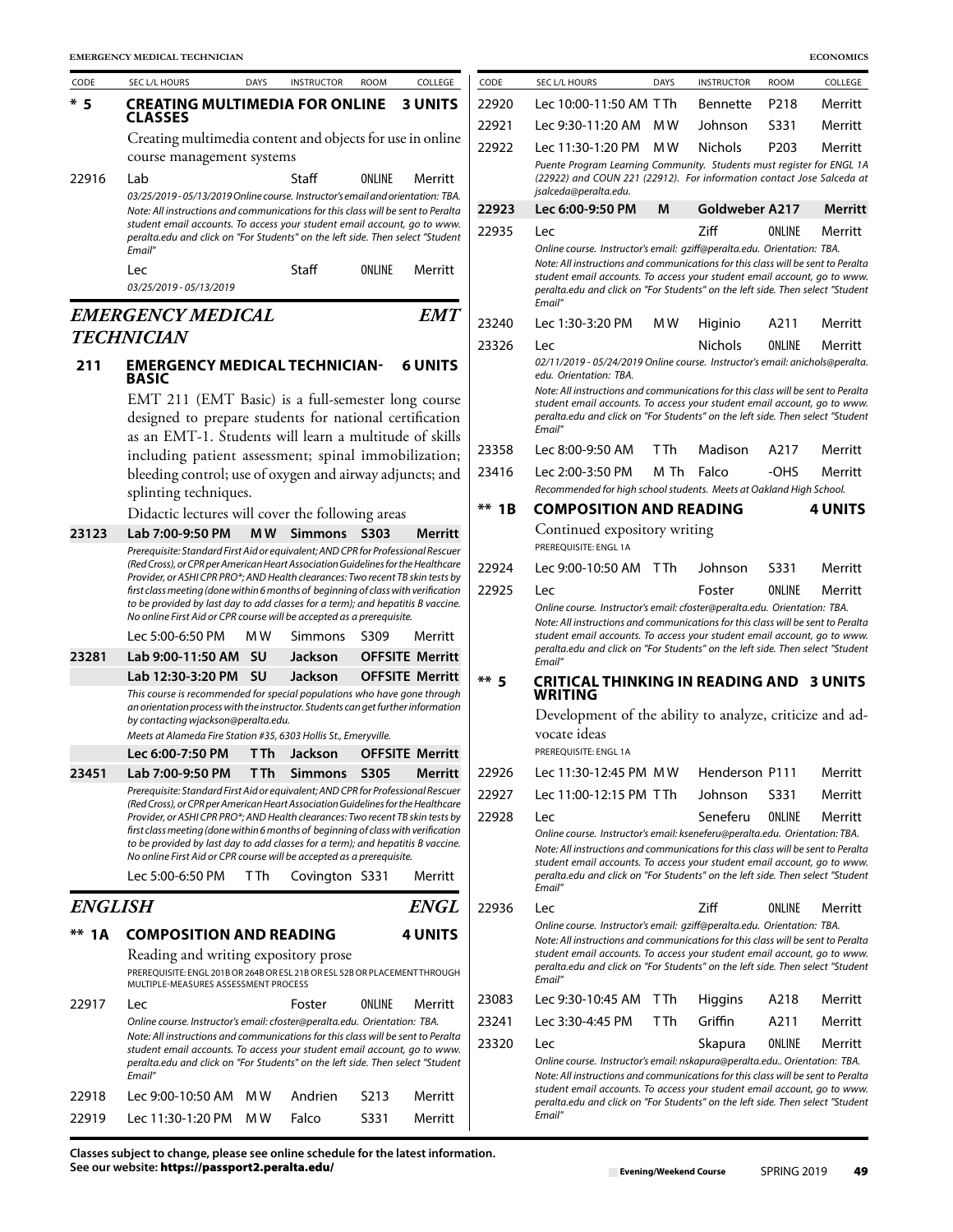| CODE           | SEC L/L HOURS                                                                                                                                                           | <b>DAYS</b>    | <b>INSTRUCTOR</b>         | <b>ROOM</b> | COLLEGE                | CODE    | SEC L/L HOURS                                                                                                                                                                                                                                         | <b>DAYS</b> | <b>INSTRUCTOR</b> | <b>ROOM</b> | COLLEGE        |
|----------------|-------------------------------------------------------------------------------------------------------------------------------------------------------------------------|----------------|---------------------------|-------------|------------------------|---------|-------------------------------------------------------------------------------------------------------------------------------------------------------------------------------------------------------------------------------------------------------|-------------|-------------------|-------------|----------------|
| $*5$           | <b>CREATING MULTIMEDIA FOR ONLINE</b>                                                                                                                                   |                |                           |             | <b>3 UNITS</b>         | 22920   | Lec 10:00-11:50 AM TTh                                                                                                                                                                                                                                |             | <b>Bennette</b>   | P218        | Merritt        |
|                | CLASSES                                                                                                                                                                 |                |                           |             |                        | 22921   | Lec 9:30-11:20 AM                                                                                                                                                                                                                                     | M W         | Johnson           | S331        | Merritt        |
|                | Creating multimedia content and objects for use in online                                                                                                               |                |                           |             |                        | 22922   | Lec 11:30-1:20 PM                                                                                                                                                                                                                                     | M W         | Nichols           | P203        | Merritt        |
| 22916          | course management systems<br>Lab                                                                                                                                        |                | Staff                     | ONLINE      | Merritt                |         | Puente Program Learning Community. Students must register for ENGL 1<br>(22922) and COUN 221 (22912). For information contact Jose Salceda of<br>jsalceda@peralta.edu.                                                                                |             |                   |             |                |
|                | 03/25/2019-05/13/2019 Online course. Instructor's email and orientation: TBA.<br>Note: All instructions and communications for this class will be sent to Peralta       |                |                           |             |                        | 22923   | Lec 6:00-9:50 PM                                                                                                                                                                                                                                      | M           | Goldweber A217    |             | <b>Merrit</b>  |
|                | student email accounts. To access your student email account, go to www.                                                                                                |                |                           |             |                        | 22935   | Lec                                                                                                                                                                                                                                                   |             | Ziff              | ONLINE      | Merritt        |
|                | peralta.edu and click on "For Students" on the left side. Then select "Student<br>Email"                                                                                |                |                           |             |                        |         | Online course. Instructor's email: gziff@peralta.edu. Orientation: TBA.                                                                                                                                                                               |             |                   |             |                |
|                | Lec<br>03/25/2019 - 05/13/2019                                                                                                                                          |                | Staff                     | ONLINE      | Merritt                |         | Note: All instructions and communications for this class will be sent to Perali<br>student email accounts. To access your student email account, go to wwi<br>peralta.edu and click on "For Students" on the left side. Then select "Studer           |             |                   |             |                |
|                | <b>EMERGENCY MEDICAL</b>                                                                                                                                                |                |                           |             | <b>EMT</b>             |         | Email"                                                                                                                                                                                                                                                |             |                   |             |                |
|                | <b>TECHNICIAN</b>                                                                                                                                                       |                |                           |             |                        | 23240   | Lec 1:30-3:20 PM                                                                                                                                                                                                                                      | M W         | Higinio           | A211        | Merritt        |
| 211            | <b>EMERGENCY MEDICAL TECHNICIAN-</b><br><b>BASIC</b>                                                                                                                    |                |                           |             | <b>6 UNITS</b>         | 23326   | Lec<br>02/11/2019 - 05/24/2019 Online course. Instructor's email: anichols@peralt<br>edu. Orientation: TBA.                                                                                                                                           |             | <b>Nichols</b>    | ONLINE      | Merritt        |
|                | EMT 211 (EMT Basic) is a full-semester long course<br>designed to prepare students for national certification<br>as an EMT-1. Students will learn a multitude of skills |                |                           |             |                        |         | Note: All instructions and communications for this class will be sent to Perali<br>student email accounts. To access your student email account, go to wwi<br>peralta.edu and click on "For Students" on the left side. Then select "Studer<br>Email" |             |                   |             |                |
|                | including patient assessment; spinal immobilization;                                                                                                                    |                |                           |             |                        | 23358   | Lec 8:00-9:50 AM                                                                                                                                                                                                                                      | T Th        | Madison           | A217        | Merritt        |
|                | bleeding control; use of oxygen and airway adjuncts; and                                                                                                                |                |                           |             |                        | 23416   | Lec 2:00-3:50 PM                                                                                                                                                                                                                                      | M Th        | Falco             | -OHS        | Merritt        |
|                | splinting techniques.                                                                                                                                                   |                |                           |             |                        |         | Recommended for high school students. Meets at Oakland High School.                                                                                                                                                                                   |             |                   |             |                |
|                | Didactic lectures will cover the following areas                                                                                                                        |                |                           |             |                        | $**$ 1B | <b>COMPOSITION AND READING</b>                                                                                                                                                                                                                        |             |                   |             | <b>4 UNITS</b> |
| 23123          | Lab 7:00-9:50 PM                                                                                                                                                        | MW <sub></sub> | Simmons S303              |             | Merritt                |         | Continued expository writing<br>PREREQUISITE: ENGL 1A                                                                                                                                                                                                 |             |                   |             |                |
|                | Prerequisite: Standard First Aid or equivalent; AND CPR for Professional Rescuer<br>(Red Cross), or CPR per American Heart Association Guidelines for the Healthcare    |                |                           |             |                        | 22924   | Lec 9:00-10:50 AM TTh                                                                                                                                                                                                                                 |             | Johnson           | S331        | Merritt        |
|                | Provider, or ASHI CPR PRO*; AND Health clearances: Two recent TB skin tests by<br>first class meeting (done within 6 months of beginning of class with verification     |                |                           |             |                        | 22925   | Lec                                                                                                                                                                                                                                                   |             | Foster            | ONLINE      | Merritt        |
|                | to be provided by last day to add classes for a term); and hepatitis B vaccine.<br>No online First Aid or CPR course will be accepted as a prerequisite.                |                |                           |             |                        |         | Online course. Instructor's email: cfoster@peralta.edu. Orientation: TBA.<br>Note: All instructions and communications for this class will be sent to Perali                                                                                          |             |                   |             |                |
|                | Lec 5:00-6:50 PM                                                                                                                                                        | M W            | Simmons                   | S309        | Merritt                |         | student email accounts. To access your student email account, go to wwi<br>peralta.edu and click on "For Students" on the left side. Then select "Studer                                                                                              |             |                   |             |                |
| 23281          | Lab 9:00-11:50 AM SU<br>Lab 12:30-3:20 PM SU                                                                                                                            |                | Jackson<br><b>Jackson</b> |             | <b>OFFSITE Merritt</b> |         | Email"                                                                                                                                                                                                                                                |             |                   |             |                |
|                | This course is recommended for special populations who have gone through                                                                                                |                |                           |             | <b>OFFSITE Merritt</b> | $**$ 5  | <b>CRITICAL THINKING IN READING AND 3 UNITS</b><br>WRITING                                                                                                                                                                                            |             |                   |             |                |
|                | an orientation process with the instructor. Students can get further information<br>by contacting wjackson@peralta.edu.                                                 |                |                           |             |                        |         | Development of the ability to analyze, criticize and ad<br>vocate ideas                                                                                                                                                                               |             |                   |             |                |
|                | Meets at Alameda Fire Station #35, 6303 Hollis St., Emeryville.<br>Lec 6:00-7:50 PM                                                                                     |                | TTh Jackson               |             | <b>OFFSITE Merritt</b> |         | PREREOUISITE: ENGL 1A                                                                                                                                                                                                                                 |             |                   |             |                |
| 23451          | Lab 7:00-9:50 PM                                                                                                                                                        |                | TTh Simmons S305          |             | Merritt                | 22926   | Lec 11:30-12:45 PM MW                                                                                                                                                                                                                                 |             | Henderson P111    |             | Merritt        |
|                | Prerequisite: Standard First Aid or equivalent; AND CPR for Professional Rescuer                                                                                        |                |                           |             |                        | 22927   | Lec 11:00-12:15 PM TTh                                                                                                                                                                                                                                |             | Johnson           | S331        | Merritt        |
|                | (Red Cross), or CPR per American Heart Association Guidelines for the Healthcare<br>Provider, or ASHI CPR PRO*; AND Health clearances: Two recent TB skin tests by      |                |                           |             |                        | 22928   | Lec                                                                                                                                                                                                                                                   |             | Seneferu          | ONLINE      | Merritt        |
|                | first class meeting (done within 6 months of beginning of class with verification<br>to be provided by last day to add classes for a term); and hepatitis B vaccine.    |                |                           |             |                        |         | Online course. Instructor's email: kseneferu@peralta.edu. Orientation: TBA.                                                                                                                                                                           |             |                   |             |                |
|                | No online First Aid or CPR course will be accepted as a prerequisite.<br>Lec 5:00-6:50 PM                                                                               | T Th           | Covington S331            |             | Merritt                |         | Note: All instructions and communications for this class will be sent to Perali<br>student email accounts. To access your student email account, go to wwi<br>peralta.edu and click on "For Students" on the left side. Then select "Studer           |             |                   |             |                |
| <b>ENGLISH</b> |                                                                                                                                                                         |                |                           |             | <b>ENGL</b>            |         | Email"                                                                                                                                                                                                                                                |             |                   |             |                |
|                |                                                                                                                                                                         |                |                           |             |                        | 22936   | Lec<br>Online course. Instructor's email: gziff@peralta.edu. Orientation: TBA.                                                                                                                                                                        |             | Ziff              | ONLINE      | Merritt        |
| ** 1A          | <b>COMPOSITION AND READING</b>                                                                                                                                          |                |                           |             | <b>4 UNITS</b>         |         | Note: All instructions and communications for this class will be sent to Perali                                                                                                                                                                       |             |                   |             |                |
|                | Reading and writing expository prose<br>PREREQUISITE: ENGL 201B OR 264B OR ESL 21B OR ESL 52B OR PLACEMENT THROUGH<br>MULTIPLE-MEASURES ASSESSMENT PROCESS              |                |                           |             |                        |         | student email accounts. To access your student email account, go to wwi<br>peralta.edu and click on "For Students" on the left side. Then select "Studer<br>Email"                                                                                    |             |                   |             |                |
| 22917          | Lec                                                                                                                                                                     |                | Foster                    | ONLINE      | Merritt                | 23083   | Lec 9:30-10:45 AM T Th                                                                                                                                                                                                                                |             | Higgins           | A218        | Merritt        |
|                | Online course. Instructor's email: cfoster@peralta.edu. Orientation: TBA.                                                                                               |                |                           |             |                        | 23241   | Lec 3:30-4:45 PM                                                                                                                                                                                                                                      | T Th        | Griffin           | A211        | Merritt        |
|                | Note: All instructions and communications for this class will be sent to Peralta<br>student email accounts. To access your student email account, go to www.            |                |                           |             |                        | 23320   | Lec                                                                                                                                                                                                                                                   |             | Skapura           | ONLINE      | Merritt        |
|                | peralta.edu and click on "For Students" on the left side. Then select "Student                                                                                          |                |                           |             |                        |         | Online course. Instructor's email: nskapura@peralta.edu Orientation: TBA.                                                                                                                                                                             |             |                   |             |                |
| 22918          | Email"<br>Lec 9:00-10:50 AM MW                                                                                                                                          |                | Andrien                   | S213        | Merritt                |         | Note: All instructions and communications for this class will be sent to Perali<br>student email accounts. To access your student email account, go to wwi                                                                                            |             |                   |             |                |
| 22919          | Lec 11:30-1:20 PM MW                                                                                                                                                    |                | Falco                     | S331        | Merritt                |         | peralta.edu and click on "For Students" on the left side. Then select "Studer<br>Email"                                                                                                                                                               |             |                   |             |                |
|                |                                                                                                                                                                         |                |                           |             |                        |         |                                                                                                                                                                                                                                                       |             |                   |             |                |

**Classes subject to change, please see online schedule for the latest information. See our website:** https://passport2.peralta.edu/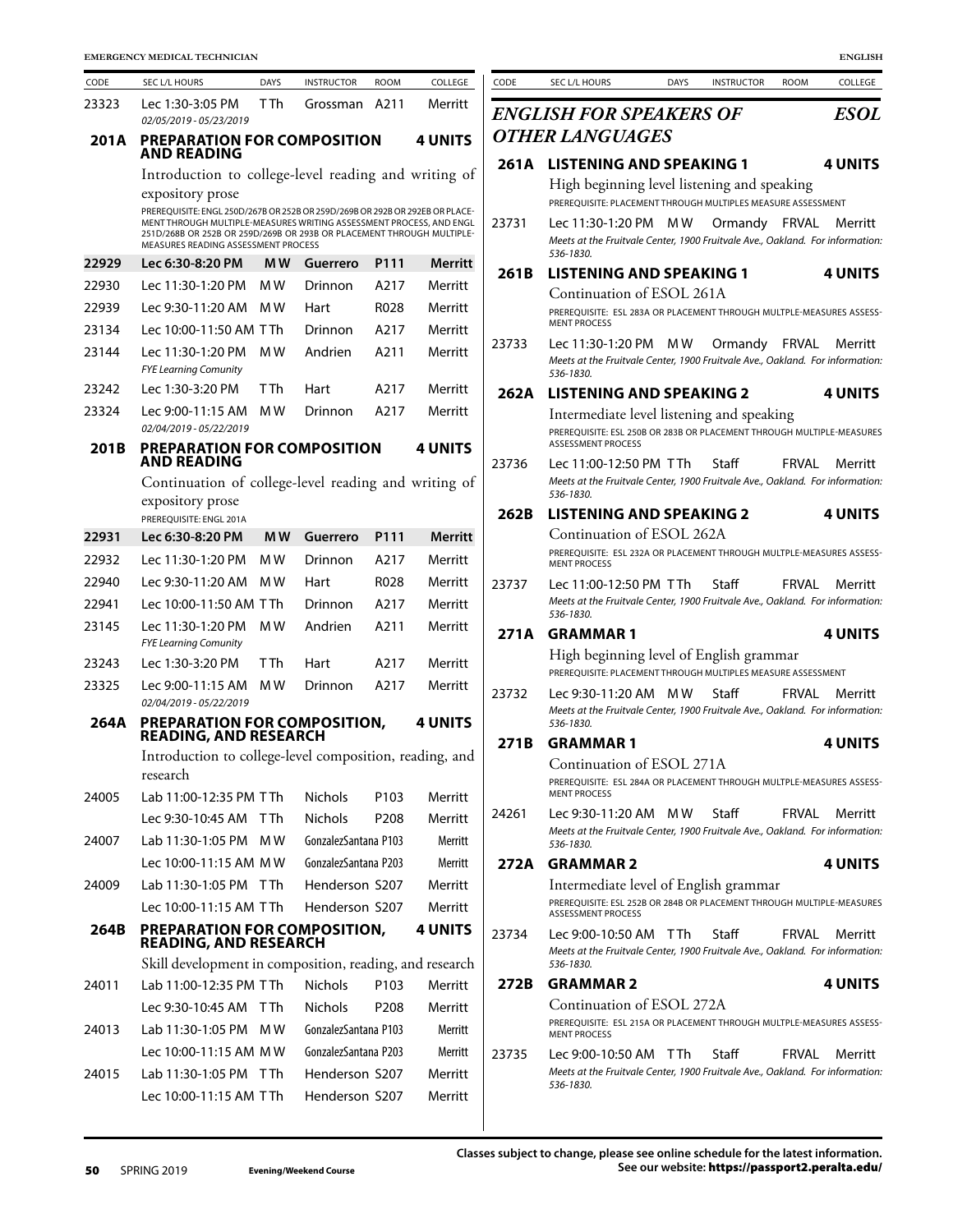| CODE  | SEC L/L HOURS                                                                                                                                                                                                                                                       | <b>DAYS</b> | <b>INSTRUCTOR</b>    | <b>ROOM</b>      | COLLEGE        |
|-------|---------------------------------------------------------------------------------------------------------------------------------------------------------------------------------------------------------------------------------------------------------------------|-------------|----------------------|------------------|----------------|
| 23323 | Lec 1:30-3:05 PM<br>02/05/2019 - 05/23/2019                                                                                                                                                                                                                         | T Th        | Grossman             | A211             | Merritt        |
| 201A  | <b>PREPARATION FOR COMPOSITION</b><br><b>AND READING</b>                                                                                                                                                                                                            |             |                      |                  | <b>4 UNITS</b> |
|       | Introduction to college-level reading and writing of                                                                                                                                                                                                                |             |                      |                  |                |
|       | expository prose                                                                                                                                                                                                                                                    |             |                      |                  |                |
|       | PREREQUISITE: ENGL 250D/267B OR 252B OR 259D/269B OR 292B OR 292EB OR PLACE-<br>MENT THROUGH MULTIPLE-MEASURES WRITING ASSESSMENT PROCESS, AND ENGL<br>251D/268B OR 252B OR 259D/269B OR 293B OR PLACEMENT THROUGH MULTIPLE-<br>MEASURES READING ASSESSMENT PROCESS |             |                      |                  |                |
| 22929 | Lec 6:30-8:20 PM                                                                                                                                                                                                                                                    | MW          | Guerrero             | P111             | Merritt        |
| 22930 | Lec 11:30-1:20 PM                                                                                                                                                                                                                                                   | M W         | Drinnon              | A217             | Merritt        |
| 22939 | Lec 9:30-11:20 AM                                                                                                                                                                                                                                                   | M W         | Hart                 | R028             | Merritt        |
| 23134 | Lec 10:00-11:50 AM                                                                                                                                                                                                                                                  | T Th        | Drinnon              | A217             | Merritt        |
| 23144 | Lec 11:30-1:20 PM<br><b>FYE Learning Comunity</b>                                                                                                                                                                                                                   | M W         | Andrien              | A211             | Merritt        |
| 23242 | Lec 1:30-3:20 PM                                                                                                                                                                                                                                                    | T Th        | Hart                 | A217             | Merritt        |
| 23324 | Lec 9:00-11:15 AM<br>02/04/2019 - 05/22/2019                                                                                                                                                                                                                        | M W         | Drinnon              | A217             | Merritt        |
| 201B  | PREPARATION FOR COMPOSITION<br><b>AND READING</b>                                                                                                                                                                                                                   |             |                      |                  | <b>4 UNITS</b> |
|       | Continuation of college-level reading and writing of                                                                                                                                                                                                                |             |                      |                  |                |
|       | expository prose<br>PREREQUISITE: ENGL 201A                                                                                                                                                                                                                         |             |                      |                  |                |
| 22931 | Lec 6:30-8:20 PM                                                                                                                                                                                                                                                    | MW          | <b>Guerrero</b>      | P111             | <b>Merritt</b> |
| 22932 | Lec 11:30-1:20 PM                                                                                                                                                                                                                                                   | M W         | Drinnon              | A217             | Merritt        |
| 22940 | Lec 9:30-11:20 AM                                                                                                                                                                                                                                                   | M W         | Hart                 | R028             | Merritt        |
| 22941 | Lec 10:00-11:50 AM                                                                                                                                                                                                                                                  | T Th        | Drinnon              | A217             | Merritt        |
| 23145 | Lec 11:30-1:20 PM<br><b>FYE Learning Comunity</b>                                                                                                                                                                                                                   | M W         | Andrien              | A211             | Merritt        |
| 23243 | Lec 1:30-3:20 PM                                                                                                                                                                                                                                                    | T Th        | Hart                 | A217             | Merritt        |
| 23325 | Lec 9:00-11:15 AM<br>02/04/2019 - 05/22/2019                                                                                                                                                                                                                        | M W         | Drinnon              | A217             | Merritt        |
| 264A  | <b>PREPARATION FOR COMPOSITION,<br/>READING, AND RESEARCH</b>                                                                                                                                                                                                       |             |                      |                  | <b>4 UNITS</b> |
|       | Introduction to college-level composition, reading, and<br>research                                                                                                                                                                                                 |             |                      |                  |                |
| 24005 | Lab 11:00-12:35 PM TTh                                                                                                                                                                                                                                              |             | <b>Nichols</b>       | P103             | Merritt        |
|       | Lec 9:30-10:45 AM                                                                                                                                                                                                                                                   | T Th        | <b>Nichols</b>       | P <sub>208</sub> | Merritt        |
| 24007 | Lab 11:30-1:05 PM                                                                                                                                                                                                                                                   | M W         | GonzalezSantana P103 |                  | <b>Merritt</b> |
|       | Lec 10:00-11:15 AM MW                                                                                                                                                                                                                                               |             | GonzalezSantana P203 |                  | Merritt        |
| 24009 | Lab 11:30-1:05 PM                                                                                                                                                                                                                                                   | T Th        | Henderson S207       |                  | Merritt        |
|       | Lec 10:00-11:15 AM TTh                                                                                                                                                                                                                                              |             | Henderson S207       |                  | Merritt        |
| 264B  | PREPARATION FOR COMPOSITION,<br><b>READING, AND RESEARCH</b>                                                                                                                                                                                                        |             |                      |                  | <b>4 UNITS</b> |
|       | Skill development in composition, reading, and research                                                                                                                                                                                                             |             |                      |                  |                |
| 24011 | Lab 11:00-12:35 PM TTh                                                                                                                                                                                                                                              |             | <b>Nichols</b>       | P <sub>103</sub> | Merritt        |
|       | Lec 9:30-10:45 AM                                                                                                                                                                                                                                                   | T Th        | <b>Nichols</b>       | P <sub>208</sub> | Merritt        |
| 24013 | Lab 11:30-1:05 PM                                                                                                                                                                                                                                                   | M W         | GonzalezSantana P103 |                  | Merritt        |
|       | Lec 10:00-11:15 AM MW                                                                                                                                                                                                                                               |             | GonzalezSantana P203 |                  | Merritt        |
| 24015 | Lab 11:30-1:05 PM                                                                                                                                                                                                                                                   | T Th        | Henderson S207       |                  | Merritt        |
|       | Lec 10:00-11:15 AM TTh                                                                                                                                                                                                                                              |             | Henderson S207       |                  | Merritt        |

| CODE  |                                                                                                                                                 |             |                   |             | <b>ENGLISH</b> |
|-------|-------------------------------------------------------------------------------------------------------------------------------------------------|-------------|-------------------|-------------|----------------|
|       | SEC L/L HOURS                                                                                                                                   | <b>DAYS</b> | <b>INSTRUCTOR</b> | <b>ROOM</b> | COLLEGE        |
|       | <b>ENGLISH FOR SPEAKERS OF</b>                                                                                                                  |             |                   |             | <b>ESOL</b>    |
|       | <b>OTHER LANGUAGES</b>                                                                                                                          |             |                   |             |                |
| 261A  | <b>LISTENING AND SPEAKING 1</b>                                                                                                                 |             |                   |             | <b>4 UNITS</b> |
|       | High beginning level listening and speaking<br>PREREQUISITE: PLACEMENT THROUGH MULTIPLES MEASURE ASSESSMENT                                     |             |                   |             |                |
| 23731 | Lec 11:30-1:20 PM                                                                                                                               | M W         | Ormandy FRVAL     |             | Merritt        |
|       | Meets at the Fruitvale Center, 1900 Fruitvale Ave., Oakland. For information:<br>536-1830.                                                      |             |                   |             |                |
| 261B  | <b>LISTENING AND SPEAKING 1</b>                                                                                                                 |             |                   |             | <b>4 UNITS</b> |
|       | Continuation of ESOL 261A<br>PREREQUISITE: ESL 283A OR PLACEMENT THROUGH MULTPLE-MEASURES ASSESS-<br><b>MENT PROCESS</b>                        |             |                   |             |                |
| 23733 | Lec 11:30-1:20 PM<br>Meets at the Fruitvale Center, 1900 Fruitvale Ave., Oakland. For information:<br>536-1830.                                 | M W         | Ormandy           | FRVAL       | Merritt        |
| 262A  | <b>LISTENING AND SPEAKING 2</b>                                                                                                                 |             |                   |             | <b>4 UNITS</b> |
|       | Intermediate level listening and speaking<br>PREREQUISITE: ESL 250B OR 283B OR PLACEMENT THROUGH MULTIPLE-MEASURES<br><b>ASSESSMENT PROCESS</b> |             |                   |             |                |
| 23736 | Lec 11:00-12:50 PM TTh<br>Meets at the Fruitvale Center, 1900 Fruitvale Ave., Oakland. For information:<br>536-1830.                            |             | Staff             | FRVAL       | Merritt        |
| 262B  | <b>LISTENING AND SPEAKING 2</b>                                                                                                                 |             |                   |             | <b>4 UNITS</b> |
|       | Continuation of ESOL 262A<br>PREREQUISITE: ESL 232A OR PLACEMENT THROUGH MULTPLE-MEASURES ASSESS-<br><b>MENT PROCESS</b>                        |             |                   |             |                |
| 23737 | Lec 11:00-12:50 PM TTh<br>Meets at the Fruitvale Center, 1900 Fruitvale Ave., Oakland. For information:<br>536-1830.                            |             | Staff             | FRVAL       | Merritt        |
| 271A  | <b>GRAMMAR 1</b>                                                                                                                                |             |                   |             | <b>4 UNITS</b> |
|       | High beginning level of English grammar<br>PREREQUISITE: PLACEMENT THROUGH MULTIPLES MEASURE ASSESSMENT                                         |             |                   |             |                |
| 23732 | Lec 9:30-11:20 AM MW<br>Meets at the Fruitvale Center, 1900 Fruitvale Ave., Oakland. For information:<br>536-1830.                              |             | Staff             | FRVAL       | Merritt        |
| 271B  | <b>GRAMMAR1</b>                                                                                                                                 |             |                   |             | <b>4 UNITS</b> |
|       | Continuation of ESOL 271A<br>PREREQUISITE: ESL 284A OR PLACEMENT THROUGH MULTPLE-MEASURES ASSESS-<br><b>MENT PROCESS</b>                        |             |                   |             |                |
| 24261 | Lec 9:30-11:20 AM<br>Meets at the Fruitvale Center, 1900 Fruitvale Ave., Oakland. For information:<br>536-1830.                                 | MW.         | Staff             | FRVAL       | Merritt        |
| 272A  | <b>GRAMMAR2</b>                                                                                                                                 |             |                   |             | 4 UNITS        |
|       | Intermediate level of English grammar<br>PREREOUISITE: ESL 252B OR 284B OR PLACEMENT THROUGH MULTIPLE-MEASURES<br><b>ASSESSMENT PROCESS</b>     |             |                   |             |                |
| 23734 | Lec 9:00-10:50 AM TTh<br>Meets at the Fruitvale Center, 1900 Fruitvale Ave., Oakland. For information:<br>536-1830.                             |             | Staff             | FRVAI       | Merritt        |
| 272B  | <b>GRAMMAR 2</b>                                                                                                                                |             |                   |             | <b>4 UNITS</b> |
|       | Continuation of ESOL 272A<br>PREREOUISITE: ESL 215A OR PLACEMENT THROUGH MULTPLE-MEASURES ASSESS-                                               |             |                   |             |                |
|       | <b>MENT PROCESS</b>                                                                                                                             |             |                   |             |                |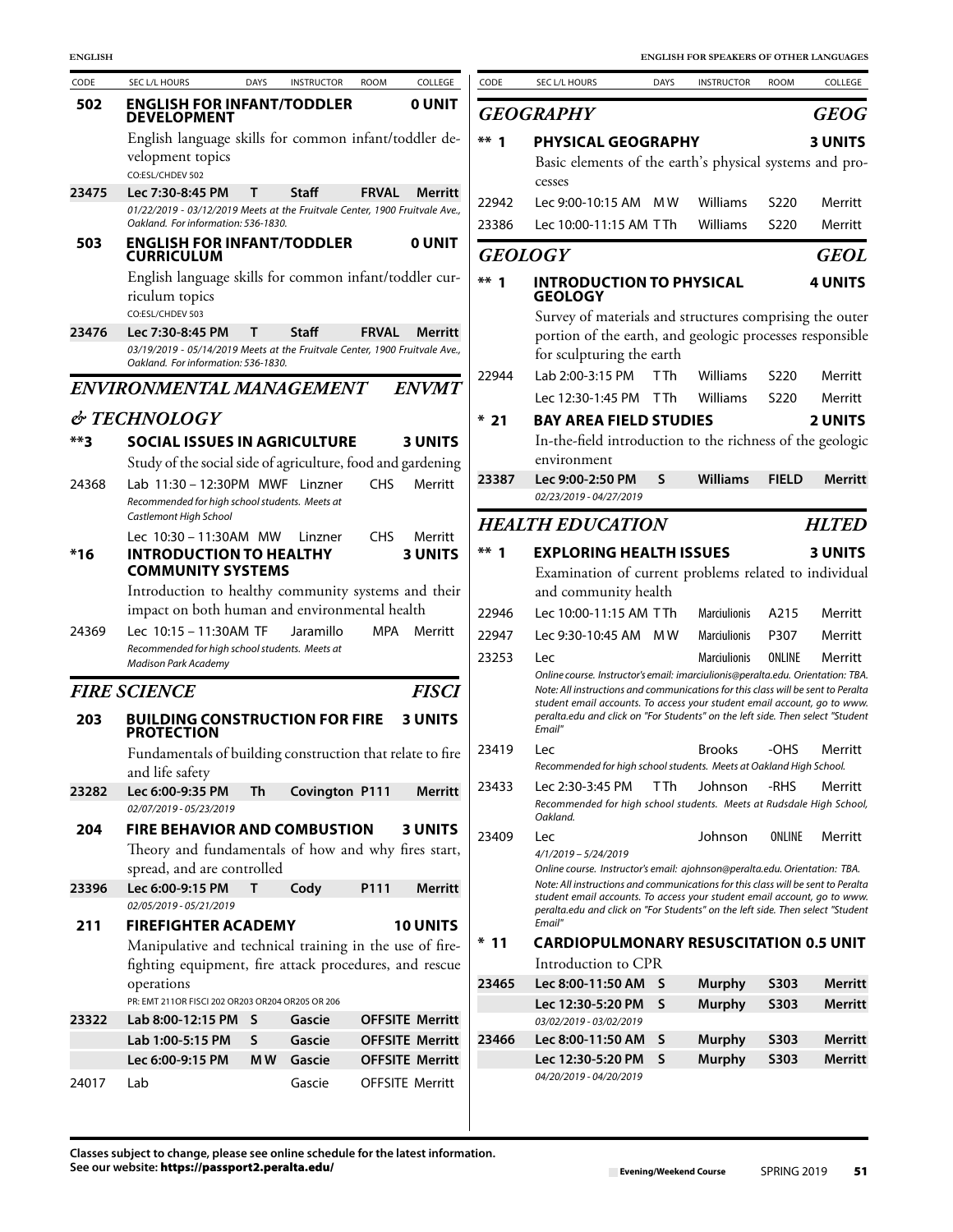| CODE   | SEC L/L HOURS                                                                                                                                              | <b>DAYS</b> | <b>INSTRUCTOR</b> | <b>ROOM</b>  | COLLEGE                | CODE           | SEC L/L HOURS                                                                                                                                                                                                                            | <b>DAYS</b> | <b>INSTRUCTOR</b>    | ROOM         | COLLEGE            |
|--------|------------------------------------------------------------------------------------------------------------------------------------------------------------|-------------|-------------------|--------------|------------------------|----------------|------------------------------------------------------------------------------------------------------------------------------------------------------------------------------------------------------------------------------------------|-------------|----------------------|--------------|--------------------|
| 502    | <b>ENGLISH FOR INFANT/TODDLER</b><br><b>DEVELOPMENT</b>                                                                                                    |             |                   |              | <b>OUNIT</b>           |                | <b>GEOGRAPHY</b>                                                                                                                                                                                                                         |             |                      |              | <b>GEOC</b>        |
|        | English language skills for common infant/toddler de-<br>velopment topics<br>CO:ESL/CHDEV 502                                                              |             |                   |              |                        | $***$ 1        | PHYSICAL GEOGRAPHY<br>Basic elements of the earth's physical systems and pro                                                                                                                                                             |             |                      |              | 3 UNITS            |
| 23475  | Lec 7:30-8:45 PM<br>01/22/2019 - 03/12/2019 Meets at the Fruitvale Center, 1900 Fruitvale Ave.,<br>Oakland. For information: 536-1830.                     | т           | Staff             | <b>FRVAL</b> | Merritt                | 22942<br>23386 | cesses<br>Lec 9:00-10:15 AM MW<br>Lec 10:00-11:15 AM TTh                                                                                                                                                                                 |             | Williams<br>Williams | S220<br>S220 | Merritt<br>Merritt |
| 503    | <b>ENGLISH FOR INFANT/TODDLER</b><br><b>CURRICULUM</b>                                                                                                     |             |                   |              | <b>O UNIT</b>          |                | <b>GEOLOGY</b>                                                                                                                                                                                                                           |             |                      |              | <b>GEOI</b>        |
|        | English language skills for common infant/toddler cur-<br>riculum topics                                                                                   |             |                   |              |                        | $***$ 1        | <b>INTRODUCTION TO PHYSICAL</b><br><b>GEOLOGY</b>                                                                                                                                                                                        |             |                      |              | 4 UNITS            |
| 23476  | CO:ESL/CHDEV 503<br>Lec 7:30-8:45 PM<br>03/19/2019 - 05/14/2019 Meets at the Fruitvale Center, 1900 Fruitvale Ave.,<br>Oakland. For information: 536-1830. | т           | <b>Staff</b>      | <b>FRVAL</b> | Merritt                |                | Survey of materials and structures comprising the oute<br>portion of the earth, and geologic processes responsibl<br>for sculpturing the earth                                                                                           |             |                      |              |                    |
|        | ENVIRONMENTAL MANAGEMENT                                                                                                                                   |             |                   |              | <b>ENVMT</b>           | 22944          | Lab 2:00-3:15 PM                                                                                                                                                                                                                         | T Th        | Williams             | S220         | Merritt            |
|        |                                                                                                                                                            |             |                   |              |                        |                | Lec 12:30-1:45 PM TTh                                                                                                                                                                                                                    |             | Williams             | S220         | Merritt            |
|        | & TECHNOLOGY                                                                                                                                               |             |                   |              |                        | $*21$          | <b>BAY AREA FIELD STUDIES</b>                                                                                                                                                                                                            |             |                      |              | 2 UNITS            |
| $***3$ | <b>SOCIAL ISSUES IN AGRICULTURE</b>                                                                                                                        |             |                   |              | <b>3 UNITS</b>         |                | In-the-field introduction to the richness of the geologi                                                                                                                                                                                 |             |                      |              |                    |
|        | Study of the social side of agriculture, food and gardening                                                                                                |             |                   |              |                        | 23387          | environment<br>Lec 9:00-2:50 PM                                                                                                                                                                                                          | S.          | <b>Williams</b>      | <b>FIELD</b> | <b>Merrit</b>      |
| 24368  | Lab 11:30 - 12:30PM MWF Linzner<br>Recommended for high school students. Meets at<br>Castlemont High School                                                |             |                   | <b>CHS</b>   | Merritt                |                | 02/23/2019 - 04/27/2019                                                                                                                                                                                                                  |             |                      |              |                    |
|        | Lec 10:30 - 11:30AM MW                                                                                                                                     |             | Linzner           | <b>CHS</b>   | Merritt                |                | <b>HEALTH EDUCATION</b>                                                                                                                                                                                                                  |             |                      |              | <b>HLTEL</b>       |
| $*16$  | <b>INTRODUCTION TO HEALTHY</b><br><b>COMMUNITY SYSTEMS</b>                                                                                                 |             |                   |              | <b>3 UNITS</b>         | $***1$         | <b>EXPLORING HEALTH ISSUES</b><br>Examination of current problems related to individua                                                                                                                                                   |             |                      |              | <b>3 UNITS</b>     |
|        | Introduction to healthy community systems and their                                                                                                        |             |                   |              |                        |                | and community health                                                                                                                                                                                                                     |             |                      |              |                    |
| 24369  | impact on both human and environmental health<br>Lec 10:15 - 11:30AM TF                                                                                    |             | Jaramillo         | <b>MPA</b>   | Merritt                | 22946          | Lec 10:00-11:15 AM TTh                                                                                                                                                                                                                   |             | <b>Marciulionis</b>  | A215         | Merritt            |
|        | Recommended for high school students. Meets at                                                                                                             |             |                   |              |                        | 22947          | Lec 9:30-10:45 AM MW                                                                                                                                                                                                                     |             | <b>Marciulionis</b>  | P307         | Merritt            |
|        | <b>Madison Park Academy</b>                                                                                                                                |             |                   |              |                        | 23253          | Lec<br>Online course. Instructor's email: imarciulionis@peralta.edu. Orientation: TB.                                                                                                                                                    |             | Marciulionis         | ONLINE       | Merritt            |
|        | <b>FIRE SCIENCE</b>                                                                                                                                        |             |                   |              | <b>FISCI</b>           |                | Note: All instructions and communications for this class will be sent to Perali                                                                                                                                                          |             |                      |              |                    |
| 203    | <b>BUILDING CONSTRUCTION FOR FIRE</b><br><b>PROTECTION</b>                                                                                                 |             |                   |              | <b>3 UNITS</b>         |                | student email accounts. To access your student email account, go to wwi<br>peralta.edu and click on "For Students" on the left side. Then select "Studer<br>Email"                                                                       |             |                      |              |                    |
|        | Fundamentals of building construction that relate to fire<br>and life safety                                                                               |             |                   |              |                        | 23419          | Lec<br>Recommended for high school students. Meets at Oakland High School.                                                                                                                                                               |             | <b>Brooks</b>        | -OHS         | Merritt            |
| 23282  | Lec 6:00-9:35 PM<br>02/07/2019 - 05/23/2019                                                                                                                | Th          | Covington P111    |              | Merritt                | 23433          | Lec 2:30-3:45 PM<br>Recommended for high school students. Meets at Rudsdale High Schoo<br>Oakland.                                                                                                                                       | T Th        | Johnson              | -RHS         | Merritt            |
| 204    | <b>FIRE BEHAVIOR AND COMBUSTION</b><br>Theory and fundamentals of how and why fires start,                                                                 |             |                   |              | <b>3 UNITS</b>         | 23409          | Lec<br>4/1/2019 - 5/24/2019                                                                                                                                                                                                              |             | Johnson              | ONLINE       | Merritt            |
| 23396  | spread, and are controlled<br>Lec 6:00-9:15 PM<br>02/05/2019 - 05/21/2019                                                                                  | Τ           | Cody              | P111         | <b>Merritt</b>         |                | Online course. Instructor's email: ajohnson@peralta.edu. Orientation: TBA.<br>Note: All instructions and communications for this class will be sent to Perali<br>student email accounts. To access your student email account, go to wwi |             |                      |              |                    |
| 211    | <b>FIREFIGHTER ACADEMY</b>                                                                                                                                 |             |                   |              | <b>10 UNITS</b>        |                | peralta.edu and click on "For Students" on the left side. Then select "Studer<br>Email"                                                                                                                                                  |             |                      |              |                    |
|        | Manipulative and technical training in the use of fire-                                                                                                    |             |                   |              |                        | $*11$          | <b>CARDIOPULMONARY RESUSCITATION 0.5 UNIT</b>                                                                                                                                                                                            |             |                      |              |                    |
|        | fighting equipment, fire attack procedures, and rescue                                                                                                     |             |                   |              |                        |                | Introduction to CPR                                                                                                                                                                                                                      |             |                      |              |                    |
|        | operations                                                                                                                                                 |             |                   |              |                        | 23465          | Lec 8:00-11:50 AM S                                                                                                                                                                                                                      |             | <b>Murphy</b>        | S303         | Merrit             |
| 23322  | PR: EMT 211OR FISCI 202 OR203 OR204 OR205 OR 206<br>Lab 8:00-12:15 PM S                                                                                    |             | Gascie            |              | <b>OFFSITE Merritt</b> |                | Lec 12:30-5:20 PM S<br>03/02/2019 - 03/02/2019                                                                                                                                                                                           |             | <b>Murphy</b>        | <b>S303</b>  | Merrit             |
|        | Lab 1:00-5:15 PM                                                                                                                                           | S           | Gascie            |              | <b>OFFSITE Merritt</b> | 23466          | Lec 8:00-11:50 AM                                                                                                                                                                                                                        | S           | <b>Murphy</b>        | S303         | Merrit             |
|        | Lec 6:00-9:15 PM                                                                                                                                           | M W         | Gascie            |              | <b>OFFSITE Merritt</b> |                | Lec 12:30-5:20 PM S                                                                                                                                                                                                                      |             | <b>Murphy</b>        | <b>S303</b>  | Merrit             |
| 24017  | Lab                                                                                                                                                        |             | Gascie            |              | <b>OFFSITE Merritt</b> |                | 04/20/2019 - 04/20/2019                                                                                                                                                                                                                  |             |                      |              |                    |

| CODE      | <b>SEC L/L HOURS</b>                                                                                                                                                                                                                                                                                                                        | <b>DAYS</b>     | <b>INSTRUCTOR</b>   | <b>ROOM</b>      | COLLEGE        |
|-----------|---------------------------------------------------------------------------------------------------------------------------------------------------------------------------------------------------------------------------------------------------------------------------------------------------------------------------------------------|-----------------|---------------------|------------------|----------------|
|           | <b>GEOGRAPHY</b>                                                                                                                                                                                                                                                                                                                            |                 |                     |                  | <b>GEOG</b>    |
| **        | <b>PHYSICAL GEOGRAPHY</b>                                                                                                                                                                                                                                                                                                                   |                 |                     |                  | <b>3 UNITS</b> |
|           | Basic elements of the earth's physical systems and pro-<br>cesses                                                                                                                                                                                                                                                                           |                 |                     |                  |                |
| 22942     | Lec 9:00-10:15 AM                                                                                                                                                                                                                                                                                                                           | M W             | Williams            | S <sub>220</sub> | Merritt        |
| 23386     | Lec 10:00-11:15 AM TTh                                                                                                                                                                                                                                                                                                                      |                 | Williams            | S <sub>220</sub> | Merritt        |
|           | GEOLOGY                                                                                                                                                                                                                                                                                                                                     |                 |                     |                  | GEOL           |
| **        | <b>INTRODUCTION TO PHYSICAL</b><br>GEOLOGY                                                                                                                                                                                                                                                                                                  |                 |                     |                  | <b>4 UNITS</b> |
|           | Survey of materials and structures comprising the outer                                                                                                                                                                                                                                                                                     |                 |                     |                  |                |
|           | portion of the earth, and geologic processes responsible<br>for sculpturing the earth                                                                                                                                                                                                                                                       |                 |                     |                  |                |
| 22944     | Lab 2:00-3:15 PM                                                                                                                                                                                                                                                                                                                            | <b>TTh</b>      | Williams            | S <sub>220</sub> | Merritt        |
|           | Lec 12:30-1:45 PM                                                                                                                                                                                                                                                                                                                           | T <sub>Th</sub> | <b>Williams</b>     | S220             | Merritt        |
| *<br>- 21 | <b>BAY AREA FIELD STUDIES</b>                                                                                                                                                                                                                                                                                                               |                 |                     |                  | <b>2 UNITS</b> |
|           | In-the-field introduction to the richness of the geologic<br>environment                                                                                                                                                                                                                                                                    |                 |                     |                  |                |
| 23387     | Lec 9:00-2:50 PM                                                                                                                                                                                                                                                                                                                            | S               | <b>Williams</b>     | <b>FIELD</b>     | <b>Merritt</b> |
|           | 02/23/2019 - 04/27/2019                                                                                                                                                                                                                                                                                                                     |                 |                     |                  |                |
|           | <b>HEALTH EDUCATION</b>                                                                                                                                                                                                                                                                                                                     |                 |                     |                  | <b>HLTED</b>   |
| **        | <b>EXPLORING HEALTH ISSUES</b>                                                                                                                                                                                                                                                                                                              |                 |                     |                  | <b>3 UNITS</b> |
|           | Examination of current problems related to individual                                                                                                                                                                                                                                                                                       |                 |                     |                  |                |
|           | and community health                                                                                                                                                                                                                                                                                                                        |                 |                     |                  |                |
| 22946     | Lec 10:00-11:15 AM TTh                                                                                                                                                                                                                                                                                                                      |                 | <b>Marciulionis</b> | A215             | Merritt        |
| 22947     | Lec 9:30-10:45 AM MW                                                                                                                                                                                                                                                                                                                        |                 | <b>Marciulionis</b> | P307             | Merritt        |
| 23253     | Lec                                                                                                                                                                                                                                                                                                                                         |                 | <b>Marciulionis</b> | ONLINE           | Merritt        |
|           | Online course. Instructor's email: imarciulionis@peralta.edu. Orientation: TBA.<br>Note: All instructions and communications for this class will be sent to Peralta<br>student email accounts. To access your student email account, go to www.<br>peralta.edu and click on "For Students" on the left side. Then select "Student<br>Email" |                 |                     |                  |                |
| 23419     | Lec                                                                                                                                                                                                                                                                                                                                         |                 | <b>Brooks</b>       | -OHS             | Merritt        |
|           | Recommended for high school students. Meets at Oakland High School.                                                                                                                                                                                                                                                                         |                 |                     |                  |                |
| 23433     | Lec 2:30-3:45 PM<br>Recommended for high school students. Meets at Rudsdale High School,<br>Oakland.                                                                                                                                                                                                                                        | T Th            | Johnson             | -RHS             | Merritt        |
| 23409     | Lec<br>$4/1/2019 - 5/24/2019$                                                                                                                                                                                                                                                                                                               |                 | Johnson             | ONLINE           | Merritt        |
|           | Online course. Instructor's email: ajohnson@peralta.edu. Orientation: TBA.<br>Note: All instructions and communications for this class will be sent to Peralta<br>student email accounts. To access your student email account, go to www.<br>peralta.edu and click on "For Students" on the left side. Then select "Student<br>Email"      |                 |                     |                  |                |
| *<br>-11  | <b>CARDIOPULMONARY RESUSCITATION 0.5 UNIT</b>                                                                                                                                                                                                                                                                                               |                 |                     |                  |                |
|           | Introduction to CPR                                                                                                                                                                                                                                                                                                                         |                 |                     |                  |                |
| 23465     | Lec 8:00-11:50 AM                                                                                                                                                                                                                                                                                                                           | S               | <b>Murphy</b>       | <b>S303</b>      | <b>Merritt</b> |
|           | Lec 12:30-5:20 PM                                                                                                                                                                                                                                                                                                                           | S               | <b>Murphy</b>       | <b>S303</b>      | Merritt        |
|           | 03/02/2019 - 03/02/2019                                                                                                                                                                                                                                                                                                                     |                 |                     |                  |                |
| 23466     | Lec 8:00-11:50 AM                                                                                                                                                                                                                                                                                                                           | S               | <b>Murphy</b>       | <b>S303</b>      | <b>Merritt</b> |
|           | Lec 12:30-5:20 PM                                                                                                                                                                                                                                                                                                                           | S               | <b>Murphy</b>       | <b>S303</b>      | <b>Merritt</b> |
|           | 04/20/2019 - 04/20/2019                                                                                                                                                                                                                                                                                                                     |                 |                     |                  |                |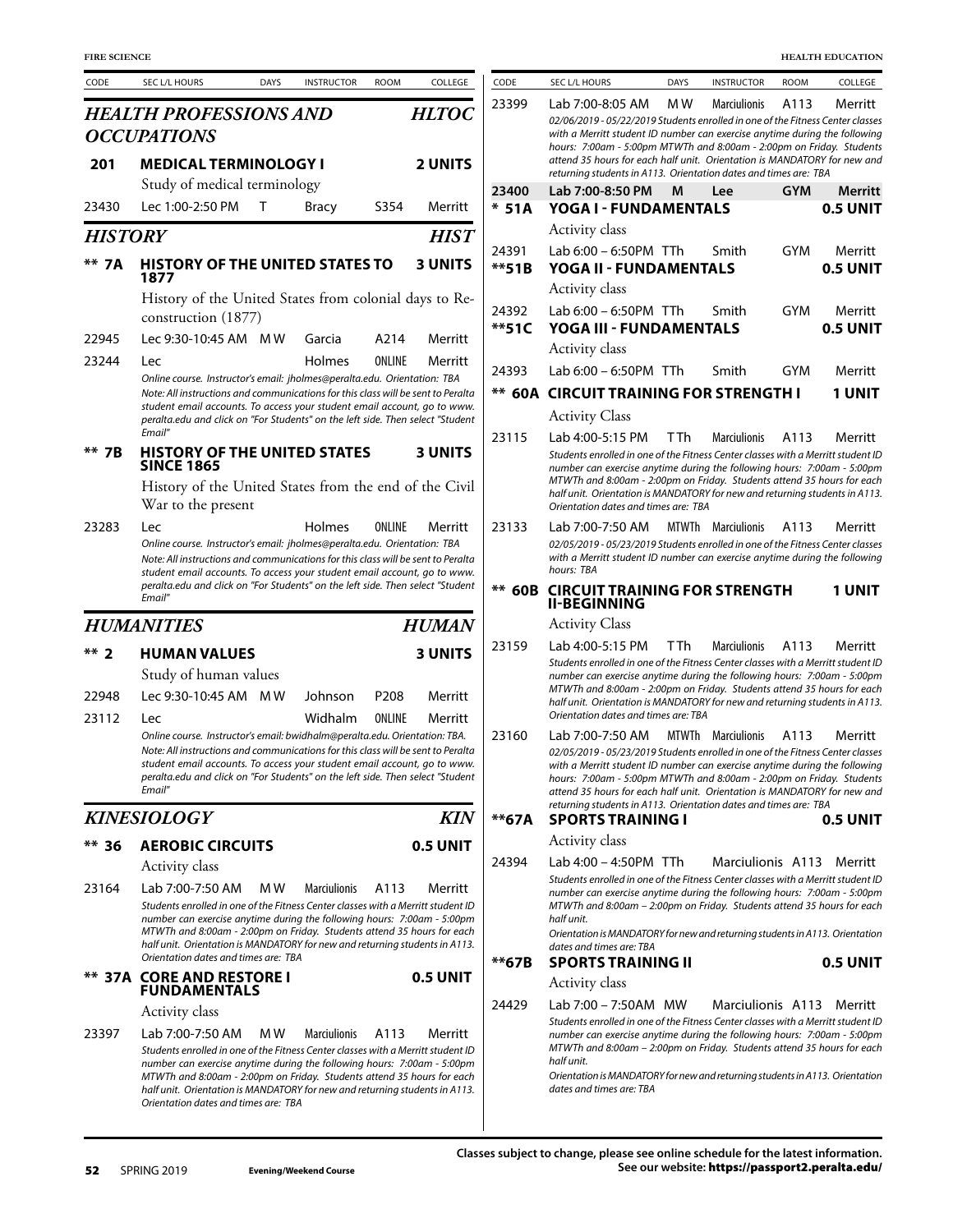| <b>FIRE SCIENCE</b> |                                                                                                                                                                                                                                                                                                                                                              |             |                     |                  |                     |
|---------------------|--------------------------------------------------------------------------------------------------------------------------------------------------------------------------------------------------------------------------------------------------------------------------------------------------------------------------------------------------------------|-------------|---------------------|------------------|---------------------|
| CODE                | SEC L/L HOURS                                                                                                                                                                                                                                                                                                                                                | <b>DAYS</b> | <b>INSTRUCTOR</b>   | <b>ROOM</b>      | COLLEGE             |
|                     | <b>HEALTH PROFESSIONS AND</b>                                                                                                                                                                                                                                                                                                                                |             |                     |                  | <i><b>HLTOC</b></i> |
|                     | <b>OCCUPATIONS</b>                                                                                                                                                                                                                                                                                                                                           |             |                     |                  |                     |
| 201                 | <b>MEDICAL TERMINOLOGY I</b>                                                                                                                                                                                                                                                                                                                                 |             |                     |                  | <b>2 UNITS</b>      |
|                     | Study of medical terminology                                                                                                                                                                                                                                                                                                                                 |             |                     |                  |                     |
| 23430               | Lec 1:00-2:50 PM                                                                                                                                                                                                                                                                                                                                             | т           | Bracy               | S354             | Merritt             |
| <b>HISTORY</b>      |                                                                                                                                                                                                                                                                                                                                                              |             |                     |                  | HIST                |
| 7A                  | <b>HISTORY OF THE UNITED STATES TO</b><br>1877                                                                                                                                                                                                                                                                                                               |             |                     |                  | <b>3 UNITS</b>      |
|                     | History of the United States from colonial days to Re-<br>construction (1877)                                                                                                                                                                                                                                                                                |             |                     |                  |                     |
| 22945               | Lec 9:30-10:45 AM MW                                                                                                                                                                                                                                                                                                                                         |             | Garcia              | A214             | Merritt             |
| 23244               | Lec                                                                                                                                                                                                                                                                                                                                                          |             | Holmes              | ONLINE           | Merritt             |
|                     | Online course. Instructor's email: jholmes@peralta.edu. Orientation: TBA<br>Note: All instructions and communications for this class will be sent to Peralta<br>student email accounts. To access your student email account, go to www.<br>peralta.edu and click on "For Students" on the left side. Then select "Student<br>Email"                         |             |                     |                  |                     |
| 7В                  | <b>HISTORY OF THE UNITED STATES</b><br><b>SINCE 1865</b>                                                                                                                                                                                                                                                                                                     |             |                     |                  | <b>3 UNITS</b>      |
|                     | History of the United States from the end of the Civil<br>War to the present                                                                                                                                                                                                                                                                                 |             |                     |                  |                     |
| 23283               | Lec<br>Online course. Instructor's email: jholmes@peralta.edu. Orientation: TBA<br>Note: All instructions and communications for this class will be sent to Peralta<br>student email accounts. To access your student email account, go to www.<br>peralta.edu and click on "For Students" on the left side. Then select "Student<br>Email"                  |             | Holmes              | ONLINE           | Merritt             |
|                     | <b>HUMANITIES</b>                                                                                                                                                                                                                                                                                                                                            |             |                     |                  | <i><b>HUMAN</b></i> |
| $**$ ?              | <b>HUMAN VALUES</b>                                                                                                                                                                                                                                                                                                                                          |             |                     |                  | <b>3 UNITS</b>      |
|                     | Study of human values                                                                                                                                                                                                                                                                                                                                        |             |                     |                  |                     |
| 22948               | Lec 9:30-10:45 AM                                                                                                                                                                                                                                                                                                                                            | M W         | Johnson             | P <sub>208</sub> | Merritt             |
| 23112               | l ec                                                                                                                                                                                                                                                                                                                                                         |             | Widhalm             | <b>ONI INF</b>   | Merritt             |
|                     | Online course. Instructor's email: bwidhalm@peralta.edu. Orientation: TBA.<br>Note: All instructions and communications for this class will be sent to Peralta<br>student email accounts. To access your student email account, go to www.<br>peralta.edu and click on "For Students" on the left side. Then select "Student<br>Email"                       |             |                     |                  |                     |
|                     | <b>KINESIOLOGY</b>                                                                                                                                                                                                                                                                                                                                           |             |                     |                  | <b>KIN</b>          |
| ** 36               | <b>AEROBIC CIRCUITS</b>                                                                                                                                                                                                                                                                                                                                      |             |                     |                  | 0.5 UNIT            |
|                     | Activity class                                                                                                                                                                                                                                                                                                                                               |             |                     |                  |                     |
| 23164               | Lab 7:00-7:50 AM                                                                                                                                                                                                                                                                                                                                             | M W         | <b>Marciulionis</b> | A113             | Merritt             |
|                     | Students enrolled in one of the Fitness Center classes with a Merritt student ID<br>number can exercise anytime during the following hours: 7:00am - 5:00pm<br>MTWTh and 8:00am - 2:00pm on Friday. Students attend 35 hours for each<br>half unit. Orientation is MANDATORY for new and returning students in A113.<br>Orientation dates and times are: TBA |             |                     |                  |                     |
|                     | ** 37A CORE AND RESTORE I<br><b>FUNDAMENTALS</b>                                                                                                                                                                                                                                                                                                             |             |                     |                  | <b>0.5 UNIT</b>     |
|                     | Activity class                                                                                                                                                                                                                                                                                                                                               |             |                     |                  |                     |
| 23397               | Lab 7:00-7:50 AM<br>Students enrolled in one of the Fitness Center classes with a Merritt student ID<br>number can exercise anytime during the following hours: 7:00am - 5:00pm                                                                                                                                                                              | M W         | <b>Marciulionis</b> | A113             | Merritt             |

| <b>FIRE SCIENCE</b> |                                                                                                                                                                                                                                                                                                                                                                                  |             |                     |                  |                 |                  |                                                                                                                                                                                                                                                                                                                                                                                                          |             |                           |             | <b>HEALTH EDUCATION</b> |
|---------------------|----------------------------------------------------------------------------------------------------------------------------------------------------------------------------------------------------------------------------------------------------------------------------------------------------------------------------------------------------------------------------------|-------------|---------------------|------------------|-----------------|------------------|----------------------------------------------------------------------------------------------------------------------------------------------------------------------------------------------------------------------------------------------------------------------------------------------------------------------------------------------------------------------------------------------------------|-------------|---------------------------|-------------|-------------------------|
| CODE                | SEC L/L HOURS                                                                                                                                                                                                                                                                                                                                                                    | <b>DAYS</b> | <b>INSTRUCTOR</b>   | <b>ROOM</b>      | COLLEGE         | CODE             | SEC L/L HOURS                                                                                                                                                                                                                                                                                                                                                                                            | <b>DAYS</b> | <b>INSTRUCTOR</b>         | <b>ROOM</b> | COLLEGE                 |
|                     | HEALTH PROFESSIONS AND                                                                                                                                                                                                                                                                                                                                                           |             |                     |                  | <b>HLTOC</b>    | 23399            | Lab 7:00-8:05 AM<br>02/06/2019 - 05/22/2019 Students enrolled in one of the Fitness Center classes                                                                                                                                                                                                                                                                                                       | M W         | <b>Marciulionis</b>       | A113        | Merritt                 |
|                     | <b>OCCUPATIONS</b>                                                                                                                                                                                                                                                                                                                                                               |             |                     |                  |                 |                  | with a Merritt student ID number can exercise anytime during the following                                                                                                                                                                                                                                                                                                                               |             |                           |             |                         |
| 201                 | <b>MEDICAL TERMINOLOGY I</b>                                                                                                                                                                                                                                                                                                                                                     |             |                     |                  | <b>2 UNITS</b>  |                  | hours: 7:00am - 5:00pm MTWTh and 8:00am - 2:00pm on Friday. Students<br>attend 35 hours for each half unit. Orientation is MANDATORY for new and<br>returning students in A113. Orientation dates and times are: TBA                                                                                                                                                                                     |             |                           |             |                         |
|                     | Study of medical terminology                                                                                                                                                                                                                                                                                                                                                     |             |                     |                  |                 | 23400            | Lab 7:00-8:50 PM                                                                                                                                                                                                                                                                                                                                                                                         | M           | Lee                       | <b>GYM</b>  | Merritt                 |
| 23430               | Lec 1:00-2:50 PM                                                                                                                                                                                                                                                                                                                                                                 | Т           | <b>Bracy</b>        | S354             | Merritt         | $*51A$           | YOGA I - FUNDAMENTALS                                                                                                                                                                                                                                                                                                                                                                                    |             |                           |             | 0.5 UNIT                |
| HISTORY             |                                                                                                                                                                                                                                                                                                                                                                                  |             |                     |                  | <b>HIST</b>     | 24391            | Activity class<br>Lab 6:00 - 6:50PM TTh                                                                                                                                                                                                                                                                                                                                                                  |             | Smith                     | <b>GYM</b>  |                         |
| ** 7A               | <b>HISTORY OF THE UNITED STATES TO</b><br>1877                                                                                                                                                                                                                                                                                                                                   |             |                     |                  | <b>3 UNITS</b>  | $***51B$         | YOGA II - FUNDAMENTALS                                                                                                                                                                                                                                                                                                                                                                                   |             |                           |             | Merritt<br>0.5 UNIT     |
|                     | History of the United States from colonial days to Re-                                                                                                                                                                                                                                                                                                                           |             |                     |                  |                 |                  | Activity class                                                                                                                                                                                                                                                                                                                                                                                           |             |                           |             |                         |
|                     | construction (1877)                                                                                                                                                                                                                                                                                                                                                              |             |                     |                  |                 | 24392<br>$**51C$ | Lab 6:00 - 6:50PM TTh<br>YOGA III - FUNDAMENTALS                                                                                                                                                                                                                                                                                                                                                         |             | Smith                     | GYM         | Merritt<br>0.5 UNIT     |
| 22945               | Lec 9:30-10:45 AM MW                                                                                                                                                                                                                                                                                                                                                             |             | Garcia              | A214             | Merritt         |                  | Activity class                                                                                                                                                                                                                                                                                                                                                                                           |             |                           |             |                         |
| 23244               | Lec<br>Online course. Instructor's email: jholmes@peralta.edu. Orientation: TBA                                                                                                                                                                                                                                                                                                  |             | Holmes              | ONLINE           | Merritt         | 24393            | Lab 6:00 - 6:50PM TTh                                                                                                                                                                                                                                                                                                                                                                                    |             | Smith                     | GYM         | Merritt                 |
|                     | Note: All instructions and communications for this class will be sent to Peralta                                                                                                                                                                                                                                                                                                 |             |                     |                  |                 |                  | <b>** 60A CIRCUIT TRAINING FOR STRENGTH I</b>                                                                                                                                                                                                                                                                                                                                                            |             |                           |             | 1 UNIT                  |
|                     | student email accounts. To access your student email account, go to www.<br>peralta.edu and click on "For Students" on the left side. Then select "Student                                                                                                                                                                                                                       |             |                     |                  |                 |                  | <b>Activity Class</b>                                                                                                                                                                                                                                                                                                                                                                                    |             |                           |             |                         |
|                     | Email"                                                                                                                                                                                                                                                                                                                                                                           |             |                     |                  |                 | 23115            | Lab 4:00-5:15 PM                                                                                                                                                                                                                                                                                                                                                                                         | T Th        | <b>Marciulionis</b>       | A113        | Merritt                 |
| ** 7B               | <b>HISTORY OF THE UNITED STATES</b><br><b>SINCE 1865</b>                                                                                                                                                                                                                                                                                                                         |             |                     |                  | <b>3 UNITS</b>  |                  | Students enrolled in one of the Fitness Center classes with a Merritt student ID<br>number can exercise anytime during the following hours: 7:00am - 5:00pm<br>MTWTh and 8:00am - 2:00pm on Friday. Students attend 35 hours for each                                                                                                                                                                    |             |                           |             |                         |
|                     | History of the United States from the end of the Civil<br>War to the present                                                                                                                                                                                                                                                                                                     |             |                     |                  |                 |                  | half unit. Orientation is MANDATORY for new and returning students in A113.<br>Orientation dates and times are: TBA                                                                                                                                                                                                                                                                                      |             |                           |             |                         |
| 23283               | Lec<br>Online course. Instructor's email: jholmes@peralta.edu. Orientation: TBA<br>Note: All instructions and communications for this class will be sent to Peralta<br>student email accounts. To access your student email account, go to www.                                                                                                                                  |             | Holmes              | ONLINE           | Merritt         | 23133            | Lab 7:00-7:50 AM<br>02/05/2019 - 05/23/2019 Students enrolled in one of the Fitness Center classes<br>with a Merritt student ID number can exercise anytime during the following<br>hours: TBA                                                                                                                                                                                                           |             | <b>MTWTh</b> Marciulionis | A113        | Merritt                 |
|                     | peralta.edu and click on "For Students" on the left side. Then select "Student<br>Email"                                                                                                                                                                                                                                                                                         |             |                     |                  |                 | $** 60B$         | <b>CIRCUIT TRAINING FOR STRENGTH</b><br><b>II-BEGINNING</b>                                                                                                                                                                                                                                                                                                                                              |             |                           |             | <b>1 UNIT</b>           |
|                     | <b>HUMANITIES</b>                                                                                                                                                                                                                                                                                                                                                                |             |                     |                  | <b>HUMAN</b>    |                  | <b>Activity Class</b>                                                                                                                                                                                                                                                                                                                                                                                    |             |                           |             |                         |
| $**2$               | <b>HUMAN VALUES</b>                                                                                                                                                                                                                                                                                                                                                              |             |                     |                  | <b>3 UNITS</b>  | 23159            | Lab 4:00-5:15 PM                                                                                                                                                                                                                                                                                                                                                                                         | T Th        | <b>Marciulionis</b>       | A113        | Merritt                 |
|                     | Study of human values                                                                                                                                                                                                                                                                                                                                                            |             |                     |                  |                 |                  | Students enrolled in one of the Fitness Center classes with a Merritt student ID<br>number can exercise anytime during the following hours: 7:00am - 5:00pm                                                                                                                                                                                                                                              |             |                           |             |                         |
| 22948               | Lec 9:30-10:45 AM MW                                                                                                                                                                                                                                                                                                                                                             |             | Johnson             | P <sub>208</sub> | Merritt         |                  | MTWTh and 8:00am - 2:00pm on Friday. Students attend 35 hours for each<br>half unit. Orientation is MANDATORY for new and returning students in A113.                                                                                                                                                                                                                                                    |             |                           |             |                         |
| 23112               | Lec                                                                                                                                                                                                                                                                                                                                                                              |             | Widhalm             | ONLINE           | Merritt         |                  | Orientation dates and times are: TBA                                                                                                                                                                                                                                                                                                                                                                     |             |                           |             |                         |
|                     | Online course. Instructor's email: bwidhalm@peralta.edu. Orientation: TBA.<br>Note: All instructions and communications for this class will be sent to Peralta<br>student email accounts. To access your student email account, go to www.<br>peralta.edu and click on "For Students" on the left side. Then select "Student<br>Email"                                           |             |                     |                  |                 | 23160            | Lab 7:00-7:50 AM<br>02/05/2019 - 05/23/2019 Students enrolled in one of the Fitness Center classes<br>with a Merritt student ID number can exercise anytime during the following<br>hours: 7:00am - 5:00pm MTWTh and 8:00am - 2:00pm on Friday. Students<br>attend 35 hours for each half unit. Orientation is MANDATORY for new and<br>returning students in A113. Orientation dates and times are: TBA |             | MTWTh Marciulionis        | A113        | Merritt                 |
|                     | <b>KINESIOLOGY</b>                                                                                                                                                                                                                                                                                                                                                               |             |                     |                  | <b>KIN</b>      | $*$ $67A$        | <b>SPORTS TRAINING I</b>                                                                                                                                                                                                                                                                                                                                                                                 |             |                           |             | 0.5 UNIT                |
| ** 36               | <b>AEROBIC CIRCUITS</b>                                                                                                                                                                                                                                                                                                                                                          |             |                     |                  | 0.5 UNIT        |                  | Activity class                                                                                                                                                                                                                                                                                                                                                                                           |             |                           |             |                         |
|                     | Activity class                                                                                                                                                                                                                                                                                                                                                                   |             |                     |                  |                 | 24394            | Lab 4:00 - 4:50PM TTh                                                                                                                                                                                                                                                                                                                                                                                    |             | Marciulionis A113 Merritt |             |                         |
| 23164               | Lab 7:00-7:50 AM<br>Students enrolled in one of the Fitness Center classes with a Merritt student ID<br>number can exercise anytime during the following hours: 7:00am - 5:00pm<br>MTWTh and 8:00am - 2:00pm on Friday. Students attend 35 hours for each<br>half unit. Orientation is MANDATORY for new and returning students in A113.<br>Orientation dates and times are: TBA | M W         | <b>Marciulionis</b> | A113             | Merritt         |                  | Students enrolled in one of the Fitness Center classes with a Merritt student ID<br>number can exercise anytime during the following hours: 7:00am - 5:00pm<br>MTWTh and 8:00am - 2:00pm on Friday. Students attend 35 hours for each<br>half unit.<br>Orientation is MANDATORY for new and returning students in A113. Orientation<br>dates and times are: TBA                                          |             |                           |             |                         |
|                     | ** 37A CORE AND RESTORE I                                                                                                                                                                                                                                                                                                                                                        |             |                     |                  | <b>0.5 UNIT</b> | **67B            | <b>SPORTS TRAINING II</b><br>Activity class                                                                                                                                                                                                                                                                                                                                                              |             |                           |             | 0.5 UNIT                |
|                     | <b>FUNDAMENTALS</b>                                                                                                                                                                                                                                                                                                                                                              |             |                     |                  |                 | 24429            | Lab 7:00 - 7:50AM MW                                                                                                                                                                                                                                                                                                                                                                                     |             | Marciulionis A113 Merritt |             |                         |
| 23397               | Activity class<br>Lab 7:00-7:50 AM<br>Students enrolled in one of the Fitness Center classes with a Merritt student ID<br>number can exercise anytime during the following hours: $7:00$ am - $5:00$ nm                                                                                                                                                                          | M W         | <b>Marciulionis</b> | A113             | Merritt         |                  | Students enrolled in one of the Fitness Center classes with a Merritt student ID<br>number can exercise anytime during the following hours: 7:00am - 5:00pm<br>MTWTh and 8:00am - 2:00pm on Friday. Students attend 35 hours for each<br>half unit.                                                                                                                                                      |             |                           |             |                         |

*Orientation is MANDATORY for new and returning students in A113. Orientation dates and times are: TBA*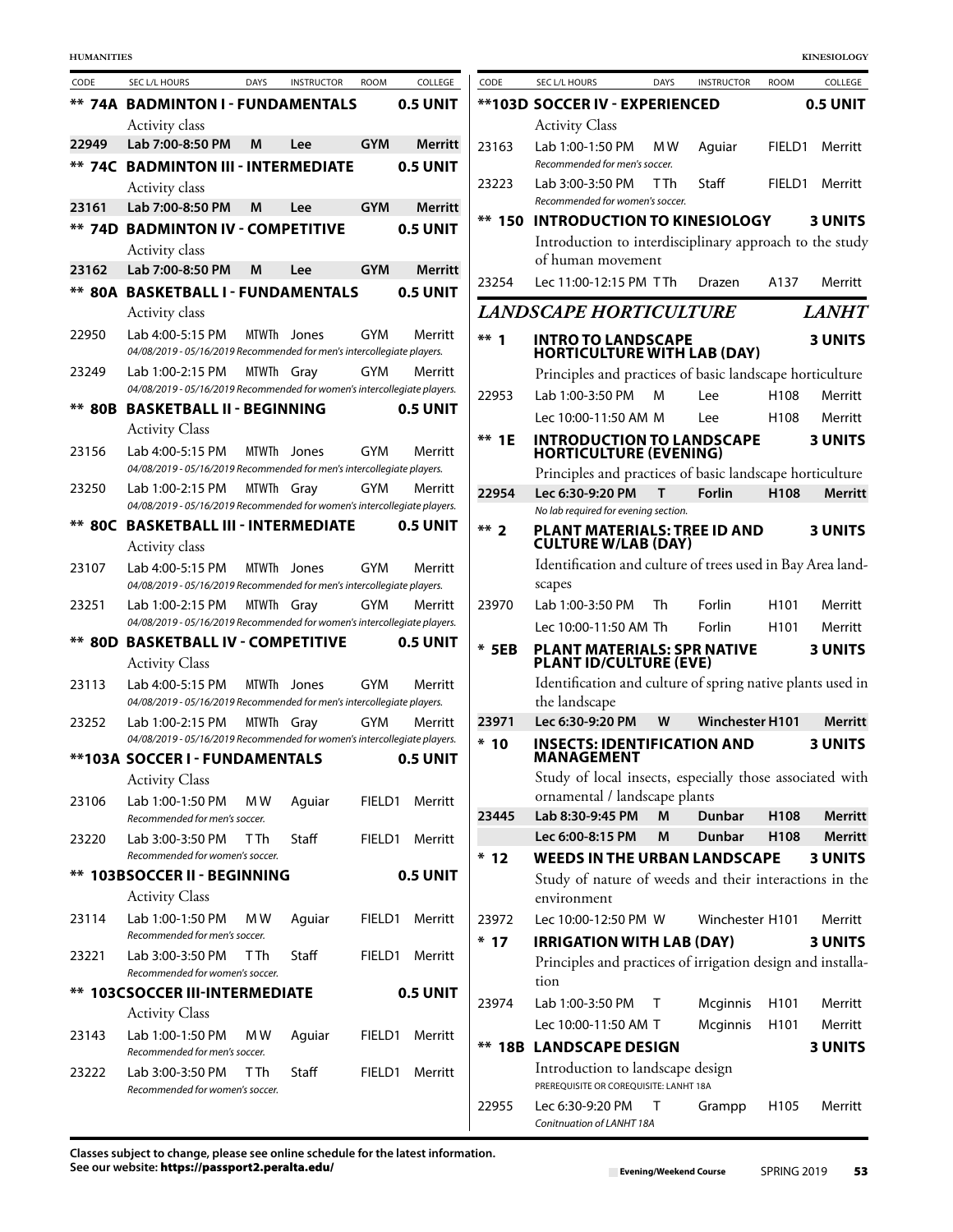| CODE   | SEC L/L HOURS                                                                                | DAYS            | <b>INSTRUCTOR</b> | <b>ROOM</b> | COLLEGE        | CODE    | SEC L/L HOURS                                                              | <b>DAYS</b>    | <b>INSTRUCTOR</b>      | <b>ROOM</b>      | COLLEGE         |
|--------|----------------------------------------------------------------------------------------------|-----------------|-------------------|-------------|----------------|---------|----------------------------------------------------------------------------|----------------|------------------------|------------------|-----------------|
|        | <b>** 74A BADMINTON I - FUNDAMENTALS</b>                                                     |                 |                   |             | 0.5 UNIT       |         | **103D SOCCER IV - EXPERIENCED                                             |                |                        |                  | <b>0.5 UNIT</b> |
|        | Activity class                                                                               |                 |                   |             |                |         | <b>Activity Class</b>                                                      |                |                        |                  |                 |
| 22949  | Lab 7:00-8:50 PM                                                                             | M               | Lee               | <b>GYM</b>  | <b>Merritt</b> | 23163   | Lab 1:00-1:50 PM                                                           | M <sub>W</sub> | Aquiar                 | FIELD1           | Merritt         |
|        | <b>** 74C BADMINTON III - INTERMEDIATE</b>                                                   |                 |                   |             | 0.5 UNIT       |         | Recommended for men's soccer.                                              |                |                        |                  |                 |
|        | Activity class                                                                               |                 |                   |             |                | 23223   | Lab 3:00-3:50 PM<br>Recommended for women's soccer.                        | T Th           | Staff                  | FIELD1           | Merritt         |
| 23161  | Lab 7:00-8:50 PM                                                                             | M               | Lee               | <b>GYM</b>  | Merritt        | ** 150  | <b>INTRODUCTION TO KINESIOLOGY</b>                                         |                |                        |                  | 3 UNITS         |
|        | <b>** 74D BADMINTON IV - COMPETITIVE</b>                                                     |                 |                   |             | 0.5 UNIT       |         | Introduction to interdisciplinary approach to the stud                     |                |                        |                  |                 |
|        | Activity class                                                                               |                 |                   |             |                |         | of human movement                                                          |                |                        |                  |                 |
| 23162  | Lab 7:00-8:50 PM                                                                             | M               | Lee               | <b>GYM</b>  | <b>Merritt</b> | 23254   | Lec 11:00-12:15 PM TTh                                                     |                | Drazen                 | A137             | Merritt         |
|        | <b>** 80A BASKETBALL I - FUNDAMENTALS</b>                                                    |                 |                   |             | 0.5 UNIT       |         |                                                                            |                |                        |                  |                 |
|        | Activity class                                                                               |                 |                   |             |                |         | <b>LANDSCAPE HORTICULTURE</b>                                              |                |                        |                  | <b>LANH'</b>    |
| 22950  | Lab 4:00-5:15 PM<br>04/08/2019 - 05/16/2019 Recommended for men's intercollegiate players.   |                 | MTWTh Jones       | <b>GYM</b>  | Merritt        | $***1$  | <b>INTRO TO LANDSCAPE</b><br><b>HORTICULTURE WITH LAB (DAY)</b>            |                |                        |                  | 3 UNITS         |
| 23249  | Lab 1:00-2:15 PM                                                                             | MTWTh Gray      |                   | <b>GYM</b>  | Merritt        |         | Principles and practices of basic landscape horticulture                   |                |                        |                  |                 |
|        | 04/08/2019 - 05/16/2019 Recommended for women's intercollegiate players.                     |                 |                   |             |                | 22953   | Lab 1:00-3:50 PM                                                           | M              | Lee                    | H108             | Merritt         |
| ** 80B | <b>BASKETBALL II - BEGINNING</b>                                                             |                 |                   |             | 0.5 UNIT       |         | Lec 10:00-11:50 AM M                                                       |                | Lee                    | H108             | Merritt         |
|        | <b>Activity Class</b>                                                                        |                 |                   |             |                | $**$ 1E | <b>INTRODUCTION TO LANDSCAPE</b>                                           |                |                        |                  | 3 UNITS         |
| 23156  | Lab 4:00-5:15 PM                                                                             |                 | MTWTh Jones       | GYM         | Merritt        |         | <b>HORTICULTURE (EVENING)</b>                                              |                |                        |                  |                 |
|        | 04/08/2019 - 05/16/2019 Recommended for men's intercollegiate players.                       |                 |                   |             |                |         | Principles and practices of basic landscape horticulture                   |                |                        |                  |                 |
| 23250  | Lab 1:00-2:15 PM<br>04/08/2019 - 05/16/2019 Recommended for women's intercollegiate players. | MTWTh Gray      |                   | GYM         | Merritt        | 22954   | Lec 6:30-9:20 PM                                                           | T              | <b>Forlin</b>          | H <sub>108</sub> | Merrit          |
|        | <b>** 80C BASKETBALL III - INTERMEDIATE</b>                                                  |                 |                   |             | 0.5 UNIT       | $***$ 2 | No lab required for evening section.<br>PLANT MATERIALS: TREE ID AND       |                |                        |                  | 3 UNITS         |
|        | Activity class                                                                               |                 |                   |             |                |         | <b>CULTURE W/LAB (DAY)</b>                                                 |                |                        |                  |                 |
| 23107  | Lab 4:00-5:15 PM                                                                             |                 | MTWTh Jones       | <b>GYM</b>  | Merritt        |         | Identification and culture of trees used in Bay Area land                  |                |                        |                  |                 |
|        | 04/08/2019 - 05/16/2019 Recommended for men's intercollegiate players.                       |                 |                   |             |                |         | scapes                                                                     |                |                        |                  |                 |
| 23251  | Lab 1:00-2:15 PM                                                                             | MTWTh Gray      |                   | <b>GYM</b>  | Merritt        | 23970   | Lab 1:00-3:50 PM                                                           | Th             | Forlin                 | H <sub>101</sub> | Merritt         |
|        | 04/08/2019 - 05/16/2019 Recommended for women's intercollegiate players.                     |                 |                   |             |                |         | Lec 10:00-11:50 AM Th                                                      |                | Forlin                 | H <sub>101</sub> | Merritt         |
|        | <b>** 80D BASKETBALL IV - COMPETITIVE</b>                                                    |                 |                   |             | 0.5 UNIT       | $*$ 5EB | PLANT MATERIALS: SPR NATIVE<br><b>PLANT ID/CULTURE (EVE)</b>               |                |                        |                  | 3 UNITS         |
| 23113  | <b>Activity Class</b><br>Lab 4:00-5:15 PM                                                    |                 | MTWTh Jones       | <b>GYM</b>  | Merritt        |         | Identification and culture of spring native plants used i                  |                |                        |                  |                 |
|        | 04/08/2019 - 05/16/2019 Recommended for men's intercollegiate players.                       |                 |                   |             |                |         | the landscape                                                              |                |                        |                  |                 |
| 23252  | Lab 1:00-2:15 PM                                                                             | MTWTh Gray      |                   | <b>GYM</b>  | Merritt        | 23971   | Lec 6:30-9:20 PM                                                           | W              | <b>Winchester H101</b> |                  | Merrit          |
|        | 04/08/2019 - 05/16/2019 Recommended for women's intercollegiate players.                     |                 |                   |             |                | $*10$   | <b>INSECTS: IDENTIFICATION AND</b>                                         |                |                        |                  | 3 UNITS         |
|        | **103A SOCCER I - FUNDAMENTALS                                                               |                 |                   |             | 0.5 UNIT       |         | <b>MANAGEMENT</b>                                                          |                |                        |                  |                 |
|        | <b>Activity Class</b>                                                                        |                 |                   |             |                |         | Study of local insects, especially those associated wit                    |                |                        |                  |                 |
| 23106  | Lab 1:00-1:50 PM                                                                             | M W             | Aguiar            | FIELD1      | Merritt        | 23445   | ornamental / landscape plants<br>Lab 8:30-9:45 PM                          | M              | Dunbar                 | H108             | Merrit          |
|        | Recommended for men's soccer.                                                                |                 |                   |             |                |         | Lec 6:00-8:15 PM                                                           | M              | Dunbar                 | H <sub>108</sub> | Merrit          |
| 23220  | Lab 3:00-3:50 PM<br>Recommended for women's soccer.                                          | T Th            | Staff             | FIELD1      | Merritt        | $*12$   | <b>WEEDS IN THE URBAN LANDSCAPE</b>                                        |                |                        |                  | 3 UNITS         |
|        | ** 103BSOCCER II - BEGINNING                                                                 |                 |                   |             | 0.5 UNIT       |         | Study of nature of weeds and their interactions in th                      |                |                        |                  |                 |
|        | <b>Activity Class</b>                                                                        |                 |                   |             |                |         | environment                                                                |                |                        |                  |                 |
| 23114  | Lab 1:00-1:50 PM                                                                             | M W             | Aguiar            | FIELD1      | Merritt        | 23972   | Lec 10:00-12:50 PM W                                                       |                | Winchester H101        |                  | Merritt         |
|        | Recommended for men's soccer.                                                                |                 |                   |             |                | $*17$   | <b>IRRIGATION WITH LAB (DAY)</b>                                           |                |                        |                  | 3 UNITS         |
| 23221  | Lab 3:00-3:50 PM                                                                             | T <sub>Th</sub> | Staff             | FIELD1      | Merritt        |         | Principles and practices of irrigation design and installa                 |                |                        |                  |                 |
|        | Recommended for women's soccer.                                                              |                 |                   |             |                |         | tion                                                                       |                |                        |                  |                 |
|        | <b>** 103CSOCCER III-INTERMEDIATE</b>                                                        |                 |                   |             | 0.5 UNIT       | 23974   | Lab 1:00-3:50 PM                                                           | T              | Mcginnis               | H <sub>101</sub> | Merritt         |
| 23143  | <b>Activity Class</b><br>Lab 1:00-1:50 PM                                                    | M W             |                   | FIELD1      | Merritt        |         | Lec 10:00-11:50 AM T                                                       |                | Mcginnis               | H <sub>101</sub> | Merritt         |
|        | Recommended for men's soccer.                                                                |                 | Aguiar            |             |                |         | <b>** 18B LANDSCAPE DESIGN</b>                                             |                |                        |                  | 3 UNITS         |
| 23222  | Lab 3:00-3:50 PM<br>Recommended for women's soccer.                                          | T Th            | Staff             | FIELD1      | Merritt        |         | Introduction to landscape design<br>PREREQUISITE OR COREQUISITE: LANHT 18A |                |                        |                  |                 |
|        |                                                                                              |                 |                   |             |                | 22955   | Lec 6:30-9:20 PM $\top$ Grampp                                             |                |                        | H <sub>105</sub> | Merritt         |

| CODE            | SEC L/L HOURS                                                                                   | <b>DAYS</b> | <b>INSTRUCTOR</b>      | <b>ROOM</b>      | COLLEGE        |
|-----------------|-------------------------------------------------------------------------------------------------|-------------|------------------------|------------------|----------------|
|                 | <b>**103D SOCCER IV - EXPERIENCED</b>                                                           |             |                        |                  | 0.5 UNIT       |
|                 | <b>Activity Class</b>                                                                           |             |                        |                  |                |
| 23163           | Lab 1:00-1:50 PM<br>Recommended for men's soccer.                                               | M W         | Aguiar                 | FIELD1           | Merritt        |
| 23223           | Lab 3:00-3:50 PM<br>Recommended for women's soccer.                                             | T Th        | Staff                  | FIELD1           | Merritt        |
| **<br>150       | <b>INTRODUCTION TO KINESIOLOGY</b>                                                              |             |                        |                  | <b>3 UNITS</b> |
|                 | Introduction to interdisciplinary approach to the study                                         |             |                        |                  |                |
|                 | of human movement                                                                               |             |                        |                  |                |
| 23254           | Lec 11:00-12:15 PM TTh                                                                          |             | Drazen                 |                  | A137 Merritt   |
|                 | <b>LANDSCAPE HORTICULTURE</b>                                                                   |             |                        |                  | <b>LANHT</b>   |
| $**$ 1          | <b>INTRO TO LANDSCAPE</b><br><b>HORTICULTURE WITH LAB (DAY)</b>                                 |             |                        |                  | <b>3 UNITS</b> |
|                 | Principles and practices of basic landscape horticulture                                        |             |                        |                  |                |
| 22953           | Lab 1:00-3:50 PM                                                                                | M           | Lee                    | H <sub>108</sub> | Merritt        |
|                 | Lec 10:00-11:50 AM M                                                                            |             | Lee                    | H108             | Merritt        |
| **<br>1E        | <b>INTRODUCTION TO LANDSCAPE</b><br><b>HORTICULTURE (EVENING)</b>                               |             |                        |                  | <b>3 UNITS</b> |
|                 | Principles and practices of basic landscape horticulture                                        |             |                        |                  |                |
| 22954           | Lec 6:30-9:20 PM                                                                                | T           | <b>Forlin</b>          | H108             | <b>Merritt</b> |
|                 | No lab required for evening section.                                                            |             |                        |                  |                |
| ** 2            | PLANT MATERIALS: TREE ID AND<br><b>CULTURE W/LAB (DAY)</b>                                      |             |                        |                  | <b>3 UNITS</b> |
|                 | Identification and culture of trees used in Bay Area land-<br>scapes                            |             |                        |                  |                |
| 23970           | Lab 1:00-3:50 PM Th                                                                             |             | Forlin                 | H <sub>101</sub> | Merritt        |
|                 | Lec 10:00-11:50 AM Th                                                                           |             | Forlin                 | H101             | Merritt        |
| $*$ 5EB         | PLANT MATERIALS: SPR NATIVE<br>PLANT ID/CULTURE (EVE)                                           |             |                        |                  | <b>3 UNITS</b> |
|                 | Identification and culture of spring native plants used in<br>the landscape                     |             |                        |                  |                |
| 23971           | Lec 6:30-9:20 PM                                                                                | W           | <b>Winchester H101</b> |                  | Merritt        |
| $*10$           | <b>INSECTS: IDENTIFICATION AND</b><br>MANAGEMENT                                                |             |                        |                  | <b>3 UNITS</b> |
|                 | Study of local insects, especially those associated with                                        |             |                        |                  |                |
|                 | ornamental / landscape plants                                                                   |             |                        |                  |                |
| 23445           | Lab 8:30-9:45 PM                                                                                | M           | Dunbar                 | H108             | <b>Merritt</b> |
|                 | Lec 6:00-8:15 PM                                                                                | M           | Dunbar                 | H <sub>108</sub> | <b>Merritt</b> |
| * 12            | <b>WEEDS IN THE URBAN LANDSCAPE</b>                                                             |             |                        |                  | <b>3 UNITS</b> |
|                 | Study of nature of weeds and their interactions in the<br>environment                           |             |                        |                  |                |
|                 | Lec 10:00-12:50 PM W                                                                            |             | Winchester H101        |                  |                |
| 23972<br>$* 17$ |                                                                                                 |             |                        |                  | Merritt        |
|                 | <b>IRRIGATION WITH LAB (DAY)</b><br>Principles and practices of irrigation design and installa- |             |                        |                  | <b>3 UNITS</b> |
|                 | tion                                                                                            |             |                        |                  |                |
| 23974           | Lab 1:00-3:50 PM                                                                                | т           | Mcginnis               | H101             | Merritt        |
|                 | Lec 10:00-11:50 AM T                                                                            |             | Mcginnis               | H <sub>101</sub> | Merritt        |
| **              | <b>18B LANDSCAPE DESIGN</b>                                                                     |             |                        |                  | <b>3 UNITS</b> |
|                 | Introduction to landscape design<br>PREREQUISITE OR COREQUISITE: LANHT 18A                      |             |                        |                  |                |
| 22955           | Lec 6:30-9:20 PM<br>Conitnuation of LANHT 18A                                                   | т           | Grampp                 | H105             | Merritt        |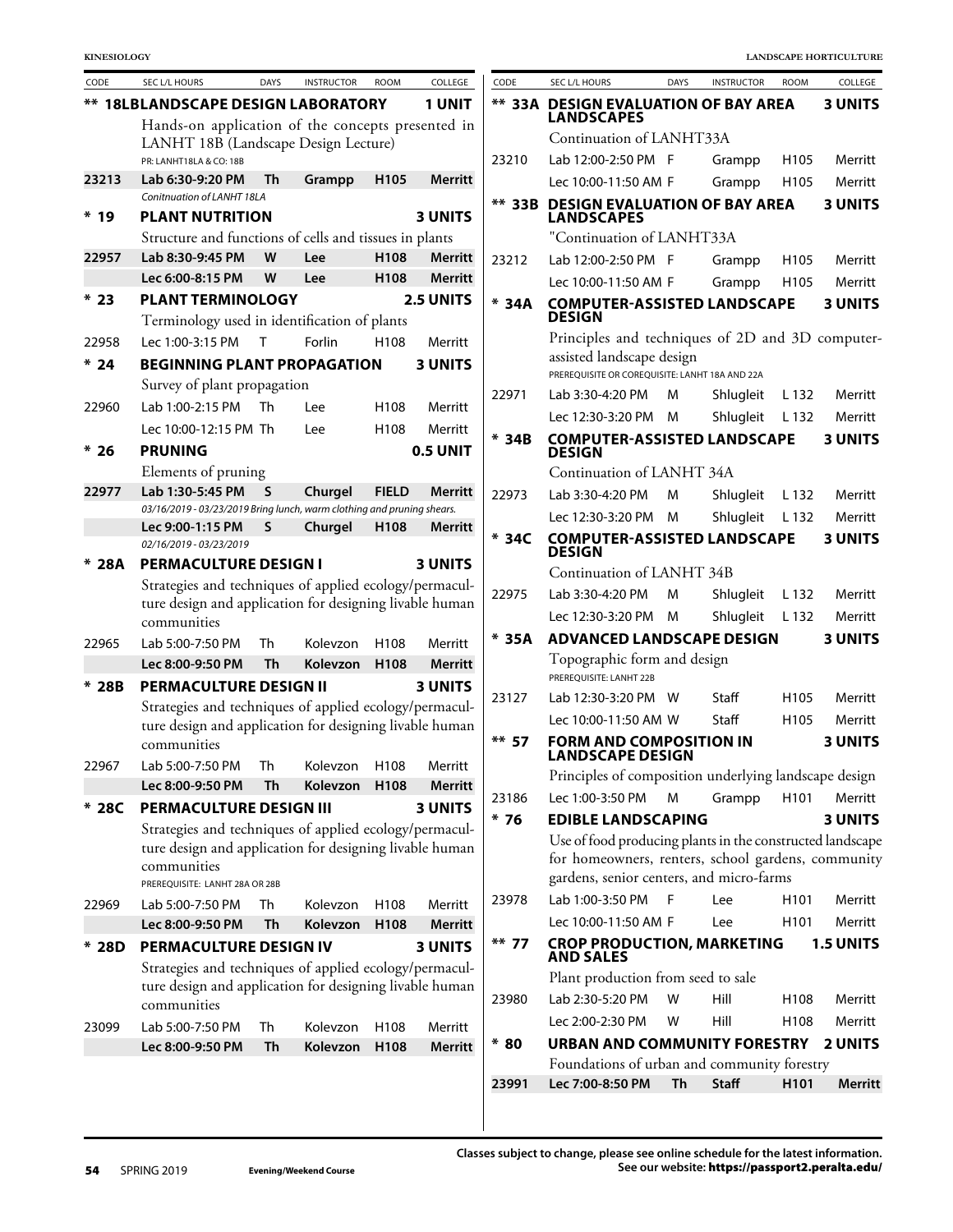| CODE            | SEC L/L HOURS                                                                              | <b>DAYS</b> | <b>INSTRUCTOR</b>        | <b>ROOM</b>      | COLLEGE        |
|-----------------|--------------------------------------------------------------------------------------------|-------------|--------------------------|------------------|----------------|
|                 | <b>** 18LBLANDSCAPE DESIGN LABORATORY</b>                                                  |             |                          |                  | <b>1 UNIT</b>  |
|                 | Hands-on application of the concepts presented in                                          |             |                          |                  |                |
|                 | LANHT 18B (Landscape Design Lecture)                                                       |             |                          |                  |                |
|                 | PR: LANHT18LA & CO: 18B                                                                    |             |                          |                  |                |
| 23213           | Lab 6:30-9:20 PM<br>Conitnuation of LANHT 18LA                                             | Th          | Grampp                   | H105             | Merritt        |
| $*19$           | <b>PLANT NUTRITION</b>                                                                     |             |                          |                  | <b>3 UNITS</b> |
|                 | Structure and functions of cells and tissues in plants                                     |             |                          |                  |                |
| 22957           | Lab 8:30-9:45 PM                                                                           | W           | Lee                      | H108             | <b>Merritt</b> |
|                 | Lec 6:00-8:15 PM                                                                           | W           | Lee                      | H <sub>108</sub> | Merritt        |
| $*23$           | <b>PLANT TERMINOLOGY</b>                                                                   |             |                          |                  | 2.5 UNITS      |
|                 | Terminology used in identification of plants                                               |             |                          |                  |                |
|                 | Lec 1:00-3:15 PM                                                                           |             | Forlin                   |                  |                |
| 22958           |                                                                                            | т           |                          | H108             | Merritt        |
| $* 24$          | <b>BEGINNING PLANT PROPAGATION</b>                                                         |             |                          |                  | <b>3 UNITS</b> |
|                 | Survey of plant propagation                                                                |             |                          |                  |                |
| 22960           | Lab 1:00-2:15 PM                                                                           | Th          | l ee                     | H108             | Merritt        |
|                 | Lec 10:00-12:15 PM Th                                                                      |             | Lee                      | H108             | Merritt        |
| * 26            | <b>PRUNING</b>                                                                             |             |                          |                  | 0.5 UNIT       |
|                 | Elements of pruning                                                                        |             |                          |                  |                |
| 22977           | Lab 1:30-5:45 PM                                                                           | S           | Churgel                  | <b>FIELD</b>     | Merritt        |
|                 | 03/16/2019 - 03/23/2019 Bring lunch, warm clothing and pruning shears.<br>Lec 9:00-1:15 PM | S           | Churgel                  | H <sub>108</sub> | Merritt        |
|                 | 02/16/2019 - 03/23/2019                                                                    |             |                          |                  |                |
| 28A             | <b>PERMACULTURE DESIGN I</b>                                                               |             |                          |                  | <b>3 UNITS</b> |
|                 | Strategies and techniques of applied ecology/permacul-                                     |             |                          |                  |                |
|                 | ture design and application for designing livable human                                    |             |                          |                  |                |
|                 | communities                                                                                |             |                          |                  |                |
| 22965           | Lab 5:00-7:50 PM                                                                           | Th          | Kolevzon                 | H108             | Merritt        |
|                 | Lec 8:00-9:50 PM                                                                           | Th          | Kolevzon                 | H108             | <b>Merritt</b> |
| $* 28B$         | <b>PERMACULTURE DESIGN II</b>                                                              |             |                          |                  | <b>3 UNITS</b> |
|                 | Strategies and techniques of applied ecology/permacul-                                     |             |                          |                  |                |
|                 | ture design and application for designing livable human                                    |             |                          |                  |                |
|                 | communities                                                                                |             |                          |                  |                |
| 22967           | Lab 5:00-7:50 PM                                                                           |             | Th Kolevzon H108 Merritt |                  |                |
|                 | Lec 8:00-9:50 PM                                                                           | Th          | Kolevzon                 | H108             | <b>Merritt</b> |
| $*28C$          | <b>PERMACULTURE DESIGN III</b>                                                             |             |                          |                  | <b>3 UNITS</b> |
|                 | Strategies and techniques of applied ecology/permacul-                                     |             |                          |                  |                |
|                 | ture design and application for designing livable human                                    |             |                          |                  |                |
|                 | communities                                                                                |             |                          |                  |                |
|                 | PREREQUISITE: LANHT 28A OR 28B                                                             |             |                          |                  |                |
| 22969           | Lab 5:00-7:50 PM                                                                           | Th          | Kolevzon                 | H108             | Merritt        |
|                 | Lec 8:00-9:50 PM                                                                           | Th          | Kolevzon                 | H108             | <b>Merritt</b> |
| <b>28D</b><br>x | <b>PERMACULTURE DESIGN IV</b>                                                              |             |                          |                  | <b>3 UNITS</b> |
|                 | Strategies and techniques of applied ecology/permacul-                                     |             |                          |                  |                |
|                 | ture design and application for designing livable human                                    |             |                          |                  |                |
|                 | communities                                                                                |             |                          |                  |                |
| 23099           | Lab 5:00-7:50 PM                                                                           | Th          | Kolevzon                 | H108             | Merritt        |
|                 | Lec 8:00-9:50 PM                                                                           | Th          | Kolevzon                 | H108             | <b>Merritt</b> |

| CODE      | SEC L/L HOURS                                                                                                                   | <b>DAYS</b> | <b>INSTRUCTOR</b> | <b>ROOM</b>      | COLLEGE          |
|-----------|---------------------------------------------------------------------------------------------------------------------------------|-------------|-------------------|------------------|------------------|
| ** 33A    | <b>DESIGN EVALUATION OF BAY AREA</b><br><b>LANDSCAPES</b>                                                                       |             |                   |                  | <b>3 UNITS</b>   |
|           | Continuation of LANHT33A                                                                                                        |             |                   |                  |                  |
| 23210     | Lab 12:00-2:50 PM                                                                                                               | - F         | Grampp            | H <sub>105</sub> | Merritt          |
|           | Lec 10:00-11:50 AM F                                                                                                            |             | Grampp            | H <sub>105</sub> | Merritt          |
| **<br>33B | <b>DESIGN EVALUATION OF BAY AREA</b><br><b>LANDSCAPES</b>                                                                       |             |                   |                  | <b>3 UNITS</b>   |
|           | "Continuation of LANHT33A                                                                                                       |             |                   |                  |                  |
| 23212     | Lab 12:00-2:50 PM                                                                                                               | - F         | Grampp            | H <sub>105</sub> | Merritt          |
|           | Lec 10:00-11:50 AM F                                                                                                            |             | Grampp            | H105             | Merritt          |
| *<br>34A  | <b>COMPUTER-ASSISTED LANDSCAPE</b><br><b>DESIGN</b>                                                                             |             |                   |                  | <b>3 UNITS</b>   |
|           | Principles and techniques of 2D and 3D computer-<br>assisted landscape design<br>PREREOUISITE OR COREOUISITE: LANHT 18A AND 22A |             |                   |                  |                  |
| 22971     | Lab 3:30-4:20 PM                                                                                                                | м           | Shlugleit         | L 132            | Merritt          |
|           | Lec 12:30-3:20 PM                                                                                                               | м           | Shlugleit         | L 132            | Merritt          |
| * 34B     | <b>COMPUTER-ASSISTED LANDSCAPE</b><br>DESIGN                                                                                    |             |                   |                  | <b>3 UNITS</b>   |
|           | Continuation of LANHT 34A                                                                                                       |             |                   |                  |                  |
| 22973     | Lab 3:30-4:20 PM                                                                                                                | M           | Shlugleit         | L 132            | Merritt          |
|           | Lec 12:30-3:20 PM                                                                                                               | M           | Shlugleit         | L 132            | Merritt          |
| * 34C     | <b>COMPUTER-ASSISTED LANDSCAPE</b><br><b>DESIGN</b>                                                                             |             |                   |                  | <b>3 UNITS</b>   |
|           | Continuation of LANHT 34B                                                                                                       |             |                   |                  |                  |
| 22975     | Lab 3:30-4:20 PM                                                                                                                | M           | Shlugleit         | L 132            | Merritt          |
|           | Lec 12:30-3:20 PM                                                                                                               | М           | Shlugleit         | L 132            | Merritt          |
| * 35A     | <b>ADVANCED LANDSCAPE DESIGN</b>                                                                                                |             |                   |                  | <b>3 UNITS</b>   |
|           | Topographic form and design<br>PREREOUISITE: LANHT 22B                                                                          |             |                   |                  |                  |
| 23127     | Lab 12:30-3:20 PM                                                                                                               | W           | Staff             | H105             | Merritt          |
|           | Lec 10:00-11:50 AM W                                                                                                            |             | Staff             | H105             | Merritt          |
| **<br>-57 | FORM AND COMPOSITION IN<br><b>LANDSCAPE DESIGN</b>                                                                              |             |                   |                  | <b>3 UNITS</b>   |
|           | Principles of composition underlying landscape design                                                                           |             |                   |                  |                  |
| 23186     | Lec 1:00-3:50 PM                                                                                                                | Μ           | Grampp            | H <sub>101</sub> | Merritt          |
| * 76      | <b>EDIBLE LANDSCAPING</b>                                                                                                       |             |                   |                  | 3 UNITS          |
|           | Use of food producing plants in the constructed landscape                                                                       |             |                   |                  |                  |
|           | for homeowners, renters, school gardens, community                                                                              |             |                   |                  |                  |
|           | gardens, senior centers, and micro-farms                                                                                        |             |                   |                  |                  |
| 23978     | Lab 1:00-3:50 PM                                                                                                                | - F         | Lee               | H <sub>101</sub> | Merritt          |
|           | Lec 10:00-11:50 AM F                                                                                                            |             | Lee               | H <sub>101</sub> | Merritt          |
| ** 77     | <b>CROP PRODUCTION, MARKETING<br/>AND SALES</b>                                                                                 |             |                   |                  | <b>1.5 UNITS</b> |
|           | Plant production from seed to sale                                                                                              |             |                   |                  |                  |
| 23980     | Lab 2:30-5:20 PM                                                                                                                | w           | Hill              | H108             | Merritt          |
|           | Lec 2:00-2:30 PM                                                                                                                | w           | Hill              | H108             | Merritt          |
| * 80      | URBAN AND COMMUNITY FORESTRY                                                                                                    |             |                   |                  | <b>2 UNITS</b>   |
|           | Foundations of urban and community forestry                                                                                     |             |                   |                  |                  |
| 23991     | Lec 7:00-8:50 PM                                                                                                                | Th          | <b>Staff</b>      | H101             | Merritt          |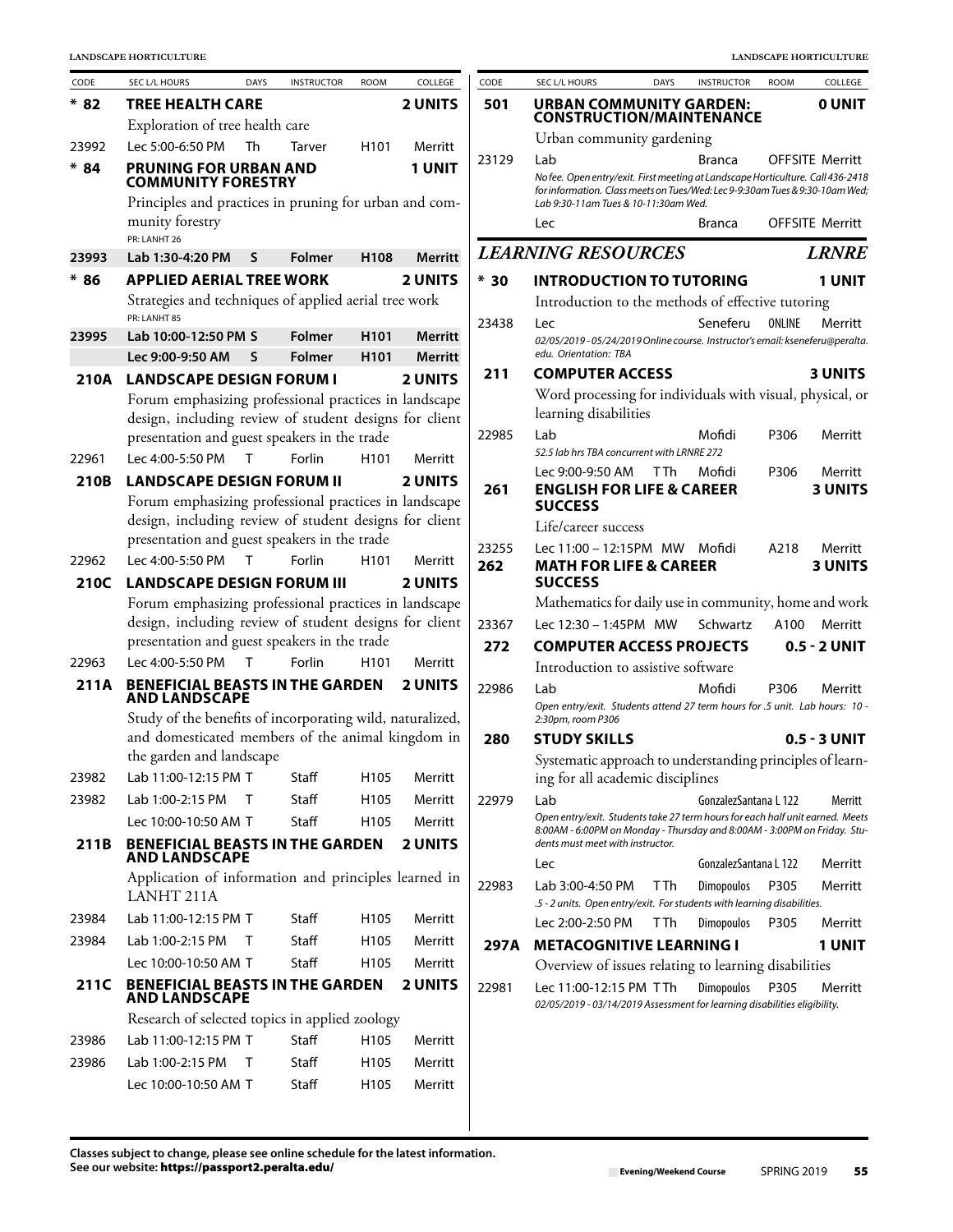| CODE  | SEC L/L HOURS                                                                                                   | <b>DAYS</b>  | <b>INSTRUCTOR</b> | <b>ROOM</b>      | COLLEGE                          | CODE  | SEC L/L HOURS<br><b>DAYS</b>                                                                                                                                           | <b>INSTRUCTOR</b>     | <b>ROOM</b> | COLLEGE                   |
|-------|-----------------------------------------------------------------------------------------------------------------|--------------|-------------------|------------------|----------------------------------|-------|------------------------------------------------------------------------------------------------------------------------------------------------------------------------|-----------------------|-------------|---------------------------|
| $*82$ | <b>TREE HEALTH CARE</b>                                                                                         |              |                   |                  | <b>2 UNITS</b>                   | 501   | <b>URBAN COMMUNITY GARDEN:</b>                                                                                                                                         |                       |             | 0 UNIT                    |
|       | Exploration of tree health care                                                                                 |              |                   |                  |                                  |       | <b>CONSTRUCTION/MAINTENANCE</b>                                                                                                                                        |                       |             |                           |
| 23992 | Lec 5:00-6:50 PM                                                                                                | Th           | Tarver            | H <sub>101</sub> | Merritt                          |       | Urban community gardening                                                                                                                                              |                       |             |                           |
| $*84$ | <b>PRUNING FOR URBAN AND</b><br><b>COMMUNITY FORESTRY</b>                                                       |              |                   |                  | <b>1 UNIT</b>                    | 23129 | Lab<br>No fee. Open entry/exit. First meeting at Landscape Horticulture. Call 436-2418<br>for information. Class meets on Tues/Wed: Lec 9-9:30am Tues & 9:30-10am Wed; | <b>Branca</b>         |             | <b>OFFSITE Merritt</b>    |
|       | Principles and practices in pruning for urban and com-                                                          |              |                   |                  |                                  |       | Lab 9:30-11 am Tues & 10-11:30 am Wed.                                                                                                                                 |                       |             |                           |
|       | munity forestry<br>PR: LANHT 26                                                                                 |              |                   |                  |                                  |       | Lec                                                                                                                                                                    | Branca                |             | <b>OFFSITE Merritt</b>    |
| 23993 | Lab 1:30-4:20 PM                                                                                                | S            | <b>Folmer</b>     | H108             | <b>Merritt</b>                   |       | <b>LEARNING RESOURCES</b>                                                                                                                                              |                       |             | <b>LRNRE</b>              |
| $*86$ | <b>APPLIED AERIAL TREE WORK</b>                                                                                 |              |                   |                  | <b>2 UNITS</b>                   | $*30$ | <b>INTRODUCTION TO TUTORING</b>                                                                                                                                        |                       |             | <b>1 UNIT</b>             |
|       | Strategies and techniques of applied aerial tree work                                                           |              |                   |                  |                                  |       | Introduction to the methods of effective tutoring                                                                                                                      |                       |             |                           |
|       | PR: LANHT 85                                                                                                    |              |                   |                  |                                  | 23438 | Lec                                                                                                                                                                    | Seneferu              | ONLINE      | Merritt                   |
| 23995 | Lab 10:00-12:50 PM S                                                                                            |              | <b>Folmer</b>     | H <sub>101</sub> | Merritt                          |       | 02/05/2019 - 05/24/2019 Online course. Instructor's email: kseneferu@peralta.<br>edu. Orientation: TBA                                                                 |                       |             |                           |
|       | Lec 9:00-9:50 AM<br><b>LANDSCAPE DESIGN FORUM I</b>                                                             | S            | <b>Folmer</b>     | H <sub>101</sub> | <b>Merritt</b><br><b>2 UNITS</b> | 211   | <b>COMPUTER ACCESS</b>                                                                                                                                                 |                       |             | <b>3 UNITS</b>            |
| 210A  | Forum emphasizing professional practices in landscape                                                           |              |                   |                  |                                  |       | Word processing for individuals with visual, physical, or                                                                                                              |                       |             |                           |
|       | design, including review of student designs for client                                                          |              |                   |                  |                                  |       | learning disabilities                                                                                                                                                  |                       |             |                           |
|       | presentation and guest speakers in the trade                                                                    |              |                   |                  |                                  | 22985 | Lab                                                                                                                                                                    | Mofidi                | P306        | Merritt                   |
| 22961 | Lec 4:00-5:50 PM                                                                                                | T            | Forlin            | H <sub>101</sub> | Merritt                          |       | 52.5 lab hrs TBA concurrent with LRNRE 272                                                                                                                             |                       |             |                           |
| 210B  | <b>LANDSCAPE DESIGN FORUM II</b>                                                                                |              |                   |                  | <b>2 UNITS</b>                   | 261   | Lec 9:00-9:50 AM<br>T Th<br><b>ENGLISH FOR LIFE &amp; CAREER</b>                                                                                                       | Mofidi                | P306        | Merritt<br><b>3 UNITS</b> |
|       | Forum emphasizing professional practices in landscape                                                           |              |                   |                  |                                  |       | <b>SUCCESS</b>                                                                                                                                                         |                       |             |                           |
|       | design, including review of student designs for client                                                          |              |                   |                  |                                  |       | Life/career success                                                                                                                                                    |                       |             |                           |
|       | presentation and guest speakers in the trade                                                                    |              |                   |                  |                                  | 23255 | Lec 11:00 - 12:15PM MW Mofidi                                                                                                                                          |                       | A218        | Merritt                   |
| 22962 | Lec 4:00-5:50 PM                                                                                                | $\mathsf{T}$ | Forlin            | H <sub>101</sub> | Merritt                          | 262   | <b>MATH FOR LIFE &amp; CAREER</b>                                                                                                                                      |                       |             | <b>3 UNITS</b>            |
| 210C  | <b>LANDSCAPE DESIGN FORUM III</b>                                                                               |              |                   |                  | <b>2 UNITS</b>                   |       | <b>SUCCESS</b>                                                                                                                                                         |                       |             |                           |
|       | Forum emphasizing professional practices in landscape<br>design, including review of student designs for client |              |                   |                  |                                  |       | Mathematics for daily use in community, home and work                                                                                                                  | Schwartz              |             |                           |
|       | presentation and guest speakers in the trade                                                                    |              |                   |                  |                                  | 23367 | Lec 12:30 - 1:45PM MW                                                                                                                                                  |                       | A100        | Merritt                   |
| 22963 | Lec 4:00-5:50 PM                                                                                                | $\top$       | Forlin            | H <sub>101</sub> | Merritt                          | 272   | <b>COMPUTER ACCESS PROJECTS</b><br>Introduction to assistive software                                                                                                  |                       |             | 0.5 - 2 UNIT              |
| 211A  | <b>BENEFICIAL BEASTS IN THE GARDEN</b>                                                                          |              |                   |                  | <b>2 UNITS</b>                   | 22986 | Lab                                                                                                                                                                    | Mofidi                | P306        | Merritt                   |
|       | <b>AND LANDSCAPE</b>                                                                                            |              |                   |                  |                                  |       | Open entry/exit. Students attend 27 term hours for .5 unit. Lab hours: 10 -                                                                                            |                       |             |                           |
|       | Study of the benefits of incorporating wild, naturalized,                                                       |              |                   |                  |                                  |       | 2:30pm, room P306                                                                                                                                                      |                       |             |                           |
|       | and domesticated members of the animal kingdom in<br>the garden and landscape                                   |              |                   |                  |                                  | 280   | <b>STUDY SKILLS</b>                                                                                                                                                    |                       |             | 0.5 - 3 UNIT              |
| 23982 | Lab 11:00-12:15 PM T                                                                                            |              | Staff             | H105             | Merritt                          |       | Systematic approach to understanding principles of learn-<br>ing for all academic disciplines                                                                          |                       |             |                           |
| 23982 | Lab 1:00-2:15 PM                                                                                                | T            | Staff             | H <sub>105</sub> | Merritt                          | 22979 | Lab                                                                                                                                                                    | GonzalezSantana L 122 |             | Merritt                   |
|       | Lec 10:00-10:50 AM T                                                                                            |              | Staff             | H <sub>105</sub> | Merritt                          |       | Open entry/exit. Students take 27 term hours for each half unit earned. Meets                                                                                          |                       |             |                           |
| 211B  | <b>BENEFICIAL BEASTS IN THE GARDEN</b>                                                                          |              |                   |                  | <b>2 UNITS</b>                   |       | 8:00AM - 6:00PM on Monday - Thursday and 8:00AM - 3:00PM on Friday. Stu-<br>dents must meet with instructor.                                                           |                       |             |                           |
|       | <b>AND LANDSCAPE</b>                                                                                            |              |                   |                  |                                  |       | Lec                                                                                                                                                                    | GonzalezSantana L 122 |             | Merritt                   |
|       | Application of information and principles learned in<br>LANHT 211A                                              |              |                   |                  |                                  | 22983 | Lab 3:00-4:50 PM<br>T Th<br>.5 - 2 units. Open entry/exit. For students with learning disabilities.                                                                    | <b>Dimopoulos</b>     | P305        | Merritt                   |
| 23984 | Lab 11:00-12:15 PM T                                                                                            |              | Staff             | H <sub>105</sub> | Merritt                          |       | <b>TTh</b><br>Lec 2:00-2:50 PM                                                                                                                                         | <b>Dimopoulos</b>     | P305        | Merritt                   |
| 23984 | Lab 1:00-2:15 PM                                                                                                | Τ            | Staff             | H105             | Merritt                          | 297A  | <b>METACOGNITIVE LEARNING I</b>                                                                                                                                        |                       |             | <b>1 UNIT</b>             |
|       | Lec 10:00-10:50 AM T                                                                                            |              | Staff             | H <sub>105</sub> | Merritt                          |       | Overview of issues relating to learning disabilities                                                                                                                   |                       |             |                           |
| 211C  | <b>BENEFICIAL BEASTS IN THE GARDEN</b><br>AND LANDSCAPE                                                         |              |                   |                  | <b>2 UNITS</b>                   | 22981 | Lec 11:00-12:15 PM TTh<br>02/05/2019 - 03/14/2019 Assessment for learning disabilities eligibility.                                                                    | <b>Dimopoulos</b>     | P305        | Merritt                   |
|       | Research of selected topics in applied zoology                                                                  |              |                   |                  |                                  |       |                                                                                                                                                                        |                       |             |                           |
| 23986 | Lab 11:00-12:15 PM T                                                                                            |              | Staff             | H <sub>105</sub> | Merritt                          |       |                                                                                                                                                                        |                       |             |                           |
| 23986 | Lab 1:00-2:15 PM                                                                                                | T            | Staff             | H105             | Merritt                          |       |                                                                                                                                                                        |                       |             |                           |
|       | Lec 10:00-10:50 AM T                                                                                            |              | Staff             | H <sub>105</sub> | Merritt                          |       |                                                                                                                                                                        |                       |             |                           |
|       |                                                                                                                 |              |                   |                  |                                  |       |                                                                                                                                                                        |                       |             |                           |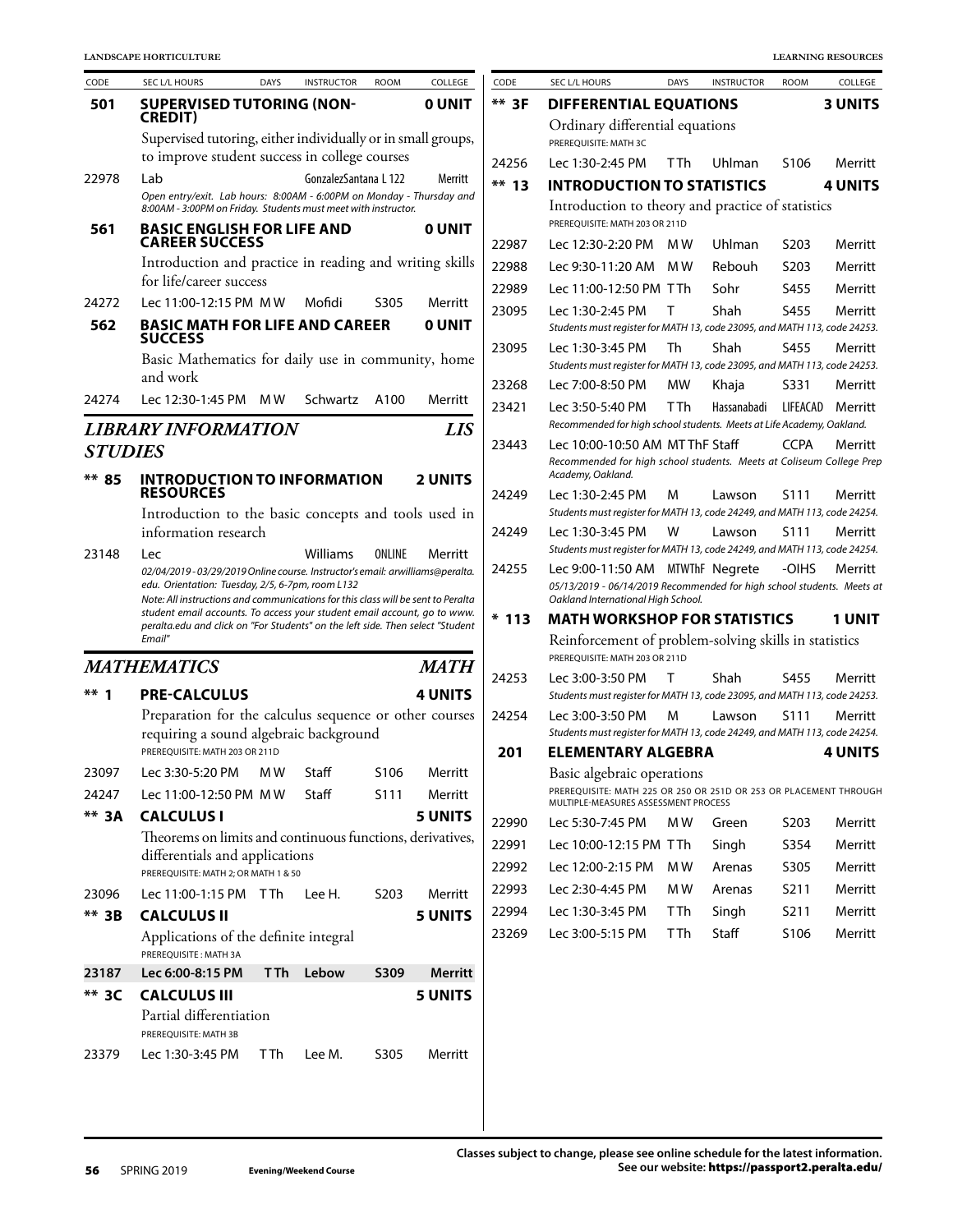| CODE           | SEC L/L HOURS                                                                                                                                                                                                                                                                                                | <b>DAYS</b> | <b>INSTRUCTOR</b>     | <b>ROOM</b>      | COLLEGE        |
|----------------|--------------------------------------------------------------------------------------------------------------------------------------------------------------------------------------------------------------------------------------------------------------------------------------------------------------|-------------|-----------------------|------------------|----------------|
| 501            | <b>SUPERVISED TUTORING (NON-</b><br><b>CREDIT)</b>                                                                                                                                                                                                                                                           |             |                       |                  | <b>O UNIT</b>  |
|                | Supervised tutoring, either individually or in small groups,<br>to improve student success in college courses                                                                                                                                                                                                |             |                       |                  |                |
| 22978          | Lab<br>Open entry/exit. Lab hours: 8:00AM - 6:00PM on Monday - Thursday and<br>8:00AM - 3:00PM on Friday. Students must meet with instructor.                                                                                                                                                                |             | GonzalezSantana L 122 |                  | Merritt        |
| 561            | <b>BASIC ENGLISH FOR LIFE AND</b><br><b>CAREER SUCCESS</b>                                                                                                                                                                                                                                                   |             |                       |                  | <b>O UNIT</b>  |
|                | Introduction and practice in reading and writing skills<br>for life/career success                                                                                                                                                                                                                           |             |                       |                  |                |
| 24272          | Lec 11:00-12:15 PM MW                                                                                                                                                                                                                                                                                        |             | Mofidi                | S305             | Merritt        |
| 562            | <b>BASIC MATH FOR LIFE AND CAREER</b><br><b>SUCCESS</b>                                                                                                                                                                                                                                                      |             |                       |                  | <b>O UNIT</b>  |
|                | Basic Mathematics for daily use in community, home<br>and work                                                                                                                                                                                                                                               |             |                       |                  |                |
| 24274          | Lec 12:30-1:45 PM                                                                                                                                                                                                                                                                                            | M W         | Schwartz              | A100             | Merritt        |
|                | <b>LIBRARY INFORMATION</b>                                                                                                                                                                                                                                                                                   |             |                       |                  | <b>LIS</b>     |
| <b>STUDIES</b> |                                                                                                                                                                                                                                                                                                              |             |                       |                  |                |
| ** 85          | <b>INTRODUCTION TO INFORMATION</b><br><b>RESOURCES</b>                                                                                                                                                                                                                                                       |             |                       |                  | <b>2 UNITS</b> |
|                | Introduction to the basic concepts and tools used in<br>information research                                                                                                                                                                                                                                 |             |                       |                  |                |
|                | edu. Orientation: Tuesday, 2/5, 6-7pm, room L132<br>Note: All instructions and communications for this class will be sent to Peralta<br>student email accounts. To access your student email account, go to www.<br>peralta.edu and click on "For Students" on the left side. Then select "Student<br>Email" |             |                       |                  |                |
|                | MATHEMATICS                                                                                                                                                                                                                                                                                                  |             |                       |                  | <b>MATH</b>    |
| **<br>1        | <b>PRE-CALCULUS</b>                                                                                                                                                                                                                                                                                          |             |                       |                  | 4 UNITS        |
|                | Preparation for the calculus sequence or other courses<br>requiring a sound algebraic background<br>PREREQUISITE: MATH 203 OR 211D                                                                                                                                                                           |             |                       |                  |                |
| 23097          | Lec 3:30-5:20 PM MW Staff                                                                                                                                                                                                                                                                                    |             |                       | S106             | Merritt        |
| 24247          | Lec 11:00-12:50 PM MW                                                                                                                                                                                                                                                                                        |             | Staff                 | S111             | Merritt        |
| ** 3A          | <b>CALCULUS I</b>                                                                                                                                                                                                                                                                                            |             |                       |                  | <b>5 UNITS</b> |
|                | Theorems on limits and continuous functions, derivatives,<br>differentials and applications<br>PREREQUISITE: MATH 2; OR MATH 1 & 50                                                                                                                                                                          |             |                       |                  |                |
| 23096          | Lec 11:00-1:15 PM TTh Lee H.                                                                                                                                                                                                                                                                                 |             |                       | S <sub>203</sub> | Merritt        |
| ** 3B          | <b>CALCULUS II</b><br>Applications of the definite integral<br>PREREQUISITE: MATH 3A                                                                                                                                                                                                                         |             |                       |                  | <b>5 UNITS</b> |
| 23187          | Lec 6:00-8:15 PM                                                                                                                                                                                                                                                                                             | T Th        | Lebow                 | <b>S309</b>      | <b>Merritt</b> |
| ** 3C          | <b>CALCULUS III</b><br>Partial differentiation                                                                                                                                                                                                                                                               |             |                       |                  | <b>5 UNITS</b> |
| 23379          | PREREQUISITE: MATH 3B<br>Lec 1:30-3:45 PM                                                                                                                                                                                                                                                                    | T Th        | Lee M.                | S305             | Merritt        |

| CODE    | <b>SEC L/L HOURS</b>                                                                                                                             | <b>DAYS</b> | <b>INSTRUCTOR</b> | <b>ROOM</b>      | COLLEGE        |
|---------|--------------------------------------------------------------------------------------------------------------------------------------------------|-------------|-------------------|------------------|----------------|
| ** 3F   | <b>DIFFERENTIAL EQUATIONS</b>                                                                                                                    |             |                   |                  | <b>3 UNITS</b> |
|         | Ordinary differential equations<br>PREREQUISITE: MATH 3C                                                                                         |             |                   |                  |                |
| 24256   | Lec 1:30-2:45 PM                                                                                                                                 | T Th        | Uhlman            | S <sub>106</sub> | Merritt        |
| $**$ 13 | INTRODUCTION TO STATISTICS                                                                                                                       |             |                   |                  | <b>4 UNITS</b> |
|         | Introduction to theory and practice of statistics<br>PREREQUISITE: MATH 203 OR 211D                                                              |             |                   |                  |                |
| 22987   | Lec 12:30-2:20 PM                                                                                                                                | M W         | Uhlman            | S <sub>203</sub> | Merritt        |
| 22988   | Lec 9:30-11:20 AM                                                                                                                                | M W         | Rebouh            | S203             | Merritt        |
| 22989   | Lec 11:00-12:50 PM_T Th                                                                                                                          |             | Sohr              | S455             | Merritt        |
| 23095   | Lec 1:30-2:45 PM<br>Students must register for MATH 13, code 23095, and MATH 113, code 24253.                                                    | т           | Shah              | S455             | Merritt        |
| 23095   | Lec 1:30-3:45 PM<br>Students must register for MATH 13, code 23095, and MATH 113, code 24253.                                                    | Th          | Shah              | S455             | Merritt        |
| 23268   | Lec 7:00-8:50 PM                                                                                                                                 | МW          | Khaja             | S331             | Merritt        |
| 23421   | Lec 3:50-5:40 PM<br>Recommended for high school students. Meets at Life Academy, Oakland.                                                        | T Th        | Hassanabadi       | LIFEACAD         | Merritt        |
| 23443   | Lec 10:00-10:50 AM MT ThF Staff<br>Recommended for high school students. Meets at Coliseum College Prep<br>Academy, Oakland.                     |             |                   | <b>CCPA</b>      | Merritt        |
| 24249   | Lec 1:30-2:45 PM<br>Students must register for MATH 13, code 24249, and MATH 113, code 24254.                                                    | м           | Lawson            | S111             | Merritt        |
| 24249   | Lec 1:30-3:45 PM<br>Students must register for MATH 13, code 24249, and MATH 113, code 24254.                                                    | w           | Lawson            | S111             | Merritt        |
| 24255   | Lec 9:00-11:50 AM MTWThF Negrete<br>05/13/2019 - 06/14/2019 Recommended for high school students. Meets at<br>Oakland International High School. |             |                   | -OIHS            | Merritt        |
| * 113   | MATH WORKSHOP FOR STATISTICS                                                                                                                     |             |                   |                  | 1 UNIT         |
|         | Reinforcement of problem-solving skills in statistics<br>PREREQUISITE: MATH 203 OR 211D                                                          |             |                   |                  |                |
| 24253   | Lec 3:00-3:50 PM<br>Students must register for MATH 13, code 23095, and MATH 113, code 24253.                                                    | т           | Shah              | S455             | Merritt        |
| 24254   | Lec 3:00-3:50 PM<br>Students must register for MATH 13, code 24249, and MATH 113, code 24254.                                                    | м           | Lawson            | S111             | Merritt        |
| 201     | <b>ELEMENTARY ALGEBRA</b>                                                                                                                        |             |                   |                  | <b>4 UNITS</b> |
|         | Basic algebraic operations<br>PREREQUISITE: MATH 225 OR 250 OR 251D OR 253 OR PLACEMENT THROUGH<br>MULTIPLE-MEASURES ASSESSMENT PROCESS          |             |                   |                  |                |
| 22990   | Lec 5:30-7:45 PM                                                                                                                                 | M W         | Green             | S203             | Merritt        |
| 22991   | Lec 10:00-12:15 PM TTh                                                                                                                           |             | Singh             | S354             | Merritt        |
| 22992   | Lec 12:00-2:15 PM                                                                                                                                | M W         | Arenas            | S305             | Merritt        |
| 22993   | Lec 2:30-4:45 PM                                                                                                                                 | M W         | Arenas            | <b>S211</b>      | Merritt        |
| 22994   | Lec 1:30-3:45 PM                                                                                                                                 | T Th        | Singh             | S211             | Merritt        |
| 23269   | Lec 3:00-5:15 PM                                                                                                                                 | <b>TTh</b>  | Staff             | S106             | Merritt        |
|         |                                                                                                                                                  |             |                   |                  |                |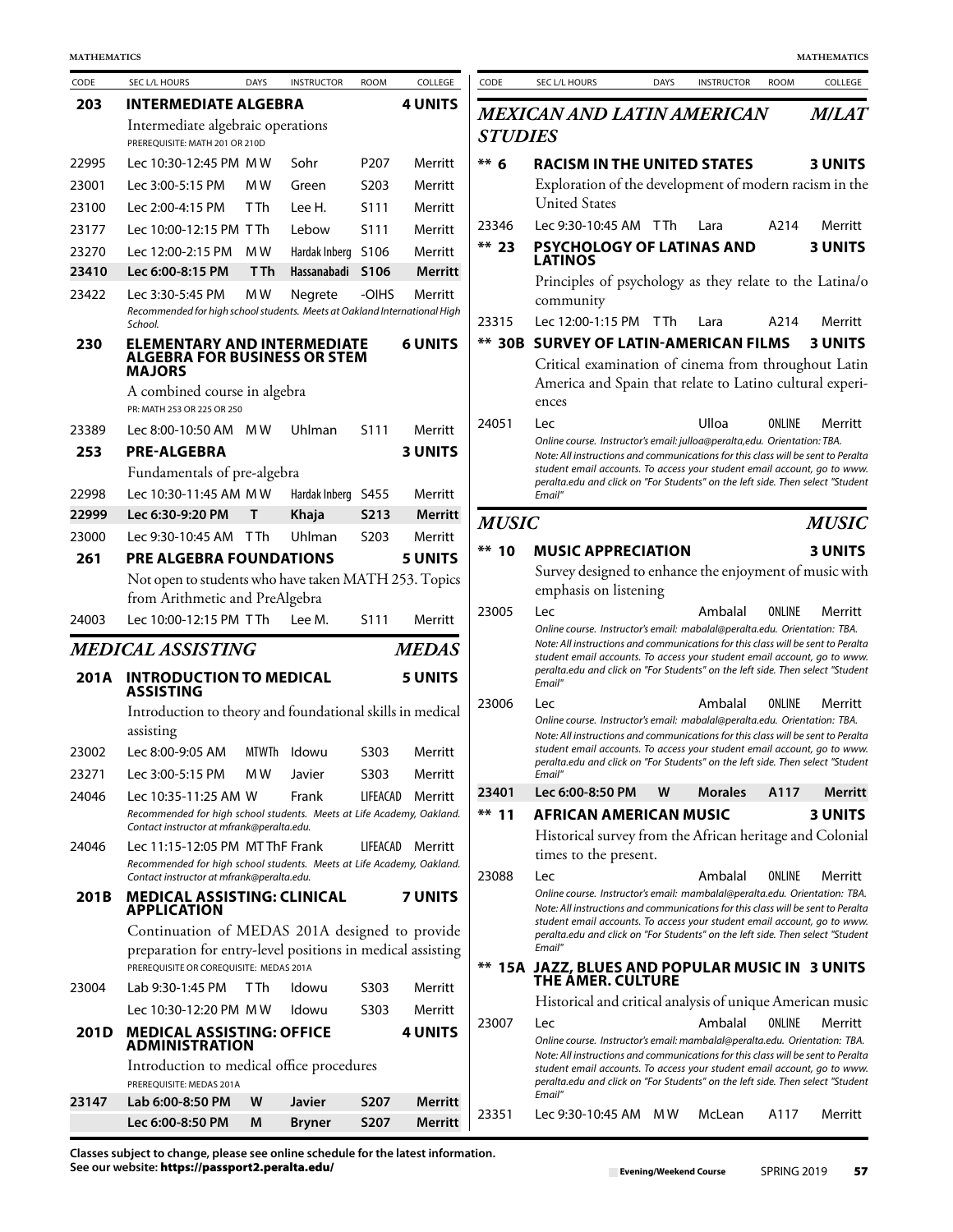| CODE  | <b>SEC L/L HOURS</b>                                                                                               | <b>DAYS</b> | <b>INSTRUCTOR</b> | <b>ROOM</b>       | COLLEGE        |
|-------|--------------------------------------------------------------------------------------------------------------------|-------------|-------------------|-------------------|----------------|
| 203   | <b>INTERMEDIATE ALGEBRA</b>                                                                                        |             |                   |                   | <b>4 UNITS</b> |
|       | Intermediate algebraic operations<br>PREREOUISITE: MATH 201 OR 210D                                                |             |                   |                   |                |
| 22995 | Lec 10:30-12:45 PM MW                                                                                              |             | Sohr              | P <sub>207</sub>  | Merritt        |
| 23001 | Lec 3:00-5:15 PM                                                                                                   | M W         | Green             | S203              | Merritt        |
| 23100 | Lec 2:00-4:15 PM                                                                                                   | T Th        | Lee H.            | S111              | Merritt        |
| 23177 | Lec 10:00-12:15 PM_T Th                                                                                            |             | Lebow             | S111              | Merritt        |
| 23270 | Lec 12:00-2:15 PM                                                                                                  | M W         | Hardak Inberg     | S106              | Merritt        |
| 23410 | Lec 6:00-8:15 PM                                                                                                   | T Th        | Hassanabadi       | S106              | <b>Merritt</b> |
| 23422 | Lec 3:30-5:45 PM<br>Recommended for high school students. Meets at Oakland International High<br>School.           | M W         | Negrete           | -OIHS             | Merritt        |
| 230   | <b>ELEMENTARY AND INTERMEDIATE</b><br>ALGEBRA FOR BUSINESS OR STEM<br><b>MAJORS</b>                                |             |                   |                   | <b>6 UNITS</b> |
|       | A combined course in algebra<br>PR: MATH 253 OR 225 OR 250                                                         |             |                   |                   |                |
| 23389 | Lec 8:00-10:50 AM                                                                                                  | M W         | Uhlman            | S111              | Merritt        |
| 253   | <b>PRE-ALGEBRA</b>                                                                                                 |             |                   |                   | <b>3 UNITS</b> |
|       | Fundamentals of pre-algebra                                                                                        |             |                   |                   |                |
| 22998 | Lec 10:30-11:45 AM MW                                                                                              |             | Hardak Inberg     | S455              | Merritt        |
| 22999 | Lec 6:30-9:20 PM                                                                                                   | т           | Khaja             | S <sub>2</sub> 13 | <b>Merritt</b> |
| 23000 | Lec 9:30-10:45 AM                                                                                                  | T Th        | Uhlman            | S203              | Merritt        |
| 261   | <b>PRE ALGEBRA FOUNDATIONS</b>                                                                                     |             |                   |                   | <b>5 UNITS</b> |
|       | Not open to students who have taken MATH 253. Topics                                                               |             |                   |                   |                |
|       | from Arithmetic and PreAlgebra                                                                                     |             |                   |                   |                |
| 24003 | Lec 10:00-12:15 PM TTh                                                                                             |             | Lee M.            | S111              | Merritt        |
|       | <i><b>MEDICAL ASSISTING</b></i>                                                                                    |             |                   |                   | <b>MEDAS</b>   |
| 201A  | <b>INTRODUCTION TO MEDICAL</b><br>ASSISTING                                                                        |             |                   |                   | <b>5 UNITS</b> |
|       |                                                                                                                    |             |                   |                   |                |
|       | Introduction to theory and foundational skills in medical<br>assisting                                             |             |                   |                   |                |
| 23002 | Lec 8:00-9:05 AM                                                                                                   | MTWTh       | Idowu             | S303              | Merritt        |
| 23271 | Lec 3:00-5:15 PM                                                                                                   | M W         | Javier            | S303              | Merritt        |
| 24046 | Lec 10:35-11:25 AM W                                                                                               |             | Frank             | LIFEACAD          | Merritt        |
|       | Recommended for high school students. Meets at Life Academy, Oakland.<br>Contact instructor at mfrank@peralta.edu. |             |                   |                   |                |
| 24046 | Lec 11:15-12:05 PM MT ThF Frank<br>Recommended for high school students. Meets at Life Academy, Oakland.           |             |                   | LIFEACAD          | Merritt        |
| 201B  | Contact instructor at mfrank@peralta.edu.<br><b>MEDICAL ASSISTING: CLINICAL</b><br><b>APPLICATION</b>              |             |                   |                   | <b>7 UNITS</b> |
|       | Continuation of MEDAS 201A designed to provide                                                                     |             |                   |                   |                |
|       | preparation for entry-level positions in medical assisting                                                         |             |                   |                   |                |
|       | PREREOUISITE OR COREOUISITE: MEDAS 201A                                                                            |             |                   |                   |                |
| 23004 | Lab 9:30-1:45 PM                                                                                                   | T Th        | ldowu             | S303              | Merritt        |
|       | Lec 10:30-12:20 PM MW                                                                                              |             | Idowu             | S303              | Merritt        |
| 201D  | <b>MEDICAL ASSISTING: OFFICE</b><br><b>ADMINISTRATION</b>                                                          |             |                   |                   | <b>4 UNITS</b> |
|       | Introduction to medical office procedures<br>PREREOUISITE: MEDAS 201A                                              |             |                   |                   |                |
| 23147 | Lab 6:00-8:50 PM                                                                                                   | W           | Javier            | <b>S207</b>       | Merritt        |

| CODE  | SEC L/L HOURS                                                                                                      | <b>DAYS</b>    | <b>INSTRUCTOR</b>  | <b>ROOM</b> | COLLEGE          | CODE           | SEC L/L HOURS                                                                                                                                                                                                                                  | <b>DAYS</b> | <b>INSTRUCTOR</b> | <b>ROOM</b> | COLLEGE        |
|-------|--------------------------------------------------------------------------------------------------------------------|----------------|--------------------|-------------|------------------|----------------|------------------------------------------------------------------------------------------------------------------------------------------------------------------------------------------------------------------------------------------------|-------------|-------------------|-------------|----------------|
| 203   | <b>INTERMEDIATE ALGEBRA</b>                                                                                        |                |                    |             | <b>4 UNITS</b>   |                | <b>MEXICAN AND LATIN AMERICAN</b>                                                                                                                                                                                                              |             |                   |             | <b>M/LAT</b>   |
|       | Intermediate algebraic operations<br>PREREQUISITE: MATH 201 OR 210D                                                |                |                    |             |                  | <b>STUDIES</b> |                                                                                                                                                                                                                                                |             |                   |             |                |
| 22995 | Lec 10:30-12:45 PM MW                                                                                              |                | Sohr               | P207        | Merritt          | $** 6$         | <b>RACISM IN THE UNITED STATES</b>                                                                                                                                                                                                             |             |                   |             | <b>3 UNITS</b> |
| 23001 | Lec 3:00-5:15 PM                                                                                                   | M W            | Green              | S203        | Merritt          |                | Exploration of the development of modern racism in the                                                                                                                                                                                         |             |                   |             |                |
| 23100 | Lec 2:00-4:15 PM                                                                                                   | T Th           | Lee H.             | S111        | Merritt          |                | <b>United States</b>                                                                                                                                                                                                                           |             |                   |             |                |
| 23177 | Lec 10:00-12:15 PM TTh                                                                                             |                | Lebow              | S111        | Merritt          | 23346          | Lec 9:30-10:45 AM TTh                                                                                                                                                                                                                          |             | Lara              | A214        | Merritt        |
| 23270 | Lec 12:00-2:15 PM                                                                                                  | M <sub>W</sub> | Hardak Inberg S106 |             | Merritt          | $**$ 23        | PSYCHOLOGY OF LATINAS AND<br><b>LATINOS</b>                                                                                                                                                                                                    |             |                   |             | <b>3 UNITS</b> |
| 23410 | Lec 6:00-8:15 PM                                                                                                   | T Th           | Hassanabadi S106   |             | <b>Merritt</b>   |                | Principles of psychology as they relate to the Latina/o                                                                                                                                                                                        |             |                   |             |                |
| 23422 | Lec 3:30-5:45 PM                                                                                                   | M W            | Negrete            | -OIHS       | Merritt          |                | community                                                                                                                                                                                                                                      |             |                   |             |                |
|       | Recommended for high school students. Meets at Oakland International High<br>School.                               |                |                    |             |                  | 23315          | Lec 12:00-1:15 PM                                                                                                                                                                                                                              | T Th        | Lara              | A214        | Merritt        |
| 230   | <b>ELEMENTARY AND INTERMEDIATE</b>                                                                                 |                |                    |             | <b>6 UNITS</b>   |                | <b>** 30B SURVEY OF LATIN-AMERICAN FILMS</b>                                                                                                                                                                                                   |             |                   |             | <b>3 UNITS</b> |
|       | <b>ALGEBRA FOR BUSINESS OR STEM</b><br><b>MAJORS</b>                                                               |                |                    |             |                  |                | Critical examination of cinema from throughout Latin<br>America and Spain that relate to Latino cultural experi-                                                                                                                               |             |                   |             |                |
|       | A combined course in algebra<br>PR: MATH 253 OR 225 OR 250                                                         |                |                    |             |                  |                | ences                                                                                                                                                                                                                                          |             |                   |             |                |
| 23389 | Lec 8:00-10:50 AM MW                                                                                               |                | Uhlman             | S111        | Merritt          | 24051          | Lec<br>Online course. Instructor's email: julloa@peralta,edu. Orientation: TBA.                                                                                                                                                                |             | Ulloa             | ONLINE      | Merritt        |
| 253   | <b>PRE-ALGEBRA</b>                                                                                                 |                |                    |             | <b>3 UNITS</b>   |                | Note: All instructions and communications for this class will be sent to Peralta                                                                                                                                                               |             |                   |             |                |
|       | Fundamentals of pre-algebra                                                                                        |                |                    |             |                  |                | student email accounts. To access your student email account, go to www.<br>peralta.edu and click on "For Students" on the left side. Then select "Student                                                                                     |             |                   |             |                |
| 22998 | Lec 10:30-11:45 AM MW                                                                                              |                | Hardak Inberg S455 |             | Merritt          |                | Email"                                                                                                                                                                                                                                         |             |                   |             |                |
| 22999 | Lec 6:30-9:20 PM                                                                                                   | T              | Khaja              | <b>S213</b> | <b>Merritt</b>   | <b>MUSIC</b>   |                                                                                                                                                                                                                                                |             |                   |             | <b>MUSIC</b>   |
| 23000 | Lec 9:30-10:45 AM TTh                                                                                              |                | Uhlman             | S203        | Merritt          | $**$ 10        | <b>MUSIC APPRECIATION</b>                                                                                                                                                                                                                      |             |                   |             | <b>3 UNITS</b> |
| 261   | PRE ALGEBRA FOUNDATIONS                                                                                            |                |                    |             | <b>5 UNITS</b>   |                | Survey designed to enhance the enjoyment of music with                                                                                                                                                                                         |             |                   |             |                |
|       | Not open to students who have taken MATH 253. Topics<br>from Arithmetic and PreAlgebra                             |                |                    |             |                  |                | emphasis on listening                                                                                                                                                                                                                          |             |                   |             |                |
| 24003 | Lec 10:00-12:15 PM TTh                                                                                             |                | Lee M.             | S111        | Merritt          | 23005          | Lec<br>Online course. Instructor's email: mabalal@peralta.edu. Orientation: TBA.                                                                                                                                                               |             | Ambalal           | ONLINE      | Merritt        |
|       | MEDICAL ASSISTING                                                                                                  |                |                    |             | <b>MEDAS</b>     |                | Note: All instructions and communications for this class will be sent to Peralta<br>student email accounts. To access your student email account, go to www.                                                                                   |             |                   |             |                |
|       | 201A INTRODUCTION TO MEDICAL<br><b>ASSISTING</b>                                                                   |                |                    |             | <b>5 UNITS</b>   |                | peralta.edu and click on "For Students" on the left side. Then select "Student<br>Email"                                                                                                                                                       |             |                   |             |                |
|       | Introduction to theory and foundational skills in medical                                                          |                |                    |             |                  | 23006          | Lec<br>Online course. Instructor's email: mabalal@peralta.edu. Orientation: TBA.                                                                                                                                                               |             | Ambalal           | ONLINE      | Merritt        |
|       | assisting                                                                                                          |                |                    |             |                  |                | Note: All instructions and communications for this class will be sent to Peralta                                                                                                                                                               |             |                   |             |                |
| 23002 | Lec 8:00-9:05 AM                                                                                                   |                | MTWTh Idowu        | S303        | Merritt          |                | student email accounts. To access your student email account, go to www.<br>peralta.edu and click on "For Students" on the left side. Then select "Student                                                                                     |             |                   |             |                |
| 23271 | Lec 3:00-5:15 PM                                                                                                   | M W            | Javier             | S303        | Merritt          |                | Email"                                                                                                                                                                                                                                         |             |                   |             |                |
| 24046 | Lec 10:35-11:25 AM W                                                                                               |                | Frank              | LIFEACAD    | Merritt          | 23401          | Lec 6:00-8:50 PM                                                                                                                                                                                                                               | W           | <b>Morales</b>    | A117        | Merritt        |
|       | Recommended for high school students. Meets at Life Academy, Oakland.<br>Contact instructor at mfrank@peralta.edu. |                |                    |             |                  | $**$ 11        | <b>AFRICAN AMERICAN MUSIC</b>                                                                                                                                                                                                                  |             |                   |             | <b>3 UNITS</b> |
| 24046 | Lec 11:15-12:05 PM MT ThF Frank<br>Recommended for high school students. Meets at Life Academy, Oakland.           |                |                    |             | LIFEACAD Merritt |                | Historical survey from the African heritage and Colonial<br>times to the present.                                                                                                                                                              |             |                   |             |                |
|       | Contact instructor at mfrank@peralta.edu.                                                                          |                |                    |             |                  | 23088          | Lec                                                                                                                                                                                                                                            |             | Ambalal           | ONLINE      | Merritt        |
| 201B  | <b>MEDICAL ASSISTING: CLINICAL</b><br><b>APPLICATION</b>                                                           |                |                    |             | 7 UNITS          |                | Online course. Instructor's email: mambalal@peralta.edu. Orientation: TBA.<br>Note: All instructions and communications for this class will be sent to Peralta<br>student email accounts. To access your student email account, go to www.     |             |                   |             |                |
|       | Continuation of MEDAS 201A designed to provide                                                                     |                |                    |             |                  |                | peralta.edu and click on "For Students" on the left side. Then select "Student                                                                                                                                                                 |             |                   |             |                |
|       | preparation for entry-level positions in medical assisting<br>PREREQUISITE OR COREQUISITE: MEDAS 201A              |                |                    |             |                  |                | Email"<br>** 15A JAZZ, BLUES AND POPULAR MUSIC IN 3 UNITS                                                                                                                                                                                      |             |                   |             |                |
| 23004 | Lab 9:30-1:45 PM                                                                                                   | T Th           | Idowu              | S303        | Merritt          |                | THE AMER. CULTURE                                                                                                                                                                                                                              |             |                   |             |                |
|       | Lec 10:30-12:20 PM MW                                                                                              |                | Idowu              | S303        | Merritt          |                | Historical and critical analysis of unique American music                                                                                                                                                                                      |             |                   |             |                |
| 201D  | <b>MEDICAL ASSISTING: OFFICE</b><br><b>ADMINISTRATION</b>                                                          |                |                    |             | <b>4 UNITS</b>   | 23007          | Lec<br>Online course. Instructor's email: mambalal@peralta.edu. Orientation: TBA.                                                                                                                                                              |             | Ambalal           | ONLINE      | Merritt        |
|       | Introduction to medical office procedures<br>PREREQUISITE: MEDAS 201A                                              |                |                    |             |                  |                | Note: All instructions and communications for this class will be sent to Peralta<br>student email accounts. To access your student email account, go to www.<br>peralta.edu and click on "For Students" on the left side. Then select "Student |             |                   |             |                |
| 23147 | Lab 6:00-8:50 PM                                                                                                   | W              | <b>Javier</b>      | <b>S207</b> | <b>Merritt</b>   |                | Email"                                                                                                                                                                                                                                         |             |                   |             |                |
|       | Lec 6:00-8:50 PM                                                                                                   | M              | <b>Bryner</b>      | S207        | Merritt          | 23351          | Lec 9:30-10:45 AM MW                                                                                                                                                                                                                           |             | McLean            | A117        | Merritt        |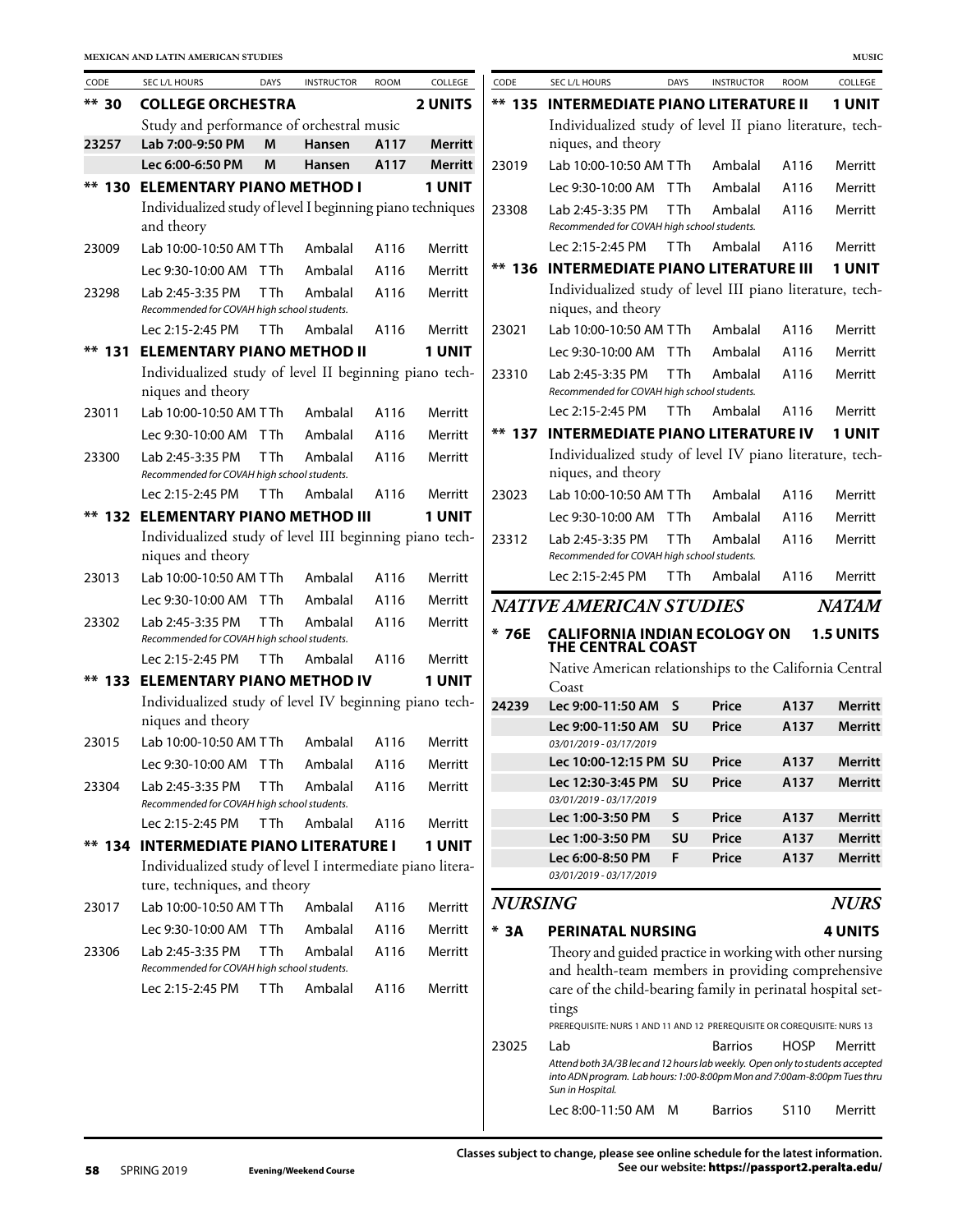| CODE     | SEC L/L HOURS                                                                              | <b>DAYS</b>     | <b>INSTRUCTOR</b> | <b>ROOM</b> | COLLEGE        | CODE           | SEC L/L HOURS                                                                                                                                                                        | DAYS        | <b>INSTRUCTOR</b> | <b>ROOM</b> | COLLEGE          |
|----------|--------------------------------------------------------------------------------------------|-----------------|-------------------|-------------|----------------|----------------|--------------------------------------------------------------------------------------------------------------------------------------------------------------------------------------|-------------|-------------------|-------------|------------------|
| $** 30$  | <b>COLLEGE ORCHESTRA</b>                                                                   |                 |                   |             | <b>2 UNITS</b> |                | <b>** 135 INTERMEDIATE PIANO LITERATURE II</b>                                                                                                                                       |             |                   |             | <b>1 UNIT</b>    |
|          | Study and performance of orchestral music                                                  |                 |                   |             |                |                | Individualized study of level II piano literature, tech-                                                                                                                             |             |                   |             |                  |
| 23257    | Lab 7:00-9:50 PM                                                                           | M               | Hansen            | A117        | <b>Merritt</b> |                | niques, and theory                                                                                                                                                                   |             |                   |             |                  |
|          | Lec 6:00-6:50 PM                                                                           | M               | Hansen            | A117        | <b>Merritt</b> | 23019          | Lab 10:00-10:50 AM TTh                                                                                                                                                               |             | Ambalal           | A116        | Merritt          |
|          | ** 130 ELEMENTARY PIANO METHOD I                                                           |                 |                   |             | 1 UNIT         |                | Lec 9:30-10:00 AM TTh                                                                                                                                                                |             | Ambalal           | A116        | Merritt          |
|          | Individualized study of level I beginning piano techniques<br>and theory                   |                 |                   |             |                | 23308          | Lab 2:45-3:35 PM<br>Recommended for COVAH high school students.                                                                                                                      | T Th        | Ambalal           | A116        | Merritt          |
| 23009    | Lab 10:00-10:50 AM TTh                                                                     |                 | Ambalal           | A116        | Merritt        |                | Lec 2:15-2:45 PM                                                                                                                                                                     | T Th        | Ambalal           | A116        | Merritt          |
|          | Lec 9:30-10:00 AM TTh                                                                      |                 | Ambalal           | A116        | Merritt        |                | <b>** 136 INTERMEDIATE PIANO LITERATURE III</b>                                                                                                                                      |             |                   |             | 1 UNIT           |
| 23298    | Lab 2:45-3:35 PM<br>Recommended for COVAH high school students.                            | <b>TTh</b>      | Ambalal           | A116        | Merritt        |                | Individualized study of level III piano literature, tech-<br>niques, and theory                                                                                                      |             |                   |             |                  |
|          | Lec 2:15-2:45 PM                                                                           | T Th            | Ambalal           | A116        | Merritt        | 23021          | Lab 10:00-10:50 AM TTh                                                                                                                                                               |             | Ambalal           | A116        | Merritt          |
| $**$ 131 | <b>ELEMENTARY PIANO METHOD II</b>                                                          |                 |                   |             | 1 UNIT         |                | Lec 9:30-10:00 AM TTh                                                                                                                                                                |             | Ambalal           | A116        | Merritt          |
|          | Individualized study of level II beginning piano tech-<br>niques and theory                |                 |                   |             |                | 23310          | Lab 2:45-3:35 PM<br>Recommended for COVAH high school students.                                                                                                                      | <b>TTh</b>  | Ambalal           | A116        | Merritt          |
| 23011    | Lab 10:00-10:50 AM TTh                                                                     |                 | Ambalal           | A116        | Merritt        |                | Lec 2:15-2:45 PM                                                                                                                                                                     | <b>TTh</b>  | Ambalal           | A116        | Merritt          |
|          | Lec 9:30-10:00 AM TTh                                                                      |                 | Ambalal           | A116        | Merritt        |                | <b>** 137 INTERMEDIATE PIANO LITERATURE IV</b>                                                                                                                                       |             |                   |             | 1 UNIT           |
| 23300    | Lab 2:45-3:35 PM<br>Recommended for COVAH high school students.                            | T <sub>Th</sub> | Ambalal           | A116        | Merritt        |                | Individualized study of level IV piano literature, tech-<br>niques, and theory                                                                                                       |             |                   |             |                  |
|          | Lec 2:15-2:45 PM                                                                           | T <sub>Th</sub> | Ambalal           | A116        | Merritt        | 23023          | Lab 10:00-10:50 AM TTh                                                                                                                                                               |             | Ambalal           | A116        | Merritt          |
|          | <b>** 132 ELEMENTARY PIANO METHOD III</b>                                                  |                 |                   |             | 1 UNIT         |                | Lec 9:30-10:00 AM TTh                                                                                                                                                                |             | Ambalal           | A116        | Merritt          |
|          | Individualized study of level III beginning piano tech-<br>niques and theory               |                 |                   |             |                | 23312          | Lab 2:45-3:35 PM<br>Recommended for COVAH high school students.                                                                                                                      | <b>T</b> Th | Ambalal           | A116        | Merritt          |
| 23013    | Lab 10:00-10:50 AM TTh                                                                     |                 | Ambalal           | A116        | Merritt        |                | Lec 2:15-2:45 PM                                                                                                                                                                     | <b>T</b> Th | Ambalal           | A116        | Merritt          |
|          | Lec 9:30-10:00 AM TTh                                                                      |                 | Ambalal           | A116        | Merritt        |                | <b>NATIVE AMERICAN STUDIES</b>                                                                                                                                                       |             |                   |             | <b>NATAM</b>     |
| 23302    | Lab 2:45-3:35 PM<br>Recommended for COVAH high school students.                            | T <sub>Th</sub> | Ambalal           | A116        | Merritt        | $*76E$         | <b>CALIFORNIA INDIAN ECOLOGY ON</b><br><b>THE CENTRAL COAST</b>                                                                                                                      |             |                   |             | <b>1.5 UNITS</b> |
|          | Lec 2:15-2:45 PM                                                                           | T Th            | Ambalal           | A116        | Merritt        |                | Native American relationships to the California Central                                                                                                                              |             |                   |             |                  |
|          | <b>** 133 ELEMENTARY PIANO METHOD IV</b>                                                   |                 |                   |             | 1 UNIT         |                | Coast                                                                                                                                                                                |             |                   |             |                  |
|          | Individualized study of level IV beginning piano tech-                                     |                 |                   |             |                | 24239          | Lec 9:00-11:50 AM S                                                                                                                                                                  |             | Price             | A137        | <b>Merritt</b>   |
|          | niques and theory                                                                          |                 |                   |             |                |                | Lec 9:00-11:50 AM                                                                                                                                                                    | <b>SU</b>   | Price             | A137        | <b>Merritt</b>   |
| 23015    | Lab 10:00-10:50 AM TTh                                                                     |                 | Ambalal           | A116        | Merritt        |                | 03/01/2019 - 03/17/2019                                                                                                                                                              |             |                   |             |                  |
|          | Lec 9:30-10:00 AM TTh                                                                      |                 | Ambalal           | A116        | Merritt        |                | Lec 10:00-12:15 PM SU                                                                                                                                                                |             | Price             | A137        | Merritt          |
| 23304    | Lab 2:45-3:35 PM<br>Recommended for COVAH high school students.                            | T Th            | Ambalal           | A116        | Merritt        |                | Lec 12:30-3:45 PM<br>03/01/2019 - 03/17/2019                                                                                                                                         | <b>SU</b>   | Price             | A137        | <b>Merritt</b>   |
|          | Lec 2:15-2:45 PM                                                                           | <b>TTh</b>      | Ambalal           | A116        | Merritt        |                | Lec 1:00-3:50 PM                                                                                                                                                                     | S           | Price             | A137        | <b>Merritt</b>   |
|          | <b>** 134 INTERMEDIATE PIANO LITERATURE I</b>                                              |                 |                   |             | 1 UNIT         |                | Lec 1:00-3:50 PM                                                                                                                                                                     | SU          | Price             | A137        | <b>Merritt</b>   |
|          | Individualized study of level I intermediate piano litera-<br>ture, techniques, and theory |                 |                   |             |                |                | Lec 6:00-8:50 PM<br>03/01/2019 - 03/17/2019                                                                                                                                          | F           | Price             | A137        | <b>Merritt</b>   |
| 23017    | Lab 10:00-10:50 AM TTh                                                                     |                 | Ambalal           | A116        | Merritt        | <b>NURSING</b> |                                                                                                                                                                                      |             |                   |             | <b>NURS</b>      |
|          | Lec 9:30-10:00 AM TTh                                                                      |                 | Ambalal           | A116        | Merritt        | $*$ 3A         | <b>PERINATAL NURSING</b>                                                                                                                                                             |             |                   |             | <b>4 UNITS</b>   |
| 23306    | Lab 2:45-3:35 PM<br>Recommended for COVAH high school students.                            | T Th            | Ambalal           | A116        | Merritt        |                | Theory and guided practice in working with other nursing<br>and health-team members in providing comprehensive                                                                       |             |                   |             |                  |
|          | Lec 2:15-2:45 PM                                                                           | T Th            | Ambalal           | A116        | Merritt        |                | care of the child-bearing family in perinatal hospital set-<br>tings                                                                                                                 |             |                   |             |                  |
|          |                                                                                            |                 |                   |             |                |                | PREREQUISITE: NURS 1 AND 11 AND 12 PREREQUISITE OR COREQUISITE: NURS 13                                                                                                              |             |                   |             |                  |
|          |                                                                                            |                 |                   |             |                | 23025          | Lab<br>Attend both 3A/3B lec and 12 hours lab weekly. Open only to students accepted<br>into ADN program. Lab hours: 1:00-8:00pm Mon and 7:00am-8:00pm Tues thru<br>Sun in Hospital. |             | <b>Barrios</b>    | <b>HOSP</b> | Merritt          |
|          |                                                                                            |                 |                   |             |                |                | Lec 8:00-11:50 AM M                                                                                                                                                                  |             | <b>Barrios</b>    | S110        | Merritt          |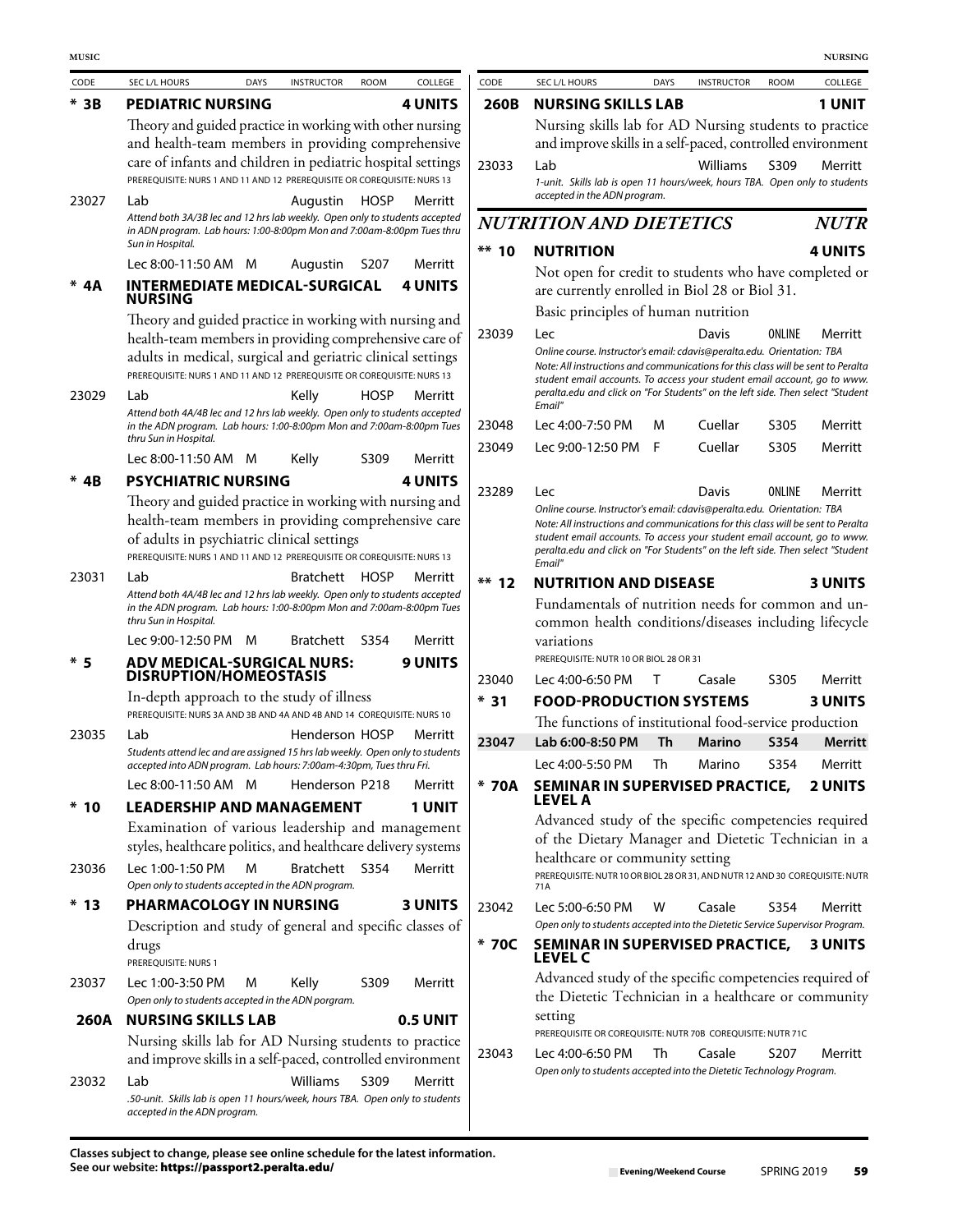| CODE   | SEC L/L HOURS                                                                                                                                                                | <b>DAYS</b> | <b>INSTRUCTOR</b> | <b>ROOM</b>       | COLLEGE         | CODE                                | SEC L/L HOURS                                                                                                                                                        | <b>DAYS</b> | <b>INSTRUCTOR</b> | <b>ROOM</b>       | COLLEGE        |  |
|--------|------------------------------------------------------------------------------------------------------------------------------------------------------------------------------|-------------|-------------------|-------------------|-----------------|-------------------------------------|----------------------------------------------------------------------------------------------------------------------------------------------------------------------|-------------|-------------------|-------------------|----------------|--|
| $*$ 3B | <b>PEDIATRIC NURSING</b>                                                                                                                                                     |             |                   |                   | <b>4 UNITS</b>  | 260B                                | <b>NURSING SKILLS LAB</b>                                                                                                                                            |             |                   |                   | <b>1 UNIT</b>  |  |
|        | Theory and guided practice in working with other nursing                                                                                                                     |             |                   |                   |                 |                                     | Nursing skills lab for AD Nursing students to practice                                                                                                               |             |                   |                   |                |  |
|        | and health-team members in providing comprehensive                                                                                                                           |             |                   |                   |                 |                                     | and improve skills in a self-paced, controlled environment                                                                                                           |             |                   |                   |                |  |
|        | care of infants and children in pediatric hospital settings<br>PREREOUISITE: NURS 1 AND 11 AND 12 PREREOUISITE OR COREOUISITE: NURS 13                                       |             |                   |                   |                 | 23033                               | Lab                                                                                                                                                                  |             | Williams          | S309              | Merritt        |  |
|        |                                                                                                                                                                              |             |                   |                   |                 |                                     | 1-unit. Skills lab is open 11 hours/week, hours TBA. Open only to students<br>accepted in the ADN program.                                                           |             |                   |                   |                |  |
| 23027  | Lab<br>Attend both 3A/3B lec and 12 hrs lab weekly. Open only to students accepted<br>in ADN program. Lab hours: 1:00-8:00pm Mon and 7:00am-8:00pm Tues thru                 |             | Augustin          | <b>HOSP</b>       | Merritt         |                                     | <b>NUTRITION AND DIETETICS</b>                                                                                                                                       |             |                   |                   | <b>NUTR</b>    |  |
|        | Sun in Hospital.                                                                                                                                                             |             |                   |                   |                 | $***$ 10                            | <b>NUTRITION</b>                                                                                                                                                     |             |                   |                   | 4 UNITS        |  |
|        | Lec 8:00-11:50 AM M                                                                                                                                                          |             | Augustin          | S <sub>2</sub> 07 | Merritt         |                                     | Not open for credit to students who have completed or                                                                                                                |             |                   |                   |                |  |
| * 4A   | <b>INTERMEDIATE MEDICAL-SURGICAL</b><br><b>NURSING</b>                                                                                                                       |             |                   |                   | <b>4 UNITS</b>  |                                     | are currently enrolled in Biol 28 or Biol 31.                                                                                                                        |             |                   |                   |                |  |
|        | Theory and guided practice in working with nursing and                                                                                                                       |             |                   |                   |                 | Basic principles of human nutrition |                                                                                                                                                                      |             |                   |                   |                |  |
|        | health-team members in providing comprehensive care of                                                                                                                       |             |                   |                   |                 | 23039                               | ONLINE<br>Merritt<br>Lec<br>Davis<br>Online course. Instructor's email: cdavis@peralta.edu. Orientation: TBA                                                         |             |                   |                   |                |  |
|        | adults in medical, surgical and geriatric clinical settings<br>PREREQUISITE: NURS 1 AND 11 AND 12 PREREQUISITE OR COREQUISITE: NURS 13                                       |             |                   |                   |                 |                                     | Note: All instructions and communications for this class will be sent to Peralta                                                                                     |             |                   |                   |                |  |
| 23029  | Lab                                                                                                                                                                          |             | Kelly             | <b>HOSP</b>       | Merritt         |                                     | student email accounts. To access your student email account, go to www.<br>peralta.edu and click on "For Students" on the left side. Then select "Student           |             |                   |                   |                |  |
|        | Attend both 4A/4B lec and 12 hrs lab weekly. Open only to students accepted                                                                                                  |             |                   |                   |                 |                                     | Email"                                                                                                                                                               |             |                   |                   |                |  |
|        | in the ADN program. Lab hours: 1:00-8:00pm Mon and 7:00am-8:00pm Tues<br>thru Sun in Hospital.                                                                               |             |                   |                   |                 | 23048                               | Lec 4:00-7:50 PM                                                                                                                                                     | м           | Cuellar           | S305              | Merritt        |  |
|        | Lec 8:00-11:50 AM M                                                                                                                                                          |             | Kelly             | S309              | Merritt         | 23049                               | Lec 9:00-12:50 PM F                                                                                                                                                  |             | Cuellar           | S305              | Merritt        |  |
| * 4B   | <b>PSYCHIATRIC NURSING</b>                                                                                                                                                   |             |                   |                   | <b>4 UNITS</b>  |                                     |                                                                                                                                                                      |             |                   |                   |                |  |
|        | Theory and guided practice in working with nursing and                                                                                                                       |             |                   |                   |                 | 23289                               | Lec<br>Online course. Instructor's email: cdavis@peralta.edu. Orientation: TBA                                                                                       |             | Davis             | ONLINE            | Merritt        |  |
|        | health-team members in providing comprehensive care<br>of adults in psychiatric clinical settings<br>PREREQUISITE: NURS 1 AND 11 AND 12 PREREQUISITE OR COREQUISITE: NURS 13 |             |                   |                   |                 |                                     | Note: All instructions and communications for this class will be sent to Peralta                                                                                     |             |                   |                   |                |  |
|        |                                                                                                                                                                              |             |                   |                   |                 |                                     | student email accounts. To access your student email account, go to www.<br>peralta.edu and click on "For Students" on the left side. Then select "Student<br>Email" |             |                   |                   |                |  |
| 23031  | Lab                                                                                                                                                                          |             | Bratchett         | <b>HOSP</b>       | Merritt         | $**$ 12                             | <b>NUTRITION AND DISEASE</b>                                                                                                                                         |             |                   |                   | <b>3 UNITS</b> |  |
|        | Attend both 4A/4B lec and 12 hrs lab weekly. Open only to students accepted<br>in the ADN program. Lab hours: 1:00-8:00pm Mon and 7:00am-8:00pm Tues                         |             |                   |                   |                 |                                     | Fundamentals of nutrition needs for common and un-                                                                                                                   |             |                   |                   |                |  |
|        | thru Sun in Hospital.                                                                                                                                                        |             |                   |                   |                 |                                     | common health conditions/diseases including lifecycle                                                                                                                |             |                   |                   |                |  |
|        | Lec 9:00-12:50 PM                                                                                                                                                            | M           | <b>Bratchett</b>  | S354              | Merritt         |                                     | variations<br>PREREQUISITE: NUTR 10 OR BIOL 28 OR 31                                                                                                                 |             |                   |                   |                |  |
| * 5    | <b>ADV MEDICAL-SURGICAL NURS:</b><br><b>DISRUPTION/HOMEOSTASIS</b>                                                                                                           |             |                   |                   | <b>9 UNITS</b>  | 23040                               | Lec 4:00-6:50 PM                                                                                                                                                     | T           | Casale            | S305              | Merritt        |  |
|        | In-depth approach to the study of illness                                                                                                                                    |             |                   |                   |                 | $*31$                               | <b>FOOD-PRODUCTION SYSTEMS</b>                                                                                                                                       |             |                   |                   | <b>3 UNITS</b> |  |
|        | PREREQUISITE: NURS 3A AND 3B AND 4A AND 4B AND 14 COREQUISITE: NURS 10                                                                                                       |             |                   |                   |                 |                                     | The functions of institutional food-service production                                                                                                               |             |                   |                   |                |  |
| 23035  | Lab<br>Students attend lec and are assigned 15 hrs lab weekly. Open only to students                                                                                         |             | Henderson HOSP    |                   | Merritt         | 23047                               | Lab 6:00-8:50 PM                                                                                                                                                     | <b>Th</b>   | <b>Marino</b>     | S354              | <b>Merritt</b> |  |
|        | accepted into ADN program. Lab hours: 7:00am-4:30pm, Tues thru Fri.                                                                                                          |             |                   |                   |                 |                                     | Lec 4:00-5:50 PM                                                                                                                                                     | Th          | Marino            | S354              | Merritt        |  |
|        | Lec 8:00-11:50 AM M                                                                                                                                                          |             | Henderson P218    |                   | Merritt         | * 70A                               | SEMINAR IN SUPERVISED PRACTICE,<br>LEVEL A                                                                                                                           |             |                   |                   | <b>2 UNITS</b> |  |
| $*10$  | <b>LEADERSHIP AND MANAGEMENT</b>                                                                                                                                             |             |                   |                   | <b>1 UNIT</b>   |                                     | Advanced study of the specific competencies required                                                                                                                 |             |                   |                   |                |  |
|        | Examination of various leadership and management                                                                                                                             |             |                   |                   |                 |                                     | of the Dietary Manager and Dietetic Technician in a                                                                                                                  |             |                   |                   |                |  |
| 23036  | styles, healthcare politics, and healthcare delivery systems<br>Lec 1:00-1:50 PM                                                                                             | M           | Bratchett S354    |                   | Merritt         |                                     | healthcare or community setting                                                                                                                                      |             |                   |                   |                |  |
|        | Open only to students accepted in the ADN program.                                                                                                                           |             |                   |                   |                 |                                     | PREREQUISITE: NUTR 10 OR BIOL 28 OR 31, AND NUTR 12 AND 30 COREQUISITE: NUTR<br>71A                                                                                  |             |                   |                   |                |  |
| $*13$  | PHARMACOLOGY IN NURSING                                                                                                                                                      |             |                   |                   | <b>3 UNITS</b>  | 23042                               | Lec 5:00-6:50 PM                                                                                                                                                     | w           | Casale            | S354              | Merritt        |  |
|        | Description and study of general and specific classes of                                                                                                                     |             |                   |                   |                 |                                     | Open only to students accepted into the Dietetic Service Supervisor Program.                                                                                         |             |                   |                   |                |  |
|        | drugs<br>PREREQUISITE: NURS 1                                                                                                                                                |             |                   |                   |                 | * 70C                               | SEMINAR IN SUPERVISED PRACTICE,<br><b>LEVEL C</b>                                                                                                                    |             |                   |                   | <b>3 UNITS</b> |  |
| 23037  | Lec 1:00-3:50 PM                                                                                                                                                             | M           | Kelly             | S309              | Merritt         |                                     | Advanced study of the specific competencies required of<br>the Dietetic Technician in a healthcare or community                                                      |             |                   |                   |                |  |
| 260A   | Open only to students accepted in the ADN porgram.<br><b>NURSING SKILLS LAB</b>                                                                                              |             |                   |                   | <b>0.5 UNIT</b> |                                     | setting                                                                                                                                                              |             |                   |                   |                |  |
|        | Nursing skills lab for AD Nursing students to practice                                                                                                                       |             |                   |                   |                 |                                     | PREREQUISITE OR COREQUISITE: NUTR 70B COREQUISITE: NUTR 71C                                                                                                          |             |                   |                   |                |  |
|        | and improve skills in a self-paced, controlled environment                                                                                                                   |             |                   |                   |                 | 23043                               | Lec 4:00-6:50 PM                                                                                                                                                     | Th          | Casale            | S <sub>2</sub> 07 | Merritt        |  |
| 23032  | Lab                                                                                                                                                                          |             | Williams          | S309              | Merritt         |                                     | Open only to students accepted into the Dietetic Technology Program.                                                                                                 |             |                   |                   |                |  |
|        | .50-unit. Skills lab is open 11 hours/week, hours TBA. Open only to students                                                                                                 |             |                   |                   |                 |                                     |                                                                                                                                                                      |             |                   |                   |                |  |
|        | accepted in the ADN program.                                                                                                                                                 |             |                   |                   |                 |                                     |                                                                                                                                                                      |             |                   |                   |                |  |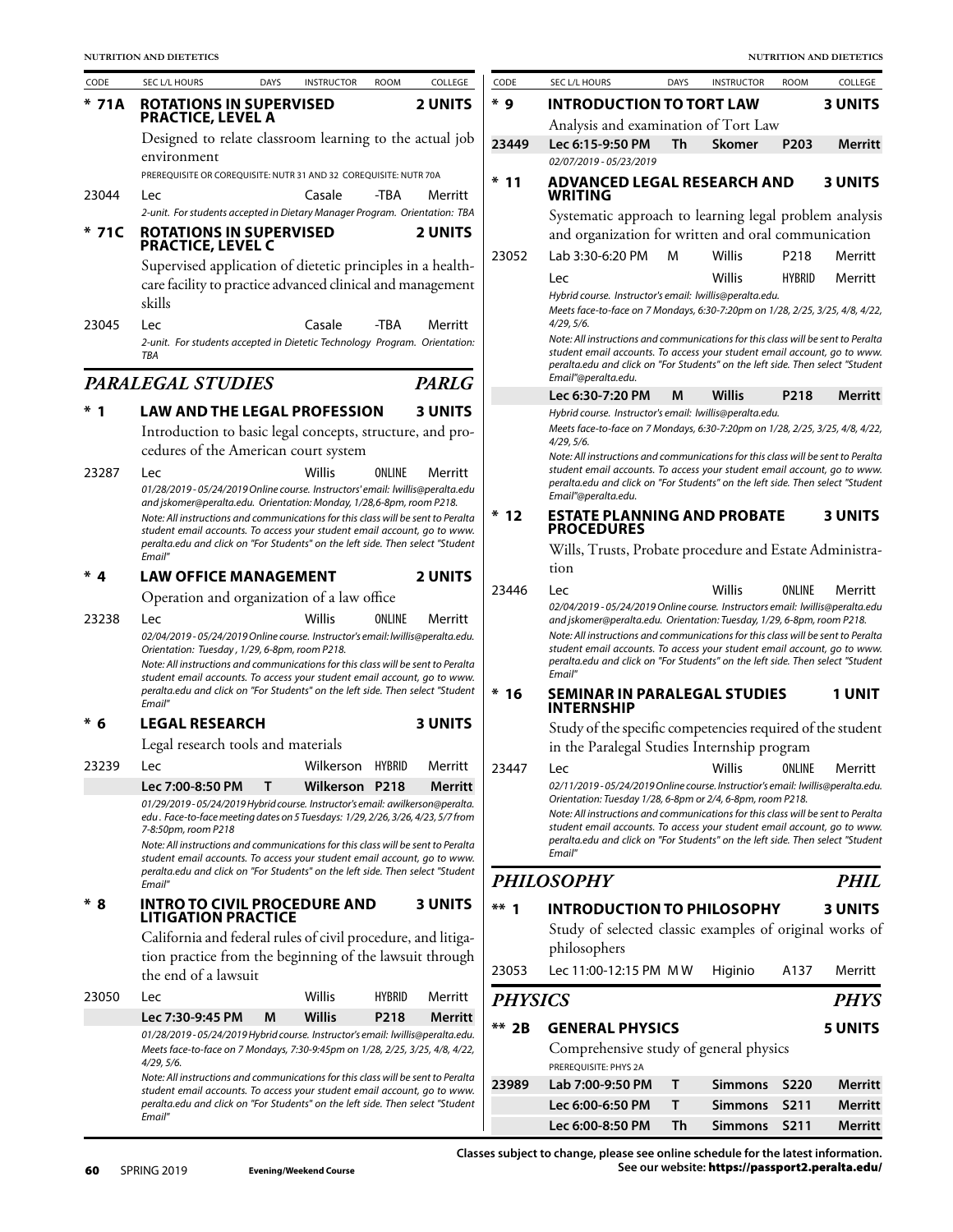| CODE  | SEC L/L HOURS                                                                                                                                                                                                                                                                                                                                                                                                                                                           | <b>DAYS</b> | <b>INSTRUCTOR</b> | <b>ROOM</b>   | COLLEGE        |
|-------|-------------------------------------------------------------------------------------------------------------------------------------------------------------------------------------------------------------------------------------------------------------------------------------------------------------------------------------------------------------------------------------------------------------------------------------------------------------------------|-------------|-------------------|---------------|----------------|
| * 71A | <b>ROTATIONS IN SUPERVISED</b><br><b>PRACTICE, LEVEL A</b>                                                                                                                                                                                                                                                                                                                                                                                                              |             |                   |               | <b>2 UNITS</b> |
|       | Designed to relate classroom learning to the actual job                                                                                                                                                                                                                                                                                                                                                                                                                 |             |                   |               |                |
|       | environment<br>PREREQUISITE OR COREQUISITE: NUTR 31 AND 32 COREQUISITE: NUTR 70A                                                                                                                                                                                                                                                                                                                                                                                        |             |                   |               |                |
| 23044 | Lec                                                                                                                                                                                                                                                                                                                                                                                                                                                                     |             | Casale            | -TBA          | Merritt        |
|       | 2-unit. For students accepted in Dietary Manager Program. Orientation: TBA                                                                                                                                                                                                                                                                                                                                                                                              |             |                   |               |                |
| 71C   | <b>ROTATIONS IN SUPERVISED</b><br><b>PRACTICE, LEVEL C</b>                                                                                                                                                                                                                                                                                                                                                                                                              |             |                   |               | <b>2 UNITS</b> |
|       | Supervised application of dietetic principles in a health-<br>care facility to practice advanced clinical and management<br>skills                                                                                                                                                                                                                                                                                                                                      |             |                   |               |                |
| 23045 | Lec<br>2-unit. For students accepted in Dietetic Technology Program. Orientation:<br>TBA                                                                                                                                                                                                                                                                                                                                                                                |             | Casale            | -TBA          | Merritt        |
|       | <b>PARALEGAL STUDIES</b>                                                                                                                                                                                                                                                                                                                                                                                                                                                |             |                   |               | <b>PARLG</b>   |
| *     | <b>LAW AND THE LEGAL PROFESSION</b>                                                                                                                                                                                                                                                                                                                                                                                                                                     |             |                   |               | <b>3 UNITS</b> |
|       | Introduction to basic legal concepts, structure, and pro-<br>cedures of the American court system                                                                                                                                                                                                                                                                                                                                                                       |             |                   |               |                |
| 23287 | Lec<br>01/28/2019 - 05/24/2019 Online course. Instructors' email: lwillis@peralta.edu<br>and jskomer@peralta.edu. Orientation: Monday, 1/28,6-8pm, room P218.                                                                                                                                                                                                                                                                                                           |             | Willis            | ONLINE        | Merritt        |
|       | Note: All instructions and communications for this class will be sent to Peralta<br>student email accounts. To access your student email account, go to www.<br>peralta.edu and click on "For Students" on the left side. Then select "Student<br>Email"                                                                                                                                                                                                                |             |                   |               |                |
| * 4   | <b>LAW OFFICE MANAGEMENT</b>                                                                                                                                                                                                                                                                                                                                                                                                                                            |             |                   |               | <b>2 UNITS</b> |
|       | Operation and organization of a law office                                                                                                                                                                                                                                                                                                                                                                                                                              |             |                   |               |                |
| 23238 | Lec<br>02/04/2019-05/24/2019 Online course. Instructor's email: lwillis@peralta.edu.<br>Orientation: Tuesday, 1/29, 6-8pm, room P218.<br>Note: All instructions and communications for this class will be sent to Peralta<br>student email accounts. To access your student email account, go to www.<br>peralta.edu and click on "For Students" on the left side. Then select "Student<br>Email"                                                                       |             | Willis            | ONLINE        | Merritt        |
| $*6$  | <b>LEGAL RESEARCH</b>                                                                                                                                                                                                                                                                                                                                                                                                                                                   |             |                   |               | <b>3 UNITS</b> |
|       | Legal research tools and materials                                                                                                                                                                                                                                                                                                                                                                                                                                      |             |                   |               |                |
| 23239 | Lec                                                                                                                                                                                                                                                                                                                                                                                                                                                                     |             | Wilkerson         | HYBRID        | Merritt        |
|       | Lec 7:00-8:50 PM<br>01/29/2019-05/24/2019 Hybrid course. Instructor's email: awilkerson@peralta.<br>edu . Face-to-face meeting dates on 5 Tuesdays: 1/29, 2/26, 3/26, 4/23, 5/7 from<br>7-8:50pm, room P218<br>Note: All instructions and communications for this class will be sent to Peralta<br>student email accounts. To access your student email account, go to www.<br>peralta.edu and click on "For Students" on the left side. Then select "Student<br>Email" | Т           | Wilkerson P218    |               | Merritt        |
| * 8   | <b>INTRO TO CIVIL PROCEDURE AND</b><br><b>LITIGATION PRACTICE</b>                                                                                                                                                                                                                                                                                                                                                                                                       |             |                   |               | <b>3 UNITS</b> |
|       | California and federal rules of civil procedure, and litiga-<br>tion practice from the beginning of the lawsuit through<br>the end of a lawsuit                                                                                                                                                                                                                                                                                                                         |             |                   |               |                |
| 23050 | Lec                                                                                                                                                                                                                                                                                                                                                                                                                                                                     |             | Willis            | <b>HYBRID</b> | Merritt        |
|       | Lec 7:30-9:45 PM                                                                                                                                                                                                                                                                                                                                                                                                                                                        | M           | Willis            | P218          | Merritt        |
|       | 01/28/2019-05/24/2019 Hybrid course. Instructor's email: lwillis@peralta.edu.<br>Meets face-to-face on 7 Mondays, 7:30-9:45pm on 1/28, 2/25, 3/25, 4/8, 4/22,<br>4/29, 5/6.<br>Note: All instructions and communications for this class will be sent to Peralta<br>student email accounts. To access your student email account, go to www.<br>peralta.edu and click on "For Students" on the left side. Then select "Student<br>Email"                                 |             |                   |               |                |

| CODE                                                                                                                                                                                                                                                                  | SEC L/L HOURS                                                                                                                                                                                                                                                                                                                                                                                                                  | <b>DAYS</b> | <b>INSTRUCTOR</b> | <b>ROOM</b>       | COLLEGE        |  |  |  |  |  |
|-----------------------------------------------------------------------------------------------------------------------------------------------------------------------------------------------------------------------------------------------------------------------|--------------------------------------------------------------------------------------------------------------------------------------------------------------------------------------------------------------------------------------------------------------------------------------------------------------------------------------------------------------------------------------------------------------------------------|-------------|-------------------|-------------------|----------------|--|--|--|--|--|
| * 9                                                                                                                                                                                                                                                                   | <b>INTRODUCTION TO TORT LAW</b>                                                                                                                                                                                                                                                                                                                                                                                                |             |                   |                   | <b>3 UNITS</b> |  |  |  |  |  |
|                                                                                                                                                                                                                                                                       | Analysis and examination of Tort Law                                                                                                                                                                                                                                                                                                                                                                                           |             |                   |                   |                |  |  |  |  |  |
| 23449                                                                                                                                                                                                                                                                 | Lec 6:15-9:50 PM                                                                                                                                                                                                                                                                                                                                                                                                               | Th          | <b>Skomer</b>     | P <sub>203</sub>  | Merritt        |  |  |  |  |  |
|                                                                                                                                                                                                                                                                       | 02/07/2019 - 05/23/2019                                                                                                                                                                                                                                                                                                                                                                                                        |             |                   |                   |                |  |  |  |  |  |
| * 11                                                                                                                                                                                                                                                                  | ADVANCED LEGAL RESEARCH AND<br>WRITING                                                                                                                                                                                                                                                                                                                                                                                         |             |                   |                   | <b>3 UNITS</b> |  |  |  |  |  |
|                                                                                                                                                                                                                                                                       | Systematic approach to learning legal problem analysis<br>and organization for written and oral communication                                                                                                                                                                                                                                                                                                                  |             |                   |                   |                |  |  |  |  |  |
| 23052                                                                                                                                                                                                                                                                 | Lab 3:30-6:20 PM                                                                                                                                                                                                                                                                                                                                                                                                               | м           | Willis            | P218              | Merritt        |  |  |  |  |  |
|                                                                                                                                                                                                                                                                       | Lec<br>Hybrid course. Instructor's email: lwillis@peralta.edu.<br>Meets face-to-face on 7 Mondays, 6:30-7:20pm on 1/28, 2/25, 3/25, 4/8, 4/22,<br>4/29, 5/6.                                                                                                                                                                                                                                                                   |             | Willis            | <b>HYBRID</b>     | Merritt        |  |  |  |  |  |
| Note: All instructions and communications for this class will be sent to Peralta<br>student email accounts. To access your student email account, go to www.<br>peralta.edu and click on "For Students" on the left side. Then select "Student<br>Email"@peralta.edu. |                                                                                                                                                                                                                                                                                                                                                                                                                                |             |                   |                   |                |  |  |  |  |  |
|                                                                                                                                                                                                                                                                       | Lec 6:30-7:20 PM                                                                                                                                                                                                                                                                                                                                                                                                               | M           | Willis            | P <sub>2</sub> 18 | Merritt        |  |  |  |  |  |
|                                                                                                                                                                                                                                                                       | Hybrid course. Instructor's email: lwillis@peralta.edu.<br>Meets face-to-face on 7 Mondays, 6:30-7:20pm on 1/28, 2/25, 3/25, 4/8, 4/22,<br>4/29, 5/6.<br>Note: All instructions and communications for this class will be sent to Peralta<br>student email accounts. To access your student email account, go to www.<br>peralta.edu and click on "For Students" on the left side. Then select "Student<br>Email"@peralta.edu. |             |                   |                   |                |  |  |  |  |  |
| $*12$                                                                                                                                                                                                                                                                 | <b>ESTATE PLANNING AND PROBATE</b><br><b>PROCEDURES</b>                                                                                                                                                                                                                                                                                                                                                                        |             |                   |                   | <b>3 UNITS</b> |  |  |  |  |  |
|                                                                                                                                                                                                                                                                       | Wills, Trusts, Probate procedure and Estate Administra-<br>tion                                                                                                                                                                                                                                                                                                                                                                |             |                   |                   |                |  |  |  |  |  |
| 23446                                                                                                                                                                                                                                                                 | Lec<br>02/04/2019 - 05/24/2019 Online course. Instructors email: lwillis@peralta.edu<br>and jskomer@peralta.edu. Orientation: Tuesday, 1/29, 6-8pm, room P218.<br>Note: All instructions and communications for this class will be sent to Peralta<br>student email accounts. To access your student email account, go to www.<br>peralta.edu and click on "For Students" on the left side. Then select "Student<br>Email"     |             | Willis            | ONLINE            | Merritt        |  |  |  |  |  |
| * 16                                                                                                                                                                                                                                                                  | <b>SEMINAR IN PARALEGAL STUDIES</b><br><b>INTERNSHIP</b>                                                                                                                                                                                                                                                                                                                                                                       |             |                   |                   | 1 UNIT         |  |  |  |  |  |
|                                                                                                                                                                                                                                                                       | Study of the specific competencies required of the student<br>in the Paralegal Studies Internship program                                                                                                                                                                                                                                                                                                                      |             |                   |                   |                |  |  |  |  |  |
| 23447                                                                                                                                                                                                                                                                 | Lec                                                                                                                                                                                                                                                                                                                                                                                                                            |             | Willis ONLINE     |                   | Merritt        |  |  |  |  |  |
|                                                                                                                                                                                                                                                                       | 02/11/2019-05/24/2019 Online course. Instructior's email: lwillis@peralta.edu.<br>Orientation: Tuesday 1/28, 6-8pm or 2/4, 6-8pm, room P218.<br>Note: All instructions and communications for this class will be sent to Peralta<br>student email accounts. To access your student email account, go to www.<br>peralta.edu and click on "For Students" on the left side. Then select "Student<br>Email"                       |             |                   |                   |                |  |  |  |  |  |
|                                                                                                                                                                                                                                                                       | <b>PHILOSOPHY</b>                                                                                                                                                                                                                                                                                                                                                                                                              |             |                   |                   | PHIL           |  |  |  |  |  |
| $***$ 1                                                                                                                                                                                                                                                               | <b>INTRODUCTION TO PHILOSOPHY</b>                                                                                                                                                                                                                                                                                                                                                                                              |             |                   |                   | <b>3 UNITS</b> |  |  |  |  |  |
|                                                                                                                                                                                                                                                                       | Study of selected classic examples of original works of<br>philosophers                                                                                                                                                                                                                                                                                                                                                        |             |                   |                   |                |  |  |  |  |  |
| 23053                                                                                                                                                                                                                                                                 | Lec 11:00-12:15 PM MW                                                                                                                                                                                                                                                                                                                                                                                                          |             | Higinio           | A137              | Merritt        |  |  |  |  |  |
| <b>PHYSICS</b>                                                                                                                                                                                                                                                        |                                                                                                                                                                                                                                                                                                                                                                                                                                |             |                   |                   | <b>PHYS</b>    |  |  |  |  |  |
| $**$ 2B                                                                                                                                                                                                                                                               | <b>GENERAL PHYSICS</b>                                                                                                                                                                                                                                                                                                                                                                                                         |             |                   |                   | 5 UNITS        |  |  |  |  |  |
|                                                                                                                                                                                                                                                                       |                                                                                                                                                                                                                                                                                                                                                                                                                                |             |                   |                   |                |  |  |  |  |  |

Comprehensive study of general physics PREREQUISITE: PHYS 2A

 $\overline{\phantom{a}}$ 

| 23989       Lab 7:00-9:50 PM       T |   | Simmons S220    | Merritt |
|--------------------------------------|---|-----------------|---------|
| Lec 6:00-6:50 PM                     | T | Simmons S211    | Merritt |
| Lec 6:00-8:50 PM                     |   | Th Simmons S211 | Merritt |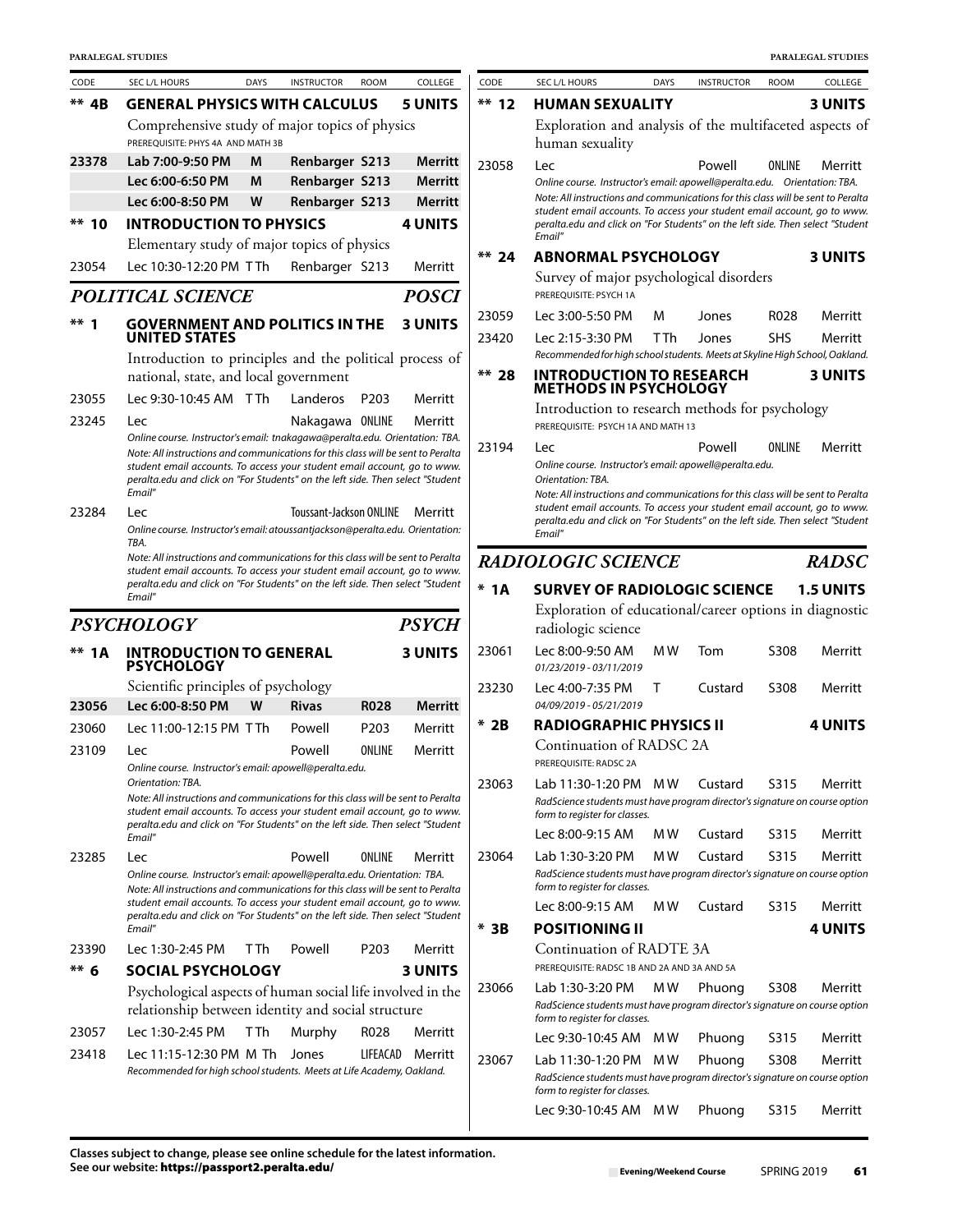| CODE     | SEC L/L HOURS                                                                                                                                                        | <b>DAYS</b> | <b>INSTRUCTOR</b>       | <b>ROOM</b>      | COLLEGE        | CODE           | <b>SEC L/L HOURS</b><br><b>DAYS</b><br><b>INSTRUCTOR</b><br><b>ROOM</b>                                                                                                                                                                               | COLLEGE            |  |
|----------|----------------------------------------------------------------------------------------------------------------------------------------------------------------------|-------------|-------------------------|------------------|----------------|----------------|-------------------------------------------------------------------------------------------------------------------------------------------------------------------------------------------------------------------------------------------------------|--------------------|--|
| $**$ 4B  | <b>GENERAL PHYSICS WITH CALCULUS</b>                                                                                                                                 |             |                         |                  | <b>5 UNITS</b> | $**$ 12        | <b>HUMAN SEXUALITY</b>                                                                                                                                                                                                                                | <b>3 UNITS</b>     |  |
|          | Comprehensive study of major topics of physics<br>PREREQUISITE: PHYS 4A AND MATH 3B                                                                                  |             |                         |                  |                |                | Exploration and analysis of the multifaceted aspects of<br>human sexuality                                                                                                                                                                            |                    |  |
| 23378    | Lab 7:00-9:50 PM                                                                                                                                                     | М           | Renbarger S213          |                  | Merritt        | 23058          | Powell<br>Lec<br>ONLINE                                                                                                                                                                                                                               | Merritt            |  |
|          | Lec 6:00-6:50 PM                                                                                                                                                     | M           | Renbarger S213          |                  | <b>Merritt</b> |                | Online course. Instructor's email: apowell@peralta.edu. Orientation: TBA.                                                                                                                                                                             |                    |  |
|          | Lec 6:00-8:50 PM                                                                                                                                                     | W           | Renbarger S213          |                  | Merritt        |                | Note: All instructions and communications for this class will be sent to Perali<br>student email accounts. To access your student email account, go to wwi                                                                                            |                    |  |
| **<br>10 | <b>INTRODUCTION TO PHYSICS</b>                                                                                                                                       |             |                         |                  | <b>4 UNITS</b> |                | peralta.edu and click on "For Students" on the left side. Then select "Studer<br>Email"                                                                                                                                                               |                    |  |
|          | Elementary study of major topics of physics                                                                                                                          |             |                         |                  |                | $** 24$        | <b>ABNORMAL PSYCHOLOGY</b>                                                                                                                                                                                                                            | <b>3 UNITS</b>     |  |
| 23054    | Lec 10:30-12:20 PM TTh                                                                                                                                               |             | Renbarger S213          |                  | Merritt        |                | Survey of major psychological disorders                                                                                                                                                                                                               |                    |  |
|          | <b>POLITICAL SCIENCE</b>                                                                                                                                             |             |                         |                  | <b>POSCI</b>   |                | PREREOUISITE: PSYCH 1A                                                                                                                                                                                                                                |                    |  |
| $***1$   | <b>GOVERNMENT AND POLITICS IN THE</b><br><b>UNITED STATES</b>                                                                                                        |             |                         |                  | <b>3 UNITS</b> | 23059<br>23420 | Lec 3:00-5:50 PM<br>R028<br>м<br>Jones<br>Lec 2:15-3:30 PM<br><b>SHS</b><br>T Th<br>Jones                                                                                                                                                             | Merritt<br>Merritt |  |
|          | Introduction to principles and the political process of                                                                                                              |             |                         |                  |                |                | Recommended for high school students. Meets at Skyline High School, Oaklan                                                                                                                                                                            |                    |  |
|          | national, state, and local government                                                                                                                                |             |                         |                  |                | ** 28          | <b>INTRODUCTION TO RESEARCH</b><br><b>METHODS IN PSYCHOLOGY</b>                                                                                                                                                                                       | <b>3 UNITS</b>     |  |
| 23055    | Lec 9:30-10:45 AM TTh                                                                                                                                                |             | Landeros                | P <sub>203</sub> | Merritt        |                | Introduction to research methods for psychology                                                                                                                                                                                                       |                    |  |
| 23245    | Lec                                                                                                                                                                  |             | Nakagawa ONLINE         |                  | Merritt        |                | PREREOUISITE: PSYCH 1A AND MATH 13                                                                                                                                                                                                                    |                    |  |
|          | Online course. Instructor's email: tnakagawa@peralta.edu. Orientation: TBA.<br>Note: All instructions and communications for this class will be sent to Peralta      |             |                         |                  |                | 23194          | ONLINE<br>Powell<br>Lec                                                                                                                                                                                                                               | Merritt            |  |
|          | student email accounts. To access your student email account, go to www.<br>peralta.edu and click on "For Students" on the left side. Then select "Student           |             |                         |                  |                |                | Online course. Instructor's email: apowell@peralta.edu.<br>Orientation: TBA.                                                                                                                                                                          |                    |  |
| 23284    | Email"<br>Lec<br>Online course. Instructor's email: atoussantjackson@peralta.edu. Orientation:                                                                       |             | Toussant-Jackson ONLINE |                  | Merritt        |                | Note: All instructions and communications for this class will be sent to Perali<br>student email accounts. To access your student email account, go to www<br>peralta.edu and click on "For Students" on the left side. Then select "Studer<br>Email" |                    |  |
|          | TBA.<br>Note: All instructions and communications for this class will be sent to Peralta                                                                             |             |                         |                  |                |                | <b>RADIOLOGIC SCIENCE</b>                                                                                                                                                                                                                             | <b>RADS</b>        |  |
|          | student email accounts. To access your student email account, go to www.<br>peralta.edu and click on "For Students" on the left side. Then select "Student<br>Email" |             |                         |                  |                | $*1A$          | <b>SURVEY OF RADIOLOGIC SCIENCE</b><br><b>1.5 UNITS</b>                                                                                                                                                                                               |                    |  |
|          | <b>PSYCHOLOGY</b>                                                                                                                                                    |             |                         |                  | <b>PSYCH</b>   |                | Exploration of educational/career options in diagnosti                                                                                                                                                                                                |                    |  |
|          |                                                                                                                                                                      |             |                         |                  |                |                | radiologic science                                                                                                                                                                                                                                    |                    |  |
| **<br>1A | <b>INTRODUCTION TO GENERAL</b><br><b>PSYCHOLOGY</b>                                                                                                                  |             |                         |                  | <b>3 UNITS</b> | 23061          | Lec 8:00-9:50 AM<br>M W<br>S308<br>Tom<br>01/23/2019 - 03/11/2019                                                                                                                                                                                     | Merritt            |  |
|          | Scientific principles of psychology                                                                                                                                  |             |                         |                  |                | 23230          | Lec 4:00-7:35 PM<br>Τ<br>Custard<br>S308                                                                                                                                                                                                              | Merritt            |  |
| 23056    | Lec 6:00-8:50 PM                                                                                                                                                     | W           | <b>Rivas</b>            | <b>R028</b>      | Merritt        | $*$ 2B         | 04/09/2019 - 05/21/2019<br><b>RADIOGRAPHIC PHYSICS II</b>                                                                                                                                                                                             | <b>4 UNITS</b>     |  |
| 23060    | Lec 11:00-12:15 PM TTh                                                                                                                                               |             | Powell                  | P <sub>203</sub> | Merritt        |                | Continuation of RADSC 2A                                                                                                                                                                                                                              |                    |  |
| 23109    | Lec<br>Online course. Instructor's email: apowell@peralta.edu.                                                                                                       |             | Powell                  | ONLINE           | Merritt        |                | PREREQUISITE: RADSC 2A                                                                                                                                                                                                                                |                    |  |
|          | Orientation: TBA.                                                                                                                                                    |             |                         |                  |                | 23063          | Lab 11:30-1:20 PM MW<br>S315<br>Custard                                                                                                                                                                                                               | Merritt            |  |
|          | Note: All instructions and communications for this class will be sent to Peralta<br>student email accounts. To access your student email account, go to www.         |             |                         |                  |                |                | RadScience students must have program director's signature on course optic                                                                                                                                                                            |                    |  |
|          | peralta.edu and click on "For Students" on the left side. Then select "Student                                                                                       |             |                         |                  |                |                | form to register for classes.<br>Lec 8:00-9:15 AM<br>Custard<br>S315<br>мw                                                                                                                                                                            | Merritt            |  |
|          | Email"                                                                                                                                                               |             |                         |                  |                |                | Lab 1:30-3:20 PM<br>M W<br>S315                                                                                                                                                                                                                       | Merritt            |  |
| 23285    | Lec<br>Online course. Instructor's email: apowell@peralta.edu. Orientation: TBA.<br>Note: All instructions and communications for this class will be sent to Peralta |             | Powell                  | ONLINE           | Merritt        | 23064          | Custard<br>RadScience students must have program director's signature on course optic<br>form to register for classes.                                                                                                                                |                    |  |
|          | student email accounts. To access your student email account, go to www.                                                                                             |             |                         |                  |                |                | Lec 8:00-9:15 AM<br>M W<br>S315<br>Custard                                                                                                                                                                                                            | Merritt            |  |
|          | peralta.edu and click on "For Students" on the left side. Then select "Student<br>Email"                                                                             |             |                         |                  |                | $*$ 3B         | <b>POSITIONING II</b>                                                                                                                                                                                                                                 | <b>4 UNITS</b>     |  |
| 23390    | Lec 1:30-2:45 PM                                                                                                                                                     | T Th        | Powell                  | P <sub>203</sub> | Merritt        |                | Continuation of RADTE 3A                                                                                                                                                                                                                              |                    |  |
| $*** 6$  | <b>SOCIAL PSYCHOLOGY</b>                                                                                                                                             |             |                         |                  | <b>3 UNITS</b> |                | PREREQUISITE: RADSC 1B AND 2A AND 3A AND 5A                                                                                                                                                                                                           |                    |  |
|          | Psychological aspects of human social life involved in the<br>relationship between identity and social structure                                                     |             |                         |                  |                |                | Lab 1:30-3:20 PM<br>S308<br>M W<br>Phuong<br>RadScience students must have program director's signature on course optic                                                                                                                               | Merritt            |  |
| 23057    | Lec 1:30-2:45 PM                                                                                                                                                     | <b>TTh</b>  | Murphy                  | R028             | Merritt        |                | form to register for classes.<br>Lec 9:30-10:45 AM MW<br>Phuong<br>S315                                                                                                                                                                               | Merritt            |  |
| 23418    | Lec 11:15-12:30 PM M Th                                                                                                                                              |             | Jones                   | LIFEACAD         | Merritt        | 23067          | Lab 11:30-1:20 PM MW<br>S308<br>Phuong                                                                                                                                                                                                                | Merritt            |  |
|          | Recommended for high school students. Meets at Life Academy, Oakland.                                                                                                |             |                         |                  |                |                | RadScience students must have program director's signature on course optic<br>form to register for classes.                                                                                                                                           |                    |  |

| CODE     | <b>SEC L/L HOURS</b>                                                                                                                                                                                                                                                                                                                         | <b>DAYS</b>                                                                       | <b>INSTRUCTOR</b> | <b>ROOM</b> | COLLEGE          |  |  |  |  |  |
|----------|----------------------------------------------------------------------------------------------------------------------------------------------------------------------------------------------------------------------------------------------------------------------------------------------------------------------------------------------|-----------------------------------------------------------------------------------|-------------------|-------------|------------------|--|--|--|--|--|
| ** $12$  | HUMAN SEXUALITY                                                                                                                                                                                                                                                                                                                              |                                                                                   |                   |             | <b>3 UNITS</b>   |  |  |  |  |  |
|          | Exploration and analysis of the multifaceted aspects of<br>human sexuality                                                                                                                                                                                                                                                                   |                                                                                   |                   |             |                  |  |  |  |  |  |
| 23058    | Lec<br>Online course. Instructor's email: apowell@peralta.edu. Orientation: TBA.<br>Note: All instructions and communications for this class will be sent to Peralta<br>student email accounts. To access your student email account, go to www.<br>peralta.edu and click on "For Students" on the left side. Then select "Student<br>Email" |                                                                                   | Powell            | ONLINE      | Merritt          |  |  |  |  |  |
| ** 24    | ABNORMAL PSYCHOLOGY                                                                                                                                                                                                                                                                                                                          |                                                                                   |                   |             | <b>3 UNITS</b>   |  |  |  |  |  |
|          | Survey of major psychological disorders<br>PREREOUISITE: PSYCH 1A                                                                                                                                                                                                                                                                            |                                                                                   |                   |             |                  |  |  |  |  |  |
| 23059    | Lec 3:00-5:50 PM                                                                                                                                                                                                                                                                                                                             | м                                                                                 | Jones             | R028        | Merritt          |  |  |  |  |  |
| 23420    | Lec 2:15-3:30 PM<br>Recommended for high school students. Meets at Skyline High School, Oakland.                                                                                                                                                                                                                                             | <b>TTh</b>                                                                        | Jones             | SHS         | Merritt          |  |  |  |  |  |
| ** 28    |                                                                                                                                                                                                                                                                                                                                              | <b>INTRODUCTION TO RESEARCH</b><br><b>3 UNITS</b><br><b>METHODS IN PSYCHOLOGY</b> |                   |             |                  |  |  |  |  |  |
|          | Introduction to research methods for psychology<br>PREREOUISITE: PSYCH 1A AND MATH 13                                                                                                                                                                                                                                                        |                                                                                   |                   |             |                  |  |  |  |  |  |
| 23194    | Lec<br>Online course. Instructor's email: apowell@peralta.edu.<br>Orientation: TBA.<br>Note: All instructions and communications for this class will be sent to Peralta<br>student email accounts. To access your student email account, go to www.<br>peralta.edu and click on "For Students" on the left side. Then select "Student        |                                                                                   | Powell            | ONLINE      | Merritt          |  |  |  |  |  |
|          | Email"                                                                                                                                                                                                                                                                                                                                       |                                                                                   |                   |             |                  |  |  |  |  |  |
|          | <b>RADIOLOGIC SCIENCE</b>                                                                                                                                                                                                                                                                                                                    |                                                                                   |                   |             | <b>RADSC</b>     |  |  |  |  |  |
| *<br>1 A | <b>SURVEY OF RADIOLOGIC SCIENCE</b>                                                                                                                                                                                                                                                                                                          |                                                                                   |                   |             | <b>1.5 UNITS</b> |  |  |  |  |  |
|          | Exploration of educational/career options in diagnostic<br>radiologic science                                                                                                                                                                                                                                                                |                                                                                   |                   |             |                  |  |  |  |  |  |
| 23061    | Lec 8:00-9:50 AM<br>01/23/2019 - 03/11/2019                                                                                                                                                                                                                                                                                                  | M W                                                                               | Tom               | S308        | Merritt          |  |  |  |  |  |
| 23230    | Lec 4:00-7:35 PM<br>04/09/2019 - 05/21/2019                                                                                                                                                                                                                                                                                                  | т                                                                                 | Custard           | S308        | Merritt          |  |  |  |  |  |
| * 2B     | RADIOGRAPHIC PHYSICS II                                                                                                                                                                                                                                                                                                                      |                                                                                   |                   |             | <b>4 UNITS</b>   |  |  |  |  |  |
|          | Continuation of RADSC 2A<br>PREREQUISITE: RADSC 2A                                                                                                                                                                                                                                                                                           |                                                                                   |                   |             |                  |  |  |  |  |  |
| 23063    | Lab 11:30-1:20 PM<br>RadScience students must have program director's signature on course option<br>form to register for classes.                                                                                                                                                                                                            | M W                                                                               | Custard           | S315        | Merritt          |  |  |  |  |  |
|          | Lec 8:00-9:15 AM                                                                                                                                                                                                                                                                                                                             | M W                                                                               | Custard           | S315        | Merritt          |  |  |  |  |  |
| 23064    | Lab 1:30-3:20 PM                                                                                                                                                                                                                                                                                                                             | M W                                                                               | Custard           | S315        | Merritt          |  |  |  |  |  |
|          | RadScience students must have program director's signature on course option<br>form to register for classes.                                                                                                                                                                                                                                 |                                                                                   |                   |             |                  |  |  |  |  |  |
|          | Lec 8:00-9:15 AM                                                                                                                                                                                                                                                                                                                             | M W                                                                               | Custard           | S315        | Merritt          |  |  |  |  |  |
| * 3B     | POSITIONING II                                                                                                                                                                                                                                                                                                                               |                                                                                   |                   |             | <b>4 UNITS</b>   |  |  |  |  |  |
|          | Continuation of RADTE 3A<br>PREREOUISITE: RADSC 1B AND 2A AND 3A AND 5A                                                                                                                                                                                                                                                                      |                                                                                   |                   |             |                  |  |  |  |  |  |
| 23066    | Lab 1:30-3:20 PM                                                                                                                                                                                                                                                                                                                             | M W                                                                               | Phuong            | S308        | Merritt          |  |  |  |  |  |
|          | RadScience students must have program director's signature on course option<br>form to register for classes.                                                                                                                                                                                                                                 |                                                                                   |                   |             |                  |  |  |  |  |  |
|          | Lec 9:30-10:45 AM                                                                                                                                                                                                                                                                                                                            | M W                                                                               | Phuong            | S315        | Merritt          |  |  |  |  |  |
| 23067    | Lab 11:30-1:20 PM<br>RadScience students must have program director's signature on course option<br>form to register for classes.                                                                                                                                                                                                            | M W                                                                               | Phuong            | S308        | Merritt          |  |  |  |  |  |
|          | Lec 9:30-10:45 AM                                                                                                                                                                                                                                                                                                                            | M W                                                                               | Phuong            | S315        | Merritt          |  |  |  |  |  |